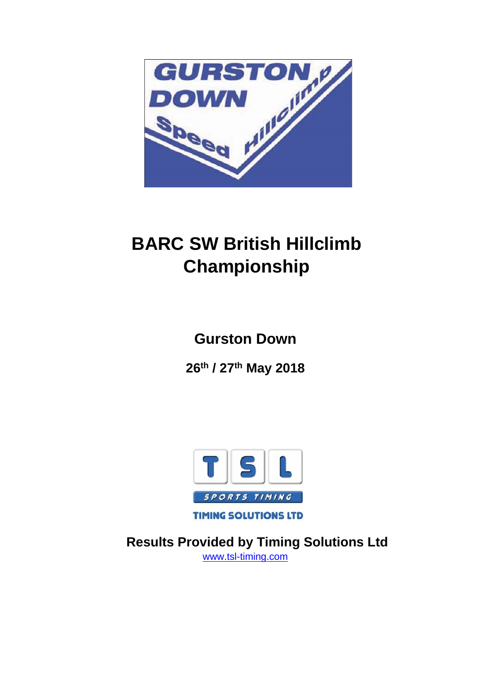

# **BARC SW British Hillclimb Championship**

**Gurston Down**

**26th / 27th May 2018**



**TIMING SOLUTIONS LTD** 

 **Results Provided by Timing Solutions Ltd**  www.tsl-timing.com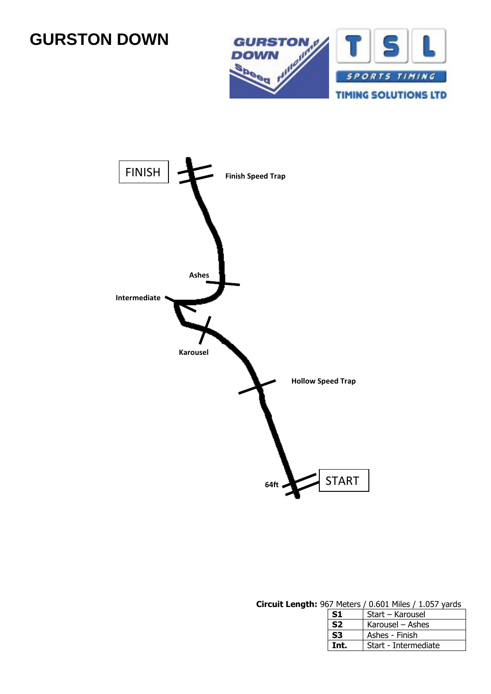# **GURSTON DOWN**





#### **Circuit Length:** 967 Meters / 0.601 Miles / 1.057 yards

| S1             | Start - Karousel     |
|----------------|----------------------|
| S <sub>2</sub> | Karousel – Ashes     |
| S <sub>3</sub> | Ashes - Finish       |
| Int.           | Start - Intermediate |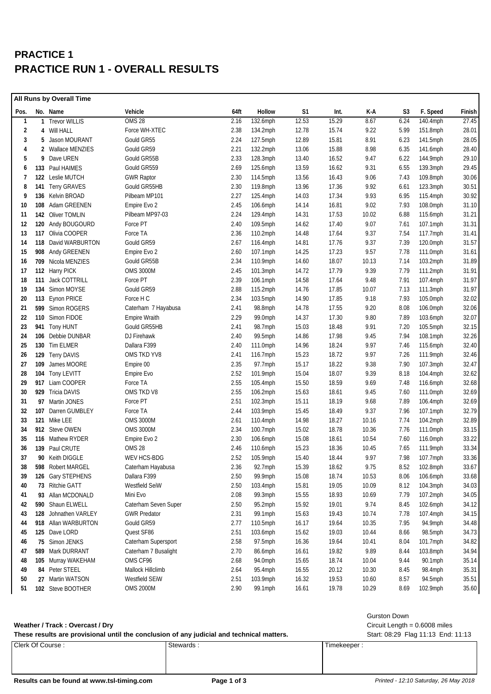## **PRACTICE 1 PRACTICE RUN 1 - OVERALL RESULTS**

|              | All Runs by Overall Time |                      |                      |      |             |       |       |       |                |             |        |
|--------------|--------------------------|----------------------|----------------------|------|-------------|-------|-------|-------|----------------|-------------|--------|
| Pos.         |                          | No. Name             | Vehicle              | 64ft | Hollow      | S1    | Int.  | K-A   | S <sub>3</sub> | F. Speed    | Finish |
| $\mathbf{1}$ |                          | 1 Trevor WILLIS      | <b>OMS 28</b>        | 2.16 | 132.6mph    | 12.53 | 15.29 | 8.67  | 6.24           | 140.4mph    | 27.45  |
| 2            |                          | 4 Will HALL          | Force WH-XTEC        | 2.38 | $134.2$ mph | 12.78 | 15.74 | 9.22  | 5.99           | 151.8mph    | 28.01  |
| 3            | 5.                       | Jason MOURANT        | Gould GR55           | 2.24 | 127.5mph    | 12.89 | 15.81 | 8.91  | 6.23           | 141.5mph    | 28.05  |
| 4            | 2                        | Wallace MENZIES      | Gould GR59           | 2.21 | 132.2mph    | 13.06 | 15.88 | 8.98  | 6.35           | 141.6mph    | 28.40  |
| 5            | 9                        | Dave UREN            | Gould GR55B          | 2.33 | 128.3mph    | 13.40 | 16.52 | 9.47  | 6.22           | 144.9mph    | 29.10  |
| 6            | 133                      | Paul HAIMES          | Gould GR559          | 2.69 | 125.6mph    | 13.59 | 16.62 | 9.31  | 6.55           | 139.3mph    | 29.45  |
| 7            | 122                      | Leslie MUTCH         | <b>GWR Raptor</b>    | 2.30 | 114.5mph    | 13.56 | 16.43 | 9.06  | 7.43           | 109.8mph    | 30.06  |
| 8            |                          | 141 Terry GRAVES     | Gould GR55HB         | 2.30 | 119.8mph    | 13.96 | 17.36 | 9.92  | 6.61           | 123.3mph    | 30.51  |
| 9            |                          | 136 Kelvin BROAD     | Pilbeam MP101        | 2.27 | 125.4mph    | 14.03 | 17.34 | 9.93  | 6.95           | 115.4mph    | 30.92  |
| 10           | 108                      | Adam GREENEN         | Empire Evo 2         | 2.45 | 106.6mph    | 14.14 | 16.81 | 9.02  | 7.93           | 108.0mph    | 31.10  |
| 11           |                          | 142 Oliver TOMLIN    | Pilbeam MP97-03      | 2.24 | 129.4mph    | 14.31 | 17.53 | 10.02 | 6.88           | 115.6mph    | 31.21  |
| 12           |                          | 120 Andy BOUGOURD    | Force PT             | 2.40 | 109.5mph    | 14.62 | 17.40 | 9.07  | 7.61           | 107.1mph    | 31.31  |
| 13           | 117                      | Olivia COOPER        | Force TA             | 2.36 | 110.2mph    | 14.48 | 17.64 | 9.37  | 7.54           | $117.7$ mph | 31.41  |
| 14           | 118                      | David WARBURTON      | Gould GR59           | 2.67 | 116.4mph    | 14.81 | 17.76 | 9.37  | 7.39           | 120.0mph    | 31.57  |
| 15           |                          | 908 Andy GREENEN     | Empire Evo 2         | 2.60 | 107.1mph    | 14.25 | 17.23 | 9.57  | 7.78           | 111.0mph    | 31.61  |
| 16           |                          | 709 Nicola MENZIES   | Gould GR55B          | 2.34 | 110.9mph    | 14.60 | 18.07 | 10.13 | 7.14           | $103.2$ mph | 31.89  |
| 17           |                          | 112 Harry PICK       | <b>OMS 3000M</b>     | 2.45 | 101.3mph    | 14.72 | 17.79 | 9.39  | 7.79           | 111.2mph    | 31.91  |
| 18           |                          | 111 Jack COTTRILL    | Force PT             | 2.39 | 106.1mph    | 14.58 | 17.64 | 9.48  | 7.91           | 107.4mph    | 31.97  |
| 19           |                          | 134 Simon MOYSE      | Gould GR59           | 2.88 | 115.2mph    | 14.76 | 17.85 | 10.07 | 7.13           | 111.3mph    | 31.97  |
| 20           |                          | 113 Eynon PRICE      | Force H C            | 2.34 | $103.5$ mph | 14.90 | 17.85 | 9.18  | 7.93           | 105.0mph    | 32.02  |
| 21           |                          | 599 Simon ROGERS     | Caterham 7 Hayabusa  | 2.41 | 98.8mph     | 14.78 | 17.55 | 9.20  | 8.08           | 106.0mph    | 32.06  |
| 22           |                          | 110 Simon FIDOE      | <b>Empire Wraith</b> | 2.29 | 99.0mph     | 14.37 | 17.30 | 9.80  | 7.89           | 103.6mph    | 32.07  |
| 23           |                          | 941 Tony HUNT        | Gould GR55HB         | 2.41 | 98.7mph     | 15.03 | 18.48 | 9.91  | 7.20           | 105.5mph    | 32.15  |
| 24           | 106                      | Debbie DUNBAR        | DJ Firehawk          | 2.40 | 99.5mph     | 14.86 | 17.98 | 9.45  | 7.94           | 108.1mph    | 32.26  |
| 25           |                          | 130 Tim ELMER        | Dallara F399         | 2.40 | 111.0mph    | 14.96 | 18.24 | 9.97  | 7.46           | 115.6mph    | 32.40  |
| 26           |                          | 129 Terry DAVIS      | OMS TKD YV8          | 2.41 | 116.7mph    | 15.23 | 18.72 | 9.97  | 7.26           | 111.9mph    | 32.46  |
| 27           |                          | 109 James MOORE      | Empire 00            | 2.35 | 97.7mph     | 15.17 | 18.22 | 9.38  | 7.90           | $107.3$ mph | 32.47  |
| 28           |                          | 104 Tony LEVITT      | Empire Evo           | 2.52 | 101.9mph    | 15.04 | 18.07 | 9.39  | 8.18           | 104.4mph    | 32.62  |
| 29           |                          | 917 Liam COOPER      | Force TA             | 2.55 | 105.4mph    | 15.50 | 18.59 | 9.69  | 7.48           | 116.6mph    | 32.68  |
| 30           |                          | 929 Tricia DAVIS     | OMS TKD V8           | 2.55 | $106.2$ mph | 15.63 | 18.61 | 9.45  | 7.60           | 111.0mph    | 32.69  |
| 31           |                          | 97 Martin JONES      | Force PT             | 2.51 | 102.3mph    | 15.11 | 18.19 | 9.68  | 7.89           | 106.4mph    | 32.69  |
| 32           | 107                      | Darren GUMBLEY       | Force TA             | 2.44 | 103.9mph    | 15.45 | 18.49 | 9.37  | 7.96           | 107.1mph    | 32.79  |
| 33           |                          | 121 Mike LEE         | <b>OMS 3000M</b>     | 2.61 | 110.4mph    | 14.98 | 18.27 | 10.16 | 7.74           | 104.2mph    | 32.89  |
| 34           |                          | 912 Steve OWEN       | <b>OMS 3000M</b>     | 2.34 | 100.7mph    | 15.02 | 18.78 | 10.36 | 7.76           | 111.0mph    | 33.15  |
| 35           |                          | 116 Mathew RYDER     | Empire Evo 2         | 2.30 | 106.6mph    | 15.08 | 18.61 | 10.54 | 7.60           | 116.0mph    | 33.22  |
| 36           |                          | 139 Paul CRUTE       | <b>OMS 28</b>        | 2.46 | 110.6mph    | 15.23 | 18.36 | 10.45 | 7.65           | 111.9mph    | 33.34  |
| 37           |                          | 90 Keith DIGGLE      | WEV HCS-BDG          | 2.52 | 105.9mph    | 15.40 | 18.44 | 9.97  | 7.98           | 107.7mph    | 33.36  |
| 38           |                          | 598 Robert MARGEL    | Caterham Hayabusa    | 2.36 | 92.7mph     | 15.39 | 18.62 | 9.75  | 8.52           | 102.8mph    | 33.67  |
| 39           |                          | 126 Gary STEPHENS    | Dallara F399         | 2.50 | 99.9mph     | 15.08 | 18.74 | 10.53 | 8.06           | 106.6mph    | 33.68  |
| 40           |                          | 73 Ritchie GATT      | Westfield SeiW       | 2.50 | 103.4mph    | 15.81 | 19.05 | 10.09 | 8.12           | 104.3mph    | 34.03  |
| 41           |                          | 93 Allan MCDONALD    | Mini Evo             | 2.08 | 99.3mph     | 15.55 | 18.93 | 10.69 | 7.79           | 107.2mph    | 34.05  |
| 42           |                          | 590 Shaun ELWELL     | Caterham Seven Super | 2.50 | 95.2mph     | 15.92 | 19.01 | 9.74  | 8.45           | 102.6mph    | 34.12  |
| 43           |                          | 128 Johnathen VARLEY | <b>GWR Predator</b>  | 2.31 | 99.1mph     | 15.63 | 19.43 | 10.74 | 7.78           | 107.4mph    | 34.15  |
| 44           |                          | 918 Allan WARBURTON  | Gould GR59           | 2.77 | 110.5mph    | 16.17 | 19.64 | 10.35 | 7.95           | 94.9mph     | 34.48  |
| 45           |                          | 125 Dave LORD        | Quest SF86           | 2.51 | 103.6mph    | 15.62 | 19.03 | 10.44 | 8.66           | 98.5mph     | 34.73  |
| 46           |                          | 75 Simon JENKS       | Caterham Supersport  | 2.58 | 97.5mph     | 16.36 | 19.64 | 10.41 | 8.04           | 101.7mph    | 34.82  |
| 47           |                          | 589 Mark DURRANT     | Caterham 7 Busalight | 2.70 | 86.6mph     | 16.61 | 19.82 | 9.89  | 8.44           | 103.8mph    | 34.94  |
| 48           |                          | 105 Murray WAKEHAM   | OMS CF96             | 2.68 | 94.0mph     | 15.65 | 18.74 | 10.04 | 9.44           | 90.1mph     | 35.14  |
| 49           |                          | 84 Peter STEEL       | Mallock Hillclimb    | 2.64 | 95.4mph     | 16.55 | 20.12 | 10.30 | 8.45           | 98.4mph     | 35.31  |
| 50           |                          | 27 Martin WATSON     | Westfield SEIW       | 2.51 | 103.9mph    | 16.32 | 19.53 | 10.60 | 8.57           | 94.5mph     | 35.51  |
| 51           |                          | 102 Steve BOOTHER    | <b>OMS 2000M</b>     | 2.90 | 99.1mph     | 16.61 | 19.78 | 10.29 | 8.69           | 102.9mph    | 35.60  |
|              |                          |                      |                      |      |             |       |       |       |                |             |        |

#### **Weather / Track : Overcast / Dry** Circuit Length = 0.6008 miles

| <b>Gurston Down</b> |
|---------------------|
|---------------------|

**These results are provisional until the conclusion of any judicial and technical matters.** Start: 08:29 Flag 11:13 End: 11:13

| These results are provisional until the conclusion of any judicial and technical matters. | Start: 08:2 |             |
|-------------------------------------------------------------------------------------------|-------------|-------------|
| Clerk Of Course:                                                                          | Stewards:   | Timekeeper: |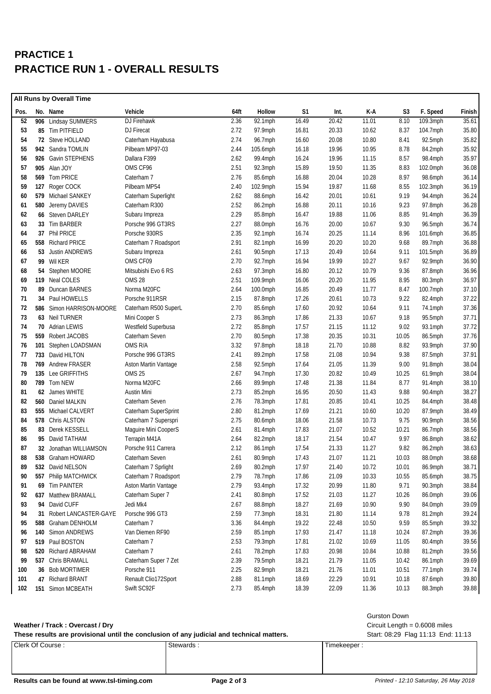## **PRACTICE 1 PRACTICE RUN 1 - OVERALL RESULTS**

| All Runs by Overall Time |    |                          |                      |      |            |                |       |       |       |             |        |
|--------------------------|----|--------------------------|----------------------|------|------------|----------------|-------|-------|-------|-------------|--------|
| Pos.                     |    | No. Name                 | Vehicle              | 64ft | Hollow     | S <sub>1</sub> | Int.  | K-A   | S3    | F. Speed    | Finish |
| 52                       |    | 906 Lindsay SUMMERS      | DJ Firehawk          | 2.36 | 92.1mph    | 16.49          | 20.42 | 11.01 | 8.10  | 109.3mph    | 35.61  |
| 53                       |    | 85 Tim PITFIELD          | DJ Firecat           | 2.72 | 97.9mph    | 16.81          | 20.33 | 10.62 | 8.37  | 104.7mph    | 35.80  |
| 54                       |    | 72 Steve HOLLAND         | Caterham Hayabusa    | 2.74 | 96.7mph    | 16.60          | 20.08 | 10.80 | 8.41  | 92.5mph     | 35.82  |
| 55                       |    | 942 Sandra TOMLIN        | Pilbeam MP97-03      | 2.44 | 105.6mph   | 16.18          | 19.96 | 10.95 | 8.78  | 84.2mph     | 35.92  |
| 56                       |    | 926 Gavin STEPHENS       | Dallara F399         | 2.62 | 99.4mph    | 16.24          | 19.96 | 11.15 | 8.57  | 98.4mph     | 35.97  |
| 57                       |    | 905 Alan JOY             | OMS CF96             | 2.51 | 92.3mph    | 15.89          | 19.50 | 11.35 | 8.83  | 102.0mph    | 36.08  |
| 58                       |    | 569 Tom PRICE            | Caterham 7           | 2.76 | 85.6mph    | 16.88          | 20.04 | 10.28 | 8.97  | 98.6mph     | 36.14  |
| 59                       |    | 127 Roger COCK           | Pilbeam MP54         | 2.40 | 102.9mph   | 15.94          | 19.87 | 11.68 | 8.55  | $102.3$ mph | 36.19  |
| 60                       |    | 579 Michael SANKEY       | Caterham Superlight  | 2.62 | 88.6mph    | 16.42          | 20.01 | 10.61 | 9.19  | 94.4mph     | 36.24  |
| 61                       |    | 580 Jeremy DAVIES        | Caterham R300        | 2.52 | 86.2mph    | 16.88          | 20.11 | 10.16 | 9.23  | 97.8mph     | 36.28  |
| 62                       |    | 66 Steven DARLEY         | Subaru Impreza       | 2.29 | 85.8mph    | 16.47          | 19.88 | 11.06 | 8.85  | 91.4mph     | 36.39  |
| 63                       |    | 33 Tim BARBER            | Porsche 996 GT3RS    | 2.27 | 88.0mph    | 16.76          | 20.00 | 10.67 | 9.30  | 96.5mph     | 36.74  |
| 64                       |    | 37 Phil PRICE            | Porsche 930RS        | 2.35 | 92.1mph    | 16.74          | 20.25 | 11.14 | 8.96  | 101.6mph    | 36.85  |
| 65                       |    | 558 Richard PRICE        | Caterham 7 Roadsport | 2.91 | 82.1mph    | 16.99          | 20.20 | 10.20 | 9.68  | 89.7mph     | 36.88  |
| 66                       |    | 53 Justin ANDREWS        | Subaru Impreza       | 2.61 | 90.5mph    | 17.13          | 20.49 | 10.64 | 9.11  | $101.5$ mph | 36.89  |
| 67                       |    | 99 Wil KER               | OMS CF09             | 2.70 | 92.7mph    | 16.94          | 19.99 | 10.27 | 9.67  | 92.9mph     | 36.90  |
| 68                       |    | 54 Stephen MOORE         | Mitsubishi Evo 6 RS  | 2.63 | 97.3mph    | 16.80          | 20.12 | 10.79 | 9.36  | 87.8mph     | 36.96  |
| 69                       |    | 119 Neal COLES           | <b>OMS 28</b>        | 2.51 | 109.9mph   | 16.06          | 20.20 | 11.95 | 8.95  | $80.3$ mph  | 36.97  |
| 70                       |    | 89 Duncan BARNES         | Norma M20FC          | 2.64 | 100.0mph   | 16.85          | 20.49 | 11.77 | 8.47  | 100.7mph    | 37.10  |
| 71                       |    | 34 Paul HOWELLS          | Porsche 911RSR       | 2.15 | 87.8mph    | 17.26          | 20.61 | 10.73 | 9.22  | 82.4mph     | 37.22  |
| 72                       |    | 586 Simon HARRISON-MOORE | Caterham R500 SuperL | 2.70 | 85.6mph    | 17.60          | 20.92 | 10.64 | 9.11  | 74.1mph     | 37.36  |
| 73                       |    | 63 Neil TURNER           | Mini Cooper S        | 2.73 | 86.3mph    | 17.86          | 21.33 | 10.67 | 9.18  | 95.5mph     | 37.71  |
| 74                       |    | 70 Adrian LEWIS          | Westfield Superbusa  | 2.72 | 85.8mph    | 17.57          | 21.15 | 11.12 | 9.02  | 93.1mph     | 37.72  |
| 75                       |    | 559 Robert JACOBS        | Caterham Seven       | 2.70 | 80.5mph    | 17.38          | 20.35 | 10.31 | 10.05 | 86.5mph     | 37.76  |
| 76                       |    | 101 Stephen LOADSMAN     | OMS R/A              | 3.32 | 97.8mph    | 18.18          | 21.70 | 10.88 | 8.82  | 93.9mph     | 37.90  |
| 77                       |    | 733 David HILTON         | Porsche 996 GT3RS    | 2.41 | 89.2mph    | 17.58          | 21.08 | 10.94 | 9.38  | 87.5mph     | 37.91  |
| 78                       |    | 769 Andrew FRASER        | Aston Martin Vantage | 2.58 | 92.5mph    | 17.64          | 21.05 | 11.39 | 9.00  | $91.8$ mph  | 38.04  |
| 79                       |    | 135 Lee GRIFFITHS        | <b>OMS 25</b>        | 2.67 | 94.7mph    | 17.30          | 20.82 | 10.49 | 10.25 | $61.9$ mph  | 38.04  |
| 80                       |    | 789 Tom NEW              | Norma M20FC          | 2.66 | 89.9mph    | 17.48          | 21.38 | 11.84 | 8.77  | 91.4mph     | 38.10  |
| 81                       | 62 | James WHITE              | Austin Mini          | 2.73 | 85.2mph    | 16.95          | 20.50 | 11.43 | 9.88  | 90.4mph     | 38.27  |
| 82                       |    | 560 Daniel MALKIN        | Caterham Seven       | 2.76 | 78.3mph    | 17.81          | 20.85 | 10.41 | 10.25 | 84.4mph     | 38.48  |
| 83                       |    | 555 Michael CALVERT      | Caterham SuperSprint | 2.80 | 81.2mph    | 17.69          | 21.21 | 10.60 | 10.20 | 87.9mph     | 38.49  |
| 84                       |    | 578 Chris ALSTON         | Caterham 7 Superspri | 2.75 | 80.6mph    | 18.06          | 21.58 | 10.73 | 9.75  | 90.9mph     | 38.56  |
| 85                       |    | 83 Derek KESSELL         | Maguire Mini CooperS | 2.61 | 81.4mph    | 17.83          | 21.07 | 10.52 | 10.21 | 86.7mph     | 38.56  |
| 86                       |    | 95 David TATHAM          | Terrapin M41A        | 2.64 | 82.2mph    | 18.17          | 21.54 | 10.47 | 9.97  | 86.8mph     | 38.62  |
| 87                       |    | 32 Jonathan WILLIAMSON   | Porsche 911 Carrera  | 2.12 | 86.1mph    | 17.54          | 21.33 | 11.27 | 9.82  | 86.2mph     | 38.63  |
| 88                       |    | 538 Graham HOWARD        | Caterham Seven       | 2.61 | 80.9mph    | 17.43          | 21.07 | 11.21 | 10.03 | 88.0mph     | 38.68  |
| 89                       |    | 532 David NELSON         | Caterham 7 Sprlight  | 2.69 | 80.2mph    | 17.97          | 21.40 | 10.72 | 10.01 | 86.9mph     | 38.71  |
| 90                       |    | 557 Philip MATCHWICK     | Caterham 7 Roadsport | 2.79 | 78.7mph    | 17.86          | 21.09 | 10.33 | 10.55 | 85.6mph     | 38.75  |
| 91                       |    | 69 Tim PAINTER           | Aston Martin Vantage | 2.79 | 93.4mph    | 17.32          | 20.99 | 11.80 | 9.71  | 90.3mph     | 38.84  |
| 92                       |    | 637 Matthew BRAMALL      | Caterham Super 7     | 2.41 | 80.8mph    | 17.52          | 21.03 | 11.27 | 10.26 | 86.0mph     | 39.06  |
| 93                       |    | 94 David CUFF            | Jedi Mk4             | 2.67 | 88.8mph    | 18.27          | 21.69 | 10.90 | 9.90  | 84.0mph     | 39.09  |
| 94                       |    | 31 Robert LANCASTER-GAYE | Porsche 996 GT3      | 2.59 | $77.3$ mph | 18.31          | 21.80 | 11.14 | 9.78  | 81.2mph     | 39.24  |
| 95                       |    | 588 Graham DENHOLM       | Caterham 7           | 3.36 | 84.4mph    | 19.22          | 22.48 | 10.50 | 9.59  | 85.5mph     | 39.32  |
| 96                       |    | 140 Simon ANDREWS        | Van Diemen RF90      | 2.59 | 85.1mph    | 17.93          | 21.47 | 11.18 | 10.24 | 87.2mph     | 39.36  |
| 97                       |    | 519 Paul BOSTON          | Caterham 7           | 2.53 | 79.3mph    | 17.81          | 21.02 | 10.69 | 11.05 | 80.4mph     | 39.56  |
| 98                       |    | 520 Richard ABRAHAM      | Caterham 7           | 2.61 | 78.2mph    | 17.83          | 20.98 | 10.84 | 10.88 | 81.2mph     | 39.56  |
| 99                       |    | 537 Chris BRAMALL        | Caterham Super 7 Zet | 2.39 | 79.5mph    | 18.21          | 21.79 | 11.05 | 10.42 | 86.1mph     | 39.69  |
| 100                      |    | 36 Bob MORTIMER          | Porsche 911          | 2.25 | 82.9mph    | 18.21          | 21.76 | 11.01 | 10.51 | 77.1mph     | 39.74  |
| 101                      |    | 47 Richard BRANT         | Renault Clio172Sport | 2.88 | 81.1mph    | 18.69          | 22.29 | 10.91 | 10.18 | 87.6mph     | 39.80  |
| 102                      |    | 151 Simon MCBEATH        | Swift SC92F          | 2.73 | 85.4mph    | 18.39          | 22.09 | 11.36 | 10.13 | 88.3mph     | 39.88  |
|                          |    |                          |                      |      |            |                |       |       |       |             |        |

#### **Weather / Track : Overcast / Dry** Circuit Length = 0.6008 miles

#### Gurston Down

| These results are provisional until the conclusion of any judicial and technical matters. | Start: 08:29 Flag 11:13 End: 11:13 |             |
|-------------------------------------------------------------------------------------------|------------------------------------|-------------|
| Clerk Of Course:                                                                          | Stewards                           | Timekeeper: |

Results can be found at www.tsl-timing.com **Page 2 of 3 Printed - 12:10 Saturday, 26 May 2018**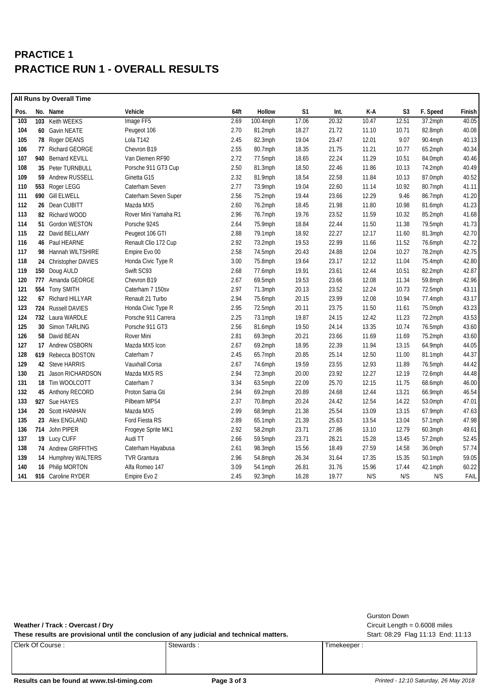## **PRACTICE 1 PRACTICE RUN 1 - OVERALL RESULTS**

|      | <b>All Runs by Overall Time</b> |                       |                      |      |            |                |       |       |       |            |        |
|------|---------------------------------|-----------------------|----------------------|------|------------|----------------|-------|-------|-------|------------|--------|
| Pos. |                                 | No. Name              | Vehicle              | 64ft | Hollow     | S <sub>1</sub> | Int.  | K-A   | S3    | F. Speed   | Finish |
| 103  |                                 | 103 Keith WEEKS       | Image FF5            | 2.69 | 100.4mph   | 17.06          | 20.32 | 10.47 | 12.51 | 37.2mph    | 40.05  |
| 104  |                                 | 60 Gavin NEATE        | Peugeot 106          | 2.70 | 81.2mph    | 18.27          | 21.72 | 11.10 | 10.71 | 82.8mph    | 40.08  |
| 105  |                                 | 78 Roger DEANS        | Lola T142            | 2.45 | 82.3mph    | 19.04          | 23.47 | 12.01 | 9.07  | 90.4mph    | 40.13  |
| 106  |                                 | 77 Richard GEORGE     | Chevron B19          | 2.55 | 80.7mph    | 18.35          | 21.75 | 11.21 | 10.77 | 65.2mph    | 40.34  |
| 107  |                                 | 940 Bernard KEVILL    | Van Diemen RF90      | 2.72 | 77.5mph    | 18.65          | 22.24 | 11.29 | 10.51 | 84.0mph    | 40.46  |
| 108  |                                 | 35 Peter TURNBULL     | Porsche 911 GT3 Cup  | 2.50 | 81.3mph    | 18.50          | 22.46 | 11.86 | 10.13 | 74.2mph    | 40.49  |
| 109  |                                 | 59 Andrew RUSSELL     | Ginetta G15          | 2.32 | 81.9mph    | 18.54          | 22.58 | 11.84 | 10.13 | 87.0mph    | 40.52  |
| 110  |                                 | 553 Roger LEGG        | Caterham Seven       | 2.77 | 73.9mph    | 19.04          | 22.60 | 11.14 | 10.92 | 80.7mph    | 41.11  |
| 111  |                                 | 690 Gill ELWELL       | Caterham Seven Super | 2.56 | 75.2mph    | 19.44          | 23.66 | 12.29 | 9.46  | 86.7mph    | 41.20  |
| 112  |                                 | 26 Dean CUBITT        | Mazda MX5            | 2.60 | 76.2mph    | 18.45          | 21.98 | 11.80 | 10.98 | 81.6mph    | 41.23  |
| 113  |                                 | 82 Richard WOOD       | Rover Mini Yamaha R1 | 2.96 | 76.7mph    | 19.76          | 23.52 | 11.59 | 10.32 | 85.2mph    | 41.68  |
| 114  |                                 | 51 Gordon WESTON      | Porsche 924S         | 2.64 | 75.9mph    | 18.84          | 22.44 | 11.50 | 11.38 | 79.5mph    | 41.73  |
| 115  |                                 | 22 David BELLAMY      | Peugeot 106 GTI      | 2.88 | 79.1mph    | 18.92          | 22.27 | 12.17 | 11.60 | 81.3mph    | 42.70  |
| 116  |                                 | 46 Paul HEARNE        | Renault Clio 172 Cup | 2.92 | 73.2mph    | 19.53          | 22.99 | 11.66 | 11.52 | 76.6mph    | 42.72  |
| 117  |                                 | 98 Hannah WILTSHIRE   | Empire Evo 00        | 2.58 | 74.5mph    | 20.43          | 24.88 | 12.04 | 10.27 | 78.2mph    | 42.75  |
| 118  |                                 | 24 Christopher DAVIES | Honda Civic Type R   | 3.00 | 75.8mph    | 19.64          | 23.17 | 12.12 | 11.04 | 75.4mph    | 42.80  |
| 119  |                                 | 150 Doug AULD         | Swift SC93           | 2.68 | 77.6mph    | 19.91          | 23.61 | 12.44 | 10.51 | 82.2mph    | 42.87  |
| 120  |                                 | 777 Amanda GEORGE     | Chevron B19          | 2.67 | 69.5mph    | 19.53          | 23.66 | 12.08 | 11.34 | 59.8mph    | 42.96  |
| 121  |                                 | 554 Tony SMITH        | Caterham 7 150sv     | 2.97 | 71.3mph    | 20.13          | 23.52 | 12.24 | 10.73 | $72.5$ mph | 43.11  |
| 122  |                                 | 67 Richard HILLYAR    | Renault 21 Turbo     | 2.94 | 75.6mph    | 20.15          | 23.99 | 12.08 | 10.94 | 77.4mph    | 43.17  |
| 123  |                                 | 724 Russell DAVIES    | Honda Civic Type R   | 2.95 | 72.5mph    | 20.11          | 23.75 | 11.50 | 11.61 | 75.0mph    | 43.23  |
| 124  |                                 | 732 Laura WARDLE      | Porsche 911 Carrera  | 2.25 | 73.1mph    | 19.87          | 24.15 | 12.42 | 11.23 | 72.2mph    | 43.53  |
| 125  |                                 | 30 Simon TARLING      | Porsche 911 GT3      | 2.56 | 81.6mph    | 19.50          | 24.14 | 13.35 | 10.74 | 76.5mph    | 43.60  |
| 126  |                                 | 58 David BEAN         | Rover Mini           | 2.81 | 69.3mph    | 20.21          | 23.66 | 11.69 | 11.69 | 75.2mph    | 43.60  |
| 127  |                                 | 17 Andrew OSBORN      | Mazda MX5 Icon       | 2.67 | 69.2mph    | 18.95          | 22.39 | 11.94 | 13.15 | 64.9mph    | 44.05  |
| 128  |                                 | 619 Rebecca BOSTON    | Caterham 7           | 2.45 | 65.7mph    | 20.85          | 25.14 | 12.50 | 11.00 | $81.1$ mph | 44.37  |
| 129  |                                 | 42 Steve HARRIS       | Vauxhall Corsa       | 2.67 | 74.6mph    | 19.59          | 23.55 | 12.93 | 11.89 | 76.5mph    | 44.42  |
| 130  |                                 | 21 Jason RICHARDSON   | Mazda MX5 RS         | 2.94 | $72.3$ mph | 20.00          | 23.92 | 12.27 | 12.19 | 72.6mph    | 44.48  |
| 131  |                                 | 18 Tim WOOLCOTT       | Caterham 7           | 3.34 | 63.5mph    | 22.09          | 25.70 | 12.15 | 11.75 | 68.6mph    | 46.00  |
| 132  |                                 | 45 Anthony RECORD     | Proton Satria Gti    | 2.94 | 69.2mph    | 20.89          | 24.68 | 12.44 | 13.21 | 66.9mph    | 46.54  |
| 133  |                                 | 927 Sue HAYES         | Pilbeam MP54         | 2.37 | 70.8mph    | 20.24          | 24.42 | 12.54 | 14.22 | 53.0mph    | 47.01  |
| 134  |                                 | 20 Scott HANHAN       | Mazda MX5            | 2.99 | 68.9mph    | 21.38          | 25.54 | 13.09 | 13.15 | 67.9mph    | 47.63  |
| 135  |                                 | 23 Alex ENGLAND       | Ford Fiesta RS       | 2.89 | 65.1mph    | 21.39          | 25.63 | 13.54 | 13.04 | 57.1mph    | 47.98  |
| 136  |                                 | 714 John PIPER        | Frogeye Sprite MK1   | 2.92 | 58.2mph    | 23.71          | 27.86 | 13.10 | 12.79 | 60.3mph    | 49.61  |
| 137  |                                 | 19 Lucy CUFF          | Audi TT              | 2.66 | 59.5mph    | 23.71          | 28.21 | 15.28 | 13.45 | 57.2mph    | 52.45  |
| 138  |                                 | 74 Andrew GRIFFITHS   | Caterham Hayabusa    | 2.61 | 98.3mph    | 15.56          | 18.49 | 27.59 | 14.58 | 36.0mph    | 57.74  |
| 139  |                                 | 14 Humphrey WALTERS   | <b>TVR Grantura</b>  | 2.96 | 54.8mph    | 26.34          | 31.64 | 17.35 | 15.35 | 50.1mph    | 59.05  |
| 140  |                                 | 16 Philip MORTON      | Alfa Romeo 147       | 3.09 | 54.1mph    | 26.81          | 31.76 | 15.96 | 17.44 | 42.1mph    | 60.22  |
| 141  |                                 | 916 Caroline RYDER    | Empire Evo 2         | 2.45 | 92.3mph    | 16.28          | 19.77 | N/S   | N/S   | N/S        | FAIL   |

|                                                                                           |           |                                    | Gurston Down                    |
|-------------------------------------------------------------------------------------------|-----------|------------------------------------|---------------------------------|
| Weather / Track: Overcast / Dry                                                           |           |                                    | Circuit Length = $0.6008$ miles |
| These results are provisional until the conclusion of any judicial and technical matters. |           | Start: 08:29 Flag 11:13 End: 11:13 |                                 |
| l Clerk Of Course :                                                                       | Stewards: | Timekeeper:                        |                                 |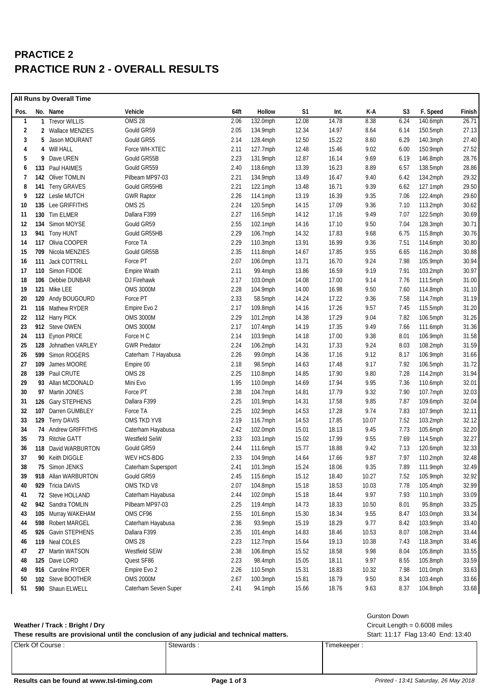## **PRACTICE 2 PRACTICE RUN 2 - OVERALL RESULTS**

| All Runs by Overall Time |     |                      |                      |      |             |       |       |       |      |             |        |
|--------------------------|-----|----------------------|----------------------|------|-------------|-------|-------|-------|------|-------------|--------|
| Pos.                     |     | No. Name             | Vehicle              | 64ft | Hollow      | S1    | Int.  | K-A   | S3   | F. Speed    | Finish |
| $\mathbf{1}$             |     | 1 Trevor WILLIS      | OMS 28               | 2.06 | 132.0mph    | 12.08 | 14.78 | 8.38  | 6.24 | 140.6mph    | 26.71  |
| 2                        |     | 2 Wallace MENZIES    | Gould GR59           | 2.05 | 134.9mph    | 12.34 | 14.97 | 8.64  | 6.14 | $150.5$ mph | 27.13  |
| 3                        | 5   | Jason MOURANT        | Gould GR55           | 2.14 | 128.4mph    | 12.50 | 15.22 | 8.60  | 6.29 | $140.3$ mph | 27.40  |
| 4                        | 4   | Will HALL            | Force WH-XTEC        | 2.11 | 127.7mph    | 12.48 | 15.46 | 9.02  | 6.00 | 150.9mph    | 27.52  |
| 5                        | 9   | Dave UREN            | Gould GR55B          | 2.23 | 131.9mph    | 12.87 | 16.14 | 9.69  | 6.19 | 146.8mph    | 28.76  |
| 6                        | 133 | Paul HAIMES          | Gould GR559          | 2.40 | 118.6mph    | 13.39 | 16.23 | 8.89  | 6.57 | $138.5$ mph | 28.86  |
| 7                        |     | 142 Oliver TOMLIN    | Pilbeam MP97-03      | 2.21 | 134.9mph    | 13.49 | 16.47 | 9.40  | 6.42 | 134.2mph    | 29.32  |
| 8                        |     | 141 Terry GRAVES     | Gould GR55HB         | 2.21 | 122.1mph    | 13.48 | 16.71 | 9.39  | 6.62 | $127.1$ mph | 29.50  |
| 9                        |     | 122 Leslie MUTCH     | <b>GWR Raptor</b>    | 2.26 | 114.1mph    | 13.19 | 16.39 | 9.35  | 7.06 | 122.4mph    | 29.60  |
| 10                       |     | 135 Lee GRIFFITHS    | <b>OMS 25</b>        | 2.24 | $120.5$ mph | 14.15 | 17.09 | 9.36  | 7.10 | $113.2$ mph | 30.62  |
| 11                       |     | 130 Tim ELMER        | Dallara F399         | 2.27 | 116.5mph    | 14.12 | 17.16 | 9.49  | 7.07 | 122.5mph    | 30.69  |
| 12                       | 134 | Simon MOYSE          | Gould GR59           | 2.55 | 102.1mph    | 14.16 | 17.10 | 9.50  | 7.04 | $128.3$ mph | 30.71  |
| 13                       |     | 941 Tony HUNT        | Gould GR55HB         | 2.29 | 106.7mph    | 14.32 | 17.83 | 9.68  | 6.75 | 115.8mph    | 30.76  |
| 14                       | 117 | Olivia COOPER        | Force TA             | 2.29 | 110.3mph    | 13.91 | 16.99 | 9.36  | 7.51 | 114.6mph    | 30.80  |
| 15                       |     | 709 Nicola MENZIES   | Gould GR55B          | 2.35 | 111.8mph    | 14.67 | 17.85 | 9.55  | 6.65 | $116.2$ mph | 30.88  |
| 16                       |     | 111 Jack COTTRILL    | Force PT             | 2.07 | 106.0mph    | 13.71 | 16.70 | 9.24  | 7.98 | 105.9mph    | 30.94  |
| 17                       |     | 110 Simon FIDOE      | <b>Empire Wraith</b> | 2.11 | 99.4mph     | 13.86 | 16.59 | 9.19  | 7.91 | 103.2mph    | 30.97  |
| 18                       |     | 106 Debbie DUNBAR    | DJ Firehawk          | 2.17 | 103.0mph    | 14.08 | 17.00 | 9.14  | 7.76 | $111.5$ mph | 31.00  |
| 19                       |     | 121 Mike LEE         | <b>OMS 3000M</b>     | 2.28 | 104.9mph    | 14.00 | 16.98 | 9.50  | 7.60 | 114.8mph    | 31.10  |
| 20                       |     | 120 Andy BOUGOURD    | Force PT             | 2.33 | 58.5mph     | 14.24 | 17.22 | 9.36  | 7.58 | 114.7mph    | 31.19  |
| 21                       |     | 116 Mathew RYDER     | Empire Evo 2         | 2.17 | 109.8mph    | 14.16 | 17.26 | 9.57  | 7.45 | 115.5mph    | 31.20  |
| 22                       |     | 112 Harry PICK       | <b>OMS 3000M</b>     | 2.29 | 101.2mph    | 14.38 | 17.29 | 9.04  | 7.82 | 106.5mph    | 31.26  |
| 23                       |     | 912 Steve OWEN       | <b>OMS 3000M</b>     | 2.17 | 107.4mph    | 14.19 | 17.35 | 9.49  | 7.66 | 111.6mph    | 31.36  |
| 24                       |     | 113 Eynon PRICE      | Force H C            | 2.14 | 103.9mph    | 14.18 | 17.00 | 9.38  | 8.01 | 106.9mph    | 31.58  |
| 25                       |     | 128 Johnathen VARLEY | <b>GWR Predator</b>  | 2.24 | 106.2mph    | 14.31 | 17.33 | 9.24  | 8.03 | 108.2mph    | 31.59  |
| 26                       |     | 599 Simon ROGERS     | Caterham 7 Hayabusa  | 2.26 | 99.0mph     | 14.36 | 17.16 | 9.12  | 8.17 | 106.9mph    | 31.66  |
| 27                       |     | 109 James MOORE      | Empire 00            | 2.18 | 98.5mph     | 14.63 | 17.48 | 9.17  | 7.92 | 106.5mph    | 31.72  |
| 28                       |     | 139 Paul CRUTE       | <b>OMS 28</b>        | 2.25 | 110.8mph    | 14.85 | 17.90 | 9.80  | 7.28 | $114.2$ mph | 31.94  |
| 29                       |     | 93 Allan MCDONALD    | Mini Evo             | 1.95 | 110.0mph    | 14.69 | 17.94 | 9.95  | 7.36 | 110.6mph    | 32.01  |
| 30                       |     | 97 Martin JONES      | Force PT             | 2.38 | 104.7mph    | 14.81 | 17.79 | 9.32  | 7.90 | 107.7mph    | 32.03  |
| 31                       |     | 126 Gary STEPHENS    | Dallara F399         | 2.25 | 101.9mph    | 14.31 | 17.58 | 9.85  | 7.87 | 109.6mph    | 32.04  |
| 32                       | 107 | Darren GUMBLEY       | Force TA             | 2.25 | 102.9mph    | 14.53 | 17.28 | 9.74  | 7.83 | 107.9mph    | 32.11  |
| 33                       |     | 129 Terry DAVIS      | OMS TKD YV8          | 2.19 | 116.7mph    | 14.53 | 17.85 | 10.07 | 7.52 | 103.2mph    | 32.12  |
| 34                       |     | 74 Andrew GRIFFITHS  | Caterham Hayabusa    | 2.42 | 102.0mph    | 15.01 | 18.13 | 9.45  | 7.73 | 105.6mph    | 32.20  |
| 35                       |     | 73 Ritchie GATT      | Westfield SeiW       | 2.33 | 103.1mph    | 15.02 | 17.99 | 9.55  | 7.69 | $114.5$ mph | 32.27  |
| 36                       |     | 118 David WARBURTON  | Gould GR59           | 2.44 | 111.6mph    | 15.77 | 18.88 | 9.42  | 7.13 | 120.6mph    | 32.33  |
| 37                       |     | 90 Keith DIGGLE      | WEV HCS-BDG          | 2.33 | 104.9mph    | 14.64 | 17.66 | 9.87  | 7.97 | $110.2$ mph | 32.48  |
| 38                       | 75  | Simon JENKS          | Caterham Supersport  | 2.41 | 101.3mph    | 15.24 | 18.06 | 9.35  | 7.89 | 111.9mph    | 32.49  |
| 39                       |     | 918 Allan WARBURTON  | Gould GR59           | 2.45 | 115.6mph    | 15.12 | 18.40 | 10.27 | 7.52 | 105.9mph    | 32.92  |
| 40                       |     | 929 Tricia DAVIS     | OMS TKD V8           | 2.07 | 104.8mph    | 15.18 | 18.53 | 10.03 | 7.78 | 105.4mph    | 32.99  |
| 41                       |     | 72 Steve HOLLAND     | Caterham Hayabusa    | 2.44 | 102.0mph    | 15.18 | 18.44 | 9.97  | 7.93 | 110.1mph    | 33.09  |
| 42                       |     | 942 Sandra TOMLIN    | Pilbeam MP97-03      | 2.25 | 119.4mph    | 14.73 | 18.33 | 10.50 | 8.01 | 95.8mph     | 33.25  |
| 43                       |     | 105 Murray WAKEHAM   | OMS CF96             | 2.55 | 101.6mph    | 15.30 | 18.34 | 9.55  | 8.47 | 103.0mph    | 33.34  |
| 44                       |     | 598 Robert MARGEL    | Caterham Hayabusa    | 2.36 | 93.9mph     | 15.19 | 18.29 | 9.77  | 8.42 | 103.9mph    | 33.40  |
| 45                       |     | 926 Gavin STEPHENS   | Dallara F399         | 2.35 | 101.4mph    | 14.83 | 18.46 | 10.53 | 8.07 | 108.2mph    | 33.44  |
| 46                       |     | 119 Neal COLES       | <b>OMS 28</b>        | 2.23 | 112.7mph    | 15.64 | 19.13 | 10.38 | 7.43 | 118.3mph    | 33.46  |
| 47                       |     | 27 Martin WATSON     | Westfield SEiW       | 2.38 | 106.8mph    | 15.52 | 18.58 | 9.98  | 8.04 | 105.8mph    | 33.55  |
| 48                       |     | 125 Dave LORD        | Quest SF86           | 2.23 | 98.4mph     | 15.05 | 18.11 | 9.97  | 8.55 | 105.8mph    | 33.59  |
| 49                       |     | 916 Caroline RYDER   | Empire Evo 2         | 2.26 | 110.5mph    | 15.31 | 18.83 | 10.32 | 7.98 | 101.0mph    | 33.63  |
| 50                       |     | 102 Steve BOOTHER    | <b>OMS 2000M</b>     | 2.67 | 100.3mph    | 15.81 | 18.79 | 9.50  | 8.34 | 103.4mph    | 33.66  |
| 51                       |     | 590 Shaun ELWELL     | Caterham Seven Super | 2.41 | 94.1mph     | 15.66 | 18.76 | 9.63  | 8.37 | 104.8mph    | 33.68  |

#### **Weather / Track : Bright / Dry** Circuit Length = 0.6008 miles

| These results are provisional until the conclusion of any judicial and technical matters. |           | Start: 11:17 Flag 13:40 End: 13:40 |  |
|-------------------------------------------------------------------------------------------|-----------|------------------------------------|--|
| Clerk Of Course:                                                                          | Stewards: | Timekeeper                         |  |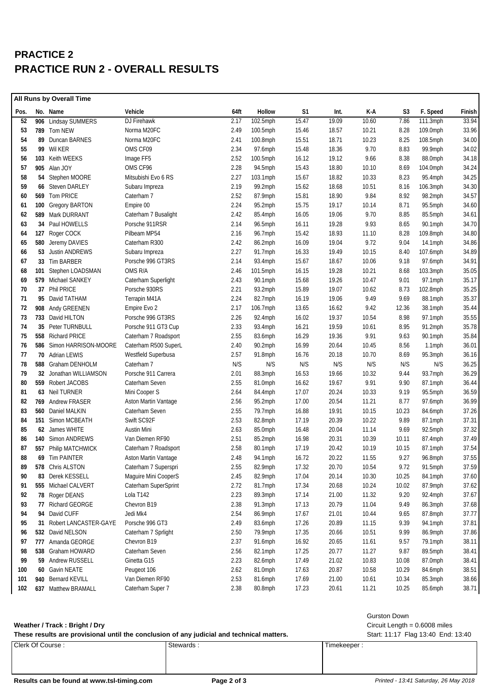## **PRACTICE 2 PRACTICE RUN 2 - OVERALL RESULTS**

|      | All Runs by Overall Time |                          |                      |      |          |                |       |       |       |            |        |
|------|--------------------------|--------------------------|----------------------|------|----------|----------------|-------|-------|-------|------------|--------|
| Pos. |                          | No. Name                 | Vehicle              | 64ft | Hollow   | S <sub>1</sub> | Int.  | K-A   | S3    | F. Speed   | Finish |
| 52   |                          | 906 Lindsay SUMMERS      | DJ Firehawk          | 2.17 | 102.5mph | 15.47          | 19.09 | 10.60 | 7.86  | 111.3mph   | 33.94  |
| 53   |                          | 789 Tom NEW              | Norma M20FC          | 2.49 | 100.5mph | 15.46          | 18.57 | 10.21 | 8.28  | 109.0mph   | 33.96  |
| 54   |                          | 89 Duncan BARNES         | Norma M20FC          | 2.41 | 100.8mph | 15.51          | 18.71 | 10.23 | 8.25  | 108.5mph   | 34.00  |
| 55   |                          | 99 Wil KER               | OMS CF09             | 2.34 | 97.6mph  | 15.48          | 18.36 | 9.70  | 8.83  | 99.9mph    | 34.02  |
| 56   |                          | 103 Keith WEEKS          | Image FF5            | 2.52 | 100.5mph | 16.12          | 19.12 | 9.66  | 8.38  | 88.0mph    | 34.18  |
| 57   |                          | 905 Alan JOY             | OMS CF96             | 2.28 | 94.5mph  | 15.43          | 18.80 | 10.10 | 8.69  | 104.0mph   | 34.24  |
| 58   |                          | 54 Stephen MOORE         | Mitsubishi Evo 6 RS  | 2.27 | 103.1mph | 15.67          | 18.82 | 10.33 | 8.23  | 95.4mph    | 34.25  |
| 59   |                          | 66 Steven DARLEY         | Subaru Impreza       | 2.19 | 99.2mph  | 15.62          | 18.68 | 10.51 | 8.16  | 106.3mph   | 34.30  |
| 60   |                          | 569 Tom PRICE            | Caterham 7           | 2.52 | 87.9mph  | 15.81          | 18.90 | 9.84  | 8.92  | 98.2mph    | 34.57  |
| 61   | 100                      | <b>Gregory BARTON</b>    | Empire 00            | 2.24 | 95.2mph  | 15.75          | 19.17 | 10.14 | 8.71  | 95.5mph    | 34.60  |
| 62   |                          | 589 Mark DURRANT         | Caterham 7 Busalight | 2.42 | 85.4mph  | 16.05          | 19.06 | 9.70  | 8.85  | 85.5mph    | 34.61  |
| 63   | 34                       | Paul HOWELLS             | Porsche 911RSR       | 2.14 | 96.5mph  | 16.11          | 19.28 | 9.93  | 8.65  | 90.1mph    | 34.70  |
| 64   |                          | 127 Roger COCK           | Pilbeam MP54         | 2.16 | 96.7mph  | 15.42          | 18.93 | 11.10 | 8.28  | 109.8mph   | 34.80  |
| 65   |                          | 580 Jeremy DAVIES        | Caterham R300        | 2.42 | 86.2mph  | 16.09          | 19.04 | 9.72  | 9.04  | $14.1$ mph | 34.86  |
| 66   | 53                       | Justin ANDREWS           | Subaru Impreza       | 2.27 | 91.7mph  | 16.33          | 19.49 | 10.15 | 8.40  | 107.6mph   | 34.89  |
| 67   |                          | 33 Tim BARBER            | Porsche 996 GT3RS    | 2.14 | 93.4mph  | 15.67          | 18.67 | 10.06 | 9.18  | 97.6mph    | 34.91  |
| 68   |                          | 101 Stephen LOADSMAN     | OMS R/A              | 2.46 | 101.5mph | 16.15          | 19.28 | 10.21 | 8.68  | 103.3mph   | 35.05  |
| 69   |                          | 579 Michael SANKEY       | Caterham Superlight  | 2.43 | 90.1mph  | 15.68          | 19.26 | 10.47 | 9.01  | 97.1mph    | 35.17  |
| 70   |                          | 37 Phil PRICE            | Porsche 930RS        | 2.21 | 93.2mph  | 15.89          | 19.07 | 10.62 | 8.73  | 102.8mph   | 35.25  |
| 71   |                          | 95 David TATHAM          | Terrapin M41A        | 2.24 | 82.7mph  | 16.19          | 19.06 | 9.49  | 9.69  | 88.1mph    | 35.37  |
| 72   |                          | 908 Andy GREENEN         | Empire Evo 2         | 2.17 | 106.7mph | 13.65          | 16.62 | 9.42  | 12.36 | 38.1mph    | 35.44  |
| 73   |                          | 733 David HILTON         | Porsche 996 GT3RS    | 2.26 | 92.4mph  | 16.02          | 19.37 | 10.54 | 8.98  | 97.1mph    | 35.55  |
| 74   | 35                       | Peter TURNBULL           | Porsche 911 GT3 Cup  | 2.33 | 93.4mph  | 16.21          | 19.59 | 10.61 | 8.95  | 91.2mph    | 35.78  |
| 75   |                          | 558 Richard PRICE        | Caterham 7 Roadsport | 2.55 | 83.6mph  | 16.29          | 19.36 | 9.91  | 9.63  | 90.1mph    | 35.84  |
| 76   |                          | 586 Simon HARRISON-MOORE | Caterham R500 SuperL | 2.40 | 90.2mph  | 16.99          | 20.64 | 10.45 | 8.56  | $1.1$ mph  | 36.01  |
| 77   |                          | 70 Adrian LEWIS          | Westfield Superbusa  | 2.57 | 91.8mph  | 16.76          | 20.18 | 10.70 | 8.69  | $95.3$ mph | 36.16  |
| 78   |                          | 588 Graham DENHOLM       | Caterham 7           | N/S  | N/S      | N/S            | N/S   | N/S   | N/S   | N/S        | 36.25  |
| 79   |                          | 32 Jonathan WILLIAMSON   | Porsche 911 Carrera  | 2.01 | 88.3mph  | 16.53          | 19.66 | 10.32 | 9.44  | 93.7mph    | 36.29  |
| 80   |                          | 559 Robert JACOBS        | Caterham Seven       | 2.55 | 81.0mph  | 16.62          | 19.67 | 9.91  | 9.90  | 87.1mph    | 36.44  |
| 81   |                          | 63 Neil TURNER           | Mini Cooper S        | 2.64 | 84.4mph  | 17.07          | 20.24 | 10.33 | 9.19  | $95.5$ mph | 36.59  |
| 82   |                          | 769 Andrew FRASER        | Aston Martin Vantage | 2.56 | 95.2mph  | 17.00          | 20.54 | 11.21 | 8.77  | 97.6mph    | 36.99  |
| 83   |                          | 560 Daniel MALKIN        | Caterham Seven       | 2.55 | 79.7mph  | 16.88          | 19.91 | 10.15 | 10.23 | 84.6mph    | 37.26  |
| 84   |                          | 151 Simon MCBEATH        | Swift SC92F          | 2.53 | 82.8mph  | 17.19          | 20.39 | 10.22 | 9.89  | 87.1mph    | 37.31  |
| 85   |                          | 62 James WHITE           | <b>Austin Mini</b>   | 2.63 | 85.0mph  | 16.48          | 20.04 | 11.14 | 9.69  | 92.5mph    | 37.32  |
| 86   |                          | 140 Simon ANDREWS        | Van Diemen RF90      | 2.51 | 85.2mph  | 16.98          | 20.31 | 10.39 | 10.11 | 87.4mph    | 37.49  |
| 87   |                          | 557 Philip MATCHWICK     | Caterham 7 Roadsport | 2.58 | 80.1mph  | 17.19          | 20.42 | 10.19 | 10.15 | 87.1mph    | 37.54  |
| 88   |                          | 69 Tim PAINTER           | Aston Martin Vantage | 2.48 | 94.1mph  | 16.72          | 20.22 | 11.55 | 9.27  | 96.8mph    | 37.55  |
| 89   |                          | 578 Chris ALSTON         | Caterham 7 Superspri | 2.55 | 82.9mph  | 17.32          | 20.70 | 10.54 | 9.72  | 91.5mph    | 37.59  |
| 90   |                          | 83 Derek KESSELL         | Maguire Mini CooperS | 2.45 | 82.9mph  | 17.04          | 20.14 | 10.30 | 10.25 | 84.1mph    | 37.60  |
| 91   |                          | 555 Michael CALVERT      | Caterham SuperSprint | 2.72 | 81.7mph  | 17.34          | 20.68 | 10.24 | 10.02 | 87.9mph    | 37.62  |
| 92   |                          | 78 Roger DEANS           | Lola T142            | 2.23 | 89.3mph  | 17.14          | 21.00 | 11.32 | 9.20  | 92.4mph    | 37.67  |
| 93   |                          | 77 Richard GEORGE        | Chevron B19          | 2.38 | 91.3mph  | 17.13          | 20.79 | 11.04 | 9.49  | 86.3mph    | 37.68  |
| 94   | 94                       | David CUFF               | Jedi Mk4             | 2.54 | 86.9mph  | 17.67          | 21.01 | 10.44 | 9.65  | 87.8mph    | 37.77  |
| 95   |                          | 31 Robert LANCASTER-GAYE | Porsche 996 GT3      | 2.49 | 83.6mph  | 17.26          | 20.89 | 11.15 | 9.39  | 94.1mph    | 37.81  |
| 96   |                          | 532 David NELSON         | Caterham 7 Sprlight  | 2.50 | 79.9mph  | 17.35          | 20.66 | 10.51 | 9.99  | 86.9mph    | 37.86  |
| 97   |                          | 777 Amanda GEORGE        | Chevron B19          | 2.37 | 91.6mph  | 16.92          | 20.65 | 11.61 | 9.57  | 79.1mph    | 38.11  |
| 98   |                          | 538 Graham HOWARD        | Caterham Seven       | 2.56 | 82.1mph  | 17.25          | 20.77 | 11.27 | 9.87  | 89.5mph    | 38.41  |
| 99   |                          | 59 Andrew RUSSELL        | Ginetta G15          | 2.23 | 82.6mph  | 17.49          | 21.02 | 10.83 | 10.08 | 87.0mph    | 38.41  |
| 100  | 60                       | Gavin NEATE              | Peugeot 106          | 2.62 | 81.0mph  | 17.63          | 20.87 | 10.58 | 10.29 | 84.6mph    | 38.51  |
| 101  | 940                      | <b>Bernard KEVILL</b>    | Van Diemen RF90      | 2.53 | 81.6mph  | 17.69          | 21.00 | 10.61 | 10.34 | 85.3mph    | 38.66  |
| 102  |                          | 637 Matthew BRAMALL      | Caterham Super 7     | 2.38 | 80.8mph  | 17.23          | 20.61 | 11.21 | 10.25 | 85.6mph    | 38.71  |

#### **Weather / Track : Bright / Dry** Circuit Length = 0.6008 miles

#### Gurston Down

| These results are provisional until the conclusion of any judicial and technical matters. |          | Start: 11:17 Flag 13:40 End: 13:40 |  |
|-------------------------------------------------------------------------------------------|----------|------------------------------------|--|
| Clerk Of Course:                                                                          | Stewards | Timekeeper.                        |  |

### Results can be found at www.tsl-timing.com **Page 2 of 3 Printed - 13:41 Saturday, 26 May 2018**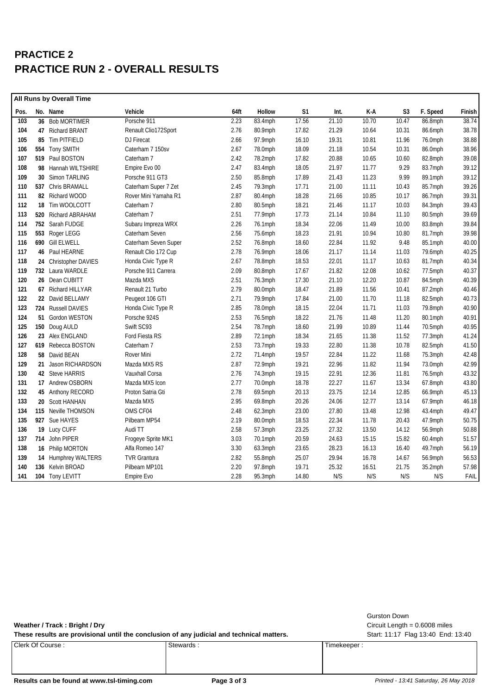## **PRACTICE 2 PRACTICE RUN 2 - OVERALL RESULTS**

| <b>All Runs by Overall Time</b> |  |                       |                      |      |         |       |       |       |                |            |        |
|---------------------------------|--|-----------------------|----------------------|------|---------|-------|-------|-------|----------------|------------|--------|
| Pos.                            |  | No. Name              | Vehicle              | 64ft | Hollow  | S1    | Int.  | K-A   | S <sub>3</sub> | F. Speed   | Finish |
| 103                             |  | 36 Bob MORTIMER       | Porsche 911          | 2.23 | 83.4mph | 17.56 | 21.10 | 10.70 | 10.47          | 86.8mph    | 38.74  |
| 104                             |  | 47 Richard BRANT      | Renault Clio172Sport | 2.76 | 80.9mph | 17.82 | 21.29 | 10.64 | 10.31          | 86.6mph    | 38.78  |
| 105                             |  | 85 Tim PITFIELD       | DJ Firecat           | 2.66 | 97.9mph | 16.10 | 19.31 | 10.81 | 11.96          | 76.0mph    | 38.88  |
| 106                             |  | 554 Tony SMITH        | Caterham 7 150sv     | 2.67 | 78.0mph | 18.09 | 21.18 | 10.54 | 10.31          | 86.0mph    | 38.96  |
| 107                             |  | 519 Paul BOSTON       | Caterham 7           | 2.42 | 78.2mph | 17.82 | 20.88 | 10.65 | 10.60          | 82.8mph    | 39.08  |
| 108                             |  | 98 Hannah WILTSHIRE   | Empire Evo 00        | 2.47 | 83.4mph | 18.05 | 21.97 | 11.77 | 9.29           | 83.7mph    | 39.12  |
| 109                             |  | 30 Simon TARLING      | Porsche 911 GT3      | 2.50 | 85.8mph | 17.89 | 21.43 | 11.23 | 9.99           | 89.1mph    | 39.12  |
| 110                             |  | 537 Chris BRAMALL     | Caterham Super 7 Zet | 2.45 | 79.3mph | 17.71 | 21.00 | 11.11 | 10.43          | 85.7mph    | 39.26  |
| 111                             |  | 82 Richard WOOD       | Rover Mini Yamaha R1 | 2.87 | 80.4mph | 18.28 | 21.66 | 10.85 | 10.17          | 86.7mph    | 39.31  |
| 112                             |  | 18 Tim WOOLCOTT       | Caterham 7           | 2.80 | 80.5mph | 18.21 | 21.46 | 11.17 | 10.03          | 84.3mph    | 39.43  |
| 113                             |  | 520 Richard ABRAHAM   | Caterham 7           | 2.51 | 77.9mph | 17.73 | 21.14 | 10.84 | 11.10          | 80.5mph    | 39.69  |
| 114                             |  | 752 Sarah FUDGE       | Subaru Impreza WRX   | 2.26 | 76.1mph | 18.34 | 22.06 | 11.49 | 10.00          | 83.8mph    | 39.84  |
| 115                             |  | 553 Roger LEGG        | Caterham Seven       | 2.56 | 75.6mph | 18.23 | 21.91 | 10.94 | 10.80          | 81.7mph    | 39.98  |
| 116                             |  | 690 Gill ELWELL       | Caterham Seven Super | 2.52 | 76.8mph | 18.60 | 22.84 | 11.92 | 9.48           | 85.1mph    | 40.00  |
| 117                             |  | 46 Paul HEARNE        | Renault Clio 172 Cup | 2.78 | 76.9mph | 18.06 | 21.17 | 11.14 | 11.03          | 79.6mph    | 40.25  |
| 118                             |  | 24 Christopher DAVIES | Honda Civic Type R   | 2.67 | 78.8mph | 18.53 | 22.01 | 11.17 | 10.63          | 81.7mph    | 40.34  |
| 119                             |  | 732 Laura WARDLE      | Porsche 911 Carrera  | 2.09 | 80.8mph | 17.67 | 21.82 | 12.08 | 10.62          | 77.5mph    | 40.37  |
| 120                             |  | 26 Dean CUBITT        | Mazda MX5            | 2.51 | 76.3mph | 17.30 | 21.10 | 12.20 | 10.87          | 84.5mph    | 40.39  |
| 121                             |  | 67 Richard HILLYAR    | Renault 21 Turbo     | 2.79 | 80.0mph | 18.47 | 21.89 | 11.56 | 10.41          | 87.2mph    | 40.46  |
| 122                             |  | 22 David BELLAMY      | Peugeot 106 GTI      | 2.71 | 79.9mph | 17.84 | 21.00 | 11.70 | 11.18          | 82.5mph    | 40.73  |
| 123                             |  | 724 Russell DAVIES    | Honda Civic Type R   | 2.85 | 78.0mph | 18.15 | 22.04 | 11.71 | 11.03          | 79.8mph    | 40.90  |
| 124                             |  | 51 Gordon WESTON      | Porsche 924S         | 2.53 | 76.5mph | 18.22 | 21.76 | 11.48 | 11.20          | 80.1mph    | 40.91  |
| 125                             |  | 150 Doug AULD         | Swift SC93           | 2.54 | 78.7mph | 18.60 | 21.99 | 10.89 | 11.44          | 70.5mph    | 40.95  |
| 126                             |  | 23 Alex ENGLAND       | Ford Fiesta RS       | 2.89 | 72.1mph | 18.34 | 21.65 | 11.38 | 11.52          | 77.3mph    | 41.24  |
| 127                             |  | 619 Rebecca BOSTON    | Caterham 7           | 2.53 | 73.7mph | 19.33 | 22.80 | 11.38 | 10.78          | 82.5mph    | 41.50  |
| 128                             |  | 58 David BEAN         | Rover Mini           | 2.72 | 71.4mph | 19.57 | 22.84 | 11.22 | 11.68          | 75.3mph    | 42.48  |
| 129                             |  | 21 Jason RICHARDSON   | Mazda MX5 RS         | 2.87 | 72.9mph | 19.21 | 22.96 | 11.82 | 11.94          | 73.0mph    | 42.99  |
| 130                             |  | 42 Steve HARRIS       | Vauxhall Corsa       | 2.76 | 74.3mph | 19.15 | 22.91 | 12.36 | 11.81          | 76.5mph    | 43.32  |
| 131                             |  | 17 Andrew OSBORN      | Mazda MX5 Icon       | 2.77 | 70.0mph | 18.78 | 22.27 | 11.67 | 13.34          | 67.8mph    | 43.80  |
| 132                             |  | 45 Anthony RECORD     | Proton Satria Gti    | 2.78 | 69.5mph | 20.13 | 23.75 | 12.14 | 12.85          | 66.9mph    | 45.13  |
| 133                             |  | 20 Scott HANHAN       | Mazda MX5            | 2.95 | 69.8mph | 20.26 | 24.06 | 12.77 | 13.14          | 67.9mph    | 46.18  |
| 134                             |  | 115 Neville THOMSON   | OMS CF04             | 2.48 | 62.3mph | 23.00 | 27.80 | 13.48 | 12.98          | $43.4$ mph | 49.47  |
| 135                             |  | 927 Sue HAYES         | Pilbeam MP54         | 2.19 | 80.0mph | 18.53 | 22.34 | 11.78 | 20.43          | 47.9mph    | 50.75  |
| 136                             |  | 19 Lucy CUFF          | Audi TT              | 2.58 | 57.3mph | 23.25 | 27.32 | 13.50 | 14.12          | 56.9mph    | 50.88  |
| 137                             |  | 714 John PIPER        | Frogeye Sprite MK1   | 3.03 | 70.1mph | 20.59 | 24.63 | 15.15 | 15.82          | 60.4mph    | 51.57  |
| 138                             |  | 16 Philip MORTON      | Alfa Romeo 147       | 3.30 | 63.3mph | 23.65 | 28.23 | 16.13 | 16.40          | 49.7mph    | 56.19  |
| 139                             |  | 14 Humphrey WALTERS   | <b>TVR Grantura</b>  | 2.82 | 55.8mph | 25.07 | 29.94 | 16.78 | 14.67          | 56.9mph    | 56.53  |
| 140                             |  | 136 Kelvin BROAD      | Pilbeam MP101        | 2.20 | 97.8mph | 19.71 | 25.32 | 16.51 | 21.75          | 35.2mph    | 57.98  |
| 141                             |  | 104 Tony LEVITT       | Empire Evo           | 2.28 | 95.3mph | 14.80 | N/S   | N/S   | N/S            | N/S        | FAIL   |

**Weather / Track : Bright / Dry** Circuit Length = 0.6008 miles

These results are provisional until the conclusion of any judicial and technical matters. Start: 11:17 Flag 13:40 End: 13:40

Clerk Of Course : Stewards : Stewards : Timekeeper : Timekeeper :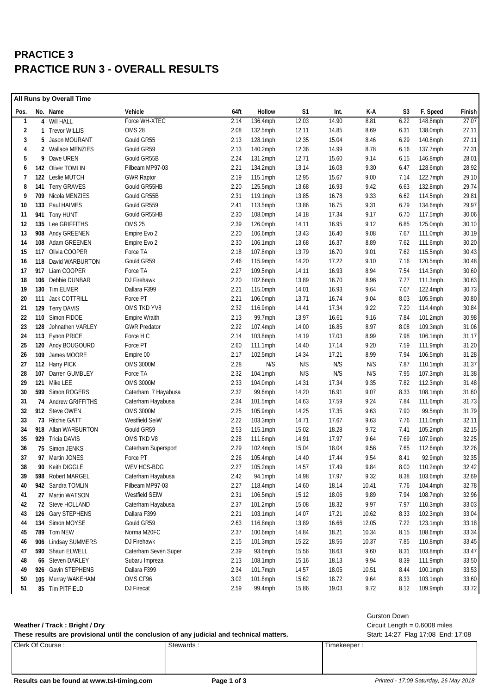## **PRACTICE 3 PRACTICE RUN 3 - OVERALL RESULTS**

| All Runs by Overall Time |     |                        |                      |      |             |       |       |       |      |             |        |
|--------------------------|-----|------------------------|----------------------|------|-------------|-------|-------|-------|------|-------------|--------|
| Pos.                     |     | No. Name               | Vehicle              | 64ft | Hollow      | S1    | Int.  | K-A   | S3   | F. Speed    | Finish |
| $\mathbf{1}$             |     | 4 Will HALL            | Force WH-XTEC        | 2.14 | 136.4mph    | 12.03 | 14.90 | 8.81  | 6.22 | 148.8mph    | 27.07  |
| 2                        | 1   | <b>Trevor WILLIS</b>   | OMS 28               | 2.08 | 132.5mph    | 12.11 | 14.85 | 8.69  | 6.31 | 138.0mph    | 27.11  |
| 3                        | 5   | Jason MOURANT          | Gould GR55           | 2.13 | 128.1mph    | 12.35 | 15.04 | 8.46  | 6.29 | 140.8mph    | 27.11  |
| 4                        | 2   | <b>Wallace MENZIES</b> | Gould GR59           | 2.13 | 140.2mph    | 12.36 | 14.99 | 8.78  | 6.16 | 137.7mph    | 27.31  |
| 5                        | 9   | Dave UREN              | Gould GR55B          | 2.24 | 131.2mph    | 12.71 | 15.60 | 9.14  | 6.15 | 146.8mph    | 28.01  |
| 6                        |     | 142 Oliver TOMLIN      | Pilbeam MP97-03      | 2.21 | 134.2mph    | 13.14 | 16.08 | 9.30  | 6.47 | 128.6mph    | 28.92  |
| $\overline{7}$           |     | 122 Leslie MUTCH       | <b>GWR Raptor</b>    | 2.19 | 115.1mph    | 12.95 | 15.67 | 9.00  | 7.14 | 122.7mph    | 29.10  |
| 8                        |     | 141 Terry GRAVES       | Gould GR55HB         | 2.20 | 125.5mph    | 13.68 | 16.93 | 9.42  | 6.63 | 132.8mph    | 29.74  |
| 9                        |     | 709 Nicola MENZIES     | Gould GR55B          | 2.31 | 119.1mph    | 13.85 | 16.78 | 9.33  | 6.62 | $114.5$ mph | 29.81  |
| 10                       |     | 133 Paul HAIMES        | Gould GR559          | 2.41 | 113.5mph    | 13.86 | 16.75 | 9.31  | 6.79 | 134.6mph    | 29.97  |
| 11                       |     | 941 Tony HUNT          | Gould GR55HB         | 2.30 | 108.0mph    | 14.18 | 17.34 | 9.17  | 6.70 | $117.5$ mph | 30.06  |
| 12                       |     | 135 Lee GRIFFITHS      | <b>OMS 25</b>        | 2.39 | 126.0mph    | 14.11 | 16.95 | 9.12  | 6.85 | 125.0mph    | 30.10  |
| 13                       |     | 908 Andy GREENEN       | Empire Evo 2         | 2.20 | 106.6mph    | 13.43 | 16.40 | 9.08  | 7.67 | 111.0mph    | 30.19  |
| 14                       | 108 | Adam GREENEN           | Empire Evo 2         | 2.30 | 106.1mph    | 13.68 | 16.37 | 8.89  | 7.62 | 111.6mph    | 30.20  |
| 15                       |     | 117 Olivia COOPER      | Force TA             | 2.18 | 107.8mph    | 13.79 | 16.70 | 9.01  | 7.62 | 115.5mph    | 30.43  |
| 16                       | 118 | David WARBURTON        | Gould GR59           | 2.46 | 115.9mph    | 14.20 | 17.22 | 9.10  | 7.16 | $120.5$ mph | 30.48  |
| 17                       |     | 917 Liam COOPER        | Force TA             | 2.27 | 109.5mph    | 14.11 | 16.93 | 8.94  | 7.54 | $114.3$ mph | 30.60  |
| 18                       |     | 106 Debbie DUNBAR      | DJ Firehawk          | 2.20 | 102.6mph    | 13.89 | 16.70 | 8.96  | 7.77 | $111.3$ mph | 30.63  |
| 19                       |     | 130 Tim ELMER          | Dallara F399         | 2.21 | 115.0mph    | 14.01 | 16.93 | 9.64  | 7.07 | 122.4mph    | 30.73  |
| 20                       |     | 111 Jack COTTRILL      | Force PT             | 2.21 | 106.0mph    | 13.71 | 16.74 | 9.04  | 8.03 | 105.9mph    | 30.80  |
| 21                       |     | 129 Terry DAVIS        | OMS TKD YV8          | 2.32 | 116.9mph    | 14.41 | 17.34 | 9.22  | 7.20 | 114.4mph    | 30.84  |
| 22                       |     | 110 Simon FIDOE        | <b>Empire Wraith</b> | 2.13 | 99.7mph     | 13.97 | 16.61 | 9.16  | 7.84 | 101.2mph    | 30.98  |
| 23                       | 128 | Johnathen VARLEY       | <b>GWR Predator</b>  | 2.22 | 107.4mph    | 14.00 | 16.85 | 8.97  | 8.08 | 109.3mph    | 31.06  |
| 24                       |     | 113 Eynon PRICE        | Force H C            | 2.14 | 103.8mph    | 14.19 | 17.03 | 8.99  | 7.98 | 106.1mph    | 31.17  |
| 25                       |     | 120 Andy BOUGOURD      | Force PT             | 2.60 | 111.1mph    | 14.40 | 17.14 | 9.20  | 7.59 | 111.9mph    | 31.20  |
| 26                       |     | 109 James MOORE        | Empire 00            | 2.17 | 102.5mph    | 14.34 | 17.21 | 8.99  | 7.94 | $106.5$ mph | 31.28  |
| 27                       |     | 112 Harry PICK         | <b>OMS 3000M</b>     | 2.28 | N/S         | N/S   | N/S   | N/S   | 7.87 | 110.1mph    | 31.37  |
| 28                       |     | 107 Darren GUMBLEY     | Force TA             | 2.32 | $104.1$ mph | N/S   | N/S   | N/S   | 7.95 | $107.3$ mph | 31.38  |
| 29                       |     | 121 Mike LEE           | <b>OMS 3000M</b>     | 2.33 | 104.0mph    | 14.31 | 17.34 | 9.35  | 7.82 | 112.3mph    | 31.48  |
| 30                       |     | 599 Simon ROGERS       | Caterham 7 Hayabusa  | 2.32 | 99.6mph     | 14.20 | 16.91 | 9.07  | 8.33 | 108.1mph    | 31.60  |
| 31                       |     | 74 Andrew GRIFFITHS    | Caterham Hayabusa    | 2.34 | 101.5mph    | 14.63 | 17.59 | 9.24  | 7.84 | 111.6mph    | 31.73  |
| 32                       |     | 912 Steve OWEN         | <b>OMS 3000M</b>     | 2.25 | 105.9mph    | 14.25 | 17.35 | 9.63  | 7.90 | 99.5mph     | 31.79  |
| 33                       |     | 73 Ritchie GATT        | Westfield SeiW       | 2.22 | 103.3mph    | 14.71 | 17.67 | 9.63  | 7.76 | 111.0mph    | 32.11  |
| 34                       |     | 918 Allan WARBURTON    | Gould GR59           | 2.53 | 115.1mph    | 15.02 | 18.28 | 9.72  | 7.41 | $105.2$ mph | 32.15  |
| 35                       |     | 929 Tricia DAVIS       | OMS TKD V8           | 2.28 | 111.6mph    | 14.91 | 17.97 | 9.64  | 7.69 | 107.9mph    | 32.25  |
| 36                       |     | 75 Simon JENKS         | Caterham Supersport  | 2.29 | 102.4mph    | 15.04 | 18.04 | 9.56  | 7.65 | 112.6mph    | 32.26  |
| 37                       |     | 97 Martin JONES        | Force PT             | 2.26 | 105.4mph    | 14.40 | 17.44 | 9.54  | 8.41 | 92.9mph     | 32.35  |
| 38                       | 90  | Keith DIGGLE           | WEV HCS-BDG          | 2.27 | 105.2mph    | 14.57 | 17.49 | 9.84  | 8.00 | 110.2mph    | 32.42  |
| 39                       |     | 598 Robert MARGEL      | Caterham Hayabusa    | 2.42 | 94.1mph     | 14.98 | 17.97 | 9.32  | 8.38 | 103.6mph    | 32.69  |
| 40                       |     | 942 Sandra TOMLIN      | Pilbeam MP97-03      | 2.27 | 118.4mph    | 14.60 | 18.14 | 10.41 | 7.76 | 104.4mph    | 32.78  |
| 41                       |     | 27 Martin WATSON       | Westfield SEiW       | 2.31 | 106.5mph    | 15.12 | 18.06 | 9.89  | 7.94 | 108.7mph    | 32.96  |
| 42                       |     | 72 Steve HOLLAND       | Caterham Hayabusa    | 2.37 | 101.2mph    | 15.08 | 18.32 | 9.97  | 7.97 | 110.3mph    | 33.03  |
| 43                       |     | 126 Gary STEPHENS      | Dallara F399         | 2.21 | 103.1mph    | 14.07 | 17.21 | 10.62 | 8.33 | 102.3mph    | 33.04  |
| 44                       |     | 134 Simon MOYSE        | Gould GR59           | 2.63 | 116.8mph    | 13.89 | 16.66 | 12.05 | 7.22 | $123.1$ mph | 33.18  |
| 45                       |     | 789 Tom NEW            | Norma M20FC          | 2.37 | 100.6mph    | 14.84 | 18.21 | 10.34 | 8.15 | 108.6mph    | 33.34  |
| 46                       |     | 906 Lindsay SUMMERS    | DJ Firehawk          | 2.15 | 101.3mph    | 15.22 | 18.56 | 10.37 | 7.85 | 110.8mph    | 33.45  |
| 47                       |     | 590 Shaun ELWELL       | Caterham Seven Super | 2.39 | 93.6mph     | 15.56 | 18.63 | 9.60  | 8.31 | 103.8mph    | 33.47  |
| 48                       | 66  | Steven DARLEY          | Subaru Impreza       | 2.13 | 108.1mph    | 15.16 | 18.13 | 9.94  | 8.39 | 111.9mph    | 33.50  |
| 49                       | 926 | Gavin STEPHENS         | Dallara F399         | 2.34 | 101.7mph    | 14.57 | 18.05 | 10.51 | 8.44 | 100.1mph    | 33.53  |
| 50                       |     | 105 Murray WAKEHAM     | OMS CF96             | 3.02 | 101.8mph    | 15.62 | 18.72 | 9.64  | 8.33 | 103.1mph    | 33.60  |
| 51                       |     | 85 Tim PITFIELD        | DJ Firecat           | 2.59 | 99.4mph     | 15.86 | 19.03 | 9.72  | 8.12 | 109.9mph    | 33.72  |

#### **Weather / Track : Bright / Dry** Circuit Length = 0.6008 miles

| These results are provisional until the conclusion of any judicial and technical matters. | Start: 14:27 Flag 17:08 End: 17:08 |             |
|-------------------------------------------------------------------------------------------|------------------------------------|-------------|
| Clerk Of Course:                                                                          | Stewards                           | Timekeeper: |

Results can be found at www.tsl-timing.com **Page 1 of 3 Printed - 17:09 Saturday, 26 May 2018**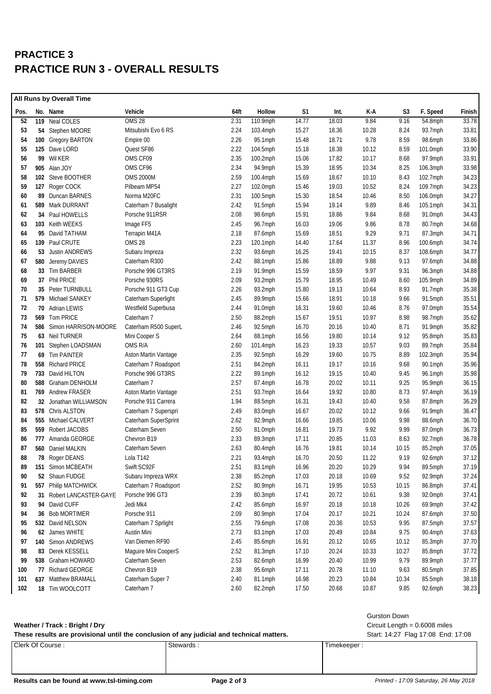## **PRACTICE 3 PRACTICE RUN 3 - OVERALL RESULTS**

|      | All Runs by Overall Time |                          |                      |      |             |                |       |       |       |            |        |
|------|--------------------------|--------------------------|----------------------|------|-------------|----------------|-------|-------|-------|------------|--------|
| Pos. |                          | No. Name                 | Vehicle              | 64ft | Hollow      | S <sub>1</sub> | Int.  | K-A   | S3    | F. Speed   | Finish |
| 52   |                          | 119 Neal COLES           | OMS <sub>28</sub>    | 2.31 | 110.9mph    | 14.77          | 18.03 | 9.84  | 9.16  | 54.8mph    | 33.78  |
| 53   |                          | 54 Stephen MOORE         | Mitsubishi Evo 6 RS  | 2.24 | $103.4$ mph | 15.27          | 18.36 | 10.28 | 8.24  | 93.7mph    | 33.81  |
| 54   |                          | 100 Gregory BARTON       | Empire 00            | 2.26 | 95.1mph     | 15.48          | 18.71 | 9.78  | 8.59  | 98.6mph    | 33.86  |
| 55   |                          | 125 Dave LORD            | Quest SF86           | 2.22 | 104.5mph    | 15.18          | 18.38 | 10.12 | 8.59  | 101.0mph   | 33.90  |
| 56   |                          | 99 Wil KER               | OMS CF09             | 2.35 | 100.2mph    | 15.06          | 17.82 | 10.17 | 8.68  | 97.9mph    | 33.91  |
| 57   | 905                      | Alan JOY                 | OMS CF96             | 2.34 | 94.9mph     | 15.39          | 18.95 | 10.34 | 8.25  | 106.3mph   | 33.98  |
| 58   |                          | 102 Steve BOOTHER        | <b>OMS 2000M</b>     | 2.59 | 100.4mph    | 15.69          | 18.67 | 10.10 | 8.43  | 102.7mph   | 34.23  |
| 59   |                          | 127 Roger COCK           | Pilbeam MP54         | 2.27 | 102.0mph    | 15.46          | 19.03 | 10.52 | 8.24  | 109.7mph   | 34.23  |
| 60   |                          | 89 Duncan BARNES         | Norma M20FC          | 2.31 | 100.5mph    | 15.30          | 18.54 | 10.46 | 8.50  | 106.0mph   | 34.27  |
| 61   |                          | 589 Mark DURRANT         | Caterham 7 Busalight | 2.42 | 91.5mph     | 15.94          | 19.14 | 9.89  | 8.46  | 105.1mph   | 34.31  |
| 62   |                          | 34 Paul HOWELLS          | Porsche 911RSR       | 2.08 | 98.6mph     | 15.91          | 18.86 | 9.84  | 8.68  | 91.0mph    | 34.43  |
| 63   |                          | 103 Keith WEEKS          | Image FF5            | 2.45 | 96.7mph     | 16.03          | 19.06 | 9.86  | 8.78  | 80.7mph    | 34.68  |
| 64   |                          | 95 David TATHAM          | Terrapin M41A        | 2.18 | 87.6mph     | 15.69          | 18.51 | 9.29  | 9.71  | 87.3mph    | 34.71  |
| 65   |                          | 139 Paul CRUTE           | OMS 28               | 2.23 | 120.1mph    | 14.40          | 17.64 | 11.37 | 8.96  | 100.6mph   | 34.74  |
| 66   |                          | 53 Justin ANDREWS        | Subaru Impreza       | 2.32 | 93.6mph     | 16.25          | 19.41 | 10.15 | 8.37  | 108.6mph   | 34.77  |
| 67   |                          | 580 Jeremy DAVIES        | Caterham R300        | 2.42 | 88.1mph     | 15.86          | 18.89 | 9.88  | 9.13  | 97.6mph    | 34.88  |
| 68   |                          | 33 Tim BARBER            | Porsche 996 GT3RS    | 2.19 | 91.9mph     | 15.59          | 18.59 | 9.97  | 9.31  | $96.3$ mph | 34.88  |
| 69   |                          | 37 Phil PRICE            | Porsche 930RS        | 2.09 | 93.2mph     | 15.79          | 18.95 | 10.49 | 8.60  | 105.9mph   | 34.89  |
| 70   |                          | 35 Peter TURNBULL        | Porsche 911 GT3 Cup  | 2.26 | 93.2mph     | 15.80          | 19.13 | 10.64 | 8.93  | 91.7mph    | 35.38  |
| 71   |                          | 579 Michael SANKEY       | Caterham Superlight  | 2.45 | 89.9mph     | 15.66          | 18.91 | 10.18 | 9.66  | 91.5mph    | 35.51  |
| 72   |                          | 70 Adrian LEWIS          | Westfield Superbusa  | 2.44 | 91.0mph     | 16.31          | 19.60 | 10.46 | 8.76  | 97.0mph    | 35.54  |
| 73   |                          | 569 Tom PRICE            | Caterham 7           | 2.50 | 88.2mph     | 15.67          | 19.51 | 10.97 | 8.98  | 98.7mph    | 35.62  |
| 74   |                          | 586 Simon HARRISON-MOORE | Caterham R500 SuperL | 2.46 | 92.5mph     | 16.70          | 20.16 | 10.40 | 8.71  | 91.9mph    | 35.82  |
| 75   |                          | 63 Neil TURNER           | Mini Cooper S        | 2.64 | 88.1mph     | 16.56          | 19.80 | 10.14 | 9.12  | 95.8mph    | 35.83  |
| 76   |                          | 101 Stephen LOADSMAN     | OMS R/A              | 2.60 | 101.4mph    | 16.23          | 19.33 | 10.57 | 9.03  | 89.7mph    | 35.84  |
| 77   |                          | 69 Tim PAINTER           | Aston Martin Vantage | 2.35 | 92.5mph     | 16.29          | 19.60 | 10.75 | 8.89  | 102.3mph   | 35.94  |
| 78   |                          | 558 Richard PRICE        | Caterham 7 Roadsport | 2.51 | 84.2mph     | 16.11          | 19.17 | 10.16 | 9.68  | 90.1mph    | 35.96  |
| 79   |                          | 733 David HILTON         | Porsche 996 GT3RS    | 2.22 | 89.1mph     | 16.12          | 19.15 | 10.40 | 9.45  | 96.1mph    | 35.98  |
| 80   |                          | 588 Graham DENHOLM       | Caterham 7           | 2.57 | 87.4mph     | 16.78          | 20.02 | 10.11 | 9.25  | 95.9mph    | 36.15  |
| 81   |                          | 769 Andrew FRASER        | Aston Martin Vantage | 2.51 | 93.7mph     | 16.64          | 19.92 | 10.80 | 8.73  | 97.4mph    | 36.19  |
| 82   |                          | 32 Jonathan WILLIAMSON   | Porsche 911 Carrera  | 1.94 | 88.5mph     | 16.31          | 19.43 | 10.40 | 9.58  | 87.8mph    | 36.29  |
| 83   |                          | 578 Chris ALSTON         | Caterham 7 Superspri | 2.49 | 83.0mph     | 16.67          | 20.02 | 10.12 | 9.66  | 91.9mph    | 36.47  |
| 84   |                          | 555 Michael CALVERT      | Caterham SuperSprint | 2.62 | 82.9mph     | 16.66          | 19.85 | 10.06 | 9.98  | 88.6mph    | 36.70  |
| 85   |                          | 559 Robert JACOBS        | Caterham Seven       | 2.50 | 81.0mph     | 16.81          | 19.73 | 9.92  | 9.99  | 87.0mph    | 36.73  |
| 86   |                          | 777 Amanda GEORGE        | Chevron B19          | 2.33 | 89.3mph     | 17.11          | 20.85 | 11.03 | 8.63  | 92.7mph    | 36.78  |
| 87   |                          | 560 Daniel MALKIN        | Caterham Seven       | 2.63 | 80.4mph     | 16.76          | 19.81 | 10.14 | 10.15 | 85.2mph    | 37.05  |
| 88   |                          | 78 Roger DEANS           | Lola T142            | 2.21 | 93.4mph     | 16.70          | 20.50 | 11.22 | 9.19  | 92.6mph    | 37.12  |
| 89   |                          | 151 Simon MCBEATH        | Swift SC92F          | 2.51 | 83.1mph     | 16.96          | 20.20 | 10.29 | 9.94  | 89.5mph    | 37.19  |
| 90   |                          | 52 Shaun FUDGE           | Subaru Impreza WRX   | 2.38 | 85.2mph     | 17.03          | 20.18 | 10.69 | 9.52  | 92.9mph    | 37.24  |
| 91   |                          | 557 Philip MATCHWICK     | Caterham 7 Roadsport | 2.52 | 80.9mph     | 16.71          | 19.95 | 10.53 | 10.15 | 86.8mph    | 37.41  |
| 92   | 31                       | Robert LANCASTER-GAYE    | Porsche 996 GT3      | 2.39 | 80.3mph     | 17.41          | 20.72 | 10.61 | 9.38  | 92.0mph    | 37.41  |
| 93   | 94                       | David CUFF               | Jedi Mk4             | 2.42 | 85.6mph     | 16.97          | 20.18 | 10.18 | 10.26 | 69.9mph    | 37.42  |
| 94   |                          | 36 Bob MORTIMER          | Porsche 911          | 2.09 | 80.9mph     | 17.04          | 20.17 | 10.21 | 10.24 | 87.6mph    | 37.50  |
| 95   |                          | 532 David NELSON         | Caterham 7 Sprlight  | 2.55 | 79.6mph     | 17.08          | 20.36 | 10.53 | 9.95  | 87.5mph    | 37.57  |
| 96   |                          | 62 James WHITE           | Austin Mini          | 2.73 | 83.1mph     | 17.03          | 20.49 | 10.84 | 9.75  | 90.4mph    | 37.63  |
| 97   |                          | 140 Simon ANDREWS        | Van Diemen RF90      | 2.45 | 85.6mph     | 16.91          | 20.12 | 10.65 | 10.12 | 85.3mph    | 37.70  |
| 98   |                          | 83 Derek KESSELL         | Maguire Mini CooperS | 2.52 | 81.3mph     | 17.10          | 20.24 | 10.33 | 10.27 | 85.8mph    | 37.72  |
| 99   |                          | 538 Graham HOWARD        | Caterham Seven       | 2.53 | 82.6mph     | 16.99          | 20.40 | 10.99 | 9.79  | 89.9mph    | 37.77  |
| 100  |                          | 77 Richard GEORGE        | Chevron B19          | 2.38 | 95.6mph     | 17.11          | 20.78 | 11.10 | 9.63  | 80.5mph    | 37.85  |
| 101  |                          | 637 Matthew BRAMALL      | Caterham Super 7     | 2.40 | 81.1mph     | 16.98          | 20.23 | 10.84 | 10.34 | 85.5mph    | 38.18  |
| 102  |                          | 18 Tim WOOLCOTT          | Caterham 7           | 2.60 | 82.2mph     | 17.50          | 20.68 | 10.87 | 9.85  | 92.6mph    | 38.23  |

#### Weather / Track: Bright / Dry **Weather / Track : Bright / Dry** Circuit Length = 0.6008 miles

| These results are provisional until the conclusion of any judicial and technical matters. | Start: 14:27 Flag 17:08 End: 17:08 |              |
|-------------------------------------------------------------------------------------------|------------------------------------|--------------|
| Clerk Of Course:                                                                          | Stewards                           | Timekeeper . |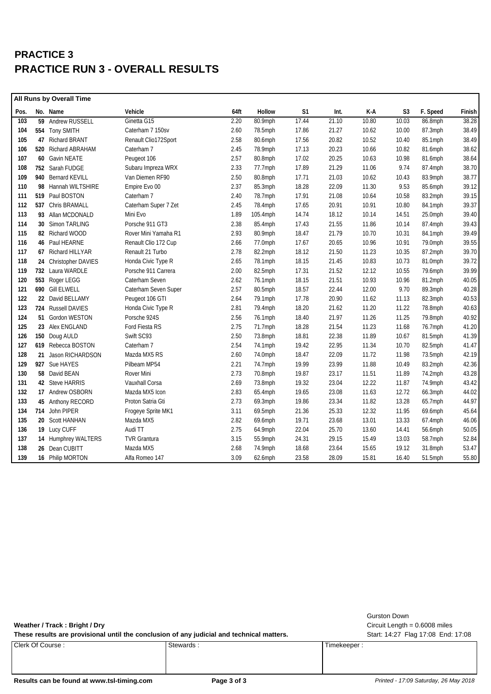## **PRACTICE 3 PRACTICE RUN 3 - OVERALL RESULTS**

| All Runs by Overall Time |  |                       |                      |      |          |       |       |       |                |          |        |
|--------------------------|--|-----------------------|----------------------|------|----------|-------|-------|-------|----------------|----------|--------|
| Pos.                     |  | No. Name              | Vehicle              | 64ft | Hollow   | S1    | Int.  | K-A   | S <sub>3</sub> | F. Speed | Finish |
| 103                      |  | 59 Andrew RUSSELL     | Ginetta G15          | 2.20 | 80.9mph  | 17.44 | 21.10 | 10.80 | 10.03          | 86.8mph  | 38.28  |
| 104                      |  | 554 Tony SMITH        | Caterham 7 150sv     | 2.60 | 78.5mph  | 17.86 | 21.27 | 10.62 | 10.00          | 87.3mph  | 38.49  |
| 105                      |  | 47 Richard BRANT      | Renault Clio172Sport | 2.58 | 80.6mph  | 17.56 | 20.82 | 10.52 | 10.40          | 85.1mph  | 38.49  |
| 106                      |  | 520 Richard ABRAHAM   | Caterham 7           | 2.45 | 78.9mph  | 17.13 | 20.23 | 10.66 | 10.82          | 81.6mph  | 38.62  |
| 107                      |  | 60 Gavin NEATE        | Peugeot 106          | 2.57 | 80.8mph  | 17.02 | 20.25 | 10.63 | 10.98          | 81.6mph  | 38.64  |
| 108                      |  | 752 Sarah FUDGE       | Subaru Impreza WRX   | 2.33 | 77.7mph  | 17.89 | 21.29 | 11.06 | 9.74           | 87.4mph  | 38.70  |
| 109                      |  | 940 Bernard KEVILL    | Van Diemen RF90      | 2.50 | 80.8mph  | 17.71 | 21.03 | 10.62 | 10.43          | 83.9mph  | 38.77  |
| 110                      |  | 98 Hannah WILTSHIRE   | Empire Evo 00        | 2.37 | 85.3mph  | 18.28 | 22.09 | 11.30 | 9.53           | 85.6mph  | 39.12  |
| 111                      |  | 519 Paul BOSTON       | Caterham 7           | 2.40 | 78.7mph  | 17.91 | 21.08 | 10.64 | 10.58          | 83.2mph  | 39.15  |
| 112                      |  | 537 Chris BRAMALL     | Caterham Super 7 Zet | 2.45 | 78.4mph  | 17.65 | 20.91 | 10.91 | 10.80          | 84.1mph  | 39.37  |
| 113                      |  | 93 Allan MCDONALD     | Mini Evo             | 1.89 | 105.4mph | 14.74 | 18.12 | 10.14 | 14.51          | 25.0mph  | 39.40  |
| 114                      |  | 30 Simon TARLING      | Porsche 911 GT3      | 2.38 | 85.4mph  | 17.43 | 21.55 | 11.86 | 10.14          | 87.4mph  | 39.43  |
| 115                      |  | 82 Richard WOOD       | Rover Mini Yamaha R1 | 2.93 | 80.9mph  | 18.47 | 21.79 | 10.70 | 10.31          | 84.1mph  | 39.49  |
| 116                      |  | 46 Paul HEARNE        | Renault Clio 172 Cup | 2.66 | 77.0mph  | 17.67 | 20.65 | 10.96 | 10.91          | 79.0mph  | 39.55  |
| 117                      |  | 67 Richard HILLYAR    | Renault 21 Turbo     | 2.78 | 82.2mph  | 18.12 | 21.50 | 11.23 | 10.35          | 87.2mph  | 39.70  |
| 118                      |  | 24 Christopher DAVIES | Honda Civic Type R   | 2.65 | 78.1mph  | 18.15 | 21.45 | 10.83 | 10.73          | 81.0mph  | 39.72  |
| 119                      |  | 732 Laura WARDLE      | Porsche 911 Carrera  | 2.00 | 82.5mph  | 17.31 | 21.52 | 12.12 | 10.55          | 79.6mph  | 39.99  |
| 120                      |  | 553 Roger LEGG        | Caterham Seven       | 2.62 | 76.1mph  | 18.15 | 21.51 | 10.93 | 10.96          | 81.2mph  | 40.05  |
| 121                      |  | 690 Gill ELWELL       | Caterham Seven Super | 2.57 | 80.5mph  | 18.57 | 22.44 | 12.00 | 9.70           | 89.3mph  | 40.28  |
| 122                      |  | 22 David BELLAMY      | Peugeot 106 GTI      | 2.64 | 79.1mph  | 17.78 | 20.90 | 11.62 | 11.13          | 82.3mph  | 40.53  |
| 123                      |  | 724 Russell DAVIES    | Honda Civic Type R   | 2.81 | 79.4mph  | 18.20 | 21.62 | 11.20 | 11.22          | 78.8mph  | 40.63  |
| 124                      |  | 51 Gordon WESTON      | Porsche 924S         | 2.56 | 76.1mph  | 18.40 | 21.97 | 11.26 | 11.25          | 79.8mph  | 40.92  |
| 125                      |  | 23 Alex ENGLAND       | Ford Fiesta RS       | 2.75 | 71.7mph  | 18.28 | 21.54 | 11.23 | 11.68          | 76.7mph  | 41.20  |
| 126                      |  | 150 Doug AULD         | Swift SC93           | 2.50 | 73.8mph  | 18.81 | 22.38 | 11.89 | 10.67          | 81.5mph  | 41.39  |
| 127                      |  | 619 Rebecca BOSTON    | Caterham 7           | 2.54 | 74.1mph  | 19.42 | 22.95 | 11.34 | 10.70          | 82.5mph  | 41.47  |
| 128                      |  | 21 Jason RICHARDSON   | Mazda MX5 RS         | 2.60 | 74.0mph  | 18.47 | 22.09 | 11.72 | 11.98          | 73.5mph  | 42.19  |
| 129                      |  | 927 Sue HAYES         | Pilbeam MP54         | 2.21 | 74.7mph  | 19.99 | 23.99 | 11.88 | 10.49          | 83.2mph  | 42.36  |
| 130                      |  | 58 David BEAN         | Rover Mini           | 2.73 | 70.8mph  | 19.87 | 23.17 | 11.51 | 11.89          | 74.2mph  | 43.28  |
| 131                      |  | 42 Steve HARRIS       | Vauxhall Corsa       | 2.69 | 73.8mph  | 19.32 | 23.04 | 12.22 | 11.87          | 74.9mph  | 43.42  |
| 132                      |  | 17 Andrew OSBORN      | Mazda MX5 Icon       | 2.83 | 65.4mph  | 19.65 | 23.08 | 11.63 | 12.72          | 66.3mph  | 44.02  |
| 133                      |  | 45 Anthony RECORD     | Proton Satria Gti    | 2.73 | 69.3mph  | 19.86 | 23.34 | 11.82 | 13.28          | 65.7mph  | 44.97  |
| 134                      |  | 714 John PIPER        | Frogeye Sprite MK1   | 3.11 | 69.5mph  | 21.36 | 25.33 | 12.32 | 11.95          | 69.6mph  | 45.64  |
| 135                      |  | 20 Scott HANHAN       | Mazda MX5            | 2.82 | 69.6mph  | 19.71 | 23.68 | 13.01 | 13.33          | 67.4mph  | 46.06  |
| 136                      |  | 19 Lucy CUFF          | Audi TT              | 2.75 | 64.9mph  | 22.04 | 25.70 | 13.60 | 14.41          | 56.6mph  | 50.05  |
| 137                      |  | 14 Humphrey WALTERS   | <b>TVR Grantura</b>  | 3.15 | 55.9mph  | 24.31 | 29.15 | 15.49 | 13.03          | 58.7mph  | 52.84  |
| 138                      |  | 26 Dean CUBITT        | Mazda MX5            | 2.68 | 74.9mph  | 18.68 | 23.64 | 15.65 | 19.12          | 31.8mph  | 53.47  |
| 139                      |  | 16 Philip MORTON      | Alfa Romeo 147       | 3.09 | 62.6mph  | 23.58 | 28.09 | 15.81 | 16.40          | 51.5mph  | 55.80  |
|                          |  |                       |                      |      |          |       |       |       |                |          |        |

These results are provisional until the conclusion of any judicial and technical matters. Start: 14:27 Flag 17:08 End: 17:08

Clerk Of Course : Stewards : Stewards : Timekeeper : Timekeeper :

Gurston Down

**Weather / Track : Bright / Dry** Circuit Length = 0.6008 miles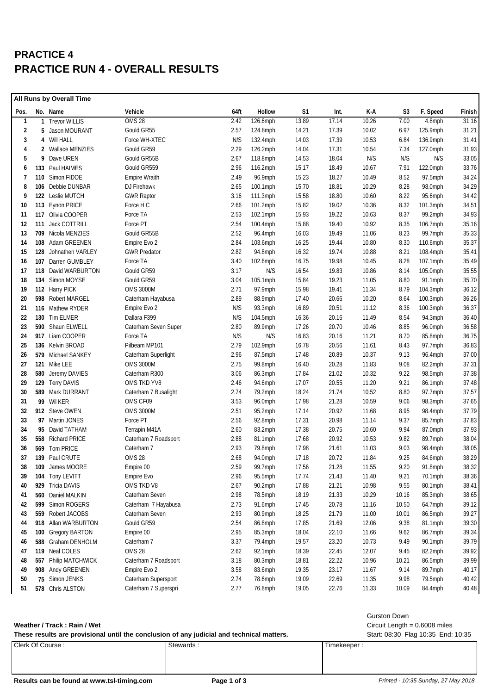## **PRACTICE 4 PRACTICE RUN 4 - OVERALL RESULTS**

|              | All Runs by Overall Time |                      |                      |      |             |       |       |       |                |             |        |
|--------------|--------------------------|----------------------|----------------------|------|-------------|-------|-------|-------|----------------|-------------|--------|
| Pos.         |                          | No. Name             | Vehicle              | 64ft | Hollow      | S1    | Int.  | K-A   | S <sub>3</sub> | F. Speed    | Finish |
| $\mathbf{1}$ |                          | 1 Trevor WILLIS      | <b>OMS 28</b>        | 2.42 | 126.6mph    | 13.89 | 17.14 | 10.26 | 7.00           | 4.8mph      | 31.16  |
| 2            |                          | 5 Jason MOURANT      | Gould GR55           | 2.57 | $124.8$ mph | 14.21 | 17.39 | 10.02 | 6.97           | 125.9mph    | 31.21  |
| 3            |                          | 4 Will HALL          | Force WH-XTEC        | N/S  | 132.4mph    | 14.03 | 17.39 | 10.53 | 6.84           | 136.9mph    | 31.41  |
| 4            |                          | 2 Wallace MENZIES    | Gould GR59           | 2.29 | 126.2mph    | 14.04 | 17.31 | 10.54 | 7.34           | 127.0mph    | 31.93  |
| 5            | 9                        | Dave UREN            | Gould GR55B          | 2.67 | 118.8mph    | 14.53 | 18.04 | N/S   | N/S            | N/S         | 33.05  |
| 6            | 133                      | Paul HAIMES          | Gould GR559          | 2.96 | 116.2mph    | 15.17 | 18.49 | 10.67 | 7.91           | 122.0mph    | 33.76  |
| 7            | 110                      | Simon FIDOE          | <b>Empire Wraith</b> | 2.49 | 96.9mph     | 15.23 | 18.27 | 10.49 | 8.52           | 97.5mph     | 34.24  |
| 8            | 106                      | Debbie DUNBAR        | DJ Firehawk          | 2.65 | 100.1mph    | 15.70 | 18.81 | 10.29 | 8.28           | 98.0mph     | 34.29  |
| 9            |                          | 122 Leslie MUTCH     | <b>GWR Raptor</b>    | 3.16 | 111.3mph    | 15.58 | 18.80 | 10.60 | 8.22           | 95.6mph     | 34.42  |
| 10           |                          | 113 Eynon PRICE      | Force H C            | 2.66 | 101.2mph    | 15.82 | 19.02 | 10.36 | 8.32           | 101.3mph    | 34.51  |
| 11           |                          | 117 Olivia COOPER    | Force TA             | 2.53 | 102.1mph    | 15.93 | 19.22 | 10.63 | 8.37           | 99.2mph     | 34.93  |
| 12           | 111                      | <b>Jack COTTRILL</b> | Force PT             | 2.54 | 100.4mph    | 15.88 | 19.40 | 10.92 | 8.35           | 106.7mph    | 35.16  |
| 13           |                          | 709 Nicola MENZIES   | Gould GR55B          | 2.52 | 96.4mph     | 16.03 | 19.49 | 11.06 | 8.23           | 99.7mph     | 35.33  |
| 14           |                          | 108 Adam GREENEN     | Empire Evo 2         | 2.84 | 103.6mph    | 16.25 | 19.44 | 10.80 | 8.30           | 110.6mph    | 35.37  |
| 15           | 128                      | Johnathen VARLEY     | <b>GWR Predator</b>  | 2.82 | 94.8mph     | 16.32 | 19.74 | 10.88 | 8.21           | 108.4mph    | 35.41  |
| 16           | 107                      | Darren GUMBLEY       | Force TA             | 3.40 | 102.6mph    | 16.75 | 19.98 | 10.45 | 8.28           | 107.1mph    | 35.49  |
| 17           | 118                      | David WARBURTON      | Gould GR59           | 3.17 | N/S         | 16.54 | 19.83 | 10.86 | 8.14           | 105.0mph    | 35.55  |
| 18           |                          | 134 Simon MOYSE      | Gould GR59           | 3.04 | 105.1mph    | 15.84 | 19.23 | 11.05 | 8.80           | 91.1mph     | 35.70  |
| 19           |                          | 112 Harry PICK       | <b>OMS 3000M</b>     | 2.71 | 97.9mph     | 15.98 | 19.41 | 11.34 | 8.79           | $104.3$ mph | 36.12  |
| 20           | 598                      | <b>Robert MARGEL</b> | Caterham Hayabusa    | 2.89 | 88.9mph     | 17.40 | 20.66 | 10.20 | 8.64           | $100.3$ mph | 36.26  |
| 21           |                          | 116 Mathew RYDER     | Empire Evo 2         | N/S  | 93.3mph     | 16.89 | 20.51 | 11.12 | 8.36           | 100.3mph    | 36.37  |
| 22           | 130                      | Tim ELMER            | Dallara F399         | N/S  | 104.5mph    | 16.36 | 20.16 | 11.49 | 8.54           | 94.3mph     | 36.40  |
| 23           |                          | 590 Shaun ELWELL     | Caterham Seven Super | 2.80 | 89.9mph     | 17.26 | 20.70 | 10.46 | 8.85           | 96.0mph     | 36.58  |
| 24           | 917                      | Liam COOPER          | Force TA             | N/S  | N/S         | 16.83 | 20.16 | 11.21 | 8.70           | 85.8mph     | 36.75  |
| 25           |                          | 136 Kelvin BROAD     | Pilbeam MP101        | 2.79 | 102.9mph    | 16.78 | 20.56 | 11.61 | 8.43           | 97.7mph     | 36.83  |
| 26           |                          | 579 Michael SANKEY   | Caterham Superlight  | 2.96 | 87.5mph     | 17.48 | 20.89 | 10.37 | 9.13           | 96.4mph     | 37.00  |
| 27           |                          | 121 Mike LEE         | <b>OMS 3000M</b>     | 2.75 | 99.8mph     | 16.40 | 20.28 | 11.83 | 9.08           | 82.2mph     | 37.31  |
| 28           |                          | 580 Jeremy DAVIES    | Caterham R300        | 3.06 | 86.3mph     | 17.84 | 21.02 | 10.32 | 9.22           | 98.5mph     | 37.38  |
| 29           |                          | 129 Terry DAVIS      | OMS TKD YV8          | 2.46 | 94.6mph     | 17.07 | 20.55 | 11.20 | 9.21           | 86.1mph     | 37.48  |
| 30           |                          | 589 Mark DURRANT     | Caterham 7 Busalight | 2.74 | 79.2mph     | 18.24 | 21.74 | 10.52 | 8.80           | 97.7mph     | 37.57  |
| 31           | 99                       | Wil KER              | OMS CF09             | 3.53 | 96.0mph     | 17.98 | 21.28 | 10.59 | 9.06           | 98.3mph     | 37.65  |
| 32           |                          | 912 Steve OWEN       | <b>OMS 3000M</b>     | 2.51 | 95.2mph     | 17.14 | 20.92 | 11.68 | 8.95           | 98.4mph     | 37.79  |
| 33           |                          | 97 Martin JONES      | Force PT             | 2.56 | 92.8mph     | 17.31 | 20.98 | 11.14 | 9.37           | 85.7mph     | 37.83  |
| 34           | 95                       | David TATHAM         | Terrapin M41A        | 2.60 | 83.2mph     | 17.38 | 20.75 | 10.60 | 9.94           | 87.0mph     | 37.93  |
| 35           |                          | 558 Richard PRICE    | Caterham 7 Roadsport | 2.88 | 81.1mph     | 17.68 | 20.92 | 10.53 | 9.82           | 89.7mph     | 38.04  |
| 36           |                          | 569 Tom PRICE        | Caterham 7           | 2.93 | 79.8mph     | 17.98 | 21.61 | 11.03 | 9.03           | 98.4mph     | 38.05  |
| 37           |                          | 139 Paul CRUTE       | OMS <sub>28</sub>    | 2.68 | 94.0mph     | 17.18 | 20.72 | 11.84 | 9.25           | 84.6mph     | 38.29  |
| 38           | 109                      | James MOORE          | Empire 00            | 2.59 | 99.7mph     | 17.56 | 21.28 | 11.55 | 9.20           | 91.8mph     | 38.32  |
| 39           |                          | 104 Tony LEVITT      | Empire Evo           | 2.96 | 95.5mph     | 17.74 | 21.43 | 11.40 | 9.21           | 70.1mph     | 38.36  |
| 40           |                          | 929 Tricia DAVIS     | OMS TKD V8           | 2.67 | 90.2mph     | 17.88 | 21.21 | 10.98 | 9.55           | 80.1mph     | 38.41  |
| 41           | 560                      | Daniel MALKIN        | Caterham Seven       | 2.98 | 78.5mph     | 18.19 | 21.33 | 10.29 | 10.16          | 85.3mph     | 38.65  |
| 42           | 599                      | Simon ROGERS         | Caterham 7 Hayabusa  | 2.73 | 91.6mph     | 17.45 | 20.78 | 11.16 | 10.50          | 64.7mph     | 39.12  |
| 43           | 559                      | Robert JACOBS        | Caterham Seven       | 2.93 | 80.9mph     | 18.25 | 21.79 | 11.00 | 10.01          | 86.5mph     | 39.27  |
| 44           |                          | 918 Allan WARBURTON  | Gould GR59           | 2.54 | 86.8mph     | 17.85 | 21.69 | 12.06 | 9.38           | 81.1mph     | 39.30  |
| 45           |                          | 100 Gregory BARTON   | Empire 00            | 2.95 | 85.3mph     | 18.04 | 22.10 | 11.66 | 9.62           | 86.7mph     | 39.34  |
| 46           |                          | 588 Graham DENHOLM   | Caterham 7           | 3.37 | 79.4mph     | 19.57 | 23.20 | 10.73 | 9.49           | $90.1$ mph  | 39.79  |
| 47           |                          | 119 Neal COLES       | <b>OMS 28</b>        | 2.62 | 92.1mph     | 18.39 | 22.45 | 12.07 | 9.45           | 82.2mph     | 39.92  |
| 48           |                          | 557 Philip MATCHWICK | Caterham 7 Roadsport | 3.18 | 80.3mph     | 18.81 | 22.22 | 10.96 | 10.21          | 86.5mph     | 39.99  |
| 49           |                          | 908 Andy GREENEN     | Empire Evo 2         | 3.58 | 83.6mph     | 19.35 | 23.17 | 11.67 | 9.14           | 89.7mph     | 40.17  |
| 50           |                          | 75 Simon JENKS       | Caterham Supersport  | 2.74 | 78.6mph     | 19.09 | 22.69 | 11.35 | 9.98           | 79.5mph     | 40.42  |
| 51           |                          | 578 Chris ALSTON     | Caterham 7 Superspri | 2.77 | 76.8mph     | 19.05 | 22.76 | 11.33 | 10.09          | 84.4mph     | 40.48  |

|                             | <b>Gurston Down</b>             |
|-----------------------------|---------------------------------|
| Weather / Track: Rain / Wet | Circuit Length = $0.6008$ miles |

| These results are provisional until the conclusion of any judicial and technical matters. |           | Start: 08:30 Flag 10:35 End: 10:35 |
|-------------------------------------------------------------------------------------------|-----------|------------------------------------|
| l Clerk Of Course :                                                                       | Stewards. | Timekeeper:                        |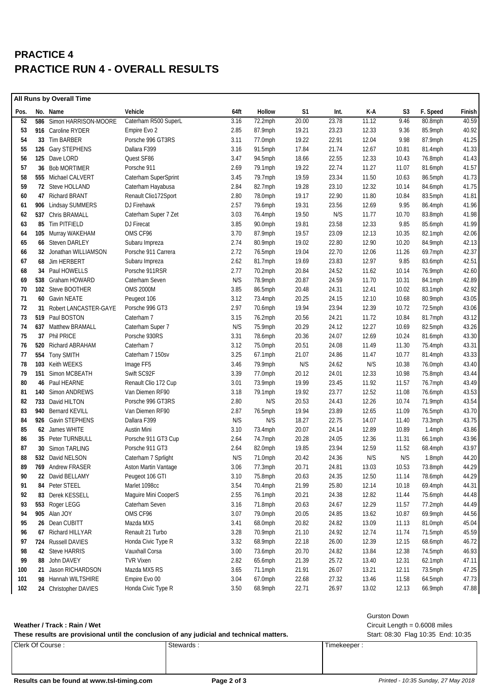## **PRACTICE 4 PRACTICE RUN 4 - OVERALL RESULTS**

|      | All Runs by Overall Time |                          |                      |      |         |                |       |       |       |            |        |
|------|--------------------------|--------------------------|----------------------|------|---------|----------------|-------|-------|-------|------------|--------|
| Pos. |                          | No. Name                 | Vehicle              | 64ft | Hollow  | S <sub>1</sub> | Int.  | K-A   | S3    | F. Speed   | Finish |
| 52   |                          | 586 Simon HARRISON-MOORE | Caterham R500 SuperL | 3.16 | 72.2mph | 20.00          | 23.78 | 11.12 | 9.46  | 80.8mph    | 40.59  |
| 53   |                          | 916 Caroline RYDER       | Empire Evo 2         | 2.85 | 87.9mph | 19.21          | 23.23 | 12.33 | 9.36  | 85.9mph    | 40.92  |
| 54   |                          | 33 Tim BARBER            | Porsche 996 GT3RS    | 3.11 | 77.0mph | 19.22          | 22.91 | 12.04 | 9.98  | 87.9mph    | 41.25  |
| 55   |                          | 126 Gary STEPHENS        | Dallara F399         | 3.16 | 91.5mph | 17.84          | 21.74 | 12.67 | 10.81 | 81.4mph    | 41.33  |
| 56   |                          | 125 Dave LORD            | Quest SF86           | 3.47 | 94.5mph | 18.66          | 22.55 | 12.33 | 10.43 | 76.8mph    | 41.43  |
| 57   |                          | 36 Bob MORTIMER          | Porsche 911          | 2.69 | 79.1mph | 19.22          | 22.74 | 11.27 | 11.07 | 81.6mph    | 41.57  |
| 58   |                          | 555 Michael CALVERT      | Caterham SuperSprint | 3.45 | 79.7mph | 19.59          | 23.34 | 11.50 | 10.63 | 86.5mph    | 41.73  |
| 59   |                          | 72 Steve HOLLAND         | Caterham Hayabusa    | 2.84 | 82.7mph | 19.28          | 23.10 | 12.32 | 10.14 | 84.6mph    | 41.75  |
| 60   |                          | 47 Richard BRANT         | Renault Clio172Sport | 2.80 | 78.0mph | 19.17          | 22.90 | 11.80 | 10.84 | 83.5mph    | 41.81  |
| 61   |                          | 906 Lindsay SUMMERS      | DJ Firehawk          | 2.57 | 79.6mph | 19.31          | 23.56 | 12.69 | 9.95  | 86.4mph    | 41.96  |
| 62   |                          | 537 Chris BRAMALL        | Caterham Super 7 Zet | 3.03 | 76.4mph | 19.50          | N/S   | 11.77 | 10.70 | 83.8mph    | 41.98  |
| 63   |                          | 85 Tim PITFIELD          | DJ Firecat           | 3.85 | 90.0mph | 19.81          | 23.58 | 12.33 | 9.85  | 85.6mph    | 41.99  |
| 64   |                          | 105 Murray WAKEHAM       | OMS CF96             | 3.70 | 87.9mph | 19.57          | 23.09 | 12.13 | 10.35 | 82.1mph    | 42.06  |
| 65   |                          | 66 Steven DARLEY         | Subaru Impreza       | 2.74 | 80.9mph | 19.02          | 22.80 | 12.90 | 10.20 | 84.9mph    | 42.13  |
| 66   |                          | 32 Jonathan WILLIAMSON   | Porsche 911 Carrera  | 2.72 | 76.5mph | 19.04          | 22.70 | 12.06 | 11.26 | 69.7mph    | 42.37  |
| 67   |                          | 68 Jim HERBERT           | Subaru Impreza       | 2.62 | 81.7mph | 19.69          | 23.83 | 12.97 | 9.85  | 83.6mph    | 42.51  |
| 68   |                          | 34 Paul HOWELLS          | Porsche 911RSR       | 2.77 | 70.2mph | 20.84          | 24.52 | 11.62 | 10.14 | 76.9mph    | 42.60  |
| 69   |                          | 538 Graham HOWARD        | Caterham Seven       | N/S  | 78.9mph | 20.87          | 24.59 | 11.70 | 10.31 | 84.1mph    | 42.89  |
| 70   |                          | 102 Steve BOOTHER        | <b>OMS 2000M</b>     | 3.85 | 86.5mph | 20.48          | 24.31 | 12.41 | 10.02 | 83.1mph    | 42.92  |
| 71   |                          | 60 Gavin NEATE           | Peugeot 106          | 3.12 | 73.4mph | 20.25          | 24.15 | 12.10 | 10.68 | 80.9mph    | 43.05  |
| 72   |                          | 31 Robert LANCASTER-GAYE | Porsche 996 GT3      | 2.97 | 70.6mph | 19.94          | 23.94 | 12.39 | 10.72 | 72.5mph    | 43.06  |
| 73   |                          | 519 Paul BOSTON          | Caterham 7           | 3.15 | 76.2mph | 20.56          | 24.21 | 11.72 | 10.84 | 81.7mph    | 43.12  |
| 74   |                          | 637 Matthew BRAMALL      | Caterham Super 7     | N/S  | 75.9mph | 20.29          | 24.12 | 12.27 | 10.69 | 82.5mph    | 43.26  |
| 75   |                          | 37 Phil PRICE            | Porsche 930RS        | 3.31 | 78.6mph | 20.36          | 24.07 | 12.69 | 10.24 | 81.6mph    | 43.30  |
| 76   |                          | 520 Richard ABRAHAM      | Caterham 7           | 3.12 | 75.0mph | 20.51          | 24.08 | 11.49 | 11.30 | 75.4mph    | 43.31  |
| 77   |                          | 554 Tony SMITH           | Caterham 7 150sv     | 3.25 | 67.1mph | 21.07          | 24.86 | 11.47 | 10.77 | 81.4mph    | 43.33  |
| 78   |                          | 103 Keith WEEKS          | Image FF5            | 3.46 | 79.9mph | N/S            | 24.62 | N/S   | 10.38 | 76.0mph    | 43.40  |
| 79   |                          | 151 Simon MCBEATH        | Swift SC92F          | 3.39 | 77.0mph | 20.12          | 24.01 | 12.33 | 10.98 | 75.8mph    | 43.44  |
| 80   |                          | 46 Paul HEARNE           | Renault Clio 172 Cup | 3.01 | 73.9mph | 19.99          | 23.45 | 11.92 | 11.57 | 76.7mph    | 43.49  |
| 81   | 140                      | Simon ANDREWS            | Van Diemen RF90      | 3.18 | 79.1mph | 19.92          | 23.77 | 12.52 | 11.08 | 76.6mph    | 43.53  |
| 82   |                          | 733 David HILTON         | Porsche 996 GT3RS    | 2.80 | N/S     | 20.53          | 24.43 | 12.26 | 10.74 | 71.9mph    | 43.54  |
| 83   |                          | 940 Bernard KEVILL       | Van Diemen RF90      | 2.87 | 76.5mph | 19.94          | 23.89 | 12.65 | 11.09 | $76.5$ mph | 43.70  |
| 84   |                          | 926 Gavin STEPHENS       | Dallara F399         | N/S  | N/S     | 18.27          | 22.75 | 14.07 | 11.40 | 73.3mph    | 43.75  |
| 85   |                          | 62 James WHITE           | <b>Austin Mini</b>   | 3.10 | 73.4mph | 20.07          | 24.14 | 12.89 | 10.89 | $1.4$ mph  | 43.86  |
| 86   |                          | 35 Peter TURNBULL        | Porsche 911 GT3 Cup  | 2.64 | 74.7mph | 20.28          | 24.05 | 12.36 | 11.31 | 66.1mph    | 43.96  |
| 87   |                          | 30 Simon TARLING         | Porsche 911 GT3      | 2.64 | 82.0mph | 19.85          | 23.94 | 12.59 | 11.52 | $68.4$ mph | 43.97  |
| 88   |                          | 532 David NELSON         | Caterham 7 Sprlight  | N/S  | 71.0mph | 20.42          | 24.36 | N/S   | N/S   | 1.8mph     | 44.20  |
| 89   |                          | 769 Andrew FRASER        | Aston Martin Vantage | 3.06 | 77.3mph | 20.71          | 24.81 | 13.03 | 10.53 | 73.8mph    | 44.29  |
| 90   |                          | 22 David BELLAMY         | Peugeot 106 GTI      | 3.10 | 75.8mph | 20.63          | 24.35 | 12.50 | 11.14 | 78.6mph    | 44.29  |
| 91   |                          | 84 Peter STEEL           | Marlet 1098cc        | 3.54 | 70.4mph | 21.99          | 25.80 | 12.14 | 10.18 | 69.4mph    | 44.31  |
| 92   |                          | 83 Derek KESSELL         | Maguire Mini CooperS | 2.55 | 76.1mph | 20.21          | 24.38 | 12.82 | 11.44 | 75.6mph    | 44.48  |
| 93   |                          | 553 Roger LEGG           | Caterham Seven       | 3.16 | 71.8mph | 20.63          | 24.67 | 12.29 | 11.57 | 77.2mph    | 44.49  |
| 94   |                          | 905 Alan JOY             | OMS CF96             | 3.07 | 79.0mph | 20.05          | 24.85 | 13.62 | 10.87 | 69.9mph    | 44.56  |
| 95   |                          | 26 Dean CUBITT           | Mazda MX5            | 3.41 | 68.0mph | 20.82          | 24.82 | 13.09 | 11.13 | 81.0mph    | 45.04  |
| 96   |                          | 67 Richard HILLYAR       | Renault 21 Turbo     | 3.28 | 70.9mph | 21.10          | 24.92 | 12.74 | 11.74 | 71.5mph    | 45.59  |
| 97   |                          | 724 Russell DAVIES       | Honda Civic Type R   | 3.32 | 68.9mph | 22.18          | 26.00 | 12.39 | 12.15 | $68.6$ mph | 46.72  |
| 98   |                          | 42 Steve HARRIS          | Vauxhall Corsa       | 3.00 | 73.6mph | 20.70          | 24.82 | 13.84 | 12.38 | 74.5mph    | 46.93  |
| 99   |                          | 88 John DAVEY            | <b>TVR Vixen</b>     | 2.82 | 65.6mph | 21.39          | 25.72 | 13.40 | 12.31 | $62.1$ mph | 47.11  |
| 100  |                          | 21 Jason RICHARDSON      | Mazda MX5 RS         | 3.65 | 71.1mph | 21.91          | 26.07 | 13.21 | 12.11 | 73.5mph    | 47.25  |
| 101  |                          | 98 Hannah WILTSHIRE      | Empire Evo 00        | 3.04 | 67.0mph | 22.68          | 27.32 | 13.46 | 11.58 | 64.5mph    | 47.73  |
| 102  |                          | 24 Christopher DAVIES    | Honda Civic Type R   | 3.50 | 68.9mph | 22.71          | 26.97 | 13.02 | 12.13 | 66.9mph    | 47.88  |

#### Weather / Track : Rain / Wet

| Gurston Down         |
|----------------------|
| $Circuit$ Length $=$ |

Timekeeper : Stewards : Stewards : Timekeeper : Stewards : Timekeeper : **Weather / Track : Rain / Wet**<br>These results are provisional until the conclusion of any judicial and technical matters.<br>These results are provisional until the conclusion of any judicial and technical matters.<br>These resul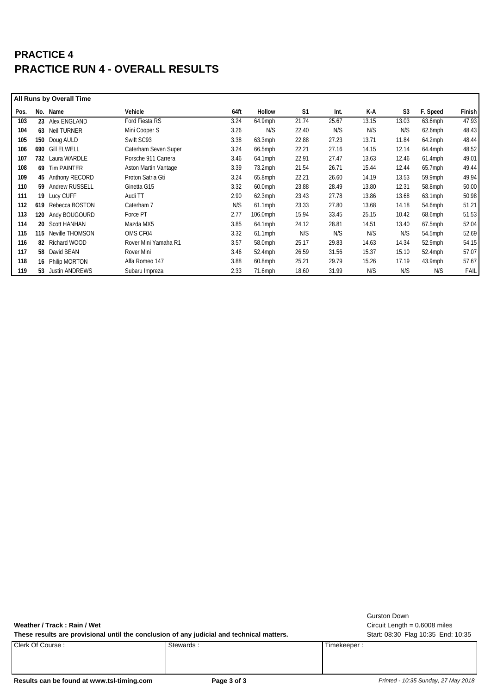## **PRACTICE 4 PRACTICE RUN 4 - OVERALL RESULTS**

|      |     | <b>All Runs by Overall Time</b> |                      |      |            |                |       |       |                |            |        |
|------|-----|---------------------------------|----------------------|------|------------|----------------|-------|-------|----------------|------------|--------|
| Pos. | No. | Name                            | Vehicle              | 64ft | Hollow     | S <sub>1</sub> | Int.  | K-A   | S <sub>3</sub> | F. Speed   | Finish |
| 103  |     | 23 Alex ENGLAND                 | Ford Fiesta RS       | 3.24 | 64.9mph    | 21.74          | 25.67 | 13.15 | 13.03          | 63.6mph    | 47.93  |
| 104  |     | 63 Neil TURNER                  | Mini Cooper S        | 3.26 | N/S        | 22.40          | N/S   | N/S   | N/S            | $62.6$ mph | 48.43  |
| 105  |     | 150 Doug AULD                   | Swift SC93           | 3.38 | $63.3$ mph | 22.88          | 27.23 | 13.71 | 11.84          | $64.2$ mph | 48.44  |
| 106  | 690 | <b>Gill ELWELL</b>              | Caterham Seven Super | 3.24 | 66.5mph    | 22.21          | 27.16 | 14.15 | 12.14          | 64.4mph    | 48.52  |
| 107  | 732 | Laura WARDLE                    | Porsche 911 Carrera  | 3.46 | 64.1mph    | 22.91          | 27.47 | 13.63 | 12.46          | $61.4$ mph | 49.01  |
| 108  | 69  | <b>Tim PAINTER</b>              | Aston Martin Vantage | 3.39 | $73.2$ mph | 21.54          | 26.71 | 15.44 | 12.44          | 65.7mph    | 49.44  |
| 109  |     | 45 Anthony RECORD               | Proton Satria Gti    | 3.24 | $65.8$ mph | 22.21          | 26.60 | 14.19 | 13.53          | 59.9mph    | 49.94  |
| 110  |     | 59 Andrew RUSSELL               | Ginetta G15          | 3.32 | $60.0$ mph | 23.88          | 28.49 | 13.80 | 12.31          | 58.8mph    | 50.00  |
| 111  |     | 19 Lucy CUFF                    | Audi TT              | 2.90 | $62.3$ mph | 23.43          | 27.78 | 13.86 | 13.68          | 63.1mph    | 50.98  |
| 112  | 619 | Rebecca BOSTON                  | Caterham 7           | N/S  | $61.1$ mph | 23.33          | 27.80 | 13.68 | 14.18          | 54.6mph    | 51.21  |
| 113  |     | 120 Andy BOUGOURD               | Force PT             | 2.77 | 106.0mph   | 15.94          | 33.45 | 25.15 | 10.42          | $68.6$ mph | 51.53  |
| 114  |     | 20 Scott HANHAN                 | Mazda MX5            | 3.85 | 64.1mph    | 24.12          | 28.81 | 14.51 | 13.40          | 67.5mph    | 52.04  |
| 115  | 115 | Neville THOMSON                 | OMS CF04             | 3.32 | $61.1$ mph | N/S            | N/S   | N/S   | N/S            | 54.5mph    | 52.69  |
| 116  | 82  | Richard WOOD                    | Rover Mini Yamaha R1 | 3.57 | 58.0mph    | 25.17          | 29.83 | 14.63 | 14.34          | 52.9mph    | 54.15  |
| 117  |     | 58 David BEAN                   | Rover Mini           | 3.46 | $52.4$ mph | 26.59          | 31.56 | 15.37 | 15.10          | $52.4$ mph | 57.07  |
| 118  |     | 16 Philip MORTON                | Alfa Romeo 147       | 3.88 | $60.8$ mph | 25.21          | 29.79 | 15.26 | 17.19          | 43.9mph    | 57.67  |
| 119  | 53  | <b>Justin ANDREWS</b>           | Subaru Impreza       | 2.33 | $71.6$ mph | 18.60          | 31.99 | N/S   | N/S            | N/S        | FAIL   |

Weather / Track: Rain / Wet
and Weather / Track: Rain / Wet
and Weather / Track : Rain / Wet
and Weather / Track : Rain / Wet
and Weather / Track : Rain / Wet
and Weather / Track : Rain / Wet
and Weather **Communist Communi** 

These results are provisional until the conclusion of any judicial and technical matters. Start: 08:30 Flag 10:35 End: 10:35

Timekeeper : Stewards : Timekeeper : Stewards : Timekeeper : Timekeeper :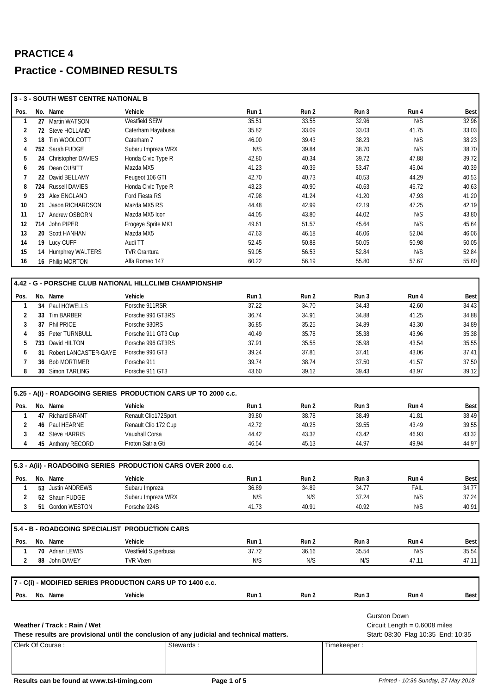|              |    | 3 - 3 - SOUTH WEST CENTRE NATIONAL B                           |                                        |                                                                                           |                |                |                                    |                |
|--------------|----|----------------------------------------------------------------|----------------------------------------|-------------------------------------------------------------------------------------------|----------------|----------------|------------------------------------|----------------|
| Pos.         |    | No. Name                                                       | Vehicle                                | Run 1                                                                                     | Run 2          | Run 3          | Run 4                              | <b>Best</b>    |
| 1            |    | 27 Martin WATSON                                               | Westfield SEiW                         | 35.51                                                                                     | 33.55          | 32.96          | N/S                                | 32.96          |
| 2            |    | 72 Steve HOLLAND                                               | Caterham Hayabusa                      | 35.82                                                                                     | 33.09          | 33.03          | 41.75                              | 33.03          |
| 3            |    | 18 Tim WOOLCOTT                                                | Caterham 7                             | 46.00                                                                                     | 39.43          | 38.23          | N/S                                | 38.23          |
| 4            |    | 752 Sarah FUDGE                                                | Subaru Impreza WRX                     | N/S                                                                                       | 39.84          | 38.70          | N/S                                | 38.70          |
| 5            |    | 24 Christopher DAVIES                                          | Honda Civic Type R                     | 42.80                                                                                     | 40.34          | 39.72          | 47.88                              | 39.72          |
| 6            |    | 26 Dean CUBITT                                                 | Mazda MX5                              | 41.23                                                                                     | 40.39          | 53.47          | 45.04                              | 40.39          |
| 7            |    | 22 David BELLAMY                                               | Peugeot 106 GTI                        | 42.70                                                                                     | 40.73          | 40.53          | 44.29                              | 40.53          |
| 8            |    | 724 Russell DAVIES                                             | Honda Civic Type R                     | 43.23                                                                                     | 40.90          | 40.63          | 46.72                              | 40.63          |
| 9            |    | 23 Alex ENGLAND                                                | Ford Fiesta RS                         | 47.98                                                                                     | 41.24          | 41.20          | 47.93                              | 41.20          |
| 10           |    | 21 Jason RICHARDSON                                            | Mazda MX5 RS                           | 44.48                                                                                     | 42.99          | 42.19          | 47.25                              | 42.19          |
| 11           |    | 17 Andrew OSBORN                                               | Mazda MX5 Icon                         | 44.05                                                                                     | 43.80          | 44.02          | N/S                                | 43.80          |
| 12           |    | 714 John PIPER                                                 | Frogeye Sprite MK1                     | 49.61                                                                                     | 51.57          | 45.64          | N/S                                | 45.64          |
| 13           |    | 20 Scott HANHAN                                                | Mazda MX5                              | 47.63                                                                                     | 46.18          | 46.06          | 52.04                              | 46.06          |
| 14           |    | 19 Lucy CUFF                                                   | Audi TT                                | 52.45                                                                                     | 50.88          | 50.05          | 50.98                              | 50.05          |
| 15           |    | 14 Humphrey WALTERS                                            | <b>TVR Grantura</b>                    | 59.05                                                                                     | 56.53          | 52.84          | N/S                                | 52.84          |
| 16           |    | 16 Philip MORTON                                               | Alfa Romeo 147                         | 60.22                                                                                     | 56.19          | 55.80          | 57.67                              | 55.80          |
|              |    |                                                                |                                        |                                                                                           |                |                |                                    |                |
|              |    | 4.42 - G - PORSCHE CLUB NATIONAL HILLCLIMB CHAMPIONSHIP        |                                        |                                                                                           |                |                |                                    |                |
| Pos.         |    | No. Name                                                       | Vehicle                                | Run 1                                                                                     | Run 2          | Run 3          | Run 4                              | <b>Best</b>    |
| $\mathbf{1}$ |    | 34 Paul HOWELLS                                                | Porsche 911RSR                         | 37.22                                                                                     | 34.70          | 34.43          | 42.60                              | 34.43          |
| 2            |    | 33 Tim BARBER                                                  | Porsche 996 GT3RS                      | 36.74                                                                                     | 34.91          | 34.88          | 41.25                              | 34.88          |
| 3            |    | 37 Phil PRICE                                                  | Porsche 930RS                          | 36.85                                                                                     | 35.25          | 34.89          | 43.30                              | 34.89          |
| 4            |    | 35 Peter TURNBULL                                              | Porsche 911 GT3 Cup                    | 40.49                                                                                     | 35.78          | 35.38          | 43.96                              | 35.38          |
| 5            |    | 733 David HILTON                                               | Porsche 996 GT3RS                      | 37.91                                                                                     | 35.55          | 35.98          | 43.54                              | 35.55          |
| 6            |    | 31 Robert LANCASTER-GAYE                                       | Porsche 996 GT3                        | 39.24                                                                                     | 37.81          | 37.41          | 43.06                              | 37.41          |
| 7            |    | 36 Bob MORTIMER                                                | Porsche 911                            | 39.74                                                                                     | 38.74          | 37.50          | 41.57                              | 37.50          |
| 8            |    | 30 Simon TARLING                                               | Porsche 911 GT3                        | 43.60                                                                                     | 39.12          | 39.43          | 43.97                              | 39.12          |
|              |    | 5.25 - A(i) - ROADGOING SERIES PRODUCTION CARS UP TO 2000 c.c. |                                        |                                                                                           |                |                |                                    |                |
|              |    |                                                                |                                        |                                                                                           |                |                |                                    |                |
| Pos.         |    | No. Name                                                       | Vehicle                                | Run 1                                                                                     | Run 2          | Run 3<br>38.49 | Run 4                              | <b>Best</b>    |
| 1            | 47 | <b>Richard BRANT</b><br>46 Paul HEARNE                         | Renault Clio172Sport                   | 39.80<br>42.72                                                                            | 38.78<br>40.25 | 39.55          | 41.81                              | 38.49          |
| 2            |    |                                                                | Renault Clio 172 Cup<br>Vauxhall Corsa |                                                                                           |                |                | 43.49                              | 39.55          |
| 3<br>4       |    | 42 Steve HARRIS<br>45 Anthony RECORD                           | Proton Satria Gti                      | 44.42<br>46.54                                                                            | 43.32<br>45.13 | 43.42<br>44.97 | 46.93<br>49.94                     | 43.32<br>44.97 |
|              |    |                                                                |                                        |                                                                                           |                |                |                                    |                |
|              |    | 5.3 - A(ii) - ROADGOING SERIES PRODUCTION CARS OVER 2000 c.c.  |                                        |                                                                                           |                |                |                                    |                |
| Pos.         |    | No. Name                                                       | Vehicle                                | Run 1                                                                                     | Run 2          | Run 3          | Run 4                              | Best           |
| 1            |    | 53 Justin ANDREWS                                              | Subaru Impreza                         | 36.89                                                                                     | 34.89          | 34.77          | <b>FAIL</b>                        | 34.77          |
| 2            |    | 52 Shaun FUDGE                                                 | Subaru Impreza WRX                     | N/S                                                                                       | N/S            | 37.24          | N/S                                | 37.24          |
| 3            |    | 51 Gordon WESTON                                               | Porsche 924S                           | 41.73                                                                                     | 40.91          | 40.92          | N/S                                | 40.91          |
|              |    |                                                                |                                        |                                                                                           |                |                |                                    |                |
|              |    | 5.4 - B - ROADGOING SPECIALIST PRODUCTION CARS                 |                                        |                                                                                           |                |                |                                    |                |
| Pos.         |    | No. Name                                                       | Vehicle                                | Run 1                                                                                     | Run 2          | Run 3          | Run 4                              | <b>Best</b>    |
| 1            |    | 70 Adrian LEWIS                                                | Westfield Superbusa                    | 37.72                                                                                     | 36.16          | 35.54          | N/S                                | 35.54          |
| 2            |    | 88 John DAVEY                                                  | <b>TVR Vixen</b>                       | N/S                                                                                       | N/S            | N/S            | 47.11                              | 47.11          |
|              |    |                                                                |                                        |                                                                                           |                |                |                                    |                |
|              |    | 7 - C(i) - MODIFIED SERIES PRODUCTION CARS UP TO 1400 c.c.     |                                        |                                                                                           |                |                |                                    |                |
| Pos.         |    | No. Name                                                       | Vehicle                                | Run 1                                                                                     | Run 2          | Run 3          | Run 4                              | <b>Best</b>    |
|              |    |                                                                |                                        |                                                                                           |                |                |                                    |                |
|              |    |                                                                |                                        |                                                                                           |                |                | <b>Gurston Down</b>                |                |
|              |    | Weather / Track: Rain / Wet                                    |                                        |                                                                                           |                |                | Circuit Length = $0.6008$ miles    |                |
|              |    |                                                                |                                        | These results are provisional until the conclusion of any judicial and technical matters. |                |                | Start: 08:30 Flag 10:35 End: 10:35 |                |
|              |    | Clerk Of Course:                                               |                                        | Stewards:                                                                                 |                | Timekeeper:    |                                    |                |
|              |    |                                                                |                                        |                                                                                           |                |                |                                    |                |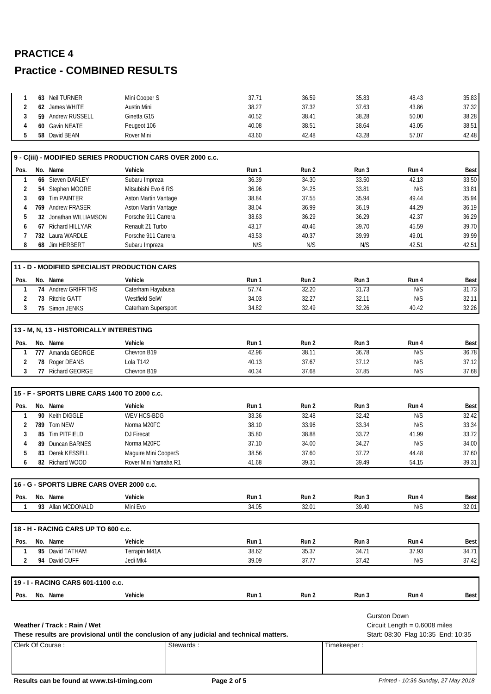| Neil TURNER<br>63           | Mini Cooper S | 37.71 | 36.59 | 35.83 | 48.43 | 35.83 |
|-----------------------------|---------------|-------|-------|-------|-------|-------|
| James WHITE<br>62           | Austin Mini   | 38.27 | 37.32 | 37.63 | 43.86 | 37.32 |
| <b>Andrew RUSSELL</b><br>59 | Ginetta G15   | 40.52 | 38.41 | 38.28 | 50.00 | 38.28 |
| 60 Gavin NEATE              | Peugeot 106   | 40.08 | 38.51 | 38.64 | 43.05 | 38.51 |
| David BEAN<br>58            | Rover Mini    | 43.60 | 42.48 | 43.28 | 57.07 | 42.48 |

|                |                                                          | 9 - C(iii) - MODIFIED SERIES PRODUCTION CARS OVER 2000 c.c.                                            |       |       |                                    |                                                                       |             |
|----------------|----------------------------------------------------------|--------------------------------------------------------------------------------------------------------|-------|-------|------------------------------------|-----------------------------------------------------------------------|-------------|
| Pos.           | No. Name                                                 | Vehicle                                                                                                | Run 1 | Run 2 | Run 3                              | Run 4                                                                 | <b>Best</b> |
| 1              | 66 Steven DARLEY                                         | Subaru Impreza                                                                                         | 36.39 | 34.30 | 33.50                              | 42.13                                                                 | 33.50       |
| 2              | 54 Stephen MOORE                                         | Mitsubishi Evo 6 RS                                                                                    | 36.96 | 34.25 | 33.81                              | N/S                                                                   | 33.81       |
| 3              | 69 Tim PAINTER                                           | Aston Martin Vantage                                                                                   | 38.84 | 37.55 | 35.94                              | 49.44                                                                 | 35.94       |
| 4              | 769 Andrew FRASER                                        | Aston Martin Vantage                                                                                   | 38.04 | 36.99 | 36.19                              | 44.29                                                                 | 36.19       |
| 5              | 32 Jonathan WILLIAMSON                                   | Porsche 911 Carrera                                                                                    | 38.63 | 36.29 | 36.29                              | 42.37                                                                 | 36.29       |
| 6              | 67 Richard HILLYAR                                       | Renault 21 Turbo                                                                                       | 43.17 | 40.46 | 39.70                              | 45.59                                                                 | 39.70       |
| 7              | 732 Laura WARDLE                                         | Porsche 911 Carrera                                                                                    | 43.53 | 40.37 | 39.99                              | 49.01                                                                 | 39.99       |
| 8              | 68 Jim HERBERT                                           | Subaru Impreza                                                                                         | N/S   | N/S   | N/S                                | 42.51                                                                 | 42.51       |
|                | 11 - D - MODIFIED SPECIALIST PRODUCTION CARS             |                                                                                                        |       |       |                                    |                                                                       |             |
| Pos.           | No. Name                                                 | Vehicle                                                                                                | Run 1 | Run 2 | Run 3                              | Run 4                                                                 | <b>Best</b> |
| $\mathbf{1}$   | 74 Andrew GRIFFITHS                                      | Caterham Hayabusa                                                                                      | 57.74 | 32.20 | 31.73                              | N/S                                                                   | 31.73       |
| $\overline{2}$ | 73 Ritchie GATT                                          | Westfield SeiW                                                                                         | 34.03 | 32.27 | 32.11                              | N/S                                                                   | 32.11       |
| 3              | 75 Simon JENKS                                           | Caterham Supersport                                                                                    | 34.82 | 32.49 | 32.26                              | 40.42                                                                 | 32.26       |
|                |                                                          |                                                                                                        |       |       |                                    |                                                                       |             |
|                | 13 - M, N, 13 - HISTORICALLY INTERESTING                 |                                                                                                        |       |       |                                    |                                                                       |             |
| Pos.           | No. Name                                                 | Vehicle                                                                                                | Run 1 | Run 2 | Run 3                              | Run 4                                                                 | <b>Best</b> |
| 1              | 777 Amanda GEORGE                                        | Chevron B19                                                                                            | 42.96 | 38.11 | 36.78                              | N/S                                                                   | 36.78       |
| 2              | 78 Roger DEANS                                           | Lola T142                                                                                              | 40.13 | 37.67 | 37.12                              | N/S                                                                   | 37.12       |
| 3              | 77 Richard GEORGE                                        | Chevron B19                                                                                            | 40.34 | 37.68 | 37.85                              | N/S                                                                   | 37.68       |
| Pos.           | 15 - F - SPORTS LIBRE CARS 1400 TO 2000 c.c.<br>No. Name | Vehicle                                                                                                | Run 1 | Run 2 | Run 3                              | Run 4                                                                 | Best        |
| 1              | 90 Keith DIGGLE                                          | WEV HCS-BDG                                                                                            | 33.36 | 32.48 | 32.42                              | N/S                                                                   | 32.42       |
| 2              | 789 Tom NEW                                              | Norma M20FC                                                                                            | 38.10 | 33.96 | 33.34                              | N/S                                                                   | 33.34       |
| 3              | 85 Tim PITFIELD                                          | DJ Firecat                                                                                             | 35.80 | 38.88 | 33.72                              | 41.99                                                                 | 33.72       |
| 4              | 89 Duncan BARNES                                         | Norma M20FC                                                                                            | 37.10 | 34.00 | 34.27                              | N/S                                                                   | 34.00       |
| 5              | 83 Derek KESSELL                                         | Maguire Mini CooperS                                                                                   | 38.56 | 37.60 | 37.72                              | 44.48                                                                 | 37.60       |
| 6              | 82 Richard WOOD                                          | Rover Mini Yamaha R1                                                                                   | 41.68 | 39.31 | 39.49                              | 54.15                                                                 | 39.31       |
|                |                                                          |                                                                                                        |       |       |                                    |                                                                       |             |
|                | 16 - G - SPORTS LIBRE CARS OVER 2000 c.c.                |                                                                                                        |       |       |                                    |                                                                       |             |
| Pos.           | No. Name                                                 | Vehicle                                                                                                | Run 1 | Run 2 | Run 3                              | Run 4                                                                 | <b>Best</b> |
| 1              | 93 Allan MCDONALD                                        | Mini Evo                                                                                               | 34.05 | 32.01 | 39.40                              | N/S                                                                   | 32.01       |
|                | 18 - H - RACING CARS UP TO 600 c.c.                      |                                                                                                        |       |       |                                    |                                                                       |             |
| Pos.           | No. Name                                                 | Vehicle                                                                                                | Run 1 | Run 2 | Run 3                              | Run 4                                                                 | Best        |
| 1              | 95 David TATHAM                                          | Terrapin M41A                                                                                          | 38.62 | 35.37 | 34.71                              | 37.93                                                                 | 34.71       |
| $\overline{2}$ | 94 David CUFF                                            | Jedi Mk4                                                                                               | 39.09 | 37.77 | 37.42                              | N/S                                                                   | 37.42       |
|                | 19 - I - RACING CARS 601-1100 c.c.                       |                                                                                                        |       |       |                                    |                                                                       |             |
| Pos.           | No. Name                                                 | Vehicle                                                                                                | Run 1 | Run 2 | Run 3                              | Run 4                                                                 | Best        |
|                | Weather / Track: Rain / Wet<br>Clerk Of Course:          | These results are provisional until the conclusion of any judicial and technical matters.<br>Stewards: |       |       | <b>Gurston Down</b><br>Timekeeper: | Circuit Length = $0.6008$ miles<br>Start: 08:30 Flag 10:35 End: 10:35 |             |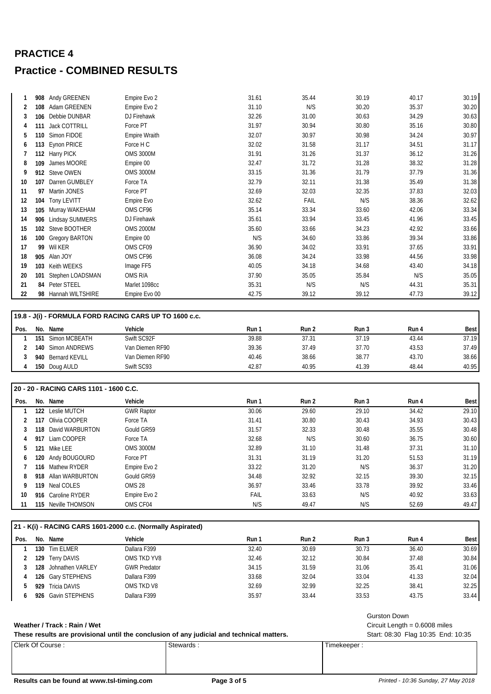|    |     | 908 Andy GREENEN       | Empire Evo 2         | 31.61 | 35.44 | 30.19 | 40.17 | 30.19 |
|----|-----|------------------------|----------------------|-------|-------|-------|-------|-------|
|    | 108 | Adam GREENEN           | Empire Evo 2         | 31.10 | N/S   | 30.20 | 35.37 | 30.20 |
|    | 106 | Debbie DUNBAR          | DJ Firehawk          | 32.26 | 31.00 | 30.63 | 34.29 | 30.63 |
|    | 111 | <b>Jack COTTRILL</b>   | Force PT             | 31.97 | 30.94 | 30.80 | 35.16 | 30.80 |
|    | 110 | Simon FIDOE            | <b>Empire Wraith</b> | 32.07 | 30.97 | 30.98 | 34.24 | 30.97 |
| 6  | 113 | Eynon PRICE            | Force H C            | 32.02 | 31.58 | 31.17 | 34.51 | 31.17 |
|    |     | 112 Harry PICK         | <b>OMS 3000M</b>     | 31.91 | 31.26 | 31.37 | 36.12 | 31.26 |
| 8  | 109 | James MOORE            | Empire 00            | 32.47 | 31.72 | 31.28 | 38.32 | 31.28 |
| 9  |     | 912 Steve OWEN         | <b>OMS 3000M</b>     | 33.15 | 31.36 | 31.79 | 37.79 | 31.36 |
| 10 | 107 | Darren GUMBLEY         | Force TA             | 32.79 | 32.11 | 31.38 | 35.49 | 31.38 |
| 11 | 97  | Martin JONES           | Force PT             | 32.69 | 32.03 | 32.35 | 37.83 | 32.03 |
| 12 | 104 | Tony LEVITT            | Empire Evo           | 32.62 | FAIL  | N/S   | 38.36 | 32.62 |
| 13 | 105 | Murray WAKEHAM         | OMS CF96             | 35.14 | 33.34 | 33.60 | 42.06 | 33.34 |
| 14 | 906 | <b>Lindsay SUMMERS</b> | DJ Firehawk          | 35.61 | 33.94 | 33.45 | 41.96 | 33.45 |
| 15 | 102 | Steve BOOTHER          | <b>OMS 2000M</b>     | 35.60 | 33.66 | 34.23 | 42.92 | 33.66 |
| 16 |     | 100 Gregory BARTON     | Empire 00            | N/S   | 34.60 | 33.86 | 39.34 | 33.86 |
| 17 | 99  | Wil KER                | OMS CF09             | 36.90 | 34.02 | 33.91 | 37.65 | 33.91 |
| 18 |     | 905 Alan JOY           | OMS CF96             | 36.08 | 34.24 | 33.98 | 44.56 | 33.98 |
| 19 | 103 | Keith WEEKS            | Image FF5            | 40.05 | 34.18 | 34.68 | 43.40 | 34.18 |
| 20 | 101 | Stephen LOADSMAN       | OMS R/A              | 37.90 | 35.05 | 35.84 | N/S   | 35.05 |
| 21 |     | 84 Peter STEEL         | Marlet 1098cc        | 35.31 | N/S   | N/S   | 44.31 | 35.31 |
| 22 |     | 98 Hannah WILTSHIRE    | Empire Evo 00        | 42.75 | 39.12 | 39.12 | 47.73 | 39.12 |
|    |     |                        |                      |       |       |       |       |       |

### **19.8 - J(i) - FORMULA FORD RACING CARS UP TO 1600 c.c.**

| Pos. | No. | Name               | Vehicle         | Run 1 | Run 2 | Run 3 | Run 4 | Best  |
|------|-----|--------------------|-----------------|-------|-------|-------|-------|-------|
|      | 151 | Simon MCBEATH      | Swift SC92F     | 39.88 | 37.31 | 37.19 | 43.44 | 37.19 |
|      | 140 | Simon ANDREWS      | Van Diemen RF90 | 39.36 | 37.49 | 37.70 | 43.53 | 37.49 |
|      |     | 940 Bernard KEVILL | Van Diemen RF90 | 40.46 | 38.66 | 38.77 | 43.70 | 38.66 |
|      | 150 | Doug AULD          | Swift SC93      | 42.87 | 40.95 | 41.39 | 48.44 | 40.95 |
|      |     |                    |                 |       |       |       |       |       |

### **20 - 20 - RACING CARS 1101 - 1600 C.C.**

| Pos. | No. | Name                | Vehicle           | Run 1 | Run 2 | Run 3 | Run 4 | Best  |
|------|-----|---------------------|-------------------|-------|-------|-------|-------|-------|
|      | 122 | Leslie MUTCH        | <b>GWR Raptor</b> | 30.06 | 29.60 | 29.10 | 34.42 | 29.10 |
|      | 117 | Olivia COOPER       | Force TA          | 31.41 | 30.80 | 30.43 | 34.93 | 30.43 |
|      | 118 | David WARBURTON     | Gould GR59        | 31.57 | 32.33 | 30.48 | 35.55 | 30.48 |
| 4    | 917 | Liam COOPER         | Force TA          | 32.68 | N/S   | 30.60 | 36.75 | 30.60 |
| 5    | 121 | Mike LEE            | <b>OMS 3000M</b>  | 32.89 | 31.10 | 31.48 | 37.31 | 31.10 |
| b    |     | 120 Andy BOUGOURD   | Force PT          | 31.31 | 31.19 | 31.20 | 51.53 | 31.19 |
|      |     | 116 Mathew RYDER    | Empire Evo 2      | 33.22 | 31.20 | N/S   | 36.37 | 31.20 |
| 8    |     | 918 Allan WARBURTON | Gould GR59        | 34.48 | 32.92 | 32.15 | 39.30 | 32.15 |
| 9    | 119 | Neal COLES          | OMS <sub>28</sub> | 36.97 | 33.46 | 33.78 | 39.92 | 33.46 |
| 10   |     | 916 Caroline RYDER  | Empire Evo 2      | FAIL  | 33.63 | N/S   | 40.92 | 33.63 |
| 11   |     | 115 Neville THOMSON | OMS CF04          | N/S   | 49.47 | N/S   | 52.69 | 49.47 |

|      |     |                    | 21 - K(i) - RACING CARS 1601-2000 c.c. (Normally Aspirated) |       |       |       |       |             |
|------|-----|--------------------|-------------------------------------------------------------|-------|-------|-------|-------|-------------|
| Pos. | No. | Name               | Vehicle                                                     | Run 1 | Run 2 | Run 3 | Run 4 | <b>Best</b> |
|      |     | 130 Tim ELMER      | Dallara F399                                                | 32.40 | 30.69 | 30.73 | 36.40 | 30.69       |
|      |     | 129 Terry DAVIS    | OMS TKD YV8                                                 | 32.46 | 32.12 | 30.84 | 37.48 | 30.84       |
|      | 128 | Johnathen VARLEY   | <b>GWR Predator</b>                                         | 34.15 | 31.59 | 31.06 | 35.41 | 31.06       |
|      |     | 126 Gary STEPHENS  | Dallara F399                                                | 33.68 | 32.04 | 33.04 | 41.33 | 32.04       |
|      | 929 | Tricia DAVIS       | OMS TKD V8                                                  | 32.69 | 32.99 | 32.25 | 38.41 | 32.25       |
|      |     | 926 Gavin STEPHENS | Dallara F399                                                | 35.97 | 33.44 | 33.53 | 43.75 | 33.44       |

These results are provisional until the conclusion of any judicial and technical matters. Start: 08:30 Flag 10:35 End: 10:35

Timekeeper : Stewards : Stewards : Timekeeper : Stewards : Timekeeper :

Gurston Down

Weather / Track: Rain / Wet
and Weather / Track: Rain / Wet
and Weather / Track : Rain / Wet
and Weather / Track : Rain / Wet
and Weather / Track : Rain / Wet
and Weather / Track : Rain / Wet
and Weather **Communist Communi**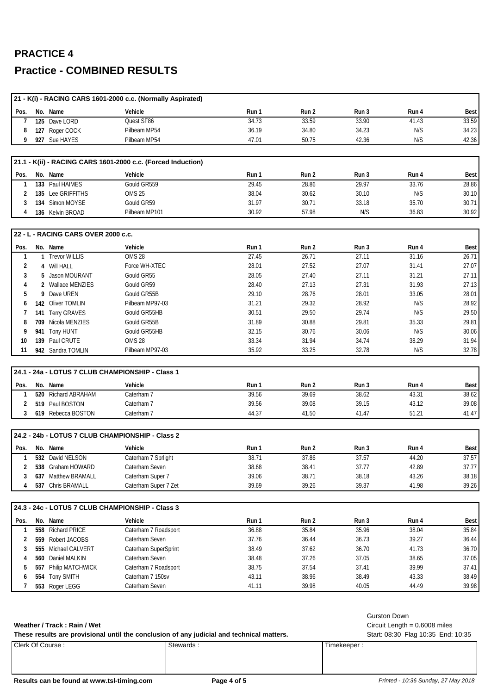| 21 - K(i) - RACING CARS 1601-2000 c.c. (Normally Aspirated)<br>Pos.<br>No. Name<br>Vehicle<br>Run 1<br>Run 2<br>Run 3<br>Run 4<br>Quest SF86<br>34.73<br>33.59<br>33.90<br>125 Dave LORD<br>41.43<br>7<br>127 Roger COCK<br>34.80<br>34.23<br>Pilbeam MP54<br>36.19<br>N/S<br>8<br>9<br>927 Sue HAYES<br>Pilbeam MP54<br>47.01<br>50.75<br>42.36<br>N/S<br>21.1 - K(ii) - RACING CARS 1601-2000 c.c. (Forced Induction)<br>Pos.<br>No. Name<br>Run 1<br>Run 2<br>Run 3<br>Run 4<br>Vehicle<br>133 Paul HAIMES<br>Gould GR559<br>28.86<br>29.97<br>29.45<br>33.76<br>1<br>135 Lee GRIFFITHS<br><b>OMS 25</b><br>38.04<br>30.62<br>30.10<br>N/S<br>2<br>Gould GR59<br>30.71<br>35.70<br>134 Simon MOYSE<br>31.97<br>33.18<br>3<br>57.98<br>N/S<br>36.83<br>Pilbeam MP101<br>30.92<br>4<br>136 Kelvin BROAD<br>22 - L - RACING CARS OVER 2000 c.c.<br>Pos.<br>Run 2<br>Run 3<br>No. Name<br>Vehicle<br>Run 1<br>Run 4<br><b>OMS 28</b><br>27.45<br>26.71<br>27.11<br>31.16<br>1<br>1 Trevor WILLIS<br>27.52<br>27.07<br>2<br>4 Will HALL<br>Force WH-XTEC<br>28.01<br>31.41<br>3<br>5 Jason MOURANT<br>Gould GR55<br>28.05<br>27.40<br>27.11<br>31.21<br>27.13<br>27.31<br>2 Wallace MENZIES<br>Gould GR59<br>28.40<br>31.93<br>4<br>29.10<br>28.76<br>28.01<br>9 Dave UREN<br>Gould GR55B<br>33.05<br>5<br>29.32<br>28.92<br>142 Oliver TOMLIN<br>Pilbeam MP97-03<br>31.21<br>N/S<br>6<br>30.51<br>29.50<br>29.74<br>141 Terry GRAVES<br>Gould GR55HB<br>N/S<br>7<br>31.89<br>30.88<br>29.81<br>709 Nicola MENZIES<br>Gould GR55B<br>35.33<br>8<br>941 Tony HUNT<br>30.76<br>N/S<br>Gould GR55HB<br>32.15<br>30.06<br>9<br><b>OMS 28</b><br>33.34<br>31.94<br>34.74<br>38.29<br>139 Paul CRUTE<br>10<br>942 Sandra TOMLIN<br>Pilbeam MP97-03<br>35.92<br>33.25<br>32.78<br>N/S<br>11<br>24.1 - 24a - LOTUS 7 CLUB CHAMPIONSHIP - Class 1 | <b>Best</b><br>33.59<br>34.23<br>42.36<br><b>Best</b><br>28.86<br>30.10<br>30.71<br>30.92<br><b>Best</b><br>26.71<br>27.07<br>27.11<br>27.13<br>28.01 |
|----------------------------------------------------------------------------------------------------------------------------------------------------------------------------------------------------------------------------------------------------------------------------------------------------------------------------------------------------------------------------------------------------------------------------------------------------------------------------------------------------------------------------------------------------------------------------------------------------------------------------------------------------------------------------------------------------------------------------------------------------------------------------------------------------------------------------------------------------------------------------------------------------------------------------------------------------------------------------------------------------------------------------------------------------------------------------------------------------------------------------------------------------------------------------------------------------------------------------------------------------------------------------------------------------------------------------------------------------------------------------------------------------------------------------------------------------------------------------------------------------------------------------------------------------------------------------------------------------------------------------------------------------------------------------------------------------------------------------------------------------------------------------------------------------------------------------------------|-------------------------------------------------------------------------------------------------------------------------------------------------------|
|                                                                                                                                                                                                                                                                                                                                                                                                                                                                                                                                                                                                                                                                                                                                                                                                                                                                                                                                                                                                                                                                                                                                                                                                                                                                                                                                                                                                                                                                                                                                                                                                                                                                                                                                                                                                                                        |                                                                                                                                                       |
|                                                                                                                                                                                                                                                                                                                                                                                                                                                                                                                                                                                                                                                                                                                                                                                                                                                                                                                                                                                                                                                                                                                                                                                                                                                                                                                                                                                                                                                                                                                                                                                                                                                                                                                                                                                                                                        |                                                                                                                                                       |
|                                                                                                                                                                                                                                                                                                                                                                                                                                                                                                                                                                                                                                                                                                                                                                                                                                                                                                                                                                                                                                                                                                                                                                                                                                                                                                                                                                                                                                                                                                                                                                                                                                                                                                                                                                                                                                        |                                                                                                                                                       |
|                                                                                                                                                                                                                                                                                                                                                                                                                                                                                                                                                                                                                                                                                                                                                                                                                                                                                                                                                                                                                                                                                                                                                                                                                                                                                                                                                                                                                                                                                                                                                                                                                                                                                                                                                                                                                                        |                                                                                                                                                       |
|                                                                                                                                                                                                                                                                                                                                                                                                                                                                                                                                                                                                                                                                                                                                                                                                                                                                                                                                                                                                                                                                                                                                                                                                                                                                                                                                                                                                                                                                                                                                                                                                                                                                                                                                                                                                                                        |                                                                                                                                                       |
|                                                                                                                                                                                                                                                                                                                                                                                                                                                                                                                                                                                                                                                                                                                                                                                                                                                                                                                                                                                                                                                                                                                                                                                                                                                                                                                                                                                                                                                                                                                                                                                                                                                                                                                                                                                                                                        |                                                                                                                                                       |
|                                                                                                                                                                                                                                                                                                                                                                                                                                                                                                                                                                                                                                                                                                                                                                                                                                                                                                                                                                                                                                                                                                                                                                                                                                                                                                                                                                                                                                                                                                                                                                                                                                                                                                                                                                                                                                        |                                                                                                                                                       |
|                                                                                                                                                                                                                                                                                                                                                                                                                                                                                                                                                                                                                                                                                                                                                                                                                                                                                                                                                                                                                                                                                                                                                                                                                                                                                                                                                                                                                                                                                                                                                                                                                                                                                                                                                                                                                                        |                                                                                                                                                       |
|                                                                                                                                                                                                                                                                                                                                                                                                                                                                                                                                                                                                                                                                                                                                                                                                                                                                                                                                                                                                                                                                                                                                                                                                                                                                                                                                                                                                                                                                                                                                                                                                                                                                                                                                                                                                                                        |                                                                                                                                                       |
|                                                                                                                                                                                                                                                                                                                                                                                                                                                                                                                                                                                                                                                                                                                                                                                                                                                                                                                                                                                                                                                                                                                                                                                                                                                                                                                                                                                                                                                                                                                                                                                                                                                                                                                                                                                                                                        |                                                                                                                                                       |
|                                                                                                                                                                                                                                                                                                                                                                                                                                                                                                                                                                                                                                                                                                                                                                                                                                                                                                                                                                                                                                                                                                                                                                                                                                                                                                                                                                                                                                                                                                                                                                                                                                                                                                                                                                                                                                        |                                                                                                                                                       |
|                                                                                                                                                                                                                                                                                                                                                                                                                                                                                                                                                                                                                                                                                                                                                                                                                                                                                                                                                                                                                                                                                                                                                                                                                                                                                                                                                                                                                                                                                                                                                                                                                                                                                                                                                                                                                                        |                                                                                                                                                       |
|                                                                                                                                                                                                                                                                                                                                                                                                                                                                                                                                                                                                                                                                                                                                                                                                                                                                                                                                                                                                                                                                                                                                                                                                                                                                                                                                                                                                                                                                                                                                                                                                                                                                                                                                                                                                                                        |                                                                                                                                                       |
|                                                                                                                                                                                                                                                                                                                                                                                                                                                                                                                                                                                                                                                                                                                                                                                                                                                                                                                                                                                                                                                                                                                                                                                                                                                                                                                                                                                                                                                                                                                                                                                                                                                                                                                                                                                                                                        |                                                                                                                                                       |
|                                                                                                                                                                                                                                                                                                                                                                                                                                                                                                                                                                                                                                                                                                                                                                                                                                                                                                                                                                                                                                                                                                                                                                                                                                                                                                                                                                                                                                                                                                                                                                                                                                                                                                                                                                                                                                        |                                                                                                                                                       |
|                                                                                                                                                                                                                                                                                                                                                                                                                                                                                                                                                                                                                                                                                                                                                                                                                                                                                                                                                                                                                                                                                                                                                                                                                                                                                                                                                                                                                                                                                                                                                                                                                                                                                                                                                                                                                                        |                                                                                                                                                       |
|                                                                                                                                                                                                                                                                                                                                                                                                                                                                                                                                                                                                                                                                                                                                                                                                                                                                                                                                                                                                                                                                                                                                                                                                                                                                                                                                                                                                                                                                                                                                                                                                                                                                                                                                                                                                                                        |                                                                                                                                                       |
|                                                                                                                                                                                                                                                                                                                                                                                                                                                                                                                                                                                                                                                                                                                                                                                                                                                                                                                                                                                                                                                                                                                                                                                                                                                                                                                                                                                                                                                                                                                                                                                                                                                                                                                                                                                                                                        |                                                                                                                                                       |
|                                                                                                                                                                                                                                                                                                                                                                                                                                                                                                                                                                                                                                                                                                                                                                                                                                                                                                                                                                                                                                                                                                                                                                                                                                                                                                                                                                                                                                                                                                                                                                                                                                                                                                                                                                                                                                        |                                                                                                                                                       |
|                                                                                                                                                                                                                                                                                                                                                                                                                                                                                                                                                                                                                                                                                                                                                                                                                                                                                                                                                                                                                                                                                                                                                                                                                                                                                                                                                                                                                                                                                                                                                                                                                                                                                                                                                                                                                                        | 28.92                                                                                                                                                 |
|                                                                                                                                                                                                                                                                                                                                                                                                                                                                                                                                                                                                                                                                                                                                                                                                                                                                                                                                                                                                                                                                                                                                                                                                                                                                                                                                                                                                                                                                                                                                                                                                                                                                                                                                                                                                                                        | 29.50                                                                                                                                                 |
|                                                                                                                                                                                                                                                                                                                                                                                                                                                                                                                                                                                                                                                                                                                                                                                                                                                                                                                                                                                                                                                                                                                                                                                                                                                                                                                                                                                                                                                                                                                                                                                                                                                                                                                                                                                                                                        | 29.81                                                                                                                                                 |
|                                                                                                                                                                                                                                                                                                                                                                                                                                                                                                                                                                                                                                                                                                                                                                                                                                                                                                                                                                                                                                                                                                                                                                                                                                                                                                                                                                                                                                                                                                                                                                                                                                                                                                                                                                                                                                        | 30.06                                                                                                                                                 |
|                                                                                                                                                                                                                                                                                                                                                                                                                                                                                                                                                                                                                                                                                                                                                                                                                                                                                                                                                                                                                                                                                                                                                                                                                                                                                                                                                                                                                                                                                                                                                                                                                                                                                                                                                                                                                                        | 31.94                                                                                                                                                 |
|                                                                                                                                                                                                                                                                                                                                                                                                                                                                                                                                                                                                                                                                                                                                                                                                                                                                                                                                                                                                                                                                                                                                                                                                                                                                                                                                                                                                                                                                                                                                                                                                                                                                                                                                                                                                                                        | 32.78                                                                                                                                                 |
|                                                                                                                                                                                                                                                                                                                                                                                                                                                                                                                                                                                                                                                                                                                                                                                                                                                                                                                                                                                                                                                                                                                                                                                                                                                                                                                                                                                                                                                                                                                                                                                                                                                                                                                                                                                                                                        |                                                                                                                                                       |
|                                                                                                                                                                                                                                                                                                                                                                                                                                                                                                                                                                                                                                                                                                                                                                                                                                                                                                                                                                                                                                                                                                                                                                                                                                                                                                                                                                                                                                                                                                                                                                                                                                                                                                                                                                                                                                        |                                                                                                                                                       |
| Run 2<br>Run 3<br>Pos.<br>No. Name<br>Vehicle<br>Run 1<br>Run 4                                                                                                                                                                                                                                                                                                                                                                                                                                                                                                                                                                                                                                                                                                                                                                                                                                                                                                                                                                                                                                                                                                                                                                                                                                                                                                                                                                                                                                                                                                                                                                                                                                                                                                                                                                        | <b>Best</b>                                                                                                                                           |
| 39.56<br>39.69<br>38.62<br>520 Richard ABRAHAM<br>Caterham 7<br>43.31<br>1                                                                                                                                                                                                                                                                                                                                                                                                                                                                                                                                                                                                                                                                                                                                                                                                                                                                                                                                                                                                                                                                                                                                                                                                                                                                                                                                                                                                                                                                                                                                                                                                                                                                                                                                                             | 38.62                                                                                                                                                 |
| 39.15<br>519 Paul BOSTON<br>39.56<br>39.08<br>43.12<br>Caterham 7<br>2                                                                                                                                                                                                                                                                                                                                                                                                                                                                                                                                                                                                                                                                                                                                                                                                                                                                                                                                                                                                                                                                                                                                                                                                                                                                                                                                                                                                                                                                                                                                                                                                                                                                                                                                                                 | 39.08                                                                                                                                                 |
| 3<br>619 Rebecca BOSTON<br>Caterham 7<br>44.37<br>41.50<br>41.47<br>51.21                                                                                                                                                                                                                                                                                                                                                                                                                                                                                                                                                                                                                                                                                                                                                                                                                                                                                                                                                                                                                                                                                                                                                                                                                                                                                                                                                                                                                                                                                                                                                                                                                                                                                                                                                              | 41.47                                                                                                                                                 |
|                                                                                                                                                                                                                                                                                                                                                                                                                                                                                                                                                                                                                                                                                                                                                                                                                                                                                                                                                                                                                                                                                                                                                                                                                                                                                                                                                                                                                                                                                                                                                                                                                                                                                                                                                                                                                                        |                                                                                                                                                       |
| 24.2 - 24b - LOTUS 7 CLUB CHAMPIONSHIP - Class 2                                                                                                                                                                                                                                                                                                                                                                                                                                                                                                                                                                                                                                                                                                                                                                                                                                                                                                                                                                                                                                                                                                                                                                                                                                                                                                                                                                                                                                                                                                                                                                                                                                                                                                                                                                                       |                                                                                                                                                       |
| No. Name<br>Vehicle<br>Run 2<br>Pos.<br>Run 1<br>Run 3<br>Run 4                                                                                                                                                                                                                                                                                                                                                                                                                                                                                                                                                                                                                                                                                                                                                                                                                                                                                                                                                                                                                                                                                                                                                                                                                                                                                                                                                                                                                                                                                                                                                                                                                                                                                                                                                                        | <b>Best</b>                                                                                                                                           |
| 38.71<br>37.57<br>44.20<br>532 David NELSON<br>Caterham 7 Sprlight<br>37.86<br>1                                                                                                                                                                                                                                                                                                                                                                                                                                                                                                                                                                                                                                                                                                                                                                                                                                                                                                                                                                                                                                                                                                                                                                                                                                                                                                                                                                                                                                                                                                                                                                                                                                                                                                                                                       | 37.57                                                                                                                                                 |
| 37.77<br>42.89<br>538 Graham HOWARD<br>Caterham Seven<br>38.68<br>38.41<br>2                                                                                                                                                                                                                                                                                                                                                                                                                                                                                                                                                                                                                                                                                                                                                                                                                                                                                                                                                                                                                                                                                                                                                                                                                                                                                                                                                                                                                                                                                                                                                                                                                                                                                                                                                           | 37.77                                                                                                                                                 |
| 38.71<br>38.18<br>637 Matthew BRAMALL<br>Caterham Super 7<br>39.06<br>43.26<br>3                                                                                                                                                                                                                                                                                                                                                                                                                                                                                                                                                                                                                                                                                                                                                                                                                                                                                                                                                                                                                                                                                                                                                                                                                                                                                                                                                                                                                                                                                                                                                                                                                                                                                                                                                       | 38.18                                                                                                                                                 |
| 39.37<br>Caterham Super 7 Zet<br>39.69<br>39.26<br>41.98<br>537 Chris BRAMALL<br>4                                                                                                                                                                                                                                                                                                                                                                                                                                                                                                                                                                                                                                                                                                                                                                                                                                                                                                                                                                                                                                                                                                                                                                                                                                                                                                                                                                                                                                                                                                                                                                                                                                                                                                                                                     | 39.26                                                                                                                                                 |
| 24.3 - 24c - LOTUS 7 CLUB CHAMPIONSHIP - Class 3                                                                                                                                                                                                                                                                                                                                                                                                                                                                                                                                                                                                                                                                                                                                                                                                                                                                                                                                                                                                                                                                                                                                                                                                                                                                                                                                                                                                                                                                                                                                                                                                                                                                                                                                                                                       |                                                                                                                                                       |
| Vehicle<br>Pos.<br>No. Name<br>Run 1<br>Run 2<br>Run 3<br>Run 4                                                                                                                                                                                                                                                                                                                                                                                                                                                                                                                                                                                                                                                                                                                                                                                                                                                                                                                                                                                                                                                                                                                                                                                                                                                                                                                                                                                                                                                                                                                                                                                                                                                                                                                                                                        | Best                                                                                                                                                  |
| 558 Richard PRICE<br>Caterham 7 Roadsport<br>36.88<br>35.84<br>35.96<br>38.04<br>1                                                                                                                                                                                                                                                                                                                                                                                                                                                                                                                                                                                                                                                                                                                                                                                                                                                                                                                                                                                                                                                                                                                                                                                                                                                                                                                                                                                                                                                                                                                                                                                                                                                                                                                                                     | 35.84                                                                                                                                                 |
| 559 Robert JACOBS<br>Caterham Seven<br>37.76<br>36.44<br>36.73<br>39.27<br>2                                                                                                                                                                                                                                                                                                                                                                                                                                                                                                                                                                                                                                                                                                                                                                                                                                                                                                                                                                                                                                                                                                                                                                                                                                                                                                                                                                                                                                                                                                                                                                                                                                                                                                                                                           | 36.44                                                                                                                                                 |
| Caterham SuperSprint<br>38.49<br>37.62<br>36.70<br>41.73<br>555 Michael CALVERT<br>3                                                                                                                                                                                                                                                                                                                                                                                                                                                                                                                                                                                                                                                                                                                                                                                                                                                                                                                                                                                                                                                                                                                                                                                                                                                                                                                                                                                                                                                                                                                                                                                                                                                                                                                                                   | 36.70                                                                                                                                                 |
| 560 Daniel MALKIN<br>Caterham Seven<br>38.48<br>37.26<br>37.05<br>38.65                                                                                                                                                                                                                                                                                                                                                                                                                                                                                                                                                                                                                                                                                                                                                                                                                                                                                                                                                                                                                                                                                                                                                                                                                                                                                                                                                                                                                                                                                                                                                                                                                                                                                                                                                                | 37.05                                                                                                                                                 |
| 557 Philip MATCHWICK<br>Caterham 7 Roadsport<br>38.75<br>37.54<br>37.41<br>39.99<br>5                                                                                                                                                                                                                                                                                                                                                                                                                                                                                                                                                                                                                                                                                                                                                                                                                                                                                                                                                                                                                                                                                                                                                                                                                                                                                                                                                                                                                                                                                                                                                                                                                                                                                                                                                  | 37.41                                                                                                                                                 |
| 38.96<br>554 Tony SMITH<br>Caterham 7 150sv<br>43.11<br>38.49<br>43.33<br>6                                                                                                                                                                                                                                                                                                                                                                                                                                                                                                                                                                                                                                                                                                                                                                                                                                                                                                                                                                                                                                                                                                                                                                                                                                                                                                                                                                                                                                                                                                                                                                                                                                                                                                                                                            | 38.49                                                                                                                                                 |
| Caterham Seven<br>39.98<br>40.05<br>44.49<br>7<br>553 Roger LEGG<br>41.11                                                                                                                                                                                                                                                                                                                                                                                                                                                                                                                                                                                                                                                                                                                                                                                                                                                                                                                                                                                                                                                                                                                                                                                                                                                                                                                                                                                                                                                                                                                                                                                                                                                                                                                                                              | 39.98                                                                                                                                                 |
|                                                                                                                                                                                                                                                                                                                                                                                                                                                                                                                                                                                                                                                                                                                                                                                                                                                                                                                                                                                                                                                                                                                                                                                                                                                                                                                                                                                                                                                                                                                                                                                                                                                                                                                                                                                                                                        |                                                                                                                                                       |

Clerk Of Course : Stewards : Stewards : Timekeeper : Timekeeper : These results are provisional until the conclusion of any judicial and technical matters. Start: 08:30 Flag 10:35 End: 10:35

Gurston Down

Weather / Track: Rain / Wet
and Weather / Track: Rain / Wet
and Weather / Track : Rain / Wet
and Weather / Track : Rain / Wet
and Weather / Track : Rain / Wet
and Weather / Track : Rain / Wet
and Weather **Communist Communi**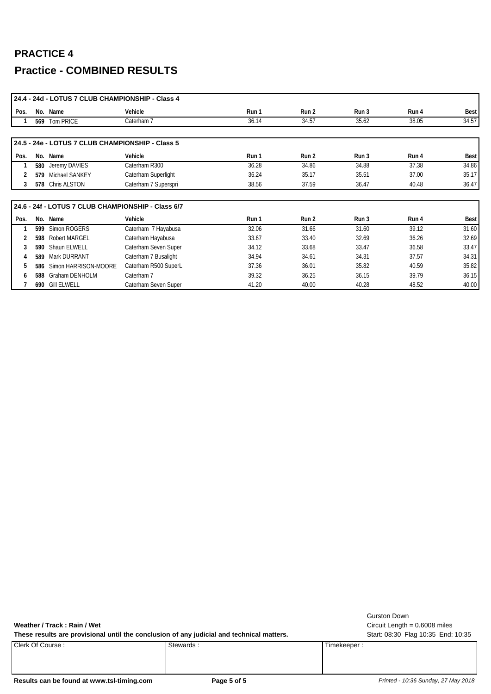|      |     | 24.4 - 24d - LOTUS 7 CLUB CHAMPIONSHIP - Class 4   |                      |       |       |       |       |             |
|------|-----|----------------------------------------------------|----------------------|-------|-------|-------|-------|-------------|
| Pos. |     | No. Name                                           | Vehicle              | Run 1 | Run 2 | Run 3 | Run 4 | Best        |
|      |     | 569 Tom PRICE                                      | Caterham 7           | 36.14 | 34.57 | 35.62 | 38.05 | 34.57       |
|      |     |                                                    |                      |       |       |       |       |             |
|      |     | 24.5 - 24e - LOTUS 7 CLUB CHAMPIONSHIP - Class 5   |                      |       |       |       |       |             |
| Pos. |     | No. Name                                           | Vehicle              | Run 1 | Run 2 | Run 3 | Run 4 | <b>Best</b> |
|      | 580 | Jeremy DAVIES                                      | Caterham R300        | 36.28 | 34.86 | 34.88 | 37.38 | 34.86       |
|      |     | 579 Michael SANKEY                                 | Caterham Superlight  | 36.24 | 35.17 | 35.51 | 37.00 | 35.17       |
| 3    |     | 578 Chris ALSTON                                   | Caterham 7 Superspri | 38.56 | 37.59 | 36.47 | 40.48 | 36.47       |
|      |     |                                                    |                      |       |       |       |       |             |
|      |     | 24.6 - 24f - LOTUS 7 CLUB CHAMPIONSHIP - Class 6/7 |                      |       |       |       |       |             |
| Pos. |     | No. Name                                           | Vehicle              | Run 1 | Run 2 | Run 3 | Run 4 | <b>Best</b> |
|      | 599 | Simon ROGERS                                       | Caterham 7 Hayabusa  | 32.06 | 31.66 | 31.60 | 39.12 | 31.60       |
|      | 598 | <b>Robert MARGEL</b>                               | Caterham Hayabusa    | 33.67 | 33.40 | 32.69 | 36.26 | 32.69       |
|      | 590 | Shaun ELWELL                                       | Caterham Seven Super | 34.12 | 33.68 | 33.47 | 36.58 | 33.47       |
|      | 589 | Mark DURRANT                                       | Caterham 7 Busalight | 34.94 | 34.61 | 34.31 | 37.57 | 34.31       |
| 5    | 586 | Simon HARRISON-MOORE                               | Caterham R500 SuperL | 37.36 | 36.01 | 35.82 | 40.59 | 35.82       |
| 6    | 588 | <b>Graham DENHOLM</b>                              | Caterham 7           | 39.32 | 36.25 | 36.15 | 39.79 | 36.15       |
|      |     | 690 Gill ELWELL                                    | Caterham Seven Super | 41.20 | 40.00 | 40.28 | 48.52 | 40.00       |

Weather / Track: Rain / Wet
and Weather / Track: Rain / Wet
and Weather / Track : Rain / Wet
and Weather / Track : Rain / Wet
and Weather / Track : Rain / Wet
and Weather / Track : Rain / Wet
and Weather **Communist Communi** 

These results are provisional until the conclusion of any judicial and technical matters. Start: 08:30 Flag 10:35 End: 10:35

Clerk Of Course : Stewards : Stewards : Timekeeper : Timekeeper :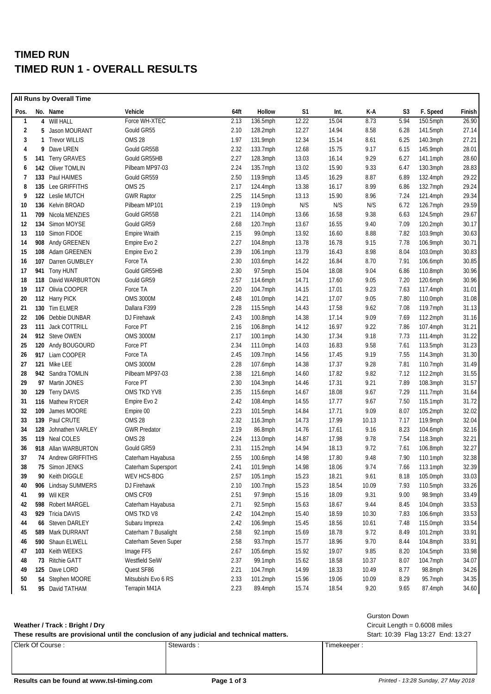## **TIMED RUN TIMED RUN 1 - OVERALL RESULTS**

|              |     | All Runs by Overall Time |                      |      |             |                |       |       |      |             |        |
|--------------|-----|--------------------------|----------------------|------|-------------|----------------|-------|-------|------|-------------|--------|
| Pos.         |     | No. Name                 | Vehicle              | 64ft | Hollow      | S <sub>1</sub> | Int.  | K-A   | S3   | F. Speed    | Finish |
| $\mathbf{1}$ |     | 4 Will HALL              | Force WH-XTEC        | 2.13 | 136.5mph    | 12.22          | 15.04 | 8.73  | 5.94 | 150.5mph    | 26.90  |
| 2            |     | 5 Jason MOURANT          | Gould GR55           | 2.10 | 128.2mph    | 12.27          | 14.94 | 8.58  | 6.28 | 141.5mph    | 27.14  |
| 3            | 1   | <b>Trevor WILLIS</b>     | <b>OMS 28</b>        | 1.97 | 131.9mph    | 12.34          | 15.14 | 8.61  | 6.25 | 140.3mph    | 27.21  |
| 4            | 9   | Dave UREN                | Gould GR55B          | 2.32 | 133.7mph    | 12.68          | 15.75 | 9.17  | 6.15 | 145.9mph    | 28.01  |
| 5            | 141 | <b>Terry GRAVES</b>      | Gould GR55HB         | 2.27 | 128.3mph    | 13.03          | 16.14 | 9.29  | 6.27 | 141.1mph    | 28.60  |
| 6            |     | 142 Oliver TOMLIN        | Pilbeam MP97-03      | 2.24 | 135.7mph    | 13.02          | 15.90 | 9.33  | 6.47 | 130.3mph    | 28.83  |
| 7            | 133 | Paul HAIMES              | Gould GR559          | 2.50 | 119.9mph    | 13.45          | 16.29 | 8.87  | 6.89 | 132.4mph    | 29.22  |
| 8            | 135 | Lee GRIFFITHS            | OMS 25               | 2.17 | 124.4mph    | 13.38          | 16.17 | 8.99  | 6.86 | 132.7mph    | 29.24  |
| 9            |     | 122 Leslie MUTCH         | <b>GWR Raptor</b>    | 2.25 | 114.5mph    | 13.13          | 15.90 | 8.96  | 7.24 | 121.4mph    | 29.34  |
| 10           |     | 136 Kelvin BROAD         | Pilbeam MP101        | 2.19 | 119.0mph    | N/S            | N/S   | N/S   | 6.72 | 126.7mph    | 29.59  |
| 11           |     | 709 Nicola MENZIES       | Gould GR55B          | 2.21 | 114.0mph    | 13.66          | 16.58 | 9.38  | 6.63 | 124.5mph    | 29.67  |
| 12           | 134 | Simon MOYSE              | Gould GR59           | 2.68 | $120.7$ mph | 13.67          | 16.55 | 9.40  | 7.09 | 120.2mph    | 30.17  |
| 13           |     | 110 Simon FIDOE          | <b>Empire Wraith</b> | 2.15 | 99.0mph     | 13.92          | 16.60 | 8.88  | 7.82 | 103.9mph    | 30.63  |
| 14           |     | 908 Andy GREENEN         | Empire Evo 2         | 2.27 | 104.8mph    | 13.78          | 16.78 | 9.15  | 7.78 | 106.9mph    | 30.71  |
| 15           |     | 108 Adam GREENEN         | Empire Evo 2         | 2.39 | 106.1mph    | 13.79          | 16.43 | 8.98  | 8.04 | 103.0mph    | 30.83  |
| 16           | 107 | Darren GUMBLEY           | Force TA             | 2.30 | 103.6mph    | 14.22          | 16.84 | 8.70  | 7.91 | 106.6mph    | 30.85  |
| 17           |     | 941 Tony HUNT            | Gould GR55HB         | 2.30 | 97.5mph     | 15.04          | 18.08 | 9.04  | 6.86 | 110.8mph    | 30.96  |
| 18           |     | 118 David WARBURTON      | Gould GR59           | 2.57 | 114.6mph    | 14.71          | 17.60 | 9.05  | 7.20 | 120.6mph    | 30.96  |
| 19           |     | 117 Olivia COOPER        | Force TA             | 2.20 | 104.7mph    | 14.15          | 17.01 | 9.23  | 7.63 | 117.4mph    | 31.01  |
| 20           |     | 112 Harry PICK           | <b>OMS 3000M</b>     | 2.48 | 101.0mph    | 14.21          | 17.07 | 9.05  | 7.80 | 110.0mph    | 31.08  |
| 21           |     | 130 Tim ELMER            | Dallara F399         | 2.28 | 115.5mph    | 14.43          | 17.58 | 9.62  | 7.08 | 119.7mph    | 31.13  |
| 22           |     | 106 Debbie DUNBAR        | DJ Firehawk          | 2.43 | 100.8mph    | 14.38          | 17.14 | 9.09  | 7.69 | $112.2$ mph | 31.16  |
| 23           |     | 111 Jack COTTRILL        | Force PT             | 2.16 | 106.8mph    | 14.12          | 16.97 | 9.22  | 7.86 | 107.4mph    | 31.21  |
| 24           |     | 912 Steve OWEN           | <b>OMS 3000M</b>     | 2.17 | 100.1mph    | 14.30          | 17.34 | 9.18  | 7.73 | 111.4mph    | 31.22  |
| 25           |     | 120 Andy BOUGOURD        | Force PT             | 2.34 | 111.0mph    | 14.03          | 16.83 | 9.58  | 7.61 | 113.5mph    | 31.23  |
| 26           |     | 917 Liam COOPER          | Force TA             | 2.45 | 109.7mph    | 14.56          | 17.45 | 9.19  | 7.55 | $114.3$ mph | 31.30  |
| 27           |     | 121 Mike LEE             | <b>OMS 3000M</b>     | 2.28 | 107.6mph    | 14.38          | 17.37 | 9.28  | 7.81 | 110.7mph    | 31.49  |
| 28           |     | 942 Sandra TOMLIN        | Pilbeam MP97-03      | 2.38 | 121.6mph    | 14.60          | 17.82 | 9.82  | 7.12 | $112.2$ mph | 31.55  |
| 29           |     | 97 Martin JONES          | Force PT             | 2.30 | 104.3mph    | 14.46          | 17.31 | 9.21  | 7.89 | 108.3mph    | 31.57  |
| 30           |     | 129 Terry DAVIS          | OMS TKD YV8          | 2.35 | 115.6mph    | 14.67          | 18.08 | 9.67  | 7.29 | $111.7$ mph | 31.64  |
| 31           |     | 116 Mathew RYDER         | Empire Evo 2         | 2.42 | 108.4mph    | 14.55          | 17.77 | 9.67  | 7.50 | $115.1$ mph | 31.72  |
| 32           | 109 | James MOORE              | Empire 00            | 2.23 | 101.5mph    | 14.84          | 17.71 | 9.09  | 8.07 | 105.2mph    | 32.02  |
| 33           |     | 139 Paul CRUTE           | OMS 28               | 2.32 | 116.3mph    | 14.73          | 17.99 | 10.13 | 7.17 | 119.9mph    | 32.04  |
| 34           | 128 | Johnathen VARLEY         | <b>GWR Predator</b>  | 2.19 | 86.8mph     | 14.76          | 17.61 | 9.16  | 8.23 | 104.6mph    | 32.16  |
| 35           |     | 119 Neal COLES           | <b>OMS 28</b>        | 2.24 | 113.0mph    | 14.87          | 17.98 | 9.78  | 7.54 | $118.3$ mph | 32.21  |
| 36           |     | 918 Allan WARBURTON      | Gould GR59           | 2.31 | 115.2mph    | 14.94          | 18.13 | 9.72  | 7.61 | 106.8mph    | 32.27  |
| 37           |     | 74 Andrew GRIFFITHS      | Caterham Hayabusa    | 2.55 | $100.6$ mph | 14.98          | 17.80 | 9.48  | 7.90 | $110.1$ mph | 32.38  |
| 38           |     | 75 Simon JENKS           | Caterham Supersport  | 2.41 | 101.9mph    | 14.98          | 18.06 | 9.74  | 7.66 | 113.1mph    | 32.39  |
| 39           |     | 90 Keith DIGGLE          | WEV HCS-BDG          | 2.57 | 105.1mph    | 15.23          | 18.21 | 9.61  | 8.18 | 105.0mph    | 33.03  |
| 40           |     | 906 Lindsay SUMMERS      | DJ Firehawk          | 2.10 | 100.7mph    | 15.23          | 18.54 | 10.09 | 7.93 | 110.5mph    | 33.26  |
| 41           |     | 99 Wil KER               | OMS CF09             | 2.51 | 97.9mph     | 15.16          | 18.09 | 9.31  | 9.00 | 98.9mph     | 33.49  |
| 42           | 598 | Robert MARGEL            | Caterham Hayabusa    | 2.71 | 92.5mph     | 15.63          | 18.67 | 9.44  | 8.45 | 104.0mph    | 33.53  |
| 43           |     | 929 Tricia DAVIS         | OMS TKD V8           | 2.42 | 104.2mph    | 15.40          | 18.59 | 10.30 | 7.83 | 106.6mph    | 33.53  |
| 44           |     | 66 Steven DARLEY         | Subaru Impreza       | 2.42 | 106.9mph    | 15.45          | 18.56 | 10.61 | 7.48 | 115.0mph    | 33.54  |
| 45           |     | 589 Mark DURRANT         | Caterham 7 Busalight | 2.58 | 92.1mph     | 15.69          | 18.78 | 9.72  | 8.49 | 101.2mph    | 33.91  |
| 46           |     | 590 Shaun ELWELL         | Caterham Seven Super | 2.58 | 93.7mph     | 15.77          | 18.96 | 9.70  | 8.44 | 104.8mph    | 33.91  |
| 47           |     | 103 Keith WEEKS          | Image FF5            | 2.67 | 105.6mph    | 15.92          | 19.07 | 9.85  | 8.20 | 104.5mph    | 33.98  |
| 48           |     | 73 Ritchie GATT          | Westfield SeiW       | 2.37 | 99.1mph     | 15.62          | 18.58 | 10.37 | 8.07 | 104.7mph    | 34.07  |
| 49           |     | 125 Dave LORD            | Quest SF86           | 2.21 | 104.7mph    | 14.99          | 18.33 | 10.49 | 8.77 | 98.8mph     | 34.26  |
| 50           | 54  | Stephen MOORE            | Mitsubishi Evo 6 RS  | 2.33 | 101.2mph    | 15.96          | 19.06 | 10.09 | 8.29 | 95.7mph     | 34.35  |
| 51           |     | 95 David TATHAM          | Terrapin M41A        | 2.23 | 89.4mph     | 15.74          | 18.54 | 9.20  | 9.65 | 87.4mph     | 34.60  |

#### **Weather / Track : Bright / Dry** Circuit Length = 0.6008 miles

| <b>Gurston Down</b> |  |
|---------------------|--|
|                     |  |

**These results are provisional until the conclusion of any judicial and technical matters.** Start: 10:39 Flag 13:27 End: 13:27

| These results are provisional until the conclusion of any judicial and technical matters.<br>Start: 10: |           |             |  |  |  |  |
|---------------------------------------------------------------------------------------------------------|-----------|-------------|--|--|--|--|
| Clerk Of Course:                                                                                        | Stewards: | Timekeeper: |  |  |  |  |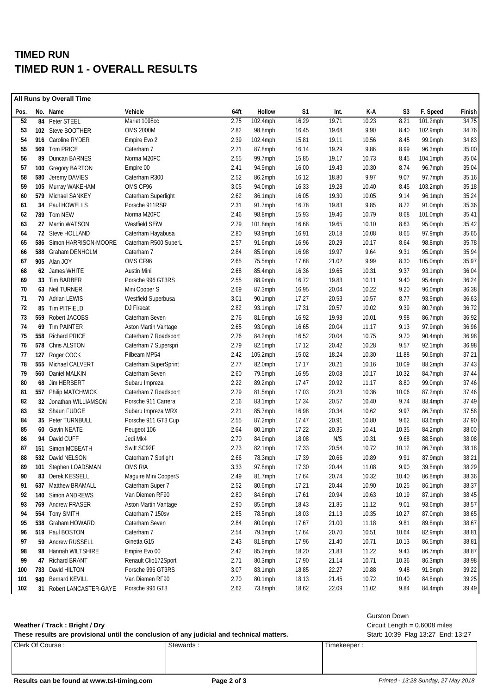## **TIMED RUN TIMED RUN 1 - OVERALL RESULTS**

|      |     | <b>All Runs by Overall Time</b> |                      |      |             |       |       |       |       |            |        |
|------|-----|---------------------------------|----------------------|------|-------------|-------|-------|-------|-------|------------|--------|
| Pos. |     | No. Name                        | Vehicle              | 64ft | Hollow      | S1    | Int.  | K-A   | S3    | F. Speed   | Finish |
| 52   |     | 84 Peter STEEL                  | Marlet 1098cc        | 2.75 | 102.4mph    | 16.29 | 19.71 | 10.23 | 8.21  | 101.2mph   | 34.75  |
| 53   |     | 102 Steve BOOTHER               | <b>OMS 2000M</b>     | 2.82 | 98.8mph     | 16.45 | 19.68 | 9.90  | 8.40  | 102.9mph   | 34.76  |
| 54   |     | 916 Caroline RYDER              | Empire Evo 2         | 2.39 | 102.4mph    | 15.81 | 19.11 | 10.56 | 8.45  | 99.9mph    | 34.83  |
| 55   |     | 569 Tom PRICE                   | Caterham 7           | 2.71 | 87.8mph     | 16.14 | 19.29 | 9.86  | 8.99  | 96.3mph    | 35.00  |
| 56   |     | 89 Duncan BARNES                | Norma M20FC          | 2.55 | 99.7mph     | 15.85 | 19.17 | 10.73 | 8.45  | 104.1mph   | 35.04  |
| 57   | 100 | <b>Gregory BARTON</b>           | Empire 00            | 2.41 | 94.9mph     | 16.00 | 19.43 | 10.30 | 8.74  | 96.7mph    | 35.04  |
| 58   |     | 580 Jeremy DAVIES               | Caterham R300        | 2.52 | 86.2mph     | 16.12 | 18.80 | 9.97  | 9.07  | 97.7mph    | 35.16  |
| 59   |     | 105 Murray WAKEHAM              | OMS CF96             | 3.05 | 94.0mph     | 16.33 | 19.28 | 10.40 | 8.45  | 103.2mph   | 35.18  |
| 60   |     | 579 Michael SANKEY              | Caterham Superlight  | 2.62 | 86.1mph     | 16.05 | 19.30 | 10.05 | 9.14  | 96.1mph    | 35.24  |
| 61   |     | 34 Paul HOWELLS                 | Porsche 911RSR       | 2.31 | 91.7mph     | 16.78 | 19.83 | 9.85  | 8.72  | 91.0mph    | 35.36  |
| 62   |     | 789 Tom NEW                     | Norma M20FC          | 2.46 | 98.8mph     | 15.93 | 19.46 | 10.79 | 8.68  | 101.0mph   | 35.41  |
| 63   |     | 27 Martin WATSON                | Westfield SEiW       | 2.79 | $101.8$ mph | 16.68 | 19.65 | 10.10 | 8.63  | 95.0mph    | 35.42  |
| 64   |     | 72 Steve HOLLAND                | Caterham Hayabusa    | 2.80 | 93.9mph     | 16.91 | 20.18 | 10.08 | 8.65  | 97.9mph    | 35.65  |
| 65   | 586 | Simon HARRISON-MOORE            | Caterham R500 SuperL | 2.57 | $91.6$ mph  | 16.96 | 20.29 | 10.17 | 8.64  | 98.8mph    | 35.78  |
| 66   |     | 588 Graham DENHOLM              | Caterham 7           | 2.84 | 85.9mph     | 16.98 | 19.97 | 9.64  | 9.31  | 95.0mph    | 35.94  |
| 67   |     | 905 Alan JOY                    | OMS CF96             | 2.65 | 75.5mph     | 17.68 | 21.02 | 9.99  | 8.30  | 105.0mph   | 35.97  |
| 68   |     | 62 James WHITE                  | Austin Mini          | 2.68 | 85.4mph     | 16.36 | 19.65 | 10.31 | 9.37  | 93.1mph    | 36.04  |
| 69   |     | 33 Tim BARBER                   | Porsche 996 GT3RS    | 2.55 | 88.9mph     | 16.72 | 19.83 | 10.11 | 9.40  | 95.4mph    | 36.24  |
| 70   |     | 63 Neil TURNER                  | Mini Cooper S        | 2.69 | 87.3mph     | 16.95 | 20.04 | 10.22 | 9.20  | 96.0mph    | 36.38  |
| 71   |     | 70 Adrian LEWIS                 | Westfield Superbusa  | 3.01 | 90.1mph     | 17.27 | 20.53 | 10.57 | 8.77  | 93.9mph    | 36.63  |
| 72   |     | 85 Tim PITFIELD                 | DJ Firecat           | 2.82 | 93.1mph     | 17.31 | 20.57 | 10.02 | 9.39  | 80.7mph    | 36.72  |
| 73   |     | 559 Robert JACOBS               | Caterham Seven       | 2.76 | 81.6mph     | 16.92 | 19.98 | 10.01 | 9.98  | 86.7mph    | 36.92  |
| 74   |     | 69 Tim PAINTER                  | Aston Martin Vantage | 2.65 | 93.0mph     | 16.65 | 20.04 | 11.17 | 9.13  | 97.9mph    | 36.96  |
| 75   |     | 558 Richard PRICE               | Caterham 7 Roadsport | 2.76 | 84.2mph     | 16.52 | 20.04 | 10.75 | 9.70  | 90.4mph    | 36.98  |
| 76   |     | 578 Chris ALSTON                | Caterham 7 Superspri | 2.79 | 82.5mph     | 17.12 | 20.42 | 10.28 | 9.57  | $92.1$ mph | 36.98  |
| 77   | 127 | Roger COCK                      | Pilbeam MP54         | 2.42 | 105.2mph    | 15.02 | 18.24 | 10.30 | 11.88 | 50.6mph    | 37.21  |
| 78   |     | 555 Michael CALVERT             | Caterham SuperSprint | 2.77 | 82.0mph     | 17.17 | 20.21 | 10.16 | 10.09 | 88.2mph    | 37.43  |
| 79   |     | 560 Daniel MALKIN               | Caterham Seven       | 2.60 | 79.5mph     | 16.95 | 20.08 | 10.17 | 10.32 | 84.7mph    | 37.44  |
| 80   |     | 68 Jim HERBERT                  | Subaru Impreza       | 2.22 | 89.2mph     | 17.47 | 20.92 | 11.17 | 8.80  | 99.0mph    | 37.46  |
| 81   |     | 557 Philip MATCHWICK            | Caterham 7 Roadsport | 2.79 | 81.5mph     | 17.03 | 20.23 | 10.36 | 10.06 | 87.2mph    | 37.46  |
| 82   |     | 32 Jonathan WILLIAMSON          | Porsche 911 Carrera  | 2.16 | 83.1mph     | 17.34 | 20.57 | 10.40 | 9.74  | 88.4mph    | 37.49  |
| 83   |     | 52 Shaun FUDGE                  | Subaru Impreza WRX   | 2.21 | 85.7mph     | 16.98 | 20.34 | 10.62 | 9.97  | 86.7mph    | 37.58  |
| 84   |     | 35 Peter TURNBULL               | Porsche 911 GT3 Cup  | 2.55 | 87.2mph     | 17.47 | 20.91 | 10.80 | 9.62  | 83.6mph    | 37.90  |
| 85   |     | 60 Gavin NEATE                  | Peugeot 106          | 2.64 | 80.1mph     | 17.22 | 20.35 | 10.41 | 10.35 | 84.2mph    | 38.00  |
| 86   | 94  | David CUFF                      | Jedi Mk4             | 2.70 | 84.9mph     | 18.08 | N/S   | 10.31 | 9.68  | 88.5mph    | 38.08  |
| 87   | 151 | Simon MCBEATH                   | Swift SC92F          | 2.73 | 82.1mph     | 17.33 | 20.54 | 10.72 | 10.12 | 86.7mph    | 38.18  |
| 88   |     | 532 David NELSON                | Caterham 7 Sprlight  | 2.66 | 78.3mph     | 17.39 | 20.66 | 10.89 | 9.91  | 87.9mph    | 38.21  |
| 89   |     | 101 Stephen LOADSMAN            | OMS R/A              | 3.33 | 97.8mph     | 17.30 | 20.44 | 11.08 | 9.90  | 39.8mph    | 38.29  |
| 90   |     | 83 Derek KESSELL                | Maguire Mini CooperS | 2.49 | 81.7mph     | 17.64 | 20.74 | 10.32 | 10.40 | 86.8mph    | 38.36  |
| 91   |     | 637 Matthew BRAMALL             | Caterham Super 7     | 2.52 | 80.6mph     | 17.21 | 20.44 | 10.90 | 10.25 | 86.1mph    | 38.37  |
| 92   |     | 140 Simon ANDREWS               | Van Diemen RF90      | 2.80 | 84.6mph     | 17.61 | 20.94 | 10.63 | 10.19 | 87.1mph    | 38.45  |
| 93   |     | 769 Andrew FRASER               | Aston Martin Vantage | 2.90 | 85.5mph     | 18.43 | 21.85 | 11.12 | 9.01  | 93.6mph    | 38.57  |
| 94   |     | 554 Tony SMITH                  | Caterham 7 150sv     | 2.85 | 78.5mph     | 18.03 | 21.13 | 10.35 | 10.27 | 87.0mph    | 38.65  |
| 95   |     | 538 Graham HOWARD               | Caterham Seven       | 2.84 | 80.9mph     | 17.67 | 21.00 | 11.18 | 9.81  | 89.8mph    | 38.67  |
| 96   |     | 519 Paul BOSTON                 | Caterham 7           | 2.54 | 79.3mph     | 17.64 | 20.70 | 10.51 | 10.64 | 82.9mph    | 38.81  |
| 97   |     | 59 Andrew RUSSELL               | Ginetta G15          | 2.43 | 81.8mph     | 17.96 | 21.40 | 10.71 | 10.13 | 86.5mph    | 38.81  |
| 98   |     | 98 Hannah WILTSHIRE             | Empire Evo 00        | 2.42 | 85.2mph     | 18.20 | 21.83 | 11.22 | 9.43  | 86.7mph    | 38.87  |
| 99   |     | 47 Richard BRANT                | Renault Clio172Sport | 2.71 | 80.3mph     | 17.90 | 21.14 | 10.71 | 10.36 | 86.3mph    | 38.98  |
| 100  |     | 733 David HILTON                | Porsche 996 GT3RS    | 3.07 | 83.1mph     | 18.85 | 22.27 | 10.88 | 9.48  | 91.5mph    | 39.22  |
| 101  | 940 | <b>Bernard KEVILL</b>           | Van Diemen RF90      | 2.70 | 80.1mph     | 18.13 | 21.45 | 10.72 | 10.40 | 84.8mph    | 39.25  |
| 102  |     | 31 Robert LANCASTER-GAYE        | Porsche 996 GT3      | 2.62 | 73.8mph     | 18.62 | 22.09 | 11.02 | 9.84  | 84.4mph    | 39.49  |

#### **Weather / Track : Bright / Dry** Circuit Length = 0.6008 miles

| These results are provisional until the conclusion of any judicial and technical matters. | Start: 10:39 Flag 13:27 End: 13:27 |             |  |
|-------------------------------------------------------------------------------------------|------------------------------------|-------------|--|
| Clerk Of Course:                                                                          | Stewards                           | Timekeeper: |  |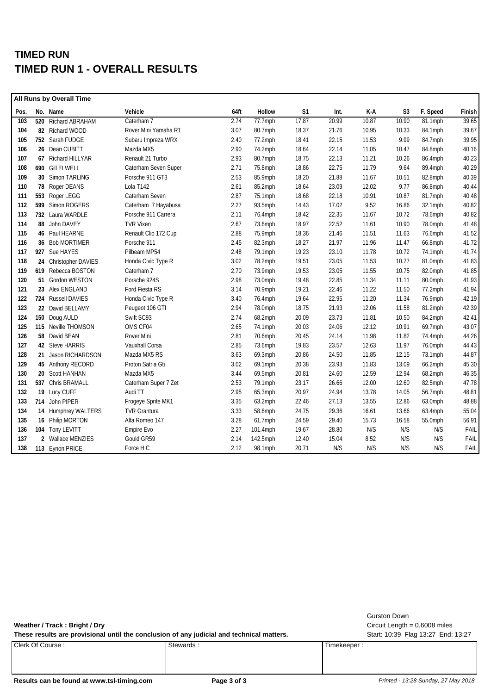## **TIMED RUN TIMED RUN 1 - OVERALL RESULTS**

|      | All Runs by Overall Time |                      |      |          |                |       |       |                |          |        |
|------|--------------------------|----------------------|------|----------|----------------|-------|-------|----------------|----------|--------|
| Pos. | No. Name                 | Vehicle              | 64ft | Hollow   | S <sub>1</sub> | Int.  | K-A   | S <sub>3</sub> | F. Speed | Finish |
| 103  | 520 Richard ABRAHAM      | Caterham 7           | 2.74 | 77.7mph  | 17.87          | 20.99 | 10.87 | 10.90          | 81.1mph  | 39.65  |
| 104  | 82 Richard WOOD          | Rover Mini Yamaha R1 | 3.07 | 80.7mph  | 18.37          | 21.76 | 10.95 | 10.33          | 84.1mph  | 39.67  |
| 105  | 752 Sarah FUDGE          | Subaru Impreza WRX   | 2.40 | 77.2mph  | 18.41          | 22.15 | 11.53 | 9.99           | 84.7mph  | 39.95  |
| 106  | 26 Dean CUBITT           | Mazda MX5            | 2.90 | 74.2mph  | 18.64          | 22.14 | 11.05 | 10.47          | 84.8mph  | 40.16  |
| 107  | 67 Richard HILLYAR       | Renault 21 Turbo     | 2.93 | 80.7mph  | 18.75          | 22.13 | 11.21 | 10.26          | 86.4mph  | 40.23  |
| 108  | 690 Gill ELWELL          | Caterham Seven Super | 2.71 | 75.8mph  | 18.86          | 22.75 | 11.79 | 9.64           | 89.4mph  | 40.29  |
| 109  | 30 Simon TARLING         | Porsche 911 GT3      | 2.53 | 85.9mph  | 18.20          | 21.88 | 11.67 | 10.51          | 82.8mph  | 40.39  |
| 110  | 78 Roger DEANS           | Lola T142            | 2.61 | 85.2mph  | 18.64          | 23.09 | 12.02 | 9.77           | 86.8mph  | 40.44  |
| 111  | 553 Roger LEGG           | Caterham Seven       | 2.87 | 75.1mph  | 18.68          | 22.18 | 10.91 | 10.87          | 81.7mph  | 40.48  |
| 112  | 599 Simon ROGERS         | Caterham 7 Hayabusa  | 2.27 | 93.5mph  | 14.43          | 17.02 | 9.52  | 16.86          | 32.1mph  | 40.82  |
| 113  | 732 Laura WARDLE         | Porsche 911 Carrera  | 2.11 | 76.4mph  | 18.42          | 22.35 | 11.67 | 10.72          | 78.6mph  | 40.82  |
| 114  | 88 John DAVEY            | <b>TVR Vixen</b>     | 2.67 | 73.6mph  | 18.97          | 22.52 | 11.61 | 10.90          | 78.0mph  | 41.48  |
| 115  | 46 Paul HEARNE           | Renault Clio 172 Cup | 2.88 | 75.9mph  | 18.36          | 21.46 | 11.51 | 11.63          | 76.6mph  | 41.52  |
| 116  | 36 Bob MORTIMER          | Porsche 911          | 2.45 | 82.3mph  | 18.27          | 21.97 | 11.96 | 11.47          | 66.8mph  | 41.72  |
| 117  | 927 Sue HAYES            | Pilbeam MP54         | 2.48 | 79.1mph  | 19.23          | 23.10 | 11.78 | 10.72          | 74.1mph  | 41.74  |
| 118  | 24 Christopher DAVIES    | Honda Civic Type R   | 3.02 | 78.2mph  | 19.51          | 23.05 | 11.53 | 10.77          | 81.0mph  | 41.83  |
| 119  | 619 Rebecca BOSTON       | Caterham 7           | 2.70 | 73.9mph  | 19.53          | 23.05 | 11.55 | 10.75          | 82.0mph  | 41.85  |
| 120  | 51 Gordon WESTON         | Porsche 924S         | 2.98 | 73.0mph  | 19.48          | 22.85 | 11.34 | 11.11          | 80.0mph  | 41.93  |
| 121  | 23 Alex ENGLAND          | Ford Fiesta RS       | 3.14 | 70.9mph  | 19.21          | 22.46 | 11.22 | 11.50          | 77.2mph  | 41.94  |
| 122  | 724 Russell DAVIES       | Honda Civic Type R   | 3.40 | 76.4mph  | 19.64          | 22.95 | 11.20 | 11.34          | 76.9mph  | 42.19  |
| 123  | 22 David BELLAMY         | Peugeot 106 GTI      | 2.94 | 78.0mph  | 18.75          | 21.93 | 12.06 | 11.58          | 81.2mph  | 42.39  |
| 124  | 150 Doug AULD            | Swift SC93           | 2.74 | 68.2mph  | 20.09          | 23.73 | 11.81 | 10.50          | 84.2mph  | 42.41  |
| 125  | 115 Neville THOMSON      | OMS CF04             | 2.65 | 74.1mph  | 20.03          | 24.06 | 12.12 | 10.91          | 69.7mph  | 43.07  |
| 126  | 58 David BEAN            | Rover Mini           | 2.81 | 70.6mph  | 20.45          | 24.14 | 11.98 | 11.82          | 74.4mph  | 44.26  |
| 127  | 42 Steve HARRIS          | Vauxhall Corsa       | 2.85 | 73.6mph  | 19.83          | 23.57 | 12.63 | 11.97          | 76.0mph  | 44.43  |
| 128  | 21 Jason RICHARDSON      | Mazda MX5 RS         | 3.63 | 69.3mph  | 20.86          | 24.50 | 11.85 | 12.15          | 73.1mph  | 44.87  |
| 129  | 45 Anthony RECORD        | Proton Satria Gti    | 3.02 | 69.1mph  | 20.38          | 23.93 | 11.83 | 13.09          | 66.2mph  | 45.30  |
| 130  | 20 Scott HANHAN          | Mazda MX5            | 3.44 | 69.5mph  | 20.81          | 24.60 | 12.59 | 12.94          | 68.2mph  | 46.35  |
| 131  | 537 Chris BRAMALL        | Caterham Super 7 Zet | 2.53 | 79.1mph  | 23.17          | 26.66 | 12.00 | 12.60          | 82.5mph  | 47.78  |
| 132  | 19 Lucy CUFF             | Audi TT              | 2.95 | 65.3mph  | 20.97          | 24.94 | 13.78 | 14.05          | 56.7mph  | 48.81  |
| 133  | 714 John PIPER           | Frogeye Sprite MK1   | 3.35 | 63.2mph  | 22.46          | 27.13 | 13.55 | 12.86          | 63.0mph  | 48.88  |
| 134  | 14 Humphrey WALTERS      | <b>TVR Grantura</b>  | 3.33 | 58.6mph  | 24.75          | 29.36 | 16.61 | 13.66          | 63.4mph  | 55.04  |
| 135  | 16 Philip MORTON         | Alfa Romeo 147       | 3.28 | 61.7mph  | 24.59          | 29.40 | 15.73 | 16.58          | 55.0mph  | 56.91  |
| 136  | 104 Tony LEVITT          | Empire Evo           | 2.27 | 101.4mph | 19.67          | 28.80 | N/S   | N/S            | N/S      | FAIL   |
| 137  | 2 Wallace MENZIES        | Gould GR59           | 2.14 | 142.5mph | 12.40          | 15.04 | 8.52  | N/S            | N/S      | FAIL   |
| 138  | 113 Eynon PRICE          | Force H C            | 2.12 | 98.1mph  | 20.71          | N/S   | N/S   | N/S            | N/S      | FAIL   |

These results are provisional until the conclusion of any judicial and technical matters. Start: 10:39 Flag 13:27 End: 13:27

Gurston Down

**Weather / Track : Bright / Dry** Circuit Length = 0.6008 miles

Clerk Of Course : Stewards : Stewards : Timekeeper : Timekeeper :

Results can be found at www.tsl-timing.com **Page 3 of 3 Printed - 13:28 Sunday, 27 May 2018**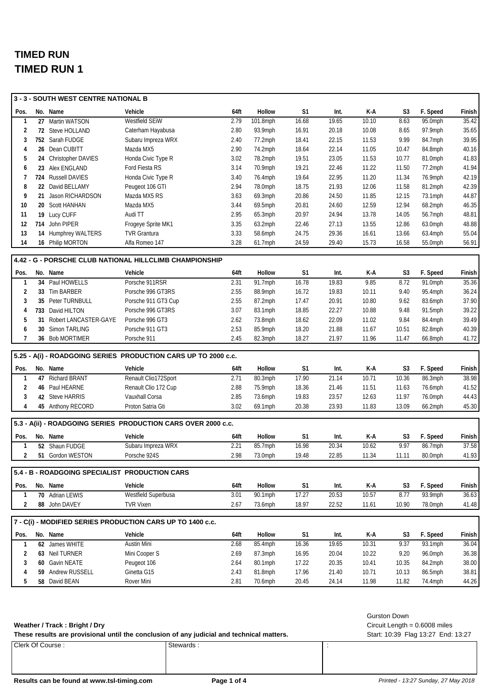|                         |  | 3 - 3 - SOUTH WEST CENTRE NATIONAL B           |                                                                |              |                       |                |                |                |                         |                    |                                            |
|-------------------------|--|------------------------------------------------|----------------------------------------------------------------|--------------|-----------------------|----------------|----------------|----------------|-------------------------|--------------------|--------------------------------------------|
| Pos.                    |  | No. Name                                       | Vehicle                                                        | 64ft         | Hollow                | S1             | Int.           | K-A            | S3                      | F. Speed           | Finish                                     |
| 1                       |  | 27 Martin WATSON                               | Westfield SEiW                                                 | 2.79         | 101.8mph              | 16.68          | 19.65          | 10.10          | 8.63                    | 95.0mph            | 35.42                                      |
| 2                       |  | 72 Steve HOLLAND                               | Caterham Hayabusa                                              | 2.80         | 93.9mph               | 16.91          | 20.18          | 10.08          | 8.65                    | 97.9mph            | 35.65                                      |
| 3                       |  | 752 Sarah FUDGE                                | Subaru Impreza WRX                                             | 2.40         | 77.2mph               | 18.41          | 22.15          | 11.53          | 9.99                    | 84.7mph            | 39.95                                      |
| 4                       |  | 26 Dean CUBITT                                 | Mazda MX5                                                      | 2.90         | 74.2mph               | 18.64          | 22.14          | 11.05          | 10.47                   | 84.8mph            | 40.16                                      |
| 5                       |  | 24 Christopher DAVIES                          | Honda Civic Type R                                             | 3.02         | 78.2mph               | 19.51          | 23.05          | 11.53          | 10.77                   | 81.0mph            | 41.83                                      |
| 6                       |  | 23 Alex ENGLAND                                | Ford Fiesta RS                                                 | 3.14         | 70.9mph               | 19.21          | 22.46          | 11.22          | 11.50                   | 77.2mph            | 41.94                                      |
| 7                       |  | 724 Russell DAVIES                             | Honda Civic Type R                                             | 3.40         | 76.4mph               | 19.64          | 22.95          | 11.20          | 11.34                   | 76.9mph            | 42.19                                      |
| 8                       |  | 22 David BELLAMY                               | Peugeot 106 GTI                                                | 2.94         | 78.0mph               | 18.75          | 21.93          | 12.06          | 11.58                   | 81.2mph            | 42.39                                      |
| 9                       |  | 21 Jason RICHARDSON                            | Mazda MX5 RS                                                   | 3.63         | 69.3mph               | 20.86          | 24.50          | 11.85          | 12.15                   | 73.1mph            | 44.87                                      |
| 10                      |  | 20 Scott HANHAN                                | Mazda MX5                                                      | 3.44         | 69.5mph               | 20.81          | 24.60          | 12.59          | 12.94                   | 68.2mph            | 46.35                                      |
| 11                      |  | 19 Lucy CUFF                                   | Audi TT                                                        | 2.95         | 65.3mph               | 20.97          | 24.94          | 13.78          | 14.05                   | 56.7mph            | 48.81                                      |
| 12                      |  | 714 John PIPER                                 | Frogeye Sprite MK1                                             | 3.35         | 63.2mph               | 22.46          | 27.13          | 13.55          | 12.86                   | 63.0mph            | 48.88                                      |
| 13                      |  | 14 Humphrey WALTERS                            | <b>TVR Grantura</b>                                            | 3.33         | 58.6mph               | 24.75          | 29.36          | 16.61          | 13.66                   | 63.4mph            | 55.04                                      |
| 14                      |  | 16 Philip MORTON                               | Alfa Romeo 147                                                 | 3.28         | $61.7$ mph            | 24.59          | 29.40          | 15.73          | 16.58                   | 55.0mph            | 56.91                                      |
|                         |  |                                                | 4.42 - G - PORSCHE CLUB NATIONAL HILLCLIMB CHAMPIONSHIP        |              |                       |                |                |                |                         |                    |                                            |
| Pos.                    |  | No. Name                                       | Vehicle                                                        | 64ft         | Hollow                | S1             | Int.           | K-A            | S <sub>3</sub>          | F. Speed           | Finish                                     |
| $\mathbf{1}$            |  | 34 Paul HOWELLS                                | Porsche 911RSR                                                 | 2.31         | 91.7mph               | 16.78          | 19.83          | 9.85           | 8.72                    | 91.0mph            | 35.36                                      |
| $\overline{\mathbf{c}}$ |  | 33 Tim BARBER                                  | Porsche 996 GT3RS                                              | 2.55         | 88.9mph               | 16.72          | 19.83          | 10.11          | 9.40                    | 95.4mph            | 36.24                                      |
| 3                       |  | 35 Peter TURNBULL                              | Porsche 911 GT3 Cup                                            | 2.55         | 87.2mph               | 17.47          | 20.91          | 10.80          | 9.62                    | 83.6mph            | 37.90                                      |
| 4                       |  | 733 David HILTON                               | Porsche 996 GT3RS                                              | 3.07         | 83.1mph               | 18.85          | 22.27          | 10.88          | 9.48                    | 91.5mph            | 39.22                                      |
| 5                       |  | 31 Robert LANCASTER-GAYE                       | Porsche 996 GT3                                                | 2.62         | 73.8mph               | 18.62          | 22.09          | 11.02          | 9.84                    | 84.4mph            | 39.49                                      |
| 6                       |  | 30 Simon TARLING                               | Porsche 911 GT3                                                | 2.53         | 85.9mph               | 18.20          | 21.88          | 11.67          | 10.51                   | 82.8mph            | 40.39                                      |
| 7                       |  | 36 Bob MORTIMER                                | Porsche 911                                                    | 2.45         | 82.3mph               | 18.27          | 21.97          | 11.96          | 11.47                   | 66.8mph            | 41.72                                      |
|                         |  |                                                |                                                                |              |                       |                |                |                |                         |                    |                                            |
|                         |  |                                                |                                                                |              |                       |                |                |                |                         |                    |                                            |
|                         |  |                                                | 5.25 - A(i) - ROADGOING SERIES PRODUCTION CARS UP TO 2000 c.c. |              |                       |                |                |                |                         |                    |                                            |
| Pos.                    |  | No. Name                                       | Vehicle                                                        | 64ft         | Hollow                | S1<br>17.90    | Int.<br>21.14  | K-A            | S <sub>3</sub><br>10.36 | F. Speed           |                                            |
| 1<br>2                  |  | 47 Richard BRANT<br>46 Paul HEARNE             | Renault Clio172Sport                                           | 2.71<br>2.88 | 80.3mph               |                | 21.46          | 10.71          | 11.63                   | 86.3mph            |                                            |
| 3                       |  | 42 Steve HARRIS                                | Renault Clio 172 Cup<br>Vauxhall Corsa                         | 2.85         | 75.9mph<br>$73.6$ mph | 18.36<br>19.83 | 23.57          | 11.51<br>12.63 | 11.97                   | 76.6mph<br>76.0mph | Finish<br>38.98<br>41.52<br>44.43          |
| 4                       |  | 45 Anthony RECORD                              | Proton Satria Gti                                              | 3.02         | $69.1$ mph            | 20.38          | 23.93          | 11.83          | 13.09                   | 66.2mph            |                                            |
|                         |  |                                                |                                                                |              |                       |                |                |                |                         |                    |                                            |
|                         |  |                                                | 5.3 - A(ii) - ROADGOING SERIES PRODUCTION CARS OVER 2000 c.c.  |              |                       |                |                |                |                         |                    | 45.30                                      |
| Pos.                    |  | No. Name                                       | Vehicle                                                        | 64ft         | Hollow                | S <sub>1</sub> | Int.           | K-A            | S <sub>3</sub>          | F. Speed           | Finish                                     |
| 1                       |  | 52 Shaun FUDGE                                 | Subaru Impreza WRX                                             | 2.21         | 85.7mph               | 16.98          | 20.34          | 10.62          | 9.97                    | 86.7mph            | 37.58                                      |
| $\overline{\mathbf{2}}$ |  | 51 Gordon WESTON                               | Porsche 924S                                                   | 2.98         | 73.0mph               | 19.48          | 22.85          | 11.34          | 11.11                   | 80.0mph            |                                            |
|                         |  | 5.4 - B - ROADGOING SPECIALIST PRODUCTION CARS |                                                                |              |                       |                |                |                |                         |                    |                                            |
| Pos.                    |  | No. Name                                       | Vehicle                                                        | 64ft         | Hollow                | S1             | Int.           | K-A            | S <sub>3</sub>          | F. Speed           |                                            |
| 1                       |  | 70 Adrian LEWIS                                | Westfield Superbusa                                            | 3.01         | 90.1mph               | 17.27          | 20.53          | 10.57          | 8.77                    | 93.9mph            | 41.93<br>Finish<br>36.63                   |
| $\overline{2}$          |  | 88 John DAVEY                                  | <b>TVR Vixen</b>                                               | 2.67         | $73.6$ mph            | 18.97          | 22.52          | 11.61          | 10.90                   | 78.0mph            |                                            |
|                         |  |                                                |                                                                |              |                       |                |                |                |                         |                    |                                            |
|                         |  |                                                | 7 - C(i) - MODIFIED SERIES PRODUCTION CARS UP TO 1400 c.c.     |              |                       |                |                |                |                         |                    |                                            |
| Pos.                    |  | No. Name                                       | Vehicle                                                        | 64ft         | Hollow                | S <sub>1</sub> | Int.           | K-A            | S <sub>3</sub>          | F. Speed           |                                            |
| 1                       |  | 62 James WHITE                                 | Austin Mini                                                    | 2.68         | 85.4mph               | 16.36          | 19.65          | 10.31          | 9.37                    | $93.1$ mph         |                                            |
| $\overline{\mathbf{c}}$ |  | 63 Neil TURNER                                 | Mini Cooper S                                                  | 2.69         | 87.3mph               | 16.95          | 20.04          | 10.22          | 9.20                    | 96.0mph            |                                            |
| 3                       |  | 60 Gavin NEATE                                 | Peugeot 106                                                    | 2.64         | 80.1mph               | 17.22          | 20.35          | 10.41          | 10.35                   | 84.2mph            | 41.48<br>Finish<br>36.04<br>36.38<br>38.00 |
| 4<br>5                  |  | 59 Andrew RUSSELL<br>58 David BEAN             | Ginetta G15<br>Rover Mini                                      | 2.43<br>2.81 | 81.8mph<br>70.6mph    | 17.96<br>20.45 | 21.40<br>24.14 | 10.71<br>11.98 | 10.13<br>11.82          | 86.5mph<br>74.4mph | 38.81<br>44.26                             |

#### **Weather / Track : Bright / Dry**

These results are provisional until the conclusion of any judicial and technical matters. Start: 10:39 Flag 13:27 End: 13:27

Clerk Of Course : Stewards : Stewards : Stewards :

Gurston Down

Circuit Length = 0.6008 miles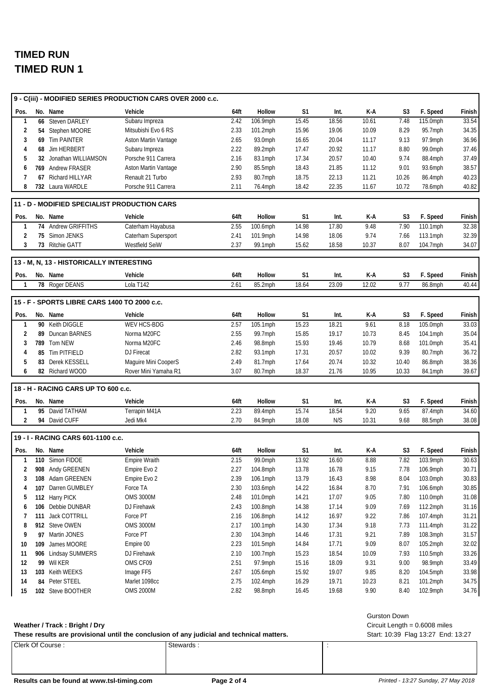|                |                                              | 9 - C(iii) - MODIFIED SERIES PRODUCTION CARS OVER 2000 c.c. |      |          |                |       |       |                     |          |        |
|----------------|----------------------------------------------|-------------------------------------------------------------|------|----------|----------------|-------|-------|---------------------|----------|--------|
| Pos.           | No. Name                                     | Vehicle                                                     | 64ft | Hollow   | S1             | Int.  | K-A   | S3                  | F. Speed | Finish |
| $\mathbf{1}$   | 66 Steven DARLEY                             | Subaru Impreza                                              | 2.42 | 106.9mph | 15.45          | 18.56 | 10.61 | 7.48                | 115.0mph | 33.54  |
| 2              | 54 Stephen MOORE                             | Mitsubishi Evo 6 RS                                         | 2.33 | 101.2mph | 15.96          | 19.06 | 10.09 | 8.29                | 95.7mph  | 34.35  |
| 3              | 69 Tim PAINTER                               | Aston Martin Vantage                                        | 2.65 | 93.0mph  | 16.65          | 20.04 | 11.17 | 9.13                | 97.9mph  | 36.96  |
| 4              | 68 Jim HERBERT                               | Subaru Impreza                                              | 2.22 | 89.2mph  | 17.47          | 20.92 | 11.17 | 8.80                | 99.0mph  | 37.46  |
| 5              | 32 Jonathan WILLIAMSON                       | Porsche 911 Carrera                                         | 2.16 | 83.1mph  | 17.34          | 20.57 | 10.40 | 9.74                | 88.4mph  | 37.49  |
| 6              | 769 Andrew FRASER                            | Aston Martin Vantage                                        | 2.90 | 85.5mph  | 18.43          | 21.85 | 11.12 | 9.01                | 93.6mph  | 38.57  |
| 7              | 67 Richard HILLYAR                           | Renault 21 Turbo                                            | 2.93 | 80.7mph  | 18.75          | 22.13 | 11.21 | 10.26               | 86.4mph  | 40.23  |
| 8              | 732 Laura WARDLE                             | Porsche 911 Carrera                                         | 2.11 | 76.4mph  | 18.42          | 22.35 | 11.67 | 10.72               | 78.6mph  | 40.82  |
|                | 11 - D - MODIFIED SPECIALIST PRODUCTION CARS |                                                             |      |          |                |       |       |                     |          |        |
| Pos.           | No. Name                                     | Vehicle                                                     | 64ft | Hollow   | S1             | Int.  | K-A   | S3                  | F. Speed | Finish |
| $\mathbf{1}$   | 74 Andrew GRIFFITHS                          | Caterham Hayabusa                                           | 2.55 | 100.6mph | 14.98          | 17.80 | 9.48  | 7.90                | 110.1mph | 32.38  |
| 2              | 75 Simon JENKS                               | Caterham Supersport                                         | 2.41 | 101.9mph | 14.98          | 18.06 | 9.74  | 7.66                | 113.1mph | 32.39  |
| 3              | 73 Ritchie GATT                              | Westfield SeiW                                              | 2.37 | 99.1mph  | 15.62          | 18.58 | 10.37 | 8.07                | 104.7mph | 34.07  |
|                | 13 - M, N, 13 - HISTORICALLY INTERESTING     |                                                             |      |          |                |       |       |                     |          |        |
| Pos.           | No. Name                                     | Vehicle                                                     | 64ft | Hollow   | S1             | Int.  | K-A   | S3                  | F. Speed | Finish |
| $\mathbf{1}$   | 78 Roger DEANS                               | Lola T142                                                   | 2.61 | 85.2mph  | 18.64          | 23.09 | 12.02 | 9.77                | 86.8mph  | 40.44  |
|                | 15 - F - SPORTS LIBRE CARS 1400 TO 2000 c.c. |                                                             |      |          |                |       |       |                     |          |        |
| Pos.           | No. Name                                     | Vehicle                                                     | 64ft | Hollow   | S1             | Int.  | K-A   | S3                  | F. Speed | Finish |
| 1              | 90 Keith DIGGLE                              | WEV HCS-BDG                                                 | 2.57 | 105.1mph | 15.23          | 18.21 | 9.61  | 8.18                | 105.0mph | 33.03  |
| 2              | 89 Duncan BARNES                             | Norma M20FC                                                 | 2.55 | 99.7mph  | 15.85          | 19.17 | 10.73 | 8.45                | 104.1mph | 35.04  |
| 3              | 789 Tom NEW                                  | Norma M20FC                                                 | 2.46 | 98.8mph  | 15.93          | 19.46 | 10.79 | 8.68                | 101.0mph | 35.41  |
| 4              | 85 Tim PITFIELD                              | DJ Firecat                                                  | 2.82 | 93.1mph  | 17.31          | 20.57 | 10.02 | 9.39                | 80.7mph  | 36.72  |
| 5              | 83 Derek KESSELL                             | Maguire Mini CooperS                                        | 2.49 | 81.7mph  | 17.64          | 20.74 | 10.32 | 10.40               | 86.8mph  | 38.36  |
| 6              | 82 Richard WOOD                              | Rover Mini Yamaha R1                                        | 3.07 | 80.7mph  | 18.37          | 21.76 | 10.95 | 10.33               | 84.1mph  | 39.67  |
|                |                                              |                                                             |      |          |                |       |       |                     |          |        |
|                | 18 - H - RACING CARS UP TO 600 c.c.          |                                                             |      |          |                |       |       |                     |          |        |
| Pos.           | No. Name                                     | Vehicle                                                     | 64ft | Hollow   | S <sub>1</sub> | Int.  | K-A   | S3                  | F. Speed | Finish |
| $\mathbf{1}$   | 95 David TATHAM                              | Terrapin M41A                                               | 2.23 | 89.4mph  | 15.74          | 18.54 | 9.20  | 9.65                | 87.4mph  | 34.60  |
| $\overline{2}$ | 94 David CUFF                                | Jedi Mk4                                                    | 2.70 | 84.9mph  | 18.08          | N/S   | 10.31 | 9.68                | 88.5mph  | 38.08  |
|                | 19 - I - RACING CARS 601-1100 c.c.           |                                                             |      |          |                |       |       |                     |          |        |
| Pos.           | No. Name                                     | Vehicle                                                     | 64ft | Hollow   | S <sub>1</sub> | Int.  | K-A   | S3                  | F. Speed | Finish |
| $\mathbf{1}$   | 110 Simon FIDOE                              | Empire Wraith                                               | 2.15 | 99.0mph  | 13.92          | 16.60 | 8.88  | 7.82                | 103.9mph | 30.63  |
| 2              | 908 Andy GREENEN                             | Empire Evo 2                                                | 2.27 | 104.8mph | 13.78          | 16.78 | 9.15  | 7.78                | 106.9mph | 30.71  |
| 3              | 108 Adam GREENEN                             | Empire Evo 2                                                | 2.39 | 106.1mph | 13.79          | 16.43 | 8.98  | 8.04                | 103.0mph | 30.83  |
| 4              | 107 Darren GUMBLEY                           | Force TA                                                    | 2.30 | 103.6mph | 14.22          | 16.84 | 8.70  | 7.91                | 106.6mph | 30.85  |
| 5              | 112 Harry PICK                               | <b>OMS 3000M</b>                                            | 2.48 | 101.0mph | 14.21          | 17.07 | 9.05  | 7.80                | 110.0mph | 31.08  |
| 6              | 106 Debbie DUNBAR                            | DJ Firehawk                                                 | 2.43 | 100.8mph | 14.38          | 17.14 | 9.09  | 7.69                | 112.2mph | 31.16  |
| 7              | 111 Jack COTTRILL                            | Force PT                                                    | 2.16 | 106.8mph | 14.12          | 16.97 | 9.22  | 7.86                | 107.4mph | 31.21  |
| 8              | 912 Steve OWEN                               | <b>OMS 3000M</b>                                            | 2.17 | 100.1mph | 14.30          | 17.34 | 9.18  | 7.73                | 111.4mph | 31.22  |
| 9              | 97 Martin JONES                              | Force PT                                                    | 2.30 | 104.3mph | 14.46          | 17.31 | 9.21  | 7.89                | 108.3mph | 31.57  |
| 10             | 109 James MOORE                              | Empire 00                                                   | 2.23 | 101.5mph | 14.84          | 17.71 | 9.09  | 8.07                | 105.2mph | 32.02  |
| 11             | 906 Lindsay SUMMERS                          | DJ Firehawk                                                 | 2.10 | 100.7mph | 15.23          | 18.54 | 10.09 | 7.93                | 110.5mph | 33.26  |
| 12             | 99 Wil KER                                   | OMS CF09                                                    | 2.51 | 97.9mph  | 15.16          | 18.09 | 9.31  | 9.00                | 98.9mph  | 33.49  |
| 13             | 103 Keith WEEKS                              | Image FF5                                                   | 2.67 | 105.6mph | 15.92          | 19.07 | 9.85  | 8.20                | 104.5mph | 33.98  |
| 14             | 84 Peter STEEL                               | Marlet 1098cc                                               | 2.75 | 102.4mph | 16.29          | 19.71 | 10.23 | 8.21                | 101.2mph | 34.75  |
| 15             | 102 Steve BOOTHER                            | <b>OMS 2000M</b>                                            | 2.82 | 98.8mph  | 16.45          | 19.68 | 9.90  | 8.40                | 102.9mph | 34.76  |
|                |                                              |                                                             |      |          |                |       |       |                     |          |        |
|                |                                              |                                                             |      |          |                |       |       | <b>Gurston Down</b> |          |        |

#### **Weather / Track : Bright / Dry**

These results are provisional until the conclusion of any judicial and technical matters. Start: 10:39 Flag 13:27 End: 13:27

Clerk Of Course : Stewards : Stewards : Stewards :

Circuit Length = 0.6008 miles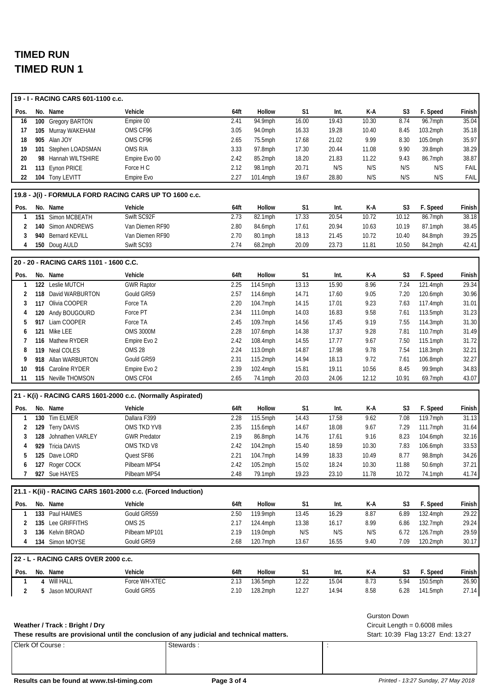|          |     | 19 - I - RACING CARS 601-1100 c.c.        |                                                                                                        |              |                      |                |                |                |                     |                                    |                   |
|----------|-----|-------------------------------------------|--------------------------------------------------------------------------------------------------------|--------------|----------------------|----------------|----------------|----------------|---------------------|------------------------------------|-------------------|
| Pos.     |     | No. Name                                  | Vehicle                                                                                                | 64ft         | Hollow               | S1             | Int.           | K-A            | S <sub>3</sub>      | F. Speed                           | Finish            |
| 16       |     | 100 Gregory BARTON                        | Empire 00                                                                                              | 2.41         | 94.9mph              | 16.00          | 19.43          | 10.30          | 8.74                | 96.7mph                            | 35.04             |
| 17       |     | 105 Murray WAKEHAM                        | OMS CF96                                                                                               | 3.05         | 94.0mph              | 16.33          | 19.28          | 10.40          | 8.45                | 103.2mph                           | 35.18             |
| 18       |     | 905 Alan JOY                              | OMS CF96                                                                                               | 2.65         | 75.5mph              | 17.68          | 21.02          | 9.99           | 8.30                | 105.0mph                           | 35.97             |
| 19       |     | 101 Stephen LOADSMAN                      | OMS R/A                                                                                                | 3.33         | 97.8mph              | 17.30          | 20.44          | 11.08          | 9.90                | 39.8mph                            | 38.29             |
| 20       |     | 98 Hannah WILTSHIRE                       | Empire Evo 00                                                                                          | 2.42         | 85.2mph              | 18.20          | 21.83          | 11.22          | 9.43                | 86.7mph                            | 38.87             |
| 21       |     | 113 Eynon PRICE                           | Force H C                                                                                              | 2.12         | 98.1mph              | 20.71          | N/S            | N/S            | N/S                 | N/S                                | FAIL              |
| 22       |     | 104 Tony LEVITT                           | Empire Evo                                                                                             | 2.27         | 101.4mph             | 19.67          | 28.80          | N/S            | N/S                 | N/S                                | FAIL              |
|          |     |                                           | 19.8 - J(i) - FORMULA FORD RACING CARS UP TO 1600 c.c.                                                 |              |                      |                |                |                |                     |                                    |                   |
| Pos.     |     | No. Name                                  | Vehicle                                                                                                | 64ft         | Hollow               | S <sub>1</sub> | Int.           | K-A            | S <sub>3</sub>      | F. Speed                           | Finish            |
| 1        | 151 | Simon MCBEATH                             | Swift SC92F                                                                                            | 2.73         | 82.1mph              | 17.33          | 20.54          | 10.72          | 10.12               | 86.7mph                            | 38.18             |
| 2        |     | 140 Simon ANDREWS                         | Van Diemen RF90                                                                                        | 2.80         | 84.6mph              | 17.61          | 20.94          | 10.63          | 10.19               | 87.1mph                            | 38.45             |
| 3        |     | 940 Bernard KEVILL                        | Van Diemen RF90                                                                                        | 2.70         | 80.1mph              | 18.13          | 21.45          | 10.72          | 10.40               | 84.8mph                            | 39.25             |
| 4        |     | 150 Doug AULD                             | Swift SC93                                                                                             | 2.74         | 68.2mph              | 20.09          | 23.73          | 11.81          | 10.50               | 84.2mph                            | 42.41             |
|          |     | 20 - 20 - RACING CARS 1101 - 1600 C.C.    |                                                                                                        |              |                      |                |                |                |                     |                                    |                   |
| Pos.     |     | No. Name                                  | Vehicle                                                                                                | 64ft         | Hollow               | S1             | Int.           | K-A            | S <sub>3</sub>      | F. Speed                           | Finish            |
| 1        |     | 122 Leslie MUTCH                          | <b>GWR Raptor</b>                                                                                      | 2.25         | 114.5mph             | 13.13          | 15.90          | 8.96           | 7.24                | 121.4mph                           | 29.34             |
| 2        |     | 118 David WARBURTON                       | Gould GR59                                                                                             | 2.57         | 114.6mph             | 14.71          | 17.60          | 9.05           | 7.20                | 120.6mph                           | 30.96             |
| 3        |     | 117 Olivia COOPER                         | Force TA                                                                                               | 2.20         | 104.7mph             | 14.15          | 17.01          | 9.23           | 7.63                | 117.4mph                           | 31.01             |
| 4        |     | 120 Andy BOUGOURD                         | Force PT                                                                                               | 2.34         | 111.0mph             | 14.03          | 16.83          | 9.58           | 7.61                | 113.5mph                           | 31.23             |
| 5        |     | 917 Liam COOPER                           | Force TA                                                                                               | 2.45         | 109.7mph             | 14.56          | 17.45          | 9.19           | 7.55                | 114.3mph                           | 31.30             |
| 6        |     | 121 Mike LEE                              | <b>OMS 3000M</b>                                                                                       | 2.28         | 107.6mph             | 14.38          | 17.37          | 9.28           | 7.81                | 110.7mph                           | 31.49             |
| 7        |     | 116 Mathew RYDER                          | Empire Evo 2                                                                                           | 2.42         | 108.4mph             | 14.55          | 17.77          | 9.67           | 7.50                | 115.1mph                           | 31.72             |
| 8        |     | 119 Neal COLES                            | <b>OMS 28</b>                                                                                          | 2.24         | 113.0mph             | 14.87          | 17.98          | 9.78           | 7.54                | 118.3mph                           | 32.21             |
| 9        |     | 918 Allan WARBURTON                       | Gould GR59                                                                                             | 2.31         | 115.2mph             | 14.94          | 18.13          | 9.72           | 7.61                | 106.8mph                           | 32.27             |
| 10<br>11 |     | 916 Caroline RYDER<br>115 Neville THOMSON | Empire Evo 2<br>OMS CF04                                                                               | 2.39<br>2.65 | 102.4mph<br>74.1mph  | 15.81<br>20.03 | 19.11<br>24.06 | 10.56<br>12.12 | 8.45<br>10.91       | 99.9mph<br>69.7mph                 | 34.83<br>43.07    |
|          |     |                                           |                                                                                                        |              |                      |                |                |                |                     |                                    |                   |
|          |     |                                           | 21 - K(i) - RACING CARS 1601-2000 c.c. (Normally Aspirated)                                            |              |                      |                |                |                |                     |                                    |                   |
| Pos.     |     | No. Name                                  | Vehicle                                                                                                | 64ft         | Hollow               | S1             | Int.           | K-A            | S <sub>3</sub>      | F. Speed                           | Finish            |
| 1        |     | 130 Tim ELMER                             | Dallara F399                                                                                           | 2.28         | 115.5mph             | 14.43          | 17.58          | 9.62           | 7.08                | 119.7mph                           | 31.13             |
| 2        |     | 129 Terry DAVIS                           | OMS TKD YV8                                                                                            | 2.35         | 115.6mph             | 14.67          | 18.08          | 9.67           | 7.29                | 111.7mph                           | 31.64             |
| 3        | 128 | Johnathen VARLEY                          | <b>GWR Predator</b>                                                                                    | 2.19         | 86.8mph              | 14.76          | 17.61          | 9.16           | 8.23                | 104.6mph                           | 32.16             |
| 4        | 929 | <b>Tricia DAVIS</b>                       | OMS TKD V8                                                                                             | 2.42         | 104.2mph             | 15.40          | 18.59          | 10.30          | 7.83                | 106.6mph                           | 33.53             |
| 5        |     | 125 Dave LORD<br>127 Roger COCK           | Quest SF86<br>Pilbeam MP54                                                                             | 2.21         | 104.7mph<br>105.2mph | 14.99          | 18.33          | 10.49          | 8.77                | 98.8mph                            | 34.26             |
| 6<br>7   |     | 927 Sue HAYES                             | Pilbeam MP54                                                                                           | 2.42<br>2.48 | 79.1mph              | 15.02<br>19.23 | 18.24<br>23.10 | 10.30<br>11.78 | 11.88<br>10.72      | 50.6mph<br>74.1mph                 | 37.21<br>41.74    |
|          |     |                                           |                                                                                                        |              |                      |                |                |                |                     |                                    |                   |
|          |     |                                           | 21.1 - K(ii) - RACING CARS 1601-2000 c.c. (Forced Induction)                                           |              |                      |                |                |                |                     |                                    |                   |
| Pos.     |     | No. Name                                  | Vehicle                                                                                                | 64ft         | Hollow               | S <sub>1</sub> | Int.           | K-A            | S <sub>3</sub>      | F. Speed                           | Finish            |
| 1        |     | 133 Paul HAIMES                           | Gould GR559                                                                                            | 2.50         | 119.9mph             | 13.45          | 16.29          | 8.87           | 6.89                | 132.4mph                           | 29.22             |
| 2        |     | 135 Lee GRIFFITHS                         | <b>OMS 25</b>                                                                                          | 2.17         | 124.4mph             | 13.38          | 16.17          | 8.99           | 6.86                | 132.7mph                           | 29.24             |
| 3        |     | 136 Kelvin BROAD                          | Pilbeam MP101                                                                                          | 2.19         | 119.0mph             | N/S            | N/S            | N/S            | 6.72                | 126.7mph                           | 29.59             |
| 4        |     | 134 Simon MOYSE                           | Gould GR59                                                                                             | 2.68         | 120.7mph             | 13.67          | 16.55          | 9.40           | 7.09                | $120.2$ mph                        | 30.17             |
|          |     | 22 - L - RACING CARS OVER 2000 c.c.       |                                                                                                        |              |                      |                |                |                |                     |                                    |                   |
| Pos.     |     | No. Name                                  | Vehicle                                                                                                | 64ft         | Hollow               | S1             | Int.           | K-A            | S3                  | F. Speed                           | Finish            |
| 1        |     | 4 Will HALL                               | Force WH-XTEC                                                                                          | 2.13         | 136.5mph             | 12.22          | 15.04          | 8.73           | 5.94                | 150.5mph                           | $\frac{1}{26.90}$ |
| 2        |     | 5 Jason MOURANT                           | Gould GR55                                                                                             | 2.10         | 128.2mph             | 12.27          | 14.94          | 8.58           | 6.28                | 141.5mph                           | 27.14             |
|          |     |                                           |                                                                                                        |              |                      |                |                |                |                     |                                    |                   |
|          |     |                                           |                                                                                                        |              |                      |                |                |                | <b>Gurston Down</b> |                                    |                   |
|          |     | Weather / Track: Bright / Dry             |                                                                                                        |              |                      |                |                |                |                     | Circuit Length = $0.6008$ miles    |                   |
|          |     | Clerk Of Course:                          | These results are provisional until the conclusion of any judicial and technical matters.<br>Stewards: |              |                      |                |                |                |                     | Start: 10:39 Flag 13:27 End: 13:27 |                   |
|          |     |                                           |                                                                                                        |              |                      |                | ÷              |                |                     |                                    |                   |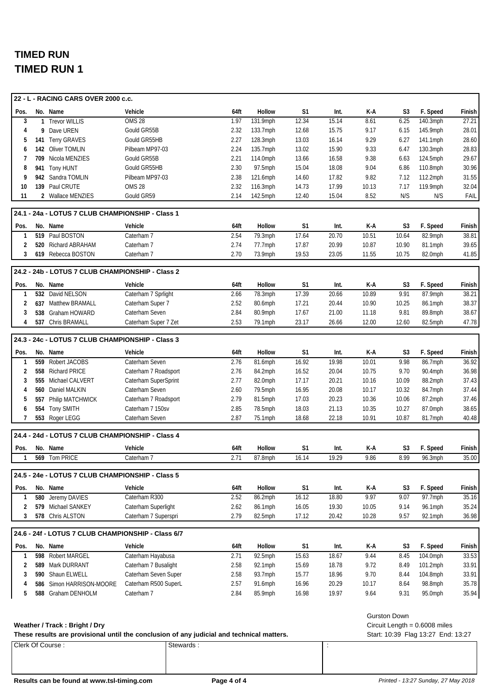|              |              | 22 - L - RACING CARS OVER 2000 c.c.                |                                                                                           |      |            |                |                      |       |                     |                                    |        |
|--------------|--------------|----------------------------------------------------|-------------------------------------------------------------------------------------------|------|------------|----------------|----------------------|-------|---------------------|------------------------------------|--------|
| Pos.         |              | No. Name                                           | Vehicle                                                                                   | 64ft | Hollow     | S <sub>1</sub> | Int.                 | K-A   | S <sub>3</sub>      | F. Speed                           | Finish |
| 3            | $\mathbf{1}$ | <b>Trevor WILLIS</b>                               | <b>OMS 28</b>                                                                             | 1.97 | 131.9mph   | 12.34          | 15.14                | 8.61  | 6.25                | 140.3mph                           | 27.21  |
| 4            |              | 9 Dave UREN                                        | Gould GR55B                                                                               | 2.32 | 133.7mph   | 12.68          | 15.75                | 9.17  | 6.15                | 145.9mph                           | 28.01  |
| 5            |              | 141 Terry GRAVES                                   | Gould GR55HB                                                                              | 2.27 | 128.3mph   | 13.03          | 16.14                | 9.29  | 6.27                | 141.1mph                           | 28.60  |
| 6            |              | 142 Oliver TOMLIN                                  | Pilbeam MP97-03                                                                           | 2.24 | 135.7mph   | 13.02          | 15.90                | 9.33  | 6.47                | 130.3mph                           | 28.83  |
| 7            |              | 709 Nicola MENZIES                                 | Gould GR55B                                                                               | 2.21 | 114.0mph   | 13.66          | 16.58                | 9.38  | 6.63                | 124.5mph                           | 29.67  |
| 8            |              | 941 Tony HUNT                                      | Gould GR55HB                                                                              | 2.30 | $97.5$ mph | 15.04          | 18.08                | 9.04  | 6.86                | 110.8mph                           | 30.96  |
| 9            |              | 942 Sandra TOMLIN                                  | Pilbeam MP97-03                                                                           | 2.38 | 121.6mph   | 14.60          | 17.82                | 9.82  | 7.12                | 112.2mph                           | 31.55  |
| 10           |              | 139 Paul CRUTE                                     | <b>OMS 28</b>                                                                             | 2.32 | 116.3mph   | 14.73          | 17.99                | 10.13 | 7.17                | 119.9mph                           | 32.04  |
| 11           |              | 2 Wallace MENZIES                                  | Gould GR59                                                                                | 2.14 | 142.5mph   | 12.40          | 15.04                | 8.52  | N/S                 | N/S                                | FAIL   |
|              |              | 24.1 - 24a - LOTUS 7 CLUB CHAMPIONSHIP - Class 1   |                                                                                           |      |            |                |                      |       |                     |                                    |        |
| Pos.         |              | No. Name                                           | Vehicle                                                                                   | 64ft | Hollow     | S1             | Int.                 | K-A   | S <sub>3</sub>      | F. Speed                           | Finish |
| $\mathbf{1}$ |              | 519 Paul BOSTON                                    | Caterham 7                                                                                | 2.54 | 79.3mph    | 17.64          | 20.70                | 10.51 | 10.64               | 82.9mph                            | 38.81  |
| 2            |              | 520 Richard ABRAHAM                                | Caterham 7                                                                                | 2.74 | 77.7mph    | 17.87          | 20.99                | 10.87 | 10.90               | 81.1mph                            | 39.65  |
| 3            |              | 619 Rebecca BOSTON                                 | Caterham 7                                                                                | 2.70 | 73.9mph    | 19.53          | 23.05                | 11.55 | 10.75               | 82.0mph                            | 41.85  |
|              |              |                                                    |                                                                                           |      |            |                |                      |       |                     |                                    |        |
|              |              | 24.2 - 24b - LOTUS 7 CLUB CHAMPIONSHIP - Class 2   |                                                                                           |      |            |                |                      |       |                     |                                    |        |
| Pos.         |              | No. Name                                           | Vehicle                                                                                   | 64ft | Hollow     | S1             | Int.                 | K-A   | S <sub>3</sub>      | F. Speed                           | Finish |
| 1            |              | 532 David NELSON                                   | Caterham 7 Sprlight                                                                       | 2.66 | 78.3mph    | 17.39          | 20.66                | 10.89 | 9.91                | 87.9mph                            | 38.21  |
| 2            |              | 637 Matthew BRAMALL                                | Caterham Super 7                                                                          | 2.52 | 80.6mph    | 17.21          | 20.44                | 10.90 | 10.25               | 86.1mph                            | 38.37  |
| 3            |              | 538 Graham HOWARD                                  | Caterham Seven                                                                            | 2.84 | 80.9mph    | 17.67          | 21.00                | 11.18 | 9.81                | 89.8mph                            | 38.67  |
| 4            |              | 537 Chris BRAMALL                                  | Caterham Super 7 Zet                                                                      | 2.53 | 79.1mph    | 23.17          | 26.66                | 12.00 | 12.60               | 82.5mph                            | 47.78  |
|              |              | 24.3 - 24c - LOTUS 7 CLUB CHAMPIONSHIP - Class 3   |                                                                                           |      |            |                |                      |       |                     |                                    |        |
| Pos.         |              | No. Name                                           | Vehicle                                                                                   | 64ft | Hollow     | S1             | Int.                 | K-A   | S <sub>3</sub>      | F. Speed                           | Finish |
| 1            |              | 559 Robert JACOBS                                  | Caterham Seven                                                                            | 2.76 | 81.6mph    | 16.92          | 19.98                | 10.01 | 9.98                | 86.7mph                            | 36.92  |
| 2            |              | 558 Richard PRICE                                  | Caterham 7 Roadsport                                                                      | 2.76 | 84.2mph    | 16.52          | 20.04                | 10.75 | 9.70                | 90.4mph                            | 36.98  |
| 3            |              | 555 Michael CALVERT                                | Caterham SuperSprint                                                                      | 2.77 | 82.0mph    | 17.17          | 20.21                | 10.16 | 10.09               | 88.2mph                            | 37.43  |
| 4            | 560          | Daniel MALKIN                                      | Caterham Seven                                                                            | 2.60 | 79.5mph    | 16.95          | 20.08                | 10.17 | 10.32               | 84.7mph                            | 37.44  |
| 5            |              | 557 Philip MATCHWICK                               | Caterham 7 Roadsport                                                                      | 2.79 | 81.5mph    | 17.03          | 20.23                | 10.36 | 10.06               | 87.2mph                            | 37.46  |
| 6            |              | 554 Tony SMITH                                     | Caterham 7 150sv                                                                          | 2.85 | 78.5mph    | 18.03          | 21.13                | 10.35 | 10.27               | 87.0mph                            | 38.65  |
| 7            |              | 553 Roger LEGG                                     | Caterham Seven                                                                            | 2.87 | 75.1mph    | 18.68          | 22.18                | 10.91 | 10.87               | 81.7mph                            | 40.48  |
|              |              |                                                    |                                                                                           |      |            |                |                      |       |                     |                                    |        |
|              |              | 24.4 - 24d - LOTUS 7 CLUB CHAMPIONSHIP - Class 4   |                                                                                           |      |            |                |                      |       |                     |                                    |        |
| Pos.         |              | No. Name                                           | Vehicle                                                                                   | 64ft | Hollow     | S1             | Int.                 | K-A   | S <sub>3</sub>      | F. Speed                           | Finish |
| 1            |              | 569 Tom PRICE                                      | Caterham 7                                                                                | 2.71 | 87.8mph    | 16.14          | 19.29                | 9.86  | 8.99                | $\overline{96.3}$ mph              | 35.00  |
|              |              | 24.5 - 24e - LOTUS 7 CLUB CHAMPIONSHIP - Class 5   |                                                                                           |      |            |                |                      |       |                     |                                    |        |
| Pos.         |              | No. Name                                           | Vehicle                                                                                   | 64ft | Hollow     | S1             | Int.                 | K-A   | S <sub>3</sub>      | F. Speed                           | Finish |
| 1            | 580          | Jeremy DAVIES                                      | Caterham R300                                                                             | 2.52 | 86.2mph    | 16.12          | 18.80                | 9.97  | 9.07                | 97.7mph                            | 35.16  |
| 2            |              | 579 Michael SANKEY                                 | Caterham Superlight                                                                       | 2.62 | 86.1mph    | 16.05          | 19.30                | 10.05 | 9.14                | 96.1mph                            | 35.24  |
| 3            |              | 578 Chris ALSTON                                   | Caterham 7 Superspri                                                                      | 2.79 | 82.5mph    | 17.12          | 20.42                | 10.28 | 9.57                | $92.1$ mph                         | 36.98  |
|              |              | 24.6 - 24f - LOTUS 7 CLUB CHAMPIONSHIP - Class 6/7 |                                                                                           |      |            |                |                      |       |                     |                                    |        |
| Pos.         |              | No. Name                                           | Vehicle                                                                                   | 64ft | Hollow     | S1             | Int.                 | K-A   | S <sub>3</sub>      | F. Speed                           | Finish |
| $\mathbf{1}$ |              | 598 Robert MARGEL                                  | Caterham Hayabusa                                                                         | 2.71 | 92.5mph    | 15.63          | 18.67                | 9.44  | 8.45                | 104.0mph                           | 33.53  |
| 2            |              | 589 Mark DURRANT                                   | Caterham 7 Busalight                                                                      | 2.58 | 92.1mph    | 15.69          | 18.78                | 9.72  | 8.49                | 101.2mph                           | 33.91  |
| 3            |              | 590 Shaun ELWELL                                   | Caterham Seven Super                                                                      | 2.58 | 93.7mph    | 15.77          | 18.96                | 9.70  | 8.44                | 104.8mph                           | 33.91  |
| 4            |              | 586 Simon HARRISON-MOORE                           | Caterham R500 SuperL                                                                      | 2.57 | 91.6mph    | 16.96          | 20.29                | 10.17 | 8.64                | 98.8mph                            | 35.78  |
| 5            | 588          | Graham DENHOLM                                     | Caterham 7                                                                                | 2.84 | 85.9mph    | 16.98          | 19.97                | 9.64  | 9.31                | 95.0mph                            | 35.94  |
|              |              |                                                    |                                                                                           |      |            |                |                      |       |                     |                                    |        |
|              |              |                                                    |                                                                                           |      |            |                |                      |       | <b>Gurston Down</b> |                                    |        |
|              |              | Weather / Track: Bright / Dry                      |                                                                                           |      |            |                |                      |       |                     | Circuit Length = $0.6008$ miles    |        |
|              |              |                                                    | These results are provisional until the conclusion of any judicial and technical matters. |      |            |                |                      |       |                     | Start: 10:39 Flag 13:27 End: 13:27 |        |
|              |              | Clerk Of Course:                                   | Stewards:                                                                                 |      |            |                | $\ddot{\phantom{a}}$ |       |                     |                                    |        |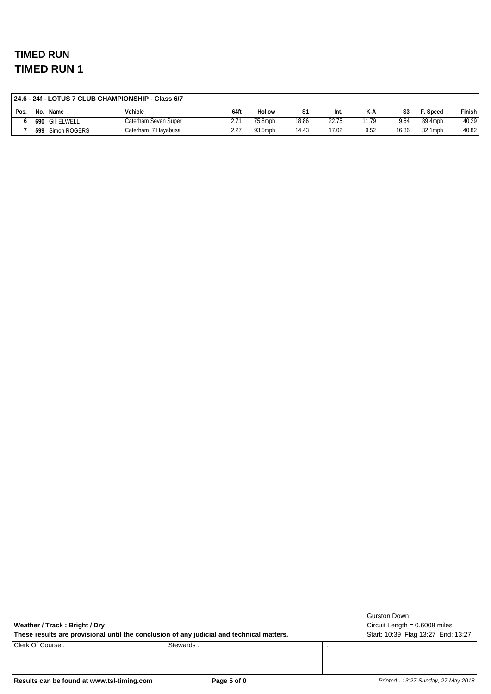|        | 24.6 - 24f - LOTUS 7 CLUB CHAMPIONSHIP - Class 6/7 |                 |                      |      |         |       |       |       |       |         |        |
|--------|----------------------------------------------------|-----------------|----------------------|------|---------|-------|-------|-------|-------|---------|--------|
| ' Pos. | No.                                                | Name            | Vehicle              | 64ft | Hollow  |       | Int.  | K-A   | S3    | Speed   | Finish |
|        |                                                    | 690 Gill ELWELL | Caterham Seven Super | 2.71 | 75.8mph | 18.86 | 22.75 | 11.79 | 9.64  | 89.4mph | 40.29  |
|        | 599                                                | Simon ROGERS    | Caterham 7 Hayabusa  |      | 93.5mph | 14.43 | 17.02 | 9.52  | 16.86 | 32.1mph | 40.82  |

**Weather / Track : Bright / Dry**

These results are provisional until the conclusion of any judicial and technical matters. Start: 10:39 Flag 13:27 End: 13:27

Clerk Of Course : Stewards : Stewards : Stewards :

Circuit Length = 0.6008 miles Gurston Down

Results can be found at www.tsl-timing.com **Page 5 of 0 Page 5 of 0** *Printed - 13:27 Sunday, 27 May 2018*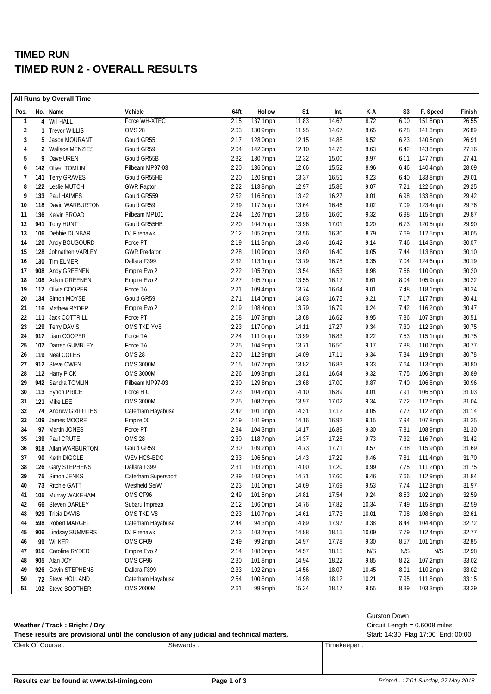## **TIMED RUN TIMED RUN 2 - OVERALL RESULTS**

|              |     | All Runs by Overall Time |                     |      |             |       |       |       |      |             |        |
|--------------|-----|--------------------------|---------------------|------|-------------|-------|-------|-------|------|-------------|--------|
| Pos.         |     | No. Name                 | Vehicle             | 64ft | Hollow      | S1    | Int.  | K-A   | S3   | F. Speed    | Finish |
| $\mathbf{1}$ |     | 4 Will HALL              | Force WH-XTEC       | 2.15 | 137.1mph    | 11.83 | 14.67 | 8.72  | 6.00 | 151.8mph    | 26.55  |
| 2            |     | 1 Trevor WILLIS          | <b>OMS 28</b>       | 2.03 | 130.9mph    | 11.95 | 14.67 | 8.65  | 6.28 | $141.3$ mph | 26.89  |
| 3            | 5   | Jason MOURANT            | Gould GR55          | 2.17 | 128.0mph    | 12.15 | 14.88 | 8.52  | 6.23 | 140.5mph    | 26.91  |
| 4            |     | 2 Wallace MENZIES        | Gould GR59          | 2.04 | 142.3mph    | 12.10 | 14.76 | 8.63  | 6.42 | 143.8mph    | 27.16  |
| 5            | 9   | Dave UREN                | Gould GR55B         | 2.32 | 130.7mph    | 12.32 | 15.00 | 8.97  | 6.11 | 147.7mph    | 27.41  |
| 6            |     | 142 Oliver TOMLIN        | Pilbeam MP97-03     | 2.20 | 136.0mph    | 12.66 | 15.52 | 8.96  | 6.46 | 140.4mph    | 28.09  |
| 7            |     | 141 Terry GRAVES         | Gould GR55HB        | 2.20 | 120.8mph    | 13.37 | 16.51 | 9.23  | 6.40 | 133.8mph    | 29.01  |
| 8            |     | 122 Leslie MUTCH         | <b>GWR Raptor</b>   | 2.22 | 113.8mph    | 12.97 | 15.86 | 9.07  | 7.21 | 122.6mph    | 29.25  |
| 9            |     | 133 Paul HAIMES          | Gould GR559         | 2.52 | 116.8mph    | 13.42 | 16.27 | 9.01  | 6.98 | 133.8mph    | 29.42  |
| 10           |     | 118 David WARBURTON      | Gould GR59          | 2.39 | 117.3mph    | 13.64 | 16.46 | 9.02  | 7.09 | 123.4mph    | 29.76  |
| 11           |     | 136 Kelvin BROAD         | Pilbeam MP101       | 2.24 | 126.7mph    | 13.56 | 16.60 | 9.32  | 6.98 | 115.6mph    | 29.87  |
| 12           |     | 941 Tony HUNT            | Gould GR55HB        | 2.20 | 104.7mph    | 13.96 | 17.01 | 9.20  | 6.73 | 120.5mph    | 29.90  |
| 13           |     | 106 Debbie DUNBAR        | DJ Firehawk         | 2.12 | 105.2mph    | 13.56 | 16.30 | 8.79  | 7.69 | 112.5mph    | 30.05  |
| 14           |     | 120 Andy BOUGOURD        | Force PT            | 2.19 | 111.3mph    | 13.46 | 16.42 | 9.14  | 7.46 | 114.3mph    | 30.07  |
| 15           | 128 | Johnathen VARLEY         | <b>GWR Predator</b> | 2.28 | 110.9mph    | 13.60 | 16.40 | 9.05  | 7.44 | 113.8mph    | 30.10  |
| 16           |     | 130 Tim ELMER            | Dallara F399        | 2.32 | 113.1mph    | 13.79 | 16.78 | 9.35  | 7.04 | 124.6mph    | 30.19  |
| 17           |     | 908 Andy GREENEN         | Empire Evo 2        | 2.22 | 105.7mph    | 13.54 | 16.53 | 8.98  | 7.66 | 110.0mph    | 30.20  |
| 18           |     | 108 Adam GREENEN         | Empire Evo 2        | 2.27 | 105.7mph    | 13.55 | 16.17 | 8.61  | 8.04 | 105.9mph    | 30.22  |
| 19           |     | 117 Olivia COOPER        | Force TA            | 2.21 | 109.4mph    | 13.74 | 16.64 | 9.01  | 7.48 | 118.1mph    | 30.24  |
| 20           | 134 | Simon MOYSE              | Gould GR59          | 2.71 | 114.0mph    | 14.03 | 16.75 | 9.21  | 7.17 | 117.7mph    | 30.41  |
| 21           |     | 116 Mathew RYDER         | Empire Evo 2        | 2.19 | 108.4mph    | 13.79 | 16.79 | 9.24  | 7.42 | 116.2mph    | 30.47  |
| 22           | 111 | <b>Jack COTTRILL</b>     | Force PT            | 2.08 | 107.3mph    | 13.68 | 16.62 | 8.95  | 7.86 | 107.3mph    | 30.51  |
| 23           |     | 129 Terry DAVIS          | OMS TKD YV8         | 2.23 | 117.0mph    | 14.11 | 17.27 | 9.34  | 7.30 | 112.3mph    | 30.75  |
| 24           |     | 917 Liam COOPER          | Force TA            | 2.24 | 111.0mph    | 13.99 | 16.83 | 9.22  | 7.53 | 115.1mph    | 30.75  |
| 25           | 107 | Darren GUMBLEY           | Force TA            | 2.25 | 104.9mph    | 13.71 | 16.50 | 9.17  | 7.88 | 110.7mph    | 30.77  |
| 26           |     | 119 Neal COLES           | OMS 28              | 2.20 | 112.9mph    | 14.09 | 17.11 | 9.34  | 7.34 | 119.6mph    | 30.78  |
| 27           |     | 912 Steve OWEN           | <b>OMS 3000M</b>    | 2.15 | 107.7mph    | 13.82 | 16.83 | 9.33  | 7.64 | 113.0mph    | 30.80  |
| 28           |     | 112 Harry PICK           | <b>OMS 3000M</b>    | 2.26 | 109.3mph    | 13.81 | 16.64 | 9.32  | 7.75 | 106.3mph    | 30.89  |
| 29           |     | 942 Sandra TOMLIN        | Pilbeam MP97-03     | 2.30 | 129.8mph    | 13.68 | 17.00 | 9.87  | 7.40 | 106.8mph    | 30.96  |
| 30           |     | 113 Eynon PRICE          | Force H C           | 2.23 | $104.2$ mph | 14.10 | 16.89 | 9.01  | 7.91 | 106.5mph    | 31.03  |
| 31           |     | 121 Mike LEE             | <b>OMS 3000M</b>    | 2.25 | 108.7mph    | 13.97 | 17.02 | 9.34  | 7.72 | 112.6mph    | 31.04  |
| 32           |     | 74 Andrew GRIFFITHS      | Caterham Hayabusa   | 2.42 | $101.1$ mph | 14.31 | 17.12 | 9.05  | 7.77 | 112.2mph    | 31.14  |
| 33           |     | 109 James MOORE          | Empire 00           | 2.19 | 101.9mph    | 14.16 | 16.92 | 9.15  | 7.94 | 107.8mph    | 31.25  |
| 34           |     | 97 Martin JONES          | Force PT            | 2.34 | 104.3mph    | 14.17 | 16.89 | 9.30  | 7.81 | 108.9mph    | 31.30  |
| 35           |     | 139 Paul CRUTE           | OMS 28              | 2.30 | 118.7mph    | 14.37 | 17.28 | 9.73  | 7.32 | 116.7mph    | 31.42  |
| 36           |     | 918 Allan WARBURTON      | Gould GR59          | 2.30 | 109.2mph    | 14.73 | 17.71 | 9.57  | 7.38 | 115.9mph    | 31.69  |
| 37           |     | 90 Keith DIGGLE          | WEV HCS-BDG         | 2.33 | 106.5mph    | 14.43 | 17.29 | 9.46  | 7.81 | $111.4$ mph | 31.70  |
| 38           |     | 126 Gary STEPHENS        | Dallara F399        | 2.31 | 103.2mph    | 14.00 | 17.20 | 9.99  | 7.75 | 111.2mph    | 31.75  |
| 39           |     | 75 Simon JENKS           | Caterham Supersport | 2.39 | 103.0mph    | 14.71 | 17.60 | 9.46  | 7.66 | 112.9mph    | 31.84  |
| 40           |     | 73 Ritchie GATT          | Westfield SeiW      | 2.23 | 101.0mph    | 14.69 | 17.69 | 9.53  | 7.74 | 112.3mph    | 31.97  |
| 41           |     | 105 Murray WAKEHAM       | OMS CF96            | 2.49 | 101.5mph    | 14.81 | 17.54 | 9.24  | 8.53 | 102.1mph    | 32.59  |
| 42           |     | 66 Steven DARLEY         | Subaru Impreza      | 2.12 | 106.0mph    | 14.76 | 17.82 | 10.34 | 7.49 | 115.8mph    | 32.59  |
| 43           |     | 929 Tricia DAVIS         | OMS TKD V8          | 2.23 | 110.7mph    | 14.61 | 17.73 | 10.01 | 7.98 | 108.6mph    | 32.61  |
| 44           |     | 598 Robert MARGEL        | Caterham Hayabusa   | 2.44 | 94.3mph     | 14.89 | 17.97 | 9.38  | 8.44 | 104.4mph    | 32.72  |
| 45           |     | 906 Lindsay SUMMERS      | DJ Firehawk         | 2.13 | 103.7mph    | 14.88 | 18.15 | 10.09 | 7.79 | 112.4mph    | 32.77  |
| 46           |     | 99 Wil KER               | OMS CF09            | 2.49 | 99.2mph     | 14.97 | 17.78 | 9.30  | 8.57 | 101.1mph    | 32.85  |
| 47           |     | 916 Caroline RYDER       | Empire Evo 2        | 2.14 | 108.0mph    | 14.57 | 18.15 | N/S   | N/S  | N/S         | 32.98  |
| 48           |     | 905 Alan JOY             | OMS CF96            | 2.30 | 101.8mph    | 14.94 | 18.22 | 9.85  | 8.22 | 107.2mph    | 33.02  |
| 49           |     | 926 Gavin STEPHENS       | Dallara F399        | 2.33 | 102.2mph    | 14.56 | 18.07 | 10.45 | 8.01 | 110.2mph    | 33.02  |
| 50           |     | 72 Steve HOLLAND         | Caterham Hayabusa   | 2.54 | 100.8mph    | 14.98 | 18.12 | 10.21 | 7.95 | 111.8mph    | 33.15  |
| 51           |     | 102 Steve BOOTHER        | <b>OMS 2000M</b>    | 2.61 | 99.9mph     | 15.34 | 18.17 | 9.55  | 8.39 | 103.3mph    | 33.29  |

| Weather / Track: Bright / Dry                                                             | Circuit Length = $0.6008$ miles |                                    |
|-------------------------------------------------------------------------------------------|---------------------------------|------------------------------------|
| These results are provisional until the conclusion of any judicial and technical matters. |                                 | Start: 14:30 Flag 17:00 End: 00:00 |
| Clerk Of Course :                                                                         | Stewards:                       | Timekeeper:                        |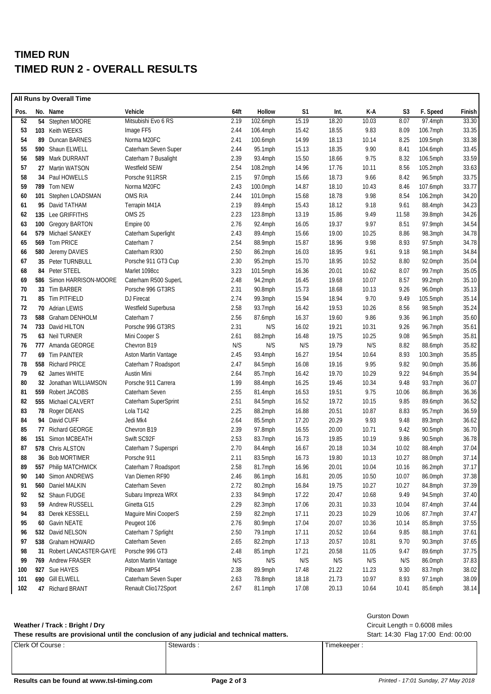## **TIMED RUN TIMED RUN 2 - OVERALL RESULTS**

| All Runs by Overall Time |  |                                    |                                      |              |                    |                |                |                |               |                    |                |
|--------------------------|--|------------------------------------|--------------------------------------|--------------|--------------------|----------------|----------------|----------------|---------------|--------------------|----------------|
| Pos.                     |  | No. Name                           | Vehicle                              | 64ft         | Hollow             | S <sub>1</sub> | Int.           | K-A            | S3            | F. Speed           | Finish         |
| 52                       |  | 54 Stephen MOORE                   | Mitsubishi Evo 6 RS                  | 2.19         | 102.6mph           | 15.19          | 18.20          | 10.03          | 8.07          | 97.4mph            | 33.30          |
| 53                       |  | 103 Keith WEEKS                    | Image FF5                            | 2.44         | 106.4mph           | 15.42          | 18.55          | 9.83           | 8.09          | 106.7mph           | 33.35          |
| 54                       |  | 89 Duncan BARNES                   | Norma M20FC                          | 2.41         | 100.6mph           | 14.99          | 18.13          | 10.14          | 8.25          | 109.5mph           | 33.38          |
| 55                       |  | 590 Shaun ELWELL                   | Caterham Seven Super                 | 2.44         | 95.1mph            | 15.13          | 18.35          | 9.90           | 8.41          | 104.6mph           | 33.45          |
| 56                       |  | 589 Mark DURRANT                   | Caterham 7 Busalight                 | 2.39         | 93.4mph            | 15.50          | 18.66          | 9.75           | 8.32          | 106.5mph           | 33.59          |
| 57                       |  | 27 Martin WATSON                   | Westfield SEIW                       | 2.54         | 108.2mph           | 14.96          | 17.76          | 10.11          | 8.56          | 105.2mph           | 33.63          |
| 58                       |  | 34 Paul HOWELLS                    | Porsche 911RSR                       | 2.15         | 97.0mph            | 15.66          | 18.73          | 9.66           | 8.42          | 96.5mph            | 33.75          |
| 59                       |  | 789 Tom NEW                        | Norma M20FC                          | 2.43         | 100.0mph           | 14.87          | 18.10          | 10.43          | 8.46          | 107.6mph           | 33.77          |
| 60                       |  | 101 Stephen LOADSMAN               | OMS R/A                              | 2.44         | 101.0mph           | 15.68          | 18.78          | 9.98           | 8.54          | 106.2mph           | 34.20          |
| 61                       |  | 95 David TATHAM                    | Terrapin M41A                        | 2.19         | 89.4mph            | 15.43          | 18.12          | 9.18           | 9.61          | 88.4mph            | 34.23          |
| 62                       |  | 135 Lee GRIFFITHS                  | <b>OMS 25</b>                        | 2.23         | 123.8mph           | 13.19          | 15.86          | 9.49           | 11.58         | 39.8mph            | 34.26          |
| 63                       |  | 100 Gregory BARTON                 | Empire 00                            | 2.76         | 92.4mph            | 16.05          | 19.37          | 9.97           | 8.51          | 97.9mph            | 34.54          |
| 64                       |  | 579 Michael SANKEY                 | Caterham Superlight                  | 2.43         | 89.4mph            | 15.66          | 19.00          | 10.25          | 8.86          | 98.3mph            | 34.78          |
| 65                       |  | 569 Tom PRICE                      | Caterham 7                           | 2.54         | 88.9mph            | 15.87          | 18.96          | 9.98           | 8.93          | 97.5mph            | 34.78          |
| 66                       |  | 580 Jeremy DAVIES                  | Caterham R300                        | 2.50         | 86.2mph            | 16.03          | 18.95          | 9.61           | 9.18          | 98.1mph            | 34.84          |
| 67                       |  | 35 Peter TURNBULL                  | Porsche 911 GT3 Cup                  | 2.30         | 95.2mph            | 15.70          | 18.95          | 10.52          | 8.80          | 92.0mph            | 35.04          |
| 68                       |  | 84 Peter STEEL                     | Marlet 1098cc                        | 3.23         | 101.5mph           | 16.36          | 20.01          | 10.62          | 8.07          | 99.7mph            | 35.05          |
| 69                       |  | 586 Simon HARRISON-MOORE           | Caterham R500 SuperL                 | 2.48         | 94.2mph            | 16.45          | 19.68          | 10.07          | 8.57          | 99.2mph            | 35.10          |
| 70                       |  | 33 Tim BARBER                      | Porsche 996 GT3RS                    | 2.31         | 90.8mph            | 15.73          | 18.68          | 10.13          | 9.26          | 96.0mph            | 35.13          |
| 71                       |  | 85 Tim PITFIELD                    | DJ Firecat                           | 2.74         | 99.3mph            | 15.94          | 18.94          | 9.70           | 9.49          | $105.5$ mph        | 35.14          |
| 72                       |  | 70 Adrian LEWIS                    | Westfield Superbusa                  | 2.58         | 93.7mph            | 16.42          | 19.53          | 10.26          | 8.56          | 98.5mph            | 35.24          |
| 73                       |  | 588 Graham DENHOLM                 | Caterham 7                           | 2.56         | 87.6mph            | 16.37          | 19.60          | 9.86           | 9.36          | 96.1mph            | 35.60          |
| 74                       |  | 733 David HILTON                   | Porsche 996 GT3RS                    | 2.31         | N/S                | 16.02          | 19.21          | 10.31          | 9.26          | 96.7mph            | 35.61          |
| 75                       |  | 63 Neil TURNER                     | Mini Cooper S                        | 2.61         | 88.2mph            | 16.48          | 19.75          | 10.25          | 9.08          | 96.5mph            | 35.81          |
| 76                       |  | 777 Amanda GEORGE                  | Chevron B19                          | N/S          | N/S                | N/S            | 19.79          | N/S            | 8.82          | 88.6mph            | 35.82          |
| 77                       |  | 69 Tim PAINTER                     | Aston Martin Vantage                 | 2.45         | 93.4mph            | 16.27          | 19.54          | 10.64          | 8.93          | 100.3mph           | 35.85          |
| 78                       |  | 558 Richard PRICE                  | Caterham 7 Roadsport                 | 2.47         | 84.5mph            | 16.08          | 19.16          | 9.95           | 9.82          | 90.0mph            | 35.86          |
| 79                       |  | 62 James WHITE                     | Austin Mini                          | 2.64         | 85.7mph            | 16.42          | 19.70          | 10.29          | 9.22          | 94.6mph            | 35.94          |
| 80                       |  | 32 Jonathan WILLIAMSON             | Porsche 911 Carrera                  | 1.99         | 88.4mph            | 16.25          | 19.46          | 10.34          | 9.48          | 93.7mph            | 36.07          |
| 81                       |  | 559 Robert JACOBS                  | Caterham Seven                       | 2.55         | 81.4mph            | 16.53          | 19.51          | 9.75           | 10.06         | 86.8mph            | 36.36          |
| 82                       |  | 555 Michael CALVERT                | Caterham SuperSprint                 | 2.51         | 84.5mph            | 16.52          | 19.72          | 10.15          | 9.85          | 89.6mph            | 36.52          |
| 83                       |  | 78 Roger DEANS                     | Lola T142                            | 2.25         | 88.2mph            | 16.88          | 20.51          | 10.87          | 8.83          | 95.7mph            | 36.59          |
| 84                       |  | 94 David CUFF                      | Jedi Mk4                             | 2.64         | 85.5mph            | 17.20          | 20.29          | 9.93           | 9.48          | 89.3mph            | 36.62          |
| 85                       |  | 77 Richard GEORGE                  | Chevron B19                          | 2.39         | 97.8mph            | 16.55          | 20.00          | 10.71          | 9.42          | $90.5$ mph         | 36.70          |
| 86                       |  | 151 Simon MCBEATH                  | Swift SC92F                          | 2.53         | 83.7mph            | 16.73          | 19.85          | 10.19          | 9.86          | 90.5mph            | 36.78          |
| 87                       |  | 578 Chris ALSTON                   | Caterham 7 Superspri                 | 2.70         | 84.4mph            | 16.67          | 20.18          | 10.34          | 10.02         | 88.4mph            | 37.04          |
| 88                       |  | 36 Bob MORTIMER                    | Porsche 911                          | 2.11         | 83.5mph            | 16.73          | 19.80          | 10.13          | 10.27         | 88.0mph            | 37.14          |
| 89                       |  | 557 Philip MATCHWICK               | Caterham 7 Roadsport                 | 2.58         |                    | 16.96          | 20.01          | 10.04          | 10.16         | 86.2mph            | 37.17          |
| 90                       |  | 140 Simon ANDREWS                  | Van Diemen RF90                      | 2.46         | 81.7mph<br>86.1mph | 16.81          | 20.05          | 10.50          | 10.07         | 86.0mph            | 37.38          |
| 91                       |  | 560 Daniel MALKIN                  | Caterham Seven                       | 2.72         | 80.2mph            | 16.84          | 19.75          | 10.27          | 10.27         | 84.8mph            | 37.39          |
| 92                       |  | 52 Shaun FUDGE                     | Subaru Impreza WRX                   | 2.33         | 84.9mph            | 17.22          | 20.47          | 10.68          | 9.49          | 94.5mph            | 37.40          |
| 93                       |  | 59 Andrew RUSSELL                  | Ginetta G15                          | 2.29         |                    | 17.06          | 20.31          |                | 10.04         | 87.4mph            | 37.44          |
| 94                       |  |                                    |                                      | 2.59         | 82.3mph            | 17.11          | 20.23          | 10.33          |               |                    | 37.47          |
|                          |  | 83 Derek KESSELL                   | Maguire Mini CooperS                 |              | 82.2mph            |                |                | 10.29          | 10.06         | 87.7mph            |                |
| 95<br>96                 |  | 60 Gavin NEATE<br>532 David NELSON | Peugeot 106<br>Caterham 7 Sprlight   | 2.76<br>2.50 | 80.9mph<br>79.1mph | 17.04<br>17.11 | 20.07<br>20.52 | 10.36<br>10.64 | 10.14<br>9.85 | 85.8mph<br>88.1mph | 37.55<br>37.61 |
|                          |  | 538 Graham HOWARD                  |                                      |              |                    |                |                |                |               |                    |                |
| 97<br>98                 |  | 31 Robert LANCASTER-GAYE           | Caterham Seven<br>Porsche 996 GT3    | 2.65<br>2.48 | 82.2mph            | 17.13<br>17.21 | 20.57<br>20.58 | 10.81          | 9.70<br>9.47  | 90.3mph<br>89.6mph | 37.65<br>37.75 |
| 99                       |  |                                    |                                      | N/S          | 85.1mph<br>N/S     | N/S            | N/S            | 11.05<br>N/S   |               |                    | 37.83          |
| 100                      |  | 769 Andrew FRASER                  | Aston Martin Vantage<br>Pilbeam MP54 |              |                    |                |                |                | N/S           | 86.0mph            | 38.02          |
|                          |  | 927 Sue HAYES                      |                                      | 2.38         | 89.9mph            | 17.48          | 21.22          | 11.23          | 9.30          | 83.7mph            |                |
| 101                      |  | 690 Gill ELWELL                    | Caterham Seven Super                 | 2.63         | 78.8mph            | 18.18          | 21.73          | 10.97          | 8.93          | 97.1mph            | 38.09          |
| 102                      |  | 47 Richard BRANT                   | Renault Clio172Sport                 | 2.67         | 81.1mph            | 17.08          | 20.13          | 10.64          | 10.41         | 85.6mph            | 38.14          |

### **Weather / Track : Bright / Dry** Circuit Length = 0.6008 miles

| These results are provisional until the conclusion of any judicial and technical matters. |           | Start: 14:30 Flag 17:00 End: 00:00 |  |
|-------------------------------------------------------------------------------------------|-----------|------------------------------------|--|
| Clerk Of Course:                                                                          | Stewards: | Timekeeper:                        |  |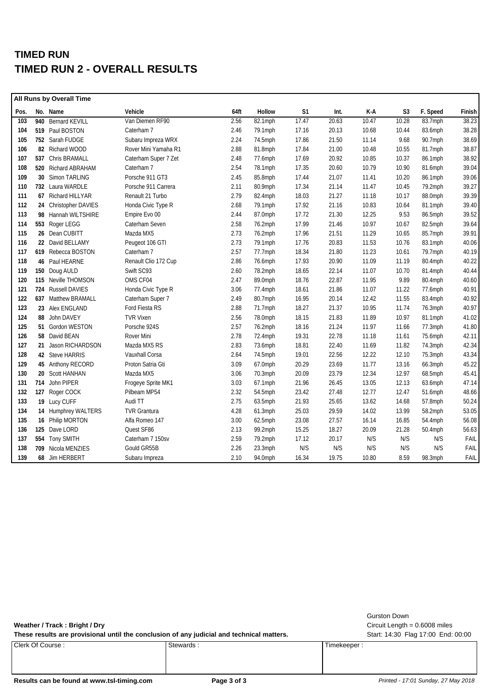## **TIMED RUN TIMED RUN 2 - OVERALL RESULTS**

| No. Name<br>Vehicle<br>64ft<br>Hollow<br>Pos.<br>103<br>940 Bernard KEVILL<br>Van Diemen RF90<br>2.56<br>$82.1$ mph<br>519 Paul BOSTON<br>2.46<br>104<br>Caterham 7<br>79.1mph<br>105<br>752 Sarah FUDGE<br>Subaru Impreza WRX<br>2.24<br>74.5mph<br>106<br>Rover Mini Yamaha R1<br>2.88<br>81.8mph<br>82 Richard WOOD<br>107<br>2.48<br>537 Chris BRAMALL<br>Caterham Super 7 Zet<br>77.6mph<br>108<br>520 Richard ABRAHAM<br>2.54<br>Caterham 7<br>78.1mph<br>109<br>30 Simon TARLING<br>2.45<br>Porsche 911 GT3<br>85.8mph<br>110<br>2.11<br>732 Laura WARDLE<br>Porsche 911 Carrera<br>80.9mph<br>2.79<br>111<br>Renault 21 Turbo<br>67 Richard HILLYAR<br>82.4mph<br>112<br>2.68<br>24 Christopher DAVIES<br>Honda Civic Type R<br>79.1mph | S <sub>1</sub><br>17.47<br>17.16<br>17.86<br>17.84<br>17.69<br>17.35<br>17.44<br>17.34<br>18.03<br>17.92<br>17.72<br>17.99<br>17.96<br>17.76<br>18.34 | Int.<br>20.63<br>20.13<br>21.50<br>21.00<br>20.92<br>20.60<br>21.07<br>21.14<br>21.27<br>21.16<br>21.30<br>21.46<br>21.51 | K-A<br>10.47<br>10.68<br>11.14<br>10.48<br>10.85<br>10.79<br>11.41<br>11.47<br>11.18<br>10.83<br>12.25<br>10.97<br>11.29 | S <sub>3</sub><br>10.28<br>10.44<br>9.68<br>10.55<br>10.37<br>10.90<br>10.20<br>10.45<br>10.17<br>10.64<br>9.53<br>10.67 | F. Speed<br>83.7mph<br>83.6mph<br>90.7mph<br>81.7mph<br>86.1mph<br>81.6mph<br>86.1mph<br>79.2mph<br>88.0mph<br>81.1mph<br>86.5mph<br>82.5mph | Finish<br>38.23<br>38.28<br>38.69<br>38.87<br>38.92<br>39.04<br>39.06<br>39.27<br>39.39<br>39.40<br>39.52 |
|-------------------------------------------------------------------------------------------------------------------------------------------------------------------------------------------------------------------------------------------------------------------------------------------------------------------------------------------------------------------------------------------------------------------------------------------------------------------------------------------------------------------------------------------------------------------------------------------------------------------------------------------------------------------------------------------------------------------------------------------------|-------------------------------------------------------------------------------------------------------------------------------------------------------|---------------------------------------------------------------------------------------------------------------------------|--------------------------------------------------------------------------------------------------------------------------|--------------------------------------------------------------------------------------------------------------------------|----------------------------------------------------------------------------------------------------------------------------------------------|-----------------------------------------------------------------------------------------------------------|
|                                                                                                                                                                                                                                                                                                                                                                                                                                                                                                                                                                                                                                                                                                                                                 |                                                                                                                                                       |                                                                                                                           |                                                                                                                          |                                                                                                                          |                                                                                                                                              |                                                                                                           |
|                                                                                                                                                                                                                                                                                                                                                                                                                                                                                                                                                                                                                                                                                                                                                 |                                                                                                                                                       |                                                                                                                           |                                                                                                                          |                                                                                                                          |                                                                                                                                              |                                                                                                           |
|                                                                                                                                                                                                                                                                                                                                                                                                                                                                                                                                                                                                                                                                                                                                                 |                                                                                                                                                       |                                                                                                                           |                                                                                                                          |                                                                                                                          |                                                                                                                                              |                                                                                                           |
|                                                                                                                                                                                                                                                                                                                                                                                                                                                                                                                                                                                                                                                                                                                                                 |                                                                                                                                                       |                                                                                                                           |                                                                                                                          |                                                                                                                          |                                                                                                                                              |                                                                                                           |
|                                                                                                                                                                                                                                                                                                                                                                                                                                                                                                                                                                                                                                                                                                                                                 |                                                                                                                                                       |                                                                                                                           |                                                                                                                          |                                                                                                                          |                                                                                                                                              |                                                                                                           |
|                                                                                                                                                                                                                                                                                                                                                                                                                                                                                                                                                                                                                                                                                                                                                 |                                                                                                                                                       |                                                                                                                           |                                                                                                                          |                                                                                                                          |                                                                                                                                              |                                                                                                           |
|                                                                                                                                                                                                                                                                                                                                                                                                                                                                                                                                                                                                                                                                                                                                                 |                                                                                                                                                       |                                                                                                                           |                                                                                                                          |                                                                                                                          |                                                                                                                                              |                                                                                                           |
|                                                                                                                                                                                                                                                                                                                                                                                                                                                                                                                                                                                                                                                                                                                                                 |                                                                                                                                                       |                                                                                                                           |                                                                                                                          |                                                                                                                          |                                                                                                                                              |                                                                                                           |
|                                                                                                                                                                                                                                                                                                                                                                                                                                                                                                                                                                                                                                                                                                                                                 |                                                                                                                                                       |                                                                                                                           |                                                                                                                          |                                                                                                                          |                                                                                                                                              |                                                                                                           |
|                                                                                                                                                                                                                                                                                                                                                                                                                                                                                                                                                                                                                                                                                                                                                 |                                                                                                                                                       |                                                                                                                           |                                                                                                                          |                                                                                                                          |                                                                                                                                              |                                                                                                           |
|                                                                                                                                                                                                                                                                                                                                                                                                                                                                                                                                                                                                                                                                                                                                                 |                                                                                                                                                       |                                                                                                                           |                                                                                                                          |                                                                                                                          |                                                                                                                                              |                                                                                                           |
| 113<br>98 Hannah WILTSHIRE<br>2.44<br>Empire Evo 00<br>87.0mph                                                                                                                                                                                                                                                                                                                                                                                                                                                                                                                                                                                                                                                                                  |                                                                                                                                                       |                                                                                                                           |                                                                                                                          |                                                                                                                          |                                                                                                                                              |                                                                                                           |
| 2.58<br>114<br>Caterham Seven<br>553 Roger LEGG<br>76.2mph                                                                                                                                                                                                                                                                                                                                                                                                                                                                                                                                                                                                                                                                                      |                                                                                                                                                       |                                                                                                                           |                                                                                                                          |                                                                                                                          |                                                                                                                                              | 39.64                                                                                                     |
| 115<br>2.73<br>26 Dean CUBITT<br>Mazda MX5<br>76.2mph                                                                                                                                                                                                                                                                                                                                                                                                                                                                                                                                                                                                                                                                                           |                                                                                                                                                       |                                                                                                                           |                                                                                                                          | 10.65                                                                                                                    | 85.7mph                                                                                                                                      | 39.91                                                                                                     |
| 2.73<br>116<br>22 David BELLAMY<br>Peugeot 106 GTI<br>79.1mph                                                                                                                                                                                                                                                                                                                                                                                                                                                                                                                                                                                                                                                                                   |                                                                                                                                                       | 20.83                                                                                                                     | 11.53                                                                                                                    | 10.76                                                                                                                    | 83.1mph                                                                                                                                      | 40.06                                                                                                     |
| 117<br>2.57<br>619 Rebecca BOSTON<br>Caterham 7<br>77.7mph                                                                                                                                                                                                                                                                                                                                                                                                                                                                                                                                                                                                                                                                                      |                                                                                                                                                       | 21.80                                                                                                                     | 11.23                                                                                                                    | 10.61                                                                                                                    | 79.7mph                                                                                                                                      | 40.19                                                                                                     |
| 118<br>Renault Clio 172 Cup<br>2.86<br>76.6mph<br>46 Paul HEARNE                                                                                                                                                                                                                                                                                                                                                                                                                                                                                                                                                                                                                                                                                | 17.93                                                                                                                                                 | 20.90                                                                                                                     | 11.09                                                                                                                    | 11.19                                                                                                                    | 80.4mph                                                                                                                                      | 40.22                                                                                                     |
| 119<br>Swift SC93<br>2.60<br>150 Doug AULD<br>78.2mph                                                                                                                                                                                                                                                                                                                                                                                                                                                                                                                                                                                                                                                                                           | 18.65                                                                                                                                                 | 22.14                                                                                                                     | 11.07                                                                                                                    | 10.70                                                                                                                    | 81.4mph                                                                                                                                      | 40.44                                                                                                     |
| 2.47<br>120<br>115 Neville THOMSON<br>OMS CF04<br>89.0mph                                                                                                                                                                                                                                                                                                                                                                                                                                                                                                                                                                                                                                                                                       | 18.76                                                                                                                                                 | 22.87                                                                                                                     | 11.95                                                                                                                    | 9.89                                                                                                                     | 80.4mph                                                                                                                                      | 40.60                                                                                                     |
| 121<br>724 Russell DAVIES<br>3.06<br>Honda Civic Type R<br>77.4mph                                                                                                                                                                                                                                                                                                                                                                                                                                                                                                                                                                                                                                                                              | 18.61                                                                                                                                                 | 21.86                                                                                                                     | 11.07                                                                                                                    | 11.22                                                                                                                    | 77.6mph                                                                                                                                      | 40.91                                                                                                     |
| 122<br>2.49<br>637 Matthew BRAMALL<br>Caterham Super 7<br>80.7mph                                                                                                                                                                                                                                                                                                                                                                                                                                                                                                                                                                                                                                                                               | 16.95                                                                                                                                                 | 20.14                                                                                                                     | 12.42                                                                                                                    | 11.55                                                                                                                    | 83.4mph                                                                                                                                      | 40.92                                                                                                     |
| 123<br>23 Alex ENGLAND<br>Ford Fiesta RS<br>2.88<br>71.7mph                                                                                                                                                                                                                                                                                                                                                                                                                                                                                                                                                                                                                                                                                     | 18.27                                                                                                                                                 | 21.37                                                                                                                     | 10.95                                                                                                                    | 11.74                                                                                                                    | 76.3mph                                                                                                                                      | 40.97                                                                                                     |
| 124<br>88 John DAVEY<br><b>TVR Vixen</b><br>2.56<br>78.0mph                                                                                                                                                                                                                                                                                                                                                                                                                                                                                                                                                                                                                                                                                     | 18.15                                                                                                                                                 | 21.83                                                                                                                     | 11.89                                                                                                                    | 10.97                                                                                                                    | 81.1mph                                                                                                                                      | 41.02                                                                                                     |
| 125<br>2.57<br>51 Gordon WESTON<br>Porsche 924S<br>76.2mph                                                                                                                                                                                                                                                                                                                                                                                                                                                                                                                                                                                                                                                                                      | 18.16                                                                                                                                                 | 21.24                                                                                                                     | 11.97                                                                                                                    | 11.66                                                                                                                    | 77.3mph                                                                                                                                      | 41.80                                                                                                     |
| 126<br>2.78<br>58 David BEAN<br>Rover Mini<br>72.4mph                                                                                                                                                                                                                                                                                                                                                                                                                                                                                                                                                                                                                                                                                           | 19.31                                                                                                                                                 | 22.78                                                                                                                     | 11.18                                                                                                                    | 11.61                                                                                                                    | 75.6mph                                                                                                                                      | 42.11                                                                                                     |
| 127<br>2.83<br>21 Jason RICHARDSON<br>Mazda MX5 RS<br>73.6mph                                                                                                                                                                                                                                                                                                                                                                                                                                                                                                                                                                                                                                                                                   | 18.81                                                                                                                                                 | 22.40                                                                                                                     | 11.69                                                                                                                    | 11.82                                                                                                                    | 74.3mph                                                                                                                                      | 42.34                                                                                                     |
| 128<br>42 Steve HARRIS<br>Vauxhall Corsa<br>2.64<br>74.5mph                                                                                                                                                                                                                                                                                                                                                                                                                                                                                                                                                                                                                                                                                     | 19.01                                                                                                                                                 | 22.56                                                                                                                     | 12.22                                                                                                                    | 12.10                                                                                                                    | 75.3mph                                                                                                                                      | 43.34                                                                                                     |
| 129<br>3.09<br>45 Anthony RECORD<br>Proton Satria Gti<br>67.0mph                                                                                                                                                                                                                                                                                                                                                                                                                                                                                                                                                                                                                                                                                | 20.29                                                                                                                                                 | 23.69                                                                                                                     | 11.77                                                                                                                    | 13.16                                                                                                                    | 66.3mph                                                                                                                                      | 45.22                                                                                                     |
| 130<br>Mazda MX5<br>3.06<br>20 Scott HANHAN<br>70.3mph                                                                                                                                                                                                                                                                                                                                                                                                                                                                                                                                                                                                                                                                                          | 20.09                                                                                                                                                 | 23.79                                                                                                                     | 12.34                                                                                                                    | 12.97                                                                                                                    | 68.5mph                                                                                                                                      | 45.41                                                                                                     |
| 131<br>3.03<br>John PIPER<br>Frogeye Sprite MK1<br>67.1mph<br>714                                                                                                                                                                                                                                                                                                                                                                                                                                                                                                                                                                                                                                                                               | 21.96                                                                                                                                                 | 26.45                                                                                                                     | 13.05                                                                                                                    | 12.13                                                                                                                    | 63.6mph                                                                                                                                      | 47.14                                                                                                     |
| 132<br>127 Roger COCK<br>Pilbeam MP54<br>2.32<br>54.5mph                                                                                                                                                                                                                                                                                                                                                                                                                                                                                                                                                                                                                                                                                        | 23.42                                                                                                                                                 | 27.48                                                                                                                     | 12.77                                                                                                                    | 12.47                                                                                                                    | 51.6mph                                                                                                                                      | 48.66                                                                                                     |
| 133<br>19 Lucy CUFF<br>Audi TT<br>2.75<br>63.5mph                                                                                                                                                                                                                                                                                                                                                                                                                                                                                                                                                                                                                                                                                               | 21.93                                                                                                                                                 | 25.65                                                                                                                     | 13.62                                                                                                                    | 14.68                                                                                                                    | 57.8mph                                                                                                                                      | 50.24                                                                                                     |
| 134<br>4.28<br><b>TVR Grantura</b><br>61.3mph<br>14 Humphrey WALTERS                                                                                                                                                                                                                                                                                                                                                                                                                                                                                                                                                                                                                                                                            | 25.03                                                                                                                                                 | 29.59                                                                                                                     | 14.02                                                                                                                    | 13.99                                                                                                                    | 58.2mph                                                                                                                                      | 53.05                                                                                                     |
| 135<br>Alfa Romeo 147<br>3.00<br>16 Philip MORTON<br>$62.5$ mph                                                                                                                                                                                                                                                                                                                                                                                                                                                                                                                                                                                                                                                                                 | 23.08                                                                                                                                                 | 27.57                                                                                                                     | 16.14                                                                                                                    | 16.85                                                                                                                    | 54.4mph                                                                                                                                      | 56.08                                                                                                     |
| 136<br>125 Dave LORD<br>Quest SF86<br>2.13<br>99.2mph                                                                                                                                                                                                                                                                                                                                                                                                                                                                                                                                                                                                                                                                                           | 15.25                                                                                                                                                 | 18.27                                                                                                                     | 20.09                                                                                                                    | 21.28                                                                                                                    | 50.4mph                                                                                                                                      | 56.63                                                                                                     |
| 137<br>554 Tony SMITH<br>Caterham 7 150sv<br>2.59<br>79.2mph                                                                                                                                                                                                                                                                                                                                                                                                                                                                                                                                                                                                                                                                                    | 17.12                                                                                                                                                 | 20.17                                                                                                                     | N/S                                                                                                                      | N/S                                                                                                                      | N/S                                                                                                                                          | FAIL                                                                                                      |
| Gould GR55B<br>2.26<br>138<br>709 Nicola MENZIES<br>23.3mph                                                                                                                                                                                                                                                                                                                                                                                                                                                                                                                                                                                                                                                                                     | N/S                                                                                                                                                   | N/S                                                                                                                       | N/S                                                                                                                      | N/S                                                                                                                      | N/S                                                                                                                                          | FAIL                                                                                                      |
| 139<br>2.10<br>68 Jim HERBERT<br>94.0mph<br>Subaru Impreza                                                                                                                                                                                                                                                                                                                                                                                                                                                                                                                                                                                                                                                                                      | 16.34                                                                                                                                                 | 19.75                                                                                                                     | 10.80                                                                                                                    | 8.59                                                                                                                     | 98.3mph                                                                                                                                      | FAIL                                                                                                      |

These results are provisional until the conclusion of any judicial and technical matters. Start: 14:30 Flag 17:00 End: 00:00

Gurston Down

**Weather / Track : Bright / Dry** Circuit Length = 0.6008 miles

Clerk Of Course : Stewards : Stewards : Timekeeper : Timekeeper :

#### **Results can be found at www.tsl-timing.com Page 3 of 3** *Printed - 17:01 Sunday, 27 May 2018*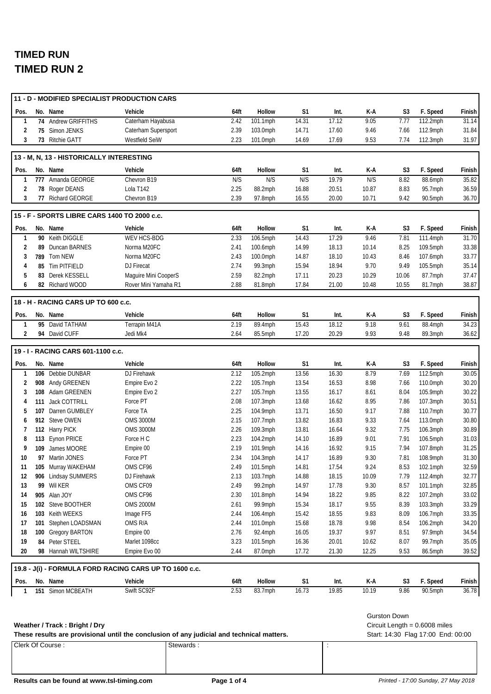|                |     | 11 - D - MODIFIED SPECIALIST PRODUCTION CARS |                                                        |              |                     |                |                |               |                     |                                 |                |
|----------------|-----|----------------------------------------------|--------------------------------------------------------|--------------|---------------------|----------------|----------------|---------------|---------------------|---------------------------------|----------------|
| Pos.           |     | No. Name                                     | Vehicle                                                | 64ft         | Hollow              | S <sub>1</sub> | Int.           | K-A           | S <sub>3</sub>      | F. Speed                        | Finish         |
| 1              |     | 74 Andrew GRIFFITHS                          | Caterham Hayabusa                                      | 2.42         | 101.1mph            | 14.31          | 17.12          | 9.05          | 7.77                | 112.2mph                        | 31.14          |
| 2              |     | 75 Simon JENKS                               | Caterham Supersport                                    | 2.39         | 103.0mph            | 14.71          | 17.60          | 9.46          | 7.66                | 112.9mph                        | 31.84          |
| 3              |     | 73 Ritchie GATT                              | Westfield SeiW                                         | 2.23         | 101.0mph            | 14.69          | 17.69          | 9.53          | 7.74                | 112.3mph                        | 31.97          |
|                |     | 13 - M, N, 13 - HISTORICALLY INTERESTING     |                                                        |              |                     |                |                |               |                     |                                 |                |
| Pos.           |     | No. Name                                     | Vehicle                                                | 64ft         | Hollow              | S1             | Int.           | K-A           | S3                  | F. Speed                        | Finish         |
| $\mathbf{1}$   |     | 777 Amanda GEORGE                            | Chevron B19                                            | N/S          | N/S                 | N/S            | 19.79          | N/S           | 8.82                | 88.6mph                         | 35.82          |
| 2              |     | 78 Roger DEANS                               | Lola T142                                              | 2.25         | 88.2mph             | 16.88          | 20.51          | 10.87         | 8.83                | 95.7mph                         | 36.59          |
| 3              |     | 77 Richard GEORGE                            | Chevron B19                                            | 2.39         | 97.8mph             | 16.55          | 20.00          | 10.71         | 9.42                | 90.5mph                         | 36.70          |
|                |     | 15 - F - SPORTS LIBRE CARS 1400 TO 2000 c.c. |                                                        |              |                     |                |                |               |                     |                                 |                |
| Pos.           |     | No. Name                                     | Vehicle                                                | 64ft         | Hollow              | S <sub>1</sub> | Int.           | K-A           | S3                  | F. Speed                        | Finish         |
| 1              |     | 90 Keith DIGGLE                              | WEV HCS-BDG                                            | 2.33         | 106.5mph            | 14.43          | 17.29          | 9.46          | 7.81                | 111.4mph                        | 31.70          |
| 2              |     | 89 Duncan BARNES                             | Norma M20FC                                            | 2.41         | 100.6mph            | 14.99          | 18.13          | 10.14         | 8.25                | 109.5mph                        | 33.38          |
| 3              |     | 789 Tom NEW                                  | Norma M20FC                                            | 2.43         | 100.0mph            | 14.87          | 18.10          | 10.43         | 8.46                | 107.6mph                        | 33.77          |
| 4              |     | 85 Tim PITFIELD                              | DJ Firecat                                             | 2.74         | 99.3mph             | 15.94          | 18.94          | 9.70          | 9.49                | 105.5mph                        | 35.14          |
| 5              |     | 83 Derek KESSELL                             | Maguire Mini CooperS                                   | 2.59         | 82.2mph             | 17.11          | 20.23          | 10.29         | 10.06               | 87.7mph                         | 37.47          |
| 6              |     | 82 Richard WOOD                              | Rover Mini Yamaha R1                                   | 2.88         | 81.8mph             | 17.84          | 21.00          | 10.48         | 10.55               | 81.7mph                         | 38.87          |
|                |     | 18 - H - RACING CARS UP TO 600 c.c.          |                                                        |              |                     |                |                |               |                     |                                 |                |
| Pos.           |     | No. Name                                     | Vehicle                                                | 64ft         | Hollow              | S <sub>1</sub> | Int.           | K-A           | S3                  | F. Speed                        | Finish         |
| $\mathbf{1}$   |     | 95 David TATHAM                              | Terrapin M41A                                          | 2.19         | 89.4mph             | 15.43          | 18.12          | 9.18          | 9.61                | 88.4mph                         | 34.23          |
| $\overline{2}$ |     | 94 David CUFF                                | Jedi Mk4                                               | 2.64         | 85.5mph             | 17.20          | 20.29          | 9.93          | 9.48                | 89.3mph                         | 36.62          |
|                |     | 19 - I - RACING CARS 601-1100 c.c.           |                                                        |              |                     |                |                |               |                     |                                 |                |
| Pos.           |     | No. Name                                     | Vehicle                                                | 64ft         | Hollow              | S1             | Int.           | K-A           | S <sub>3</sub>      | F. Speed                        | Finish         |
| 1              |     | 106 Debbie DUNBAR                            | DJ Firehawk                                            | 2.12         | 105.2mph            | 13.56          | 16.30          | 8.79          | 7.69                | 112.5mph                        | 30.05          |
| 2              |     | 908 Andy GREENEN                             | Empire Evo 2                                           | 2.22         | 105.7mph            | 13.54          | 16.53          | 8.98          | 7.66                | 110.0mph                        | 30.20          |
| 3              |     | 108 Adam GREENEN                             | Empire Evo 2                                           | 2.27         | 105.7mph            | 13.55          | 16.17          | 8.61          | 8.04                | 105.9mph                        | 30.22          |
| 4              | 111 | <b>Jack COTTRILL</b>                         | Force PT                                               | 2.08         | 107.3mph            | 13.68          | 16.62          | 8.95          | 7.86                | 107.3mph                        | 30.51          |
| 5              |     | 107 Darren GUMBLEY                           | Force TA                                               | 2.25         | 104.9mph            | 13.71          | 16.50          | 9.17          | 7.88                | 110.7mph                        | 30.77          |
| 6              |     | 912 Steve OWEN                               | <b>OMS 3000M</b>                                       | 2.15         | 107.7mph            | 13.82          | 16.83          | 9.33          | 7.64                | 113.0mph                        | 30.80          |
| 7              |     | 112 Harry PICK                               | <b>OMS 3000M</b>                                       | 2.26         | 109.3mph            | 13.81          | 16.64          | 9.32          | 7.75                | 106.3mph                        | 30.89          |
| 8              |     | 113 Eynon PRICE                              | Force H C                                              | 2.23         | 104.2mph            | 14.10          | 16.89          | 9.01          | 7.91                | 106.5mph                        | 31.03          |
| 9              |     | 109 James MOORE                              | Empire 00                                              | 2.19         | 101.9mph            | 14.16          | 16.92          | 9.15          | 7.94                | 107.8mph                        | 31.25          |
| 10             |     | 97 Martin JONES                              | Force PT                                               | 2.34         | 104.3mph            | 14.17          | 16.89          | 9.30          | 7.81                | 108.9mph                        | 31.30          |
| 11             |     | 105 Murray WAKEHAM                           | OMS CF96                                               | 2.49         | 101.5mph            | 14.81          | 17.54          | 9.24          | 8.53                | 102.1mph                        | 32.59          |
| 12<br>13       |     | 906 Lindsay SUMMERS<br>99 Wil KER            | DJ Firehawk<br>OMS CF09                                | 2.13<br>2.49 | 103.7mph<br>99.2mph | 14.88<br>14.97 | 18.15<br>17.78 | 10.09<br>9.30 | 7.79<br>8.57        | 112.4mph<br>101.1mph            | 32.77<br>32.85 |
| 14             |     | 905 Alan JOY                                 | OMS CF96                                               | 2.30         | 101.8mph            | 14.94          | 18.22          | 9.85          | 8.22                | 107.2mph                        | 33.02          |
| 15             |     | 102 Steve BOOTHER                            | <b>OMS 2000M</b>                                       | 2.61         | 99.9mph             | 15.34          | 18.17          | 9.55          | 8.39                | 103.3mph                        | 33.29          |
| 16             |     | 103 Keith WEEKS                              | Image FF5                                              | 2.44         | 106.4mph            | 15.42          | 18.55          | 9.83          | 8.09                | 106.7mph                        | 33.35          |
| 17             |     | 101 Stephen LOADSMAN                         | OMS R/A                                                | 2.44         | 101.0mph            | 15.68          | 18.78          | 9.98          | 8.54                | 106.2mph                        | 34.20          |
| 18             |     | 100 Gregory BARTON                           | Empire 00                                              | 2.76         | 92.4mph             | 16.05          | 19.37          | 9.97          | 8.51                | 97.9mph                         | 34.54          |
| 19             |     | 84 Peter STEEL                               | Marlet 1098cc                                          | 3.23         | 101.5mph            | 16.36          | 20.01          | 10.62         | 8.07                | 99.7mph                         | 35.05          |
| 20             |     | 98 Hannah WILTSHIRE                          | Empire Evo 00                                          | 2.44         | 87.0mph             | 17.72          | 21.30          | 12.25         | 9.53                | 86.5mph                         | 39.52          |
|                |     |                                              | 19.8 - J(i) - FORMULA FORD RACING CARS UP TO 1600 c.c. |              |                     |                |                |               |                     |                                 |                |
| Pos.           |     | No. Name                                     | Vehicle                                                | 64ft         | Hollow              | S <sub>1</sub> | Int.           | K-A           | S <sub>3</sub>      | F. Speed                        | Finish         |
| -1             |     | 151 Simon MCBEATH                            | Swift SC92F                                            | 2.53         | 83.7mph             | 16.73          | 19.85          | 10.19         | 9.86                | 90.5mph                         | 36.78          |
|                |     |                                              |                                                        |              |                     |                |                |               |                     |                                 |                |
|                |     | Weather / Track: Bright / Dry                |                                                        |              |                     |                |                |               | <b>Gurston Down</b> | Circuit Length = $0.6008$ miles |                |

These results are provisional until the conclusion of any judicial and technical matters. Start: 14:30 Flag 17:00 End: 00:00

Clerk Of Course : Stewards : Stewards : Stewards :

Circuit Length = 0.6008 miles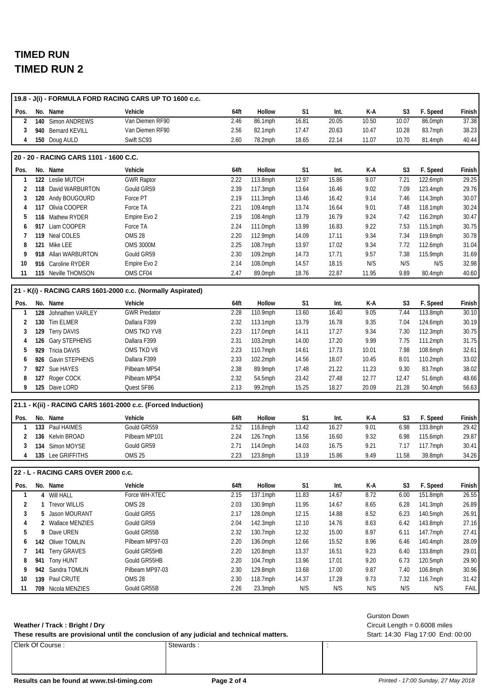|              |                                        | 19.8 - J(i) - FORMULA FORD RACING CARS UP TO 1600 c.c.       |      |          |                |       |       |                |          |        |
|--------------|----------------------------------------|--------------------------------------------------------------|------|----------|----------------|-------|-------|----------------|----------|--------|
| Pos.         | No. Name                               | Vehicle                                                      | 64ft | Hollow   | S1             | Int.  | K-A   | S <sub>3</sub> | F. Speed | Finish |
| 2            | 140 Simon ANDREWS                      | Van Diemen RF90                                              | 2.46 | 86.1mph  | 16.81          | 20.05 | 10.50 | 10.07          | 86.0mph  | 37.38  |
| 3            | 940 Bernard KEVILL                     | Van Diemen RF90                                              | 2.56 | 82.1mph  | 17.47          | 20.63 | 10.47 | 10.28          | 83.7mph  | 38.23  |
| 4            | 150 Doug AULD                          | Swift SC93                                                   | 2.60 | 78.2mph  | 18.65          | 22.14 | 11.07 | 10.70          | 81.4mph  | 40.44  |
|              | 20 - 20 - RACING CARS 1101 - 1600 C.C. |                                                              |      |          |                |       |       |                |          |        |
| Pos.         | No. Name                               | Vehicle                                                      | 64ft | Hollow   | S <sub>1</sub> | Int.  | K-A   | S3             | F. Speed | Finish |
| 1            | 122 Leslie MUTCH                       | <b>GWR Raptor</b>                                            | 2.22 | 113.8mph | 12.97          | 15.86 | 9.07  | 7.21           | 122.6mph | 29.25  |
| 2            | 118 David WARBURTON                    | Gould GR59                                                   | 2.39 | 117.3mph | 13.64          | 16.46 | 9.02  | 7.09           | 123.4mph | 29.76  |
| 3            | 120 Andy BOUGOURD                      | Force PT                                                     | 2.19 | 111.3mph | 13.46          | 16.42 | 9.14  | 7.46           | 114.3mph | 30.07  |
| 4            | 117 Olivia COOPER                      | Force TA                                                     | 2.21 | 109.4mph | 13.74          | 16.64 | 9.01  | 7.48           | 118.1mph | 30.24  |
| 5            | 116 Mathew RYDER                       | Empire Evo 2                                                 | 2.19 | 108.4mph | 13.79          | 16.79 | 9.24  | 7.42           | 116.2mph | 30.47  |
| 6            | 917 Liam COOPER                        | Force TA                                                     | 2.24 | 111.0mph | 13.99          | 16.83 | 9.22  | 7.53           | 115.1mph | 30.75  |
| 7            | 119 Neal COLES                         | <b>OMS 28</b>                                                | 2.20 | 112.9mph | 14.09          | 17.11 | 9.34  | 7.34           | 119.6mph | 30.78  |
| 8            | 121 Mike LEE                           | <b>OMS 3000M</b>                                             | 2.25 | 108.7mph | 13.97          | 17.02 | 9.34  | 7.72           | 112.6mph | 31.04  |
| 9            | 918 Allan WARBURTON                    | Gould GR59                                                   | 2.30 | 109.2mph | 14.73          | 17.71 | 9.57  | 7.38           | 115.9mph | 31.69  |
| 10           | 916 Caroline RYDER                     | Empire Evo 2                                                 | 2.14 | 108.0mph | 14.57          | 18.15 | N/S   | N/S            | N/S      | 32.98  |
| 11           | 115 Neville THOMSON                    | OMS CF04                                                     | 2.47 | 89.0mph  | 18.76          | 22.87 | 11.95 | 9.89           | 80.4mph  | 40.60  |
|              |                                        | 21 - K(i) - RACING CARS 1601-2000 c.c. (Normally Aspirated)  |      |          |                |       |       |                |          |        |
| Pos.         | No. Name                               | Vehicle                                                      | 64ft | Hollow   | S1             | Int.  | K-A   | S <sub>3</sub> | F. Speed | Finish |
| 1            | 128 Johnathen VARLEY                   | <b>GWR Predator</b>                                          | 2.28 | 110.9mph | 13.60          | 16.40 | 9.05  | 7.44           | 113.8mph | 30.10  |
| 2            | 130 Tim ELMER                          | Dallara F399                                                 | 2.32 | 113.1mph | 13.79          | 16.78 | 9.35  | 7.04           | 124.6mph | 30.19  |
| 3            | 129 Terry DAVIS                        | OMS TKD YV8                                                  | 2.23 | 117.0mph | 14.11          | 17.27 | 9.34  | 7.30           | 112.3mph | 30.75  |
| 4            | 126 Gary STEPHENS                      | Dallara F399                                                 | 2.31 | 103.2mph | 14.00          | 17.20 | 9.99  | 7.75           | 111.2mph | 31.75  |
| 5            | 929 Tricia DAVIS                       | OMS TKD V8                                                   | 2.23 | 110.7mph | 14.61          | 17.73 | 10.01 | 7.98           | 108.6mph | 32.61  |
| 6            | 926 Gavin STEPHENS                     | Dallara F399                                                 | 2.33 | 102.2mph | 14.56          | 18.07 | 10.45 | 8.01           | 110.2mph | 33.02  |
| 7            | 927 Sue HAYES                          | Pilbeam MP54                                                 | 2.38 | 89.9mph  | 17.48          | 21.22 | 11.23 | 9.30           | 83.7mph  | 38.02  |
| 8            | 127 Roger COCK                         | Pilbeam MP54                                                 | 2.32 | 54.5mph  | 23.42          | 27.48 | 12.77 | 12.47          | 51.6mph  | 48.66  |
| 9            | 125 Dave LORD                          | Quest SF86                                                   | 2.13 | 99.2mph  | 15.25          | 18.27 | 20.09 | 21.28          | 50.4mph  | 56.63  |
|              |                                        | 21.1 - K(ii) - RACING CARS 1601-2000 c.c. (Forced Induction) |      |          |                |       |       |                |          |        |
| Pos.         | No. Name                               | Vehicle                                                      | 64ft | Hollow   | S1             | Int.  | K-A   | S <sub>3</sub> | F. Speed | Finish |
| 1            | 133 Paul HAIMES                        | Gould GR559                                                  | 2.52 | 116.8mph | 13.42          | 16.27 | 9.01  | 6.98           | 133.8mph | 29.42  |
| 2            | 136 Kelvin BROAD                       | Pilbeam MP101                                                | 2.24 | 126.7mph | 13.56          | 16.60 | 9.32  | 6.98           | 115.6mph | 29.87  |
| 3            | 134 Simon MOYSE                        | Gould GR59                                                   | 2.71 | 114.0mph | 14.03          | 16.75 | 9.21  | 7.17           | 117.7mph | 30.41  |
| 4            | 135 Lee GRIFFITHS                      | OMS <sub>25</sub>                                            | 2.23 | 123.8mph | 13.19          | 15.86 | 9.49  | 11.58          | 39.8mph  | 34.26  |
|              | 22 - L - RACING CARS OVER 2000 c.c.    |                                                              |      |          |                |       |       |                |          |        |
| Pos.         | No. Name                               | Vehicle                                                      | 64ft | Hollow   | S1             | Int.  | K-A   | S <sub>3</sub> | F. Speed | Finish |
| $\mathbf{1}$ | 4 Will HALL                            | Force WH-XTEC                                                | 2.15 | 137.1mph | 11.83          | 14.67 | 8.72  | 6.00           | 151.8mph | 26.55  |
| 2            | 1 Trevor WILLIS                        | OMS 28                                                       | 2.03 | 130.9mph | 11.95          | 14.67 | 8.65  | 6.28           | 141.3mph | 26.89  |
| 3            | 5 Jason MOURANT                        | Gould GR55                                                   | 2.17 | 128.0mph | 12.15          | 14.88 | 8.52  | 6.23           | 140.5mph | 26.91  |
| 4            | 2 Wallace MENZIES                      | Gould GR59                                                   | 2.04 | 142.3mph | 12.10          | 14.76 | 8.63  | 6.42           | 143.8mph | 27.16  |
| 5            | 9 Dave UREN                            | Gould GR55B                                                  | 2.32 | 130.7mph | 12.32          | 15.00 | 8.97  | 6.11           | 147.7mph | 27.41  |
| 6            | 142 Oliver TOMLIN                      | Pilbeam MP97-03                                              | 2.20 | 136.0mph | 12.66          | 15.52 | 8.96  | 6.46           | 140.4mph | 28.09  |
| 7            | 141 Terry GRAVES                       | Gould GR55HB                                                 | 2.20 | 120.8mph | 13.37          | 16.51 | 9.23  | 6.40           | 133.8mph | 29.01  |
| 8            | 941 Tony HUNT                          | Gould GR55HB                                                 | 2.20 | 104.7mph | 13.96          | 17.01 | 9.20  | 6.73           | 120.5mph | 29.90  |
| 9            | 942 Sandra TOMLIN                      | Pilbeam MP97-03                                              | 2.30 | 129.8mph | 13.68          | 17.00 | 9.87  | 7.40           | 106.8mph | 30.96  |
| 10           | 139 Paul CRUTE                         | <b>OMS 28</b>                                                | 2.30 | 118.7mph | 14.37          | 17.28 | 9.73  | 7.32           | 116.7mph | 31.42  |
| 11           | 709 Nicola MENZIES                     | Gould GR55B                                                  | 2.26 | 23.3mph  | N/S            | N/S   | N/S   | N/S            | N/S      | FAIL   |
|              |                                        |                                                              |      |          |                |       |       |                |          |        |

#### **Weather / Track : Bright / Dry**

These results are provisional until the conclusion of any judicial and technical matters. Start: 14:30 Flag 17:00 End: 00:00

Clerk Of Course : Stewards : Stewards : Stewards :

Gurston Down

Circuit Length = 0.6008 miles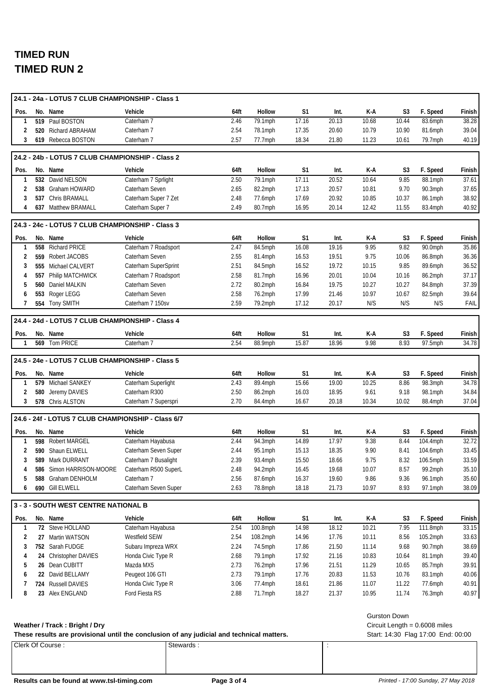|                      |     | 24.1 - 24a - LOTUS 7 CLUB CHAMPIONSHIP - Class 1                                          |                                              |              |                    |                |                |               |                     |                                    |                 |
|----------------------|-----|-------------------------------------------------------------------------------------------|----------------------------------------------|--------------|--------------------|----------------|----------------|---------------|---------------------|------------------------------------|-----------------|
| Pos.                 |     | No. Name                                                                                  | Vehicle                                      | 64ft         | Hollow             | S <sub>1</sub> | Int.           | K-A           | S3                  | F. Speed                           | Finish          |
| $\mathbf{1}$         |     | 519 Paul BOSTON                                                                           | Caterham 7                                   | 2.46         | 79.1mph            | 17.16          | 20.13          | 10.68         | 10.44               | 83.6mph                            | 38.28           |
| 2                    |     | 520 Richard ABRAHAM                                                                       | Caterham 7                                   | 2.54         | 78.1mph            | 17.35          | 20.60          | 10.79         | 10.90               | 81.6mph                            | 39.04           |
| 3                    |     | 619 Rebecca BOSTON                                                                        | Caterham 7                                   | 2.57         | 77.7mph            | 18.34          | 21.80          | 11.23         | 10.61               | 79.7mph                            | 40.19           |
|                      |     | 24.2 - 24b - LOTUS 7 CLUB CHAMPIONSHIP - Class 2                                          |                                              |              |                    |                |                |               |                     |                                    |                 |
|                      |     |                                                                                           |                                              |              | Hollow             | S1             |                |               |                     |                                    |                 |
| Pos.<br>$\mathbf{1}$ |     | No. Name<br>532 David NELSON                                                              | Vehicle<br>Caterham 7 Sprlight               | 64ft<br>2.50 | 79.1mph            | 17.11          | Int.<br>20.52  | K-A<br>10.64  | S3<br>9.85          | F. Speed<br>88.1mph                | Finish<br>37.61 |
| 2                    |     | 538 Graham HOWARD                                                                         | Caterham Seven                               | 2.65         | 82.2mph            | 17.13          | 20.57          | 10.81         | 9.70                | 90.3mph                            | 37.65           |
| 3                    |     | 537 Chris BRAMALL                                                                         | Caterham Super 7 Zet                         | 2.48         | 77.6mph            | 17.69          | 20.92          | 10.85         | 10.37               | 86.1mph                            | 38.92           |
| 4                    |     | 637 Matthew BRAMALL                                                                       | Caterham Super 7                             | 2.49         | 80.7mph            | 16.95          | 20.14          | 12.42         | 11.55               | 83.4mph                            | 40.92           |
|                      |     |                                                                                           |                                              |              |                    |                |                |               |                     |                                    |                 |
|                      |     | 24.3 - 24c - LOTUS 7 CLUB CHAMPIONSHIP - Class 3                                          |                                              |              |                    |                |                |               |                     |                                    |                 |
| Pos.                 |     | No. Name                                                                                  | Vehicle                                      | 64ft         | Hollow             | S1             | Int.           | K-A           | S3                  | F. Speed                           | Finish          |
| 1                    |     | 558 Richard PRICE                                                                         | Caterham 7 Roadsport                         | 2.47         | 84.5mph            | 16.08          | 19.16          | 9.95          | 9.82                | 90.0mph                            | 35.86           |
| 2                    |     | 559 Robert JACOBS                                                                         | Caterham Seven<br>Caterham SuperSprint       | 2.55<br>2.51 | 81.4mph            | 16.53<br>16.52 | 19.51<br>19.72 | 9.75<br>10.15 | 10.06<br>9.85       | 86.8mph                            | 36.36<br>36.52  |
| 3<br>4               | 557 | 555 Michael CALVERT<br>Philip MATCHWICK                                                   | Caterham 7 Roadsport                         | 2.58         | 84.5mph<br>81.7mph | 16.96          | 20.01          | 10.04         | 10.16               | 89.6mph<br>86.2mph                 | 37.17           |
| 5                    |     | 560 Daniel MALKIN                                                                         | Caterham Seven                               | 2.72         | 80.2mph            | 16.84          | 19.75          | 10.27         | 10.27               | 84.8mph                            | 37.39           |
| 6                    |     | 553 Roger LEGG                                                                            | Caterham Seven                               | 2.58         | 76.2mph            | 17.99          | 21.46          | 10.97         | 10.67               | 82.5mph                            | 39.64           |
| 7                    |     | 554 Tony SMITH                                                                            | Caterham 7 150sv                             | 2.59         | 79.2mph            | 17.12          | 20.17          | N/S           | N/S                 | N/S                                | FAIL            |
|                      |     |                                                                                           |                                              |              |                    |                |                |               |                     |                                    |                 |
|                      |     | 24.4 - 24d - LOTUS 7 CLUB CHAMPIONSHIP - Class 4                                          |                                              |              |                    |                |                |               |                     |                                    |                 |
| Pos.                 |     | No. Name                                                                                  | Vehicle                                      | 64ft         | Hollow             | S <sub>1</sub> | Int.           | K-A           | S3                  | F. Speed                           | Finish          |
| $\mathbf{1}$         |     | 569 Tom PRICE                                                                             | Caterham 7                                   | 2.54         | 88.9mph            | 15.87          | 18.96          | 9.98          | 8.93                | 97.5mph                            | 34.78           |
|                      |     | 24.5 - 24e - LOTUS 7 CLUB CHAMPIONSHIP - Class 5                                          |                                              |              |                    |                |                |               |                     |                                    |                 |
| Pos.                 |     | No. Name                                                                                  | Vehicle                                      | 64ft         | Hollow             | S1             | Int.           | K-A           | S3                  | F. Speed                           | Finish          |
| 1                    |     | 579 Michael SANKEY                                                                        | Caterham Superlight                          | 2.43         | 89.4mph            | 15.66          | 19.00          | 10.25         | 8.86                | 98.3mph                            | 34.78           |
| 2                    |     | 580 Jeremy DAVIES                                                                         | Caterham R300                                | 2.50         | 86.2mph            | 16.03          | 18.95          | 9.61          | 9.18                | 98.1mph                            | 34.84           |
| 3                    |     | 578 Chris ALSTON                                                                          | Caterham 7 Superspri                         | 2.70         | 84.4mph            | 16.67          | 20.18          | 10.34         | 10.02               | 88.4mph                            | 37.04           |
|                      |     |                                                                                           |                                              |              |                    |                |                |               |                     |                                    |                 |
|                      |     | 24.6 - 24f - LOTUS 7 CLUB CHAMPIONSHIP - Class 6/7                                        |                                              |              |                    |                |                |               |                     |                                    |                 |
| Pos.                 |     | No. Name                                                                                  | Vehicle                                      | 64ft         | Hollow             | S1             | Int.           | K-A           | S <sub>3</sub>      | F. Speed                           | Finish          |
| 1                    |     | 598 Robert MARGEL                                                                         | Caterham Hayabusa                            | 2.44         | 94.3mph            | 14.89          | 17.97          | 9.38          | 8.44                | 104.4mph                           | 32.72           |
| 2<br>3               |     | 590 Shaun ELWELL<br>589 Mark DURRANT                                                      | Caterham Seven Super<br>Caterham 7 Busalight | 2.44<br>2.39 | 95.1mph<br>93.4mph | 15.13<br>15.50 | 18.35<br>18.66 | 9.90<br>9.75  | 8.41<br>8.32        | 104.6mph<br>106.5mph               | 33.45<br>33.59  |
| 4                    |     | 586 Simon HARRISON-MOORE                                                                  | Caterham R500 SuperL                         | 2.48         | 94.2mph            | 16.45          | 19.68          | 10.07         | 8.57                | 99.2mph                            | 35.10           |
| 5                    |     | 588 Graham DENHOLM                                                                        | Caterham 7                                   | 2.56         | 87.6mph            | 16.37          | 19.60          | 9.86          | 9.36                | 96.1mph                            | 35.60           |
| 6                    |     | 690 Gill ELWELL                                                                           | Caterham Seven Super                         | 2.63         | 78.8mph            | 18.18          | 21.73          | 10.97         | 8.93                | 97.1mph                            | 38.09           |
|                      |     |                                                                                           |                                              |              |                    |                |                |               |                     |                                    |                 |
|                      |     | 3 - 3 - SOUTH WEST CENTRE NATIONAL B                                                      |                                              |              |                    |                |                |               |                     |                                    |                 |
| Pos.                 |     | No. Name                                                                                  | Vehicle                                      | 64ft         | Hollow             | S1             | Int.           | K-A           | S <sub>3</sub>      | F. Speed                           | Finish          |
| $\mathbf{1}$         |     | 72 Steve HOLLAND                                                                          | Caterham Hayabusa                            | 2.54         | 100.8mph           | 14.98          | 18.12          | 10.21         | 7.95                | 111.8mph                           | 33.15           |
| 2                    |     | 27 Martin WATSON                                                                          | Westfield SEIW                               | 2.54         | 108.2mph           | 14.96          | 17.76          | 10.11         | 8.56                | 105.2mph                           | 33.63           |
| 3                    |     | 752 Sarah FUDGE                                                                           | Subaru Impreza WRX                           | 2.24         | 74.5mph            | 17.86          | 21.50          | 11.14         | 9.68                | 90.7mph                            | 38.69           |
| 4                    |     | 24 Christopher DAVIES                                                                     | Honda Civic Type R                           | 2.68         | 79.1mph            | 17.92          | 21.16          | 10.83         | 10.64               | 81.1mph                            | 39.40           |
| 5                    |     | 26 Dean CUBITT                                                                            | Mazda MX5                                    | 2.73         | 76.2mph            | 17.96          | 21.51          | 11.29         | 10.65               | 85.7mph                            | 39.91           |
| 6                    |     | 22 David BELLAMY                                                                          | Peugeot 106 GTI                              | 2.73         | 79.1mph            | 17.76          | 20.83          | 11.53         | 10.76               | 83.1mph                            | 40.06           |
| 7                    |     | 724 Russell DAVIES                                                                        | Honda Civic Type R                           | 3.06         | 77.4mph            | 18.61          | 21.86          | 11.07         | 11.22               | 77.6mph                            | 40.91           |
| 8                    |     | 23 Alex ENGLAND                                                                           | Ford Fiesta RS                               | 2.88         | 71.7mph            | 18.27          | 21.37          | 10.95         | 11.74               | 76.3mph                            | 40.97           |
|                      |     |                                                                                           |                                              |              |                    |                |                |               | <b>Gurston Down</b> |                                    |                 |
|                      |     | Weather / Track: Bright / Dry                                                             |                                              |              |                    |                |                |               |                     | Circuit Length = $0.6008$ miles    |                 |
|                      |     | These results are provisional until the conclusion of any judicial and technical matters. |                                              |              |                    |                |                |               |                     | Start: 14:30 Flag 17:00 End: 00:00 |                 |
|                      |     | Clerk Of Course:                                                                          |                                              | Stewards:    |                    |                | ÷              |               |                     |                                    |                 |
|                      |     |                                                                                           |                                              |              |                    |                |                |               |                     |                                    |                 |
|                      |     |                                                                                           |                                              |              |                    |                |                |               |                     |                                    |                 |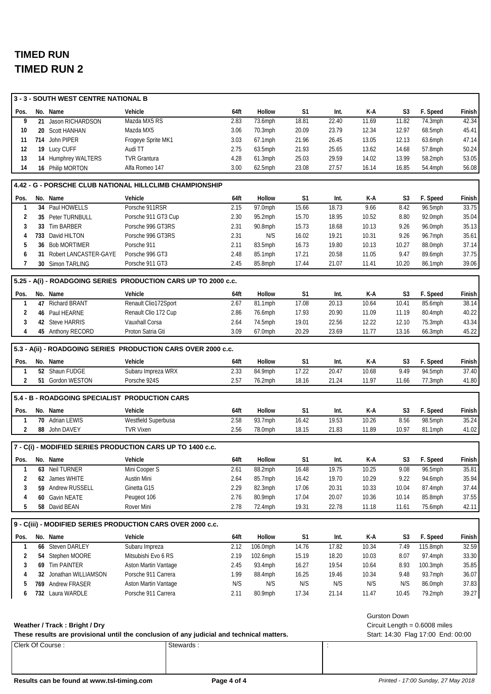|                | 3 - 3 - SOUTH WEST CENTRE NATIONAL B                                                      |                                         |              |                    |                |                |                |                     |                                    |                 |
|----------------|-------------------------------------------------------------------------------------------|-----------------------------------------|--------------|--------------------|----------------|----------------|----------------|---------------------|------------------------------------|-----------------|
| Pos.           | No. Name                                                                                  | Vehicle                                 | 64ft         | Hollow             | S <sub>1</sub> | Int.           | K-A            | S3                  | F. Speed                           | Finish          |
| 9              | 21 Jason RICHARDSON                                                                       | Mazda MX5 RS                            | 2.83         | 73.6mph            | 18.81          | 22.40          | 11.69          | 11.82               | 74.3mph                            | 42.34           |
| 10             | 20 Scott HANHAN                                                                           | Mazda MX5                               | 3.06         | $70.3$ mph         | 20.09          | 23.79          | 12.34          | 12.97               | $68.5$ mph                         | 45.41           |
| 11             | 714 John PIPER                                                                            | Frogeye Sprite MK1                      | 3.03         | 67.1mph            | 21.96          | 26.45          | 13.05          | 12.13               | 63.6mph                            | 47.14           |
| 12             | 19 Lucy CUFF                                                                              | Audi TT                                 | 2.75         | 63.5mph            | 21.93          | 25.65          | 13.62          | 14.68               | 57.8mph                            | 50.24           |
| 13             | 14 Humphrey WALTERS                                                                       | <b>TVR Grantura</b>                     | 4.28         | 61.3mph            | 25.03          | 29.59          | 14.02          | 13.99               | 58.2mph                            | 53.05           |
| 14             | 16 Philip MORTON                                                                          | Alfa Romeo 147                          | 3.00         | 62.5mph            | 23.08          | 27.57          | 16.14          | 16.85               | 54.4mph                            | 56.08           |
|                | 4.42 - G - PORSCHE CLUB NATIONAL HILLCLIMB CHAMPIONSHIP                                   |                                         |              |                    |                |                |                |                     |                                    |                 |
| Pos.           | No. Name                                                                                  | Vehicle                                 | 64ft         | Hollow             | S1             | Int.           | K-A            | S <sub>3</sub>      | F. Speed                           | Finish          |
| 1              | 34 Paul HOWELLS                                                                           | Porsche 911RSR                          | 2.15         | 97.0mph            | 15.66          | 18.73          | 9.66           | 8.42                | 96.5mph                            | 33.75           |
| 2              | 35 Peter TURNBULL                                                                         | Porsche 911 GT3 Cup                     | 2.30         | 95.2mph            | 15.70          | 18.95          | 10.52          | 8.80                | 92.0mph                            | 35.04           |
| 3              | 33 Tim BARBER                                                                             | Porsche 996 GT3RS                       | 2.31         | 90.8mph            | 15.73          | 18.68          | 10.13          | 9.26                | 96.0mph                            | 35.13           |
| 4              | 733 David HILTON                                                                          | Porsche 996 GT3RS                       | 2.31         | N/S                | 16.02          | 19.21          | 10.31          | 9.26                | 96.7mph                            | 35.61           |
| 5              | 36 Bob MORTIMER                                                                           | Porsche 911                             | 2.11         | 83.5mph            | 16.73          | 19.80          | 10.13          | 10.27               | 88.0mph                            | 37.14           |
| 6              | 31 Robert LANCASTER-GAYE                                                                  | Porsche 996 GT3                         | 2.48         | 85.1mph            | 17.21          | 20.58          | 11.05          | 9.47                | 89.6mph                            | 37.75           |
| $\overline{7}$ | 30 Simon TARLING                                                                          | Porsche 911 GT3                         | 2.45         | 85.8mph            | 17.44          | 21.07          | 11.41          | 10.20               | 86.1mph                            | 39.06           |
|                | 5.25 - A(i) - ROADGOING SERIES PRODUCTION CARS UP TO 2000 c.c.                            |                                         |              |                    |                |                |                |                     |                                    |                 |
| Pos.           | No. Name                                                                                  | Vehicle                                 | 64ft         | Hollow             | S1             | Int.           | K-A            | S3                  | F. Speed                           | Finish          |
| $\mathbf{1}$   | 47 Richard BRANT                                                                          | Renault Clio172Sport                    | 2.67         | 81.1mph            | 17.08          | 20.13          | 10.64          | 10.41               | 85.6mph                            | 38.14           |
| 2              | 46 Paul HEARNE                                                                            | Renault Clio 172 Cup                    | 2.86         | 76.6mph            | 17.93          | 20.90          | 11.09          | 11.19               | 80.4mph                            | 40.22           |
| 3              | 42 Steve HARRIS                                                                           | Vauxhall Corsa                          | 2.64         | 74.5mph            | 19.01          | 22.56          | 12.22          | 12.10               | 75.3mph                            | 43.34           |
| 4              | 45 Anthony RECORD                                                                         | Proton Satria Gti                       | 3.09         | 67.0mph            | 20.29          | 23.69          | 11.77          | 13.16               | 66.3mph                            | 45.22           |
|                | 5.3 - A(ii) - ROADGOING SERIES PRODUCTION CARS OVER 2000 c.c.                             |                                         |              |                    |                |                |                |                     |                                    |                 |
|                |                                                                                           |                                         |              |                    |                |                |                |                     |                                    |                 |
| Pos.<br>1      | No. Name<br>52 Shaun FUDGE                                                                | Vehicle<br>Subaru Impreza WRX           | 64ft<br>2.33 | Hollow<br>84.9mph  | S1<br>17.22    | Int.<br>20.47  | K-A<br>10.68   | S3<br>9.49          | F. Speed<br>94.5mph                | Finish<br>37.40 |
| 2              | 51 Gordon WESTON                                                                          | Porsche 924S                            | 2.57         | 76.2mph            | 18.16          | 21.24          | 11.97          | 11.66               | 77.3mph                            | 41.80           |
|                |                                                                                           |                                         |              |                    |                |                |                |                     |                                    |                 |
|                | 5.4 - B - ROADGOING SPECIALIST PRODUCTION CARS                                            |                                         |              |                    |                |                |                |                     |                                    |                 |
| Pos.           | No. Name                                                                                  | Vehicle                                 | 64ft         | Hollow             | S <sub>1</sub> | Int.           | K-A            | S <sub>3</sub>      | F. Speed                           | Finish          |
| 1<br>2         | 70 Adrian LEWIS<br>88 John DAVEY                                                          | Westfield Superbusa<br><b>TVR Vixen</b> | 2.58<br>2.56 | 93.7mph<br>78.0mph | 16.42<br>18.15 | 19.53<br>21.83 | 10.26<br>11.89 | 8.56<br>10.97       | 98.5mph<br>81.1mph                 | 35.24<br>41.02  |
|                |                                                                                           |                                         |              |                    |                |                |                |                     |                                    |                 |
|                | 7 - C(i) - MODIFIED SERIES PRODUCTION CARS UP TO 1400 c.c.                                |                                         |              |                    |                |                |                |                     |                                    |                 |
| Pos.           | No. Name                                                                                  | Vehicle                                 | 64ft         | Hollow             | S1             | Int.           | K-A            | S <sub>3</sub>      | F. Speed                           | Finish          |
| 1              | 63 Neil TURNER                                                                            | Mini Cooper S                           | 2.61         | 88.2mph            | 16.48          | 19.75          | 10.25          | 9.08                | 96.5mph                            | 35.81           |
| 2              | 62 James WHITE                                                                            | Austin Mini                             | 2.64         | 85.7mph            | 16.42          | 19.70          | 10.29          | 9.22                | 94.6mph                            | 35.94           |
| 3              | 59 Andrew RUSSELL                                                                         | Ginetta G15                             | 2.29         | 82.3mph            | 17.06          | 20.31          | 10.33          | 10.04               | 87.4mph                            | 37.44           |
| 4              | 60 Gavin NEATE                                                                            | Peugeot 106                             | 2.76         | 80.9mph            | 17.04          | 20.07          | 10.36          | 10.14               | 85.8mph                            | 37.55           |
| 5              | 58 David BEAN                                                                             | Rover Mini                              | 2.78         | 72.4mph            | 19.31          | 22.78          | 11.18          | 11.61               | 75.6mph                            | 42.11           |
|                | 9 - C(iii) - MODIFIED SERIES PRODUCTION CARS OVER 2000 c.c.                               |                                         |              |                    |                |                |                |                     |                                    |                 |
| Pos.           | No. Name                                                                                  | Vehicle                                 | 64ft         | Hollow             | S1             | Int.           | K-A            | S <sub>3</sub>      | F. Speed                           | Finish          |
| 1              | <b>66 Steven DARLEY</b>                                                                   | Subaru Impreza                          | 2.12         | 106.0mph           | 14.76          | 17.82          | 10.34          | 7.49                | 115.8mph                           | 32.59           |
| 2              | 54 Stephen MOORE                                                                          | Mitsubishi Evo 6 RS                     | 2.19         | 102.6mph           | 15.19          | 18.20          | 10.03          | 8.07                | 97.4mph                            | 33.30           |
| 3              | 69 Tim PAINTER                                                                            | Aston Martin Vantage                    | 2.45         | 93.4mph            | 16.27          | 19.54          | 10.64          | 8.93                | 100.3mph                           | 35.85           |
| 4              | 32 Jonathan WILLIAMSON                                                                    | Porsche 911 Carrera                     | 1.99         | 88.4mph            | 16.25          | 19.46          | 10.34          | 9.48                | 93.7mph                            | 36.07           |
| 5              | 769 Andrew FRASER                                                                         | Aston Martin Vantage                    | N/S          | N/S                | N/S            | N/S            | N/S            | N/S                 | 86.0mph                            | 37.83           |
| 6              | 732 Laura WARDLE                                                                          | Porsche 911 Carrera                     | 2.11         | 80.9mph            | 17.34          | 21.14          | 11.47          | 10.45               | 79.2mph                            | 39.27           |
|                |                                                                                           |                                         |              |                    |                |                |                |                     |                                    |                 |
|                |                                                                                           |                                         |              |                    |                |                |                | <b>Gurston Down</b> |                                    |                 |
|                | Weather / Track: Bright / Dry                                                             |                                         |              |                    |                |                |                |                     | Circuit Length = $0.6008$ miles    |                 |
|                | These results are provisional until the conclusion of any judicial and technical matters. |                                         |              |                    |                |                |                |                     | Start: 14:30 Flag 17:00 End: 00:00 |                 |
|                | Clerk Of Course:                                                                          | Stewards:                               |              |                    |                | $\ddot{\cdot}$ |                |                     |                                    |                 |
|                |                                                                                           |                                         |              |                    |                |                |                |                     |                                    |                 |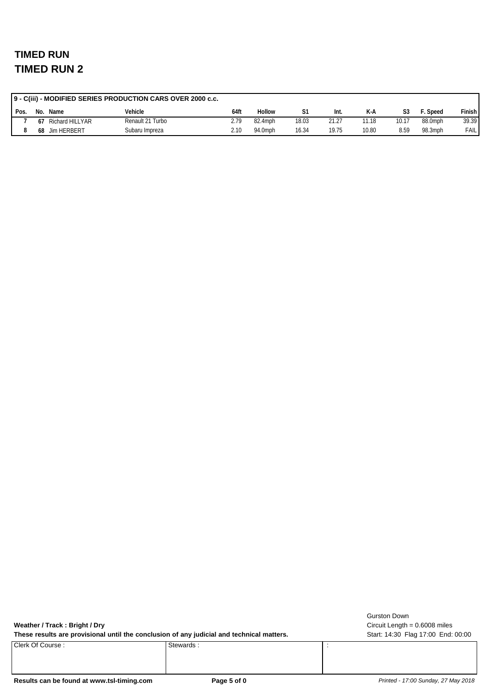|      | 9 - C(iii) - MODIFIED SERIES PRODUCTION CARS OVER 2000 c.c. |                 |                  |      |         |       |       |       |       |         |               |  |
|------|-------------------------------------------------------------|-----------------|------------------|------|---------|-------|-------|-------|-------|---------|---------------|--|
| Pos. | No.                                                         | Name            | Vehicle          | 64ft | Hollow  |       | -Int. | K-A   |       | Speed:  | <b>Finish</b> |  |
|      | 67                                                          | Richard HILLYAR | Renault 21 Turbo | 2.79 | 82.4mph | 18.03 | 21.27 | 11.18 | 10.17 | 88.0mph | 39.39         |  |
| 8    | 68                                                          | Jim HERBERT     | Subaru Impreza   | 2.10 | 94.0mph | 16.34 | 19.75 | 10.80 | 8.59  | 98.3mph | FAIL          |  |

**Weather / Track : Bright / Dry**

Clerk Of Course : Stewards : Stewards : Stewards :

Circuit Length = 0.6008 miles Gurston Down

These results are provisional until the conclusion of any judicial and technical matters. Start: 14:30 Flag 17:00 End: 00:00

Results can be found at www.tsl-timing.com **Page 5 of 0 Page 5 of 0** *Printed - 17:00 Sunday, 27 May 2018*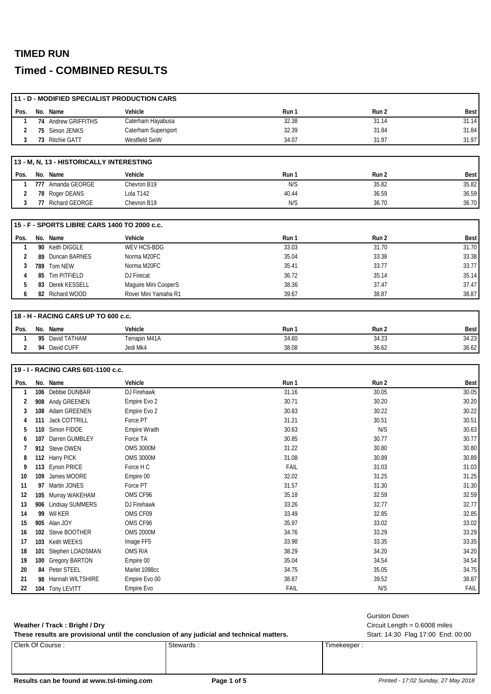## **TIMED RUN**

## **Timed - COMBINED RESULTS**

|      |     | 11 - D - MODIFIED SPECIALIST PRODUCTION CARS |                     |       |       |             |
|------|-----|----------------------------------------------|---------------------|-------|-------|-------------|
| Pos. |     | No. Name                                     | Vehicle             | Run 1 | Run 2 | <b>Best</b> |
|      |     | 74 Andrew GRIFFITHS                          | Caterham Hayabusa   | 32.38 | 31.14 | 31.14       |
|      |     | 75 Simon JENKS                               | Caterham Supersport | 32.39 | 31.84 | 31.84       |
|      |     | 73 Ritchie GATT                              | Westfield SeiW      | 34.07 | 31.97 | 31.97       |
|      |     |                                              |                     |       |       |             |
|      |     | 13 - M. N. 13 - HISTORICALLY INTERESTING     |                     |       |       |             |
| Pos. |     | No. Name                                     | Vehicle             | Run 1 | Run 2 | <b>Best</b> |
|      | 777 | Amanda GEORGE                                | Chevron B19         | N/S   | 35.82 | 35.82       |
|      |     | 78 Roger DEANS                               | Lola T142           | 40.44 | 36.59 | 36.59       |
|      | 77  | <b>Richard GEORGE</b>                        | Chevron B19         | N/S   | 36.70 | 36.70       |

|      |     | 115 - F - SPORTS LIBRE CARS 1400 TO 2000 c.c. |                      |       |       |             |
|------|-----|-----------------------------------------------|----------------------|-------|-------|-------------|
| Pos. |     | No. Name                                      | Vehicle              | Run 1 | Run 2 | <b>Best</b> |
|      |     | 90 Keith DIGGLE                               | WEV HCS-BDG          | 33.03 | 31.70 | 31.70       |
|      |     | 89 Duncan BARNES                              | Norma M20FC          | 35.04 | 33.38 | 33.38       |
|      | 789 | Tom NEW                                       | Norma M20FC          | 35.41 | 33.77 | 33.77       |
|      |     | 85 Tim PITFIELD                               | DJ Firecat           | 36.72 | 35.14 | 35.14       |
|      |     | 83 Derek KESSELL                              | Maguire Mini CooperS | 38.36 | 37.47 | 37.47       |
| 6    |     | 82 Richard WOOD                               | Rover Mini Yamaha R1 | 39.67 | 38.87 | 38.87       |

|        | 18 - H - RACING CARS UP TO 600 c.c. |              |               |       |       |       |  |  |  |
|--------|-------------------------------------|--------------|---------------|-------|-------|-------|--|--|--|
| I Pos. | No.                                 | Name         | Vehicle       | Run   | Run 2 | Best  |  |  |  |
|        | 95                                  | David TATHAM | Terrapin M41A | 34.60 | 34.23 | 34.23 |  |  |  |
|        | 94                                  | David CUFF   | Jedi Mk4      | 38.08 | 36.62 | 36.62 |  |  |  |

#### **19 - I - RACING CARS 601-1100 c.c.**

| Pos. | No. | Name                   | Vehicle          | Run 1 | Run 2 | Best  |
|------|-----|------------------------|------------------|-------|-------|-------|
|      | 106 | Debbie DUNBAR          | DJ Firehawk      | 31.16 | 30.05 | 30.05 |
| 2    | 908 | Andy GREENEN           | Empire Evo 2     | 30.71 | 30.20 | 30.20 |
| 3    | 108 | Adam GREENEN           | Empire Evo 2     | 30.83 | 30.22 | 30.22 |
|      | 111 | <b>Jack COTTRILL</b>   | Force PT         | 31.21 | 30.51 | 30.51 |
| 5    | 110 | Simon FIDOE            | Empire Wraith    | 30.63 | N/S   | 30.63 |
| 6    | 107 | Darren GUMBLEY         | Force TA         | 30.85 | 30.77 | 30.77 |
|      | 912 | Steve OWEN             | <b>OMS 3000M</b> | 31.22 | 30.80 | 30.80 |
| 8    |     | 112 Harry PICK         | <b>OMS 3000M</b> | 31.08 | 30.89 | 30.89 |
| 9    |     | 113 Eynon PRICE        | Force H C        | FAIL  | 31.03 | 31.03 |
| 10   | 109 | James MOORE            | Empire 00        | 32.02 | 31.25 | 31.25 |
| 11   | 97  | Martin JONES           | Force PT         | 31.57 | 31.30 | 31.30 |
| 12   | 105 | Murray WAKEHAM         | OMS CF96         | 35.18 | 32.59 | 32.59 |
| 13   | 906 | <b>Lindsay SUMMERS</b> | DJ Firehawk      | 33.26 | 32.77 | 32.77 |
| 14   | 99  | Wil KER                | OMS CF09         | 33.49 | 32.85 | 32.85 |
| 15   |     | 905 Alan JOY           | OMS CF96         | 35.97 | 33.02 | 33.02 |
| 16   | 102 | Steve BOOTHER          | <b>OMS 2000M</b> | 34.76 | 33.29 | 33.29 |
| 17   | 103 | Keith WEEKS            | Image FF5        | 33.98 | 33.35 | 33.35 |
| 18   | 101 | Stephen LOADSMAN       | OMS R/A          | 38.29 | 34.20 | 34.20 |
| 19   | 100 | Gregory BARTON         | Empire 00        | 35.04 | 34.54 | 34.54 |
| 20   | 84  | Peter STEEL            | Marlet 1098cc    | 34.75 | 35.05 | 34.75 |
| 21   | 98  | Hannah WILTSHIRE       | Empire Evo 00    | 38.87 | 39.52 | 38.87 |
| 22   |     | 104 Tony LEVITT        | Empire Evo       | FAIL  | N/S   | FAIL  |

#### Clerk Of Course : Stewards : Stewards : Timekeeper : Timekeeper : These results are provisional until the conclusion of any judicial and technical matters. Start: 14:30 Flag 17:00 End: 00:00 **Weather / Track : Bright / Dry** Circuit Length = 0.6008 miles

| Results can be found at www.tsl-timing.com | Page 1 of 5 | Printed - 17:02 Sunday, 27 May 2018 |
|--------------------------------------------|-------------|-------------------------------------|
|                                            |             |                                     |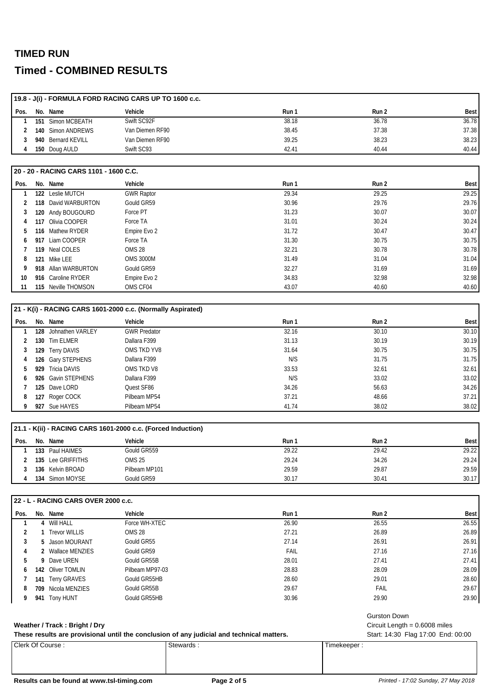### **TIMED RUN**

## **Timed - COMBINED RESULTS**

|      |     |                                        | 19.8 - J(i) - FORMULA FORD RACING CARS UP TO 1600 c.c. |       |       |             |
|------|-----|----------------------------------------|--------------------------------------------------------|-------|-------|-------------|
| Pos. |     | No. Name                               | Vehicle                                                | Run 1 | Run 2 | <b>Best</b> |
|      | 151 | Simon MCBEATH                          | Swift SC92F                                            | 38.18 | 36.78 | 36.78       |
|      | 140 | Simon ANDREWS                          | Van Diemen RF90                                        | 38.45 | 37.38 | 37.38       |
| 3    | 940 | <b>Bernard KEVILL</b>                  | Van Diemen RF90                                        | 39.25 | 38.23 | 38.23       |
| 4    |     | 150 Doug AULD                          | Swift SC93                                             | 42.41 | 40.44 | 40.44       |
|      |     | 20 - 20 - RACING CARS 1101 - 1600 C.C. | Vehicle                                                |       |       |             |
| Pos. |     | No. Name                               |                                                        | Run 1 | Run 2 | <b>Best</b> |
|      | 122 | Leslie MUTCH                           | <b>GWR Raptor</b>                                      | 29.34 | 29.25 | 29.25       |
| 2    | 118 | David WARBURTON                        | Gould GR59                                             | 30.96 | 29.76 | 29.76       |
| 3    | 120 | Andy BOUGOURD                          | Force PT                                               | 31.23 | 30.07 | 30.07       |
| 4    | 117 | Olivia COOPER                          | Force TA                                               | 31.01 | 30.24 | 30.24       |
| 5    | 116 | Mathew RYDER                           | Empire Evo 2                                           | 31.72 | 30.47 | 30.47       |
| 6    | 917 | Liam COOPER                            | Force TA                                               | 31.30 | 30.75 | 30.75       |
|      | 119 | Neal COLES                             | <b>OMS 28</b>                                          | 32.21 | 30.78 | 30.78       |
| 8    | 121 | Mike LEE                               | <b>OMS 3000M</b>                                       | 31.49 | 31.04 | 31.04       |
| 9    |     | 918 Allan WARBURTON                    | Gould GR59                                             | 32.27 | 31.69 | 31.69       |

|      | 21 - K(i) - RACING CARS 1601-2000 c.c. (Normally Aspirated) |                      |                     |       |       |             |  |  |  |
|------|-------------------------------------------------------------|----------------------|---------------------|-------|-------|-------------|--|--|--|
| Pos. |                                                             | No. Name             | Vehicle             | Run 1 | Run 2 | <b>Best</b> |  |  |  |
|      |                                                             | 128 Johnathen VARLEY | <b>GWR Predator</b> | 32.16 | 30.10 | 30.10       |  |  |  |
|      |                                                             | 130 Tim ELMER        | Dallara F399        | 31.13 | 30.19 | 30.19       |  |  |  |
|      |                                                             | 129 Terry DAVIS      | OMS TKD YV8         | 31.64 | 30.75 | 30.75       |  |  |  |
|      |                                                             | 126 Gary STEPHENS    | Dallara F399        | N/S   | 31.75 | 31.75       |  |  |  |
| 5.   |                                                             | 929 Tricia DAVIS     | OMS TKD V8          | 33.53 | 32.61 | 32.61       |  |  |  |
| 6.   |                                                             | 926 Gavin STEPHENS   | Dallara F399        | N/S   | 33.02 | 33.02       |  |  |  |
|      |                                                             | 125 Dave LORD        | Quest SF86          | 34.26 | 56.63 | 34.26       |  |  |  |
| 8    |                                                             | 127 Roger COCK       | Pilbeam MP54        | 37.21 | 48.66 | 37.21       |  |  |  |
|      |                                                             | 927 Sue HAYES        | Pilbeam MP54        | 41.74 | 38.02 | 38.02       |  |  |  |

 **916** Caroline RYDER Empire Evo 2 34.83 32.98 32.98 **115** Neville THOMSON **OMS CF04 11 115** Neville THOMSON **40.60** 40.60

|      |     |                   | 21.1 - K(ii) - RACING CARS 1601-2000 c.c. (Forced Induction) |       |       |       |
|------|-----|-------------------|--------------------------------------------------------------|-------|-------|-------|
| Pos. |     | No. Name          | Vehicle                                                      | Run 1 | Run 2 | Best  |
|      |     | 133 Paul HAIMES   | Gould GR559                                                  | 29.22 | 29.42 | 29.22 |
|      |     | 135 Lee GRIFFITHS | OMS 25                                                       | 29.24 | 34.26 | 29.24 |
|      |     | 136 Kelvin BROAD  | Pilbeam MP101                                                | 29.59 | 29.87 | 29.59 |
|      | 134 | Simon MOYSE       | Gould GR59                                                   | 30.17 | 30.41 | 30.17 |

#### **22 - L - RACING CARS OVER 2000 c.c.**

| Pos. | No. Name           | Vehicle         | Run 1 | Run 2 | Best  |
|------|--------------------|-----------------|-------|-------|-------|
|      | 4 Will HALL        | Force WH-XTEC   | 26.90 | 26.55 | 26.55 |
|      | 1 Trevor WILLIS    | <b>OMS 28</b>   | 27.21 | 26.89 | 26.89 |
|      | 5 Jason MOURANT    | Gould GR55      | 27.14 | 26.91 | 26.91 |
| 4    | 2 Wallace MENZIES  | Gould GR59      | FAIL  | 27.16 | 27.16 |
| 5.   | 9 Dave UREN        | Gould GR55B     | 28.01 | 27.41 | 27.41 |
| 6    | 142 Oliver TOMLIN  | Pilbeam MP97-03 | 28.83 | 28.09 | 28.09 |
|      | 141 Terry GRAVES   | Gould GR55HB    | 28.60 | 29.01 | 28.60 |
| 8    | 709 Nicola MENZIES | Gould GR55B     | 29.67 | FAIL  | 29.67 |
|      | 941 Tony HUNT      | Gould GR55HB    | 30.96 | 29.90 | 29.90 |

#### Weather / Track: Bright / Dry **Weather / Track : Bright / Dry** Circuit Length = 0.6008 miles

These results are provisional until the conclusion of any judicial and technical matters. Start: 14:30 Flag 17:00 End: 00:00

Gurston Down

## Clerk Of Course : Stewards : Stewards : Timekeeper :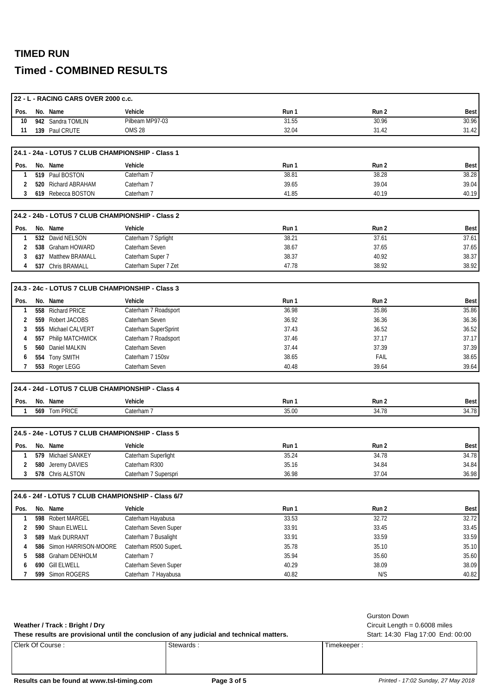## **TIMED RUN**

## **Timed - COMBINED RESULTS**

|              |     | 22 - L - RACING CARS OVER 2000 c.c.                |                      |       |       |             |
|--------------|-----|----------------------------------------------------|----------------------|-------|-------|-------------|
| Pos.         |     | No. Name                                           | Vehicle              | Run 1 | Run 2 | <b>Best</b> |
| 10           |     | 942 Sandra TOMLIN                                  | Pilbeam MP97-03      | 31.55 | 30.96 | 30.96       |
| 11           |     | 139 Paul CRUTE                                     | <b>OMS 28</b>        | 32.04 | 31.42 | 31.42       |
|              |     |                                                    |                      |       |       |             |
|              |     | 24.1 - 24a - LOTUS 7 CLUB CHAMPIONSHIP - Class 1   |                      |       |       |             |
| Pos.         |     | No. Name                                           | Vehicle              | Run 1 | Run 2 | <b>Best</b> |
| 1            |     | 519 Paul BOSTON                                    | Caterham 7           | 38.81 | 38.28 | 38.28       |
| 2            |     | 520 Richard ABRAHAM                                | Caterham 7           | 39.65 | 39.04 | 39.04       |
| 3            |     | 619 Rebecca BOSTON                                 | Caterham 7           | 41.85 | 40.19 | 40.19       |
|              |     |                                                    |                      |       |       |             |
|              |     | 24.2 - 24b - LOTUS 7 CLUB CHAMPIONSHIP - Class 2   |                      |       |       |             |
| Pos.         |     | No. Name                                           | Vehicle              | Run 1 | Run 2 | <b>Best</b> |
| 1            |     | 532 David NELSON                                   | Caterham 7 Sprlight  | 38.21 | 37.61 | 37.61       |
| 2            |     | 538 Graham HOWARD                                  | Caterham Seven       | 38.67 | 37.65 | 37.65       |
| 3            |     | 637 Matthew BRAMALL                                | Caterham Super 7     | 38.37 | 40.92 | 38.37       |
| 4            |     | 537 Chris BRAMALL                                  | Caterham Super 7 Zet | 47.78 | 38.92 | 38.92       |
|              |     |                                                    |                      |       |       |             |
|              |     | 24.3 - 24c - LOTUS 7 CLUB CHAMPIONSHIP - Class 3   |                      |       |       |             |
| Pos.         |     | No. Name                                           | Vehicle              | Run 1 | Run 2 | <b>Best</b> |
| $\mathbf{1}$ |     | 558 Richard PRICE                                  | Caterham 7 Roadsport | 36.98 | 35.86 | 35.86       |
| 2            |     | 559 Robert JACOBS                                  | Caterham Seven       | 36.92 | 36.36 | 36.36       |
| 3            |     | 555 Michael CALVERT                                | Caterham SuperSprint | 37.43 | 36.52 | 36.52       |
| 4            |     | 557 Philip MATCHWICK                               | Caterham 7 Roadsport | 37.46 | 37.17 | 37.17       |
| 5            |     | 560 Daniel MALKIN                                  | Caterham Seven       | 37.44 | 37.39 | 37.39       |
| 6            |     | 554 Tony SMITH                                     | Caterham 7 150sv     | 38.65 | FAIL  | 38.65       |
| 7            |     | 553 Roger LEGG                                     | Caterham Seven       | 40.48 | 39.64 | 39.64       |
|              |     |                                                    |                      |       |       |             |
|              |     | 24.4 - 24d - LOTUS 7 CLUB CHAMPIONSHIP - Class 4   |                      |       |       |             |
| Pos.         |     | No. Name                                           | Vehicle              | Run 1 | Run 2 | <b>Best</b> |
| $\mathbf{1}$ |     | 569 Tom PRICE                                      | Caterham 7           | 35.00 | 34.78 | 34.78       |
|              |     |                                                    |                      |       |       |             |
|              |     | 24.5 - 24e - LOTUS 7 CLUB CHAMPIONSHIP - Class 5   |                      |       |       |             |
| Pos.         |     | No. Name                                           | Vehicle              | Run 1 | Run 2 | <b>Best</b> |
| $\mathbf{1}$ |     | 579 Michael SANKEY                                 | Caterham Superlight  | 35.24 | 34.78 | 34.78       |
| 2            |     | 580 Jeremy DAVIES                                  | Caterham R300        | 35.16 | 34.84 | 34.84       |
| 3            |     | 578 Chris ALSTON                                   | Caterham 7 Superspri | 36.98 | 37.04 | 36.98       |
|              |     |                                                    |                      |       |       |             |
|              |     | 24.6 - 24f - LOTUS 7 CLUB CHAMPIONSHIP - Class 6/7 |                      |       |       |             |
| Pos.         |     | No. Name                                           | Vehicle              | Run 1 | Run 2 | <b>Best</b> |
| 1            |     | 598 Robert MARGEL                                  | Caterham Hayabusa    | 33.53 | 32.72 | 32.72       |
| 2            |     | 590 Shaun ELWELL                                   | Caterham Seven Super | 33.91 | 33.45 | 33.45       |
| 3            | 589 | Mark DURRANT                                       | Caterham 7 Busalight | 33.91 | 33.59 | 33.59       |
| 4            | 586 | Simon HARRISON-MOORE                               | Caterham R500 SuperL | 35.78 | 35.10 | 35.10       |
| 5            | 588 | Graham DENHOLM                                     | Caterham 7           | 35.94 | 35.60 | 35.60       |
| 6            |     | 690 Gill ELWELL                                    | Caterham Seven Super | 40.29 | 38.09 | 38.09       |
| 7            |     | 599 Simon ROGERS                                   | Caterham 7 Hayabusa  | 40.82 | N/S   | 40.82       |
|              |     |                                                    |                      |       |       |             |

|                               |                                                                                           | Gurston Down                       |
|-------------------------------|-------------------------------------------------------------------------------------------|------------------------------------|
| Weather / Track: Bright / Dry |                                                                                           | Circuit Length = $0.6008$ miles    |
|                               | These results are provisional until the conclusion of any judicial and technical matters. | Start: 14:30 Flag 17:00 End: 00:00 |
| Clerk Of Course:              | Stewards:                                                                                 | Timekeeper:                        |

Results can be found at www.tsl-timing.com **Page 3 of 5 Page 3 of 5** *Printed - 17:02 Sunday, 27 May 2018*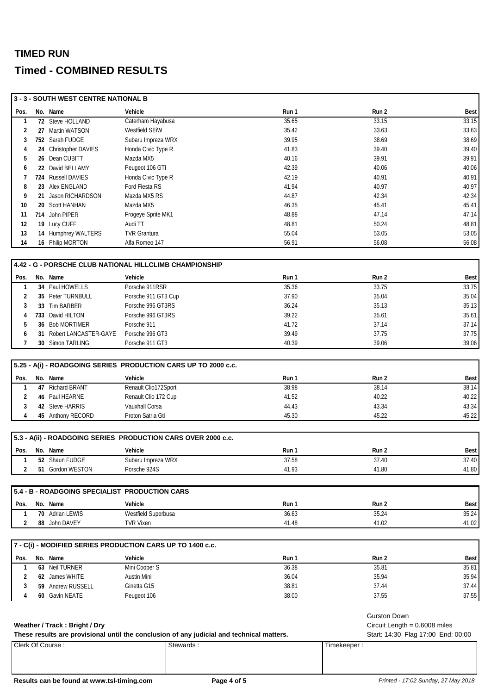|                | 3 - 3 - SOUTH WEST CENTRE NATIONAL B           |                                                                |                                                                                           |                                    |             |
|----------------|------------------------------------------------|----------------------------------------------------------------|-------------------------------------------------------------------------------------------|------------------------------------|-------------|
| Pos.           | No. Name                                       | Vehicle                                                        | Run 1                                                                                     | Run 2                              | <b>Best</b> |
| 1              | 72 Steve HOLLAND                               | Caterham Hayabusa                                              | 35.65                                                                                     | 33.15                              | 33.15       |
| 2              | 27 Martin WATSON                               | Westfield SEIW                                                 | 35.42                                                                                     | 33.63                              | 33.63       |
| 3              | 752 Sarah FUDGE                                | Subaru Impreza WRX                                             | 39.95                                                                                     | 38.69                              | 38.69       |
| 4              | 24 Christopher DAVIES                          | Honda Civic Type R                                             | 41.83                                                                                     | 39.40                              | 39.40       |
| 5              | 26 Dean CUBITT                                 | Mazda MX5                                                      | 40.16                                                                                     | 39.91                              | 39.91       |
| 6              | 22 David BELLAMY                               | Peugeot 106 GTI                                                | 42.39                                                                                     | 40.06                              | 40.06       |
| 7              | 724 Russell DAVIES                             | Honda Civic Type R                                             | 42.19                                                                                     | 40.91                              | 40.91       |
| 8              | 23 Alex ENGLAND                                | Ford Fiesta RS                                                 | 41.94                                                                                     | 40.97                              | 40.97       |
| 9              | 21 Jason RICHARDSON                            | Mazda MX5 RS                                                   | 44.87                                                                                     | 42.34                              | 42.34       |
| 10             | 20 Scott HANHAN                                | Mazda MX5                                                      | 46.35                                                                                     | 45.41                              | 45.41       |
| 11             | 714 John PIPER                                 | Frogeye Sprite MK1                                             | 48.88                                                                                     | 47.14                              | 47.14       |
| 12             | 19 Lucy CUFF                                   | Audi TT                                                        | 48.81                                                                                     | 50.24                              | 48.81       |
| 13             | 14 Humphrey WALTERS                            | <b>TVR Grantura</b>                                            | 55.04                                                                                     | 53.05                              | 53.05       |
| 14             | 16 Philip MORTON                               | Alfa Romeo 147                                                 | 56.91                                                                                     | 56.08                              | 56.08       |
|                |                                                |                                                                |                                                                                           |                                    |             |
|                |                                                | 4.42 - G - PORSCHE CLUB NATIONAL HILLCLIMB CHAMPIONSHIP        |                                                                                           |                                    |             |
| Pos.           | No. Name                                       | Vehicle                                                        | Run 1                                                                                     | Run 2                              | Best        |
| 1              | 34 Paul HOWELLS                                | Porsche 911RSR                                                 | 35.36                                                                                     | 33.75                              | 33.75       |
| 2              | 35 Peter TURNBULL                              | Porsche 911 GT3 Cup                                            | 37.90                                                                                     | 35.04                              | 35.04       |
| 3              | 33 Tim BARBER                                  | Porsche 996 GT3RS                                              | 36.24                                                                                     | 35.13                              | 35.13       |
| 4              | 733 David HILTON                               | Porsche 996 GT3RS                                              | 39.22                                                                                     | 35.61                              | 35.61       |
| 5              | 36 Bob MORTIMER                                | Porsche 911                                                    | 41.72                                                                                     | 37.14                              | 37.14       |
| 6              | 31 Robert LANCASTER-GAYE                       | Porsche 996 GT3                                                | 39.49                                                                                     | 37.75                              | 37.75       |
| $\overline{7}$ | 30 Simon TARLING                               | Porsche 911 GT3                                                | 40.39                                                                                     | 39.06                              | 39.06       |
|                |                                                |                                                                |                                                                                           |                                    |             |
|                |                                                | 5.25 - A(i) - ROADGOING SERIES PRODUCTION CARS UP TO 2000 c.c. |                                                                                           |                                    |             |
| Pos.           | No. Name                                       | Vehicle                                                        | Run 1                                                                                     | Run 2                              | Best        |
| 1              | 47 Richard BRANT                               | Renault Clio172Sport                                           | 38.98                                                                                     | 38.14                              | 38.14       |
| 2              | 46 Paul HEARNE                                 | Renault Clio 172 Cup                                           | 41.52                                                                                     | 40.22                              | 40.22       |
| 3              | 42 Steve HARRIS                                | Vauxhall Corsa                                                 | 44.43                                                                                     | 43.34                              | 43.34       |
| 4              | 45 Anthony RECORD                              | Proton Satria Gti                                              | 45.30                                                                                     | 45.22                              | 45.22       |
|                |                                                |                                                                |                                                                                           |                                    |             |
|                |                                                | 5.3 - A(ii) - ROADGOING SERIES PRODUCTION CARS OVER 2000 c.c.  |                                                                                           |                                    |             |
| Pos.           | No. Name                                       | Vehicle                                                        | Run 1                                                                                     | Run 2                              | <b>Best</b> |
|                | 52 Shaun FUDGE                                 | Subaru Impreza WRX                                             | 37.58                                                                                     | 37.40                              | 37.40       |
| 2              | 51 Gordon WESTON                               | Porsche 924S                                                   | 41.93                                                                                     | 41.80                              | 41.80       |
|                |                                                |                                                                |                                                                                           |                                    |             |
|                | 5.4 - B - ROADGOING SPECIALIST PRODUCTION CARS |                                                                |                                                                                           |                                    |             |
| Pos.           | No. Name                                       | Vehicle                                                        | Run 1                                                                                     | Run 2                              | Best        |
| 1              | 70 Adrian LEWIS                                | Westfield Superbusa                                            | 36.63                                                                                     | 35.24                              | 35.24       |
| 2              | 88 John DAVEY                                  | <b>TVR Vixen</b>                                               | 41.48                                                                                     | 41.02                              | 41.02       |
|                |                                                | 7 - C(i) - MODIFIED SERIES PRODUCTION CARS UP TO 1400 c.c.     |                                                                                           |                                    |             |
|                |                                                |                                                                |                                                                                           |                                    |             |
| Pos.           | No. Name<br>63 Neil TURNER                     | Vehicle                                                        | Run 1                                                                                     | Run 2                              | <b>Best</b> |
| 1              |                                                | Mini Cooper S                                                  | 36.38                                                                                     | 35.81                              | 35.81       |
| 2              | 62 James WHITE                                 | Austin Mini                                                    | 36.04                                                                                     | 35.94                              | 35.94       |
| 3              | 59 Andrew RUSSELL                              | Ginetta G15                                                    | 38.81                                                                                     | 37.44                              | 37.44       |
| 4              | 60 Gavin NEATE                                 | Peugeot 106                                                    | 38.00                                                                                     | 37.55                              | 37.55       |
|                |                                                |                                                                |                                                                                           | <b>Gurston Down</b>                |             |
|                | Weather / Track: Bright / Dry                  |                                                                |                                                                                           | Circuit Length = $0.6008$ miles    |             |
|                |                                                |                                                                | These results are provisional until the conclusion of any judicial and technical matters. | Start: 14:30 Flag 17:00 End: 00:00 |             |
|                | Clerk Of Course:                               | Stewards:                                                      |                                                                                           | Timekeeper:                        |             |
|                |                                                |                                                                |                                                                                           |                                    |             |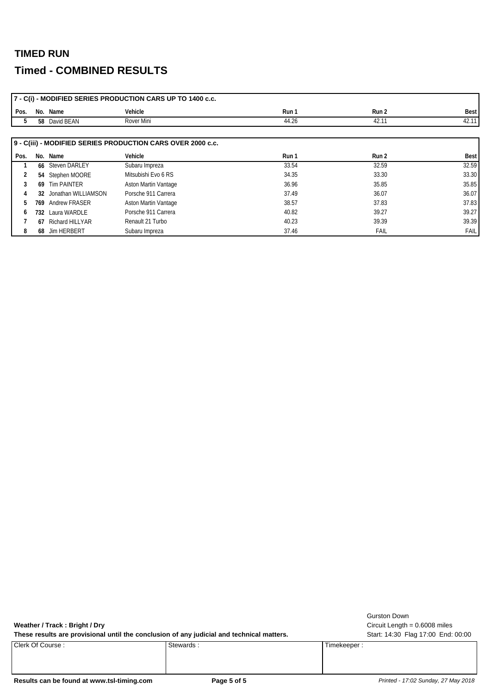|      |     |                     | 7 - C(i) - MODIFIED SERIES PRODUCTION CARS UP TO 1400 c.c.  |       |       |             |
|------|-----|---------------------|-------------------------------------------------------------|-------|-------|-------------|
| Pos. |     | No. Name            | Vehicle                                                     | Run 1 | Run 2 | <b>Best</b> |
| .b   |     | 58 David BEAN       | Rover Mini                                                  | 44.26 | 42.11 | 42.11       |
|      |     |                     |                                                             |       |       |             |
|      |     |                     | 9 - C(iii) - MODIFIED SERIES PRODUCTION CARS OVER 2000 c.c. |       |       |             |
| Pos. |     | No. Name            | Vehicle                                                     | Run 1 | Run 2 | Best        |
|      |     | 66 Steven DARLEY    | Subaru Impreza                                              | 33.54 | 32.59 | 32.59       |
| 2    |     | 54 Stephen MOORE    | Mitsubishi Evo 6 RS                                         | 34.35 | 33.30 | 33.30       |
| 3    |     | 69 Tim PAINTER      | Aston Martin Vantage                                        | 36.96 | 35.85 | 35.85       |
| 4    | 32  | Jonathan WILLIAMSON | Porsche 911 Carrera                                         | 37.49 | 36.07 | 36.07       |
| 5    | 769 | Andrew FRASER       | <b>Aston Martin Vantage</b>                                 | 38.57 | 37.83 | 37.83       |
| 6    |     | 732 Laura WARDLE    | Porsche 911 Carrera                                         | 40.82 | 39.27 | 39.27       |
|      | 67  | Richard HILLYAR     | Renault 21 Turbo                                            | 40.23 | 39.39 | 39.39       |
| 8    |     | 68 Jim HERBERT      | Subaru Impreza                                              | 37.46 | FAIL  | <b>FAIL</b> |

**Weather / Track : Bright / Dry** Circuit Length = 0.6008 miles

These results are provisional until the conclusion of any judicial and technical matters. Start: 14:30 Flag 17:00 End: 00:00

Clerk Of Course : Stewards : Stewards : Timekeeper : Timekeeper :

Gurston Down

Results can be found at www.tsl-timing.com **Page 5 of 5 Page 5 of 5** *Printed - 17:02 Sunday, 27 May 2018*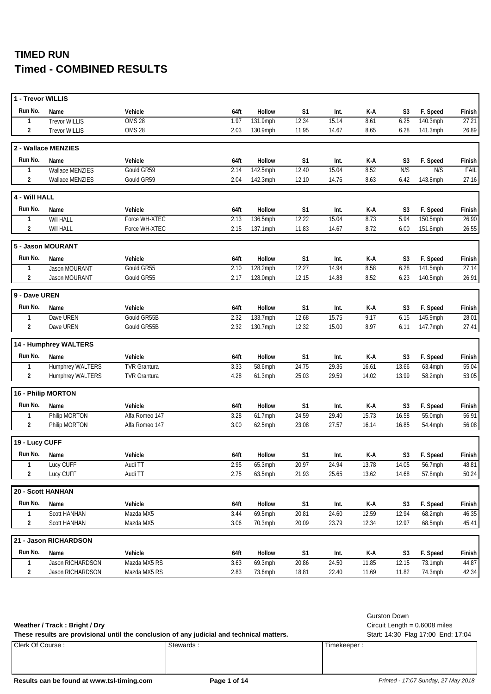| 1 - Trevor WILLIS |                         |                     |      |               |                |       |       |                |            |        |
|-------------------|-------------------------|---------------------|------|---------------|----------------|-------|-------|----------------|------------|--------|
| Run No.           | Name                    | Vehicle             | 64ft | Hollow        | S1             | Int.  | K-A   | S <sub>3</sub> | F. Speed   | Finish |
| 1                 | <b>Trevor WILLIS</b>    | OMS <sub>28</sub>   | 1.97 | 131.9mph      | 12.34          | 15.14 | 8.61  | 6.25           | 140.3mph   | 27.21  |
| $\overline{2}$    | <b>Trevor WILLIS</b>    | <b>OMS 28</b>       | 2.03 | 130.9mph      | 11.95          | 14.67 | 8.65  | 6.28           | 141.3mph   | 26.89  |
|                   | 2 - Wallace MENZIES     |                     |      |               |                |       |       |                |            |        |
| Run No.           | Name                    | Vehicle             | 64ft | Hollow        | S <sub>1</sub> | Int.  | K-A   | S <sub>3</sub> | F. Speed   | Finish |
| $\mathbf{1}$      | Wallace MENZIES         | Gould GR59          | 2.14 | 142.5mph      | 12.40          | 15.04 | 8.52  | N/S            | N/S        | FAIL   |
| $\overline{2}$    | Wallace MENZIES         | Gould GR59          | 2.04 | 142.3mph      | 12.10          | 14.76 | 8.63  | 6.42           | 143.8mph   | 27.16  |
| 4 - Will HALL     |                         |                     |      |               |                |       |       |                |            |        |
| Run No.           | Name                    | Vehicle             | 64ft | Hollow        | S <sub>1</sub> | Int.  | K-A   | S3             | F. Speed   | Finish |
| $\mathbf{1}$      | Will HALL               | Force WH-XTEC       | 2.13 | 136.5mph      | 12.22          | 15.04 | 8.73  | 5.94           | 150.5mph   | 26.90  |
| 2                 | Will HALL               | Force WH-XTEC       | 2.15 | 137.1mph      | 11.83          | 14.67 | 8.72  | 6.00           | 151.8mph   | 26.55  |
|                   | 5 - Jason MOURANT       |                     |      |               |                |       |       |                |            |        |
| Run No.           | Name                    | Vehicle             | 64ft | Hollow        | S <sub>1</sub> | Int.  | K-A   | S <sub>3</sub> | F. Speed   | Finish |
| $\mathbf{1}$      | Jason MOURANT           | Gould GR55          | 2.10 | 128.2mph      | 12.27          | 14.94 | 8.58  | 6.28           | 141.5mph   | 27.14  |
| $\overline{2}$    | Jason MOURANT           | Gould GR55          | 2.17 | 128.0mph      | 12.15          | 14.88 | 8.52  | 6.23           | 140.5mph   | 26.91  |
| 9 - Dave UREN     |                         |                     |      |               |                |       |       |                |            |        |
| Run No.           | Name                    | Vehicle             | 64ft | Hollow        | S1             | Int.  | K-A   | S <sub>3</sub> | F. Speed   | Finish |
| $\mathbf{1}$      | Dave UREN               | Gould GR55B         | 2.32 | 133.7mph      | 12.68          | 15.75 | 9.17  | 6.15           | 145.9mph   | 28.01  |
| $\overline{2}$    | Dave UREN               | Gould GR55B         | 2.32 | 130.7mph      | 12.32          | 15.00 | 8.97  | 6.11           | 147.7mph   | 27.41  |
|                   | 14 - Humphrey WALTERS   |                     |      |               |                |       |       |                |            |        |
| Run No.           | Name                    | Vehicle             | 64ft | Hollow        | S <sub>1</sub> | Int.  | K-A   | S <sub>3</sub> | F. Speed   | Finish |
| $\mathbf{1}$      | <b>Humphrey WALTERS</b> | <b>TVR Grantura</b> | 3.33 | 58.6mph       | 24.75          | 29.36 | 16.61 | 13.66          | $63.4$ mph | 55.04  |
| 2                 | Humphrey WALTERS        | <b>TVR Grantura</b> | 4.28 | $61.3$ mph    | 25.03          | 29.59 | 14.02 | 13.99          | 58.2mph    | 53.05  |
|                   | 16 - Philip MORTON      |                     |      |               |                |       |       |                |            |        |
| Run No.           | Name                    | Vehicle             | 64ft | Hollow        | S1             | Int.  | K-A   | S <sub>3</sub> | F. Speed   | Finish |
| $\mathbf{1}$      | Philip MORTON           | Alfa Romeo 147      | 3.28 | $61.7$ mph    | 24.59          | 29.40 | 15.73 | 16.58          | 55.0mph    | 56.91  |
| $\overline{2}$    | Philip MORTON           | Alfa Romeo 147      | 3.00 | 62.5mph       | 23.08          | 27.57 | 16.14 | 16.85          | 54.4mph    | 56.08  |
| 19 - Lucy CUFF    |                         |                     |      |               |                |       |       |                |            |        |
| Run No.           | Name                    | Vehicle             | 64ft | <b>Hollow</b> | S1             | Int.  | K-A   | S <sub>3</sub> | F. Speed   | Finish |
| $\mathbf{1}$      | Lucy CUFF               | Audi TT             | 2.95 | 65.3mph       | 20.97          | 24.94 | 13.78 | 14.05          | 56.7mph    | 48.81  |
| 2                 | Lucy CUFF               | Audi TT             | 2.75 | 63.5mph       | 21.93          | 25.65 | 13.62 | 14.68          | 57.8mph    | 50.24  |
|                   | 20 - Scott HANHAN       |                     |      |               |                |       |       |                |            |        |
| Run No.           | Name                    | Vehicle             | 64ft | Hollow        | S <sub>1</sub> | Int.  | K-A   | S <sub>3</sub> | F. Speed   | Finish |
| 1                 | Scott HANHAN            | Mazda MX5           | 3.44 | 69.5mph       | 20.81          | 24.60 | 12.59 | 12.94          | 68.2mph    | 46.35  |
| 2                 | Scott HANHAN            | Mazda MX5           | 3.06 | 70.3mph       | 20.09          | 23.79 | 12.34 | 12.97          | 68.5mph    | 45.41  |
|                   | 21 - Jason RICHARDSON   |                     |      |               |                |       |       |                |            |        |
| Run No.           | Name                    | Vehicle             | 64ft | Hollow        | S1             | Int.  | K-A   | S3             | F. Speed   | Finish |
| $\mathbf{1}$      | Jason RICHARDSON        | Mazda MX5 RS        | 3.63 | 69.3mph       | 20.86          | 24.50 | 11.85 | 12.15          | 73.1mph    | 44.87  |
| 2                 | Jason RICHARDSON        | Mazda MX5 RS        | 2.83 | 73.6mph       | 18.81          | 22.40 | 11.69 | 11.82          | 74.3mph    | 42.34  |

**Weather / Track : Bright / Dry** Circuit Length = 0.6008 miles

Gurston Down

These results are provisional until the conclusion of any judicial and technical matters. Start: 14:30 Flag 17:00 End: 17:04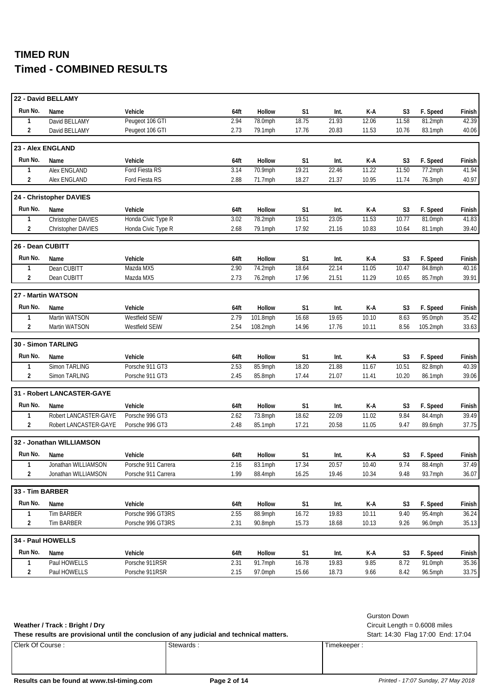|                  | 22 - David BELLAMY         |                     |      |          |                |       |       |                |          |        |
|------------------|----------------------------|---------------------|------|----------|----------------|-------|-------|----------------|----------|--------|
| Run No.          | Name                       | Vehicle             | 64ft | Hollow   | S1             | Int.  | K-A   | S3             | F. Speed | Finish |
| 1                | David BELLAMY              | Peugeot 106 GTI     | 2.94 | 78.0mph  | 18.75          | 21.93 | 12.06 | 11.58          | 81.2mph  | 42.39  |
| 2                | David BELLAMY              | Peugeot 106 GTI     | 2.73 | 79.1mph  | 17.76          | 20.83 | 11.53 | 10.76          | 83.1mph  | 40.06  |
|                  | 23 - Alex ENGLAND          |                     |      |          |                |       |       |                |          |        |
| Run No.          | Name                       | Vehicle             | 64ft | Hollow   | S1             | Int.  | K-A   | S <sub>3</sub> | F. Speed | Finish |
| 1                | Alex ENGLAND               | Ford Fiesta RS      | 3.14 | 70.9mph  | 19.21          | 22.46 | 11.22 | 11.50          | 77.2mph  | 41.94  |
| 2                | Alex ENGLAND               | Ford Fiesta RS      | 2.88 | 71.7mph  | 18.27          | 21.37 | 10.95 | 11.74          | 76.3mph  | 40.97  |
|                  | 24 - Christopher DAVIES    |                     |      |          |                |       |       |                |          |        |
| Run No.          | Name                       | Vehicle             | 64ft | Hollow   | S1             | Int.  | K-A   | S3             | F. Speed | Finish |
| 1                | Christopher DAVIES         | Honda Civic Type R  | 3.02 | 78.2mph  | 19.51          | 23.05 | 11.53 | 10.77          | 81.0mph  | 41.83  |
| 2                | Christopher DAVIES         | Honda Civic Type R  | 2.68 | 79.1mph  | 17.92          | 21.16 | 10.83 | 10.64          | 81.1mph  | 39.40  |
| 26 - Dean CUBITT |                            |                     |      |          |                |       |       |                |          |        |
| Run No.          | Name                       | Vehicle             | 64ft | Hollow   | S1             | Int.  | K-A   | S3             | F. Speed | Finish |
| 1                | Dean CUBITT                | Mazda MX5           | 2.90 | 74.2mph  | 18.64          | 22.14 | 11.05 | 10.47          | 84.8mph  | 40.16  |
| 2                | Dean CUBITT                | Mazda MX5           | 2.73 | 76.2mph  | 17.96          | 21.51 | 11.29 | 10.65          | 85.7mph  | 39.91  |
|                  | 27 - Martin WATSON         |                     |      |          |                |       |       |                |          |        |
| Run No.          | Name                       | Vehicle             | 64ft | Hollow   | S1             | Int.  | K-A   | S3             | F. Speed | Finish |
| 1                | Martin WATSON              | Westfield SEiW      | 2.79 | 101.8mph | 16.68          | 19.65 | 10.10 | 8.63           | 95.0mph  | 35.42  |
| $\overline{2}$   | Martin WATSON              | Westfield SEiW      | 2.54 | 108.2mph | 14.96          | 17.76 | 10.11 | 8.56           | 105.2mph | 33.63  |
|                  | 30 - Simon TARLING         |                     |      |          |                |       |       |                |          |        |
| Run No.          | Name                       | Vehicle             | 64ft | Hollow   | S <sub>1</sub> | Int.  | K-A   | S3             | F. Speed | Finish |
| $\mathbf{1}$     | Simon TARLING              | Porsche 911 GT3     | 2.53 | 85.9mph  | 18.20          | 21.88 | 11.67 | 10.51          | 82.8mph  | 40.39  |
| $\overline{2}$   | Simon TARLING              | Porsche 911 GT3     | 2.45 | 85.8mph  | 17.44          | 21.07 | 11.41 | 10.20          | 86.1mph  | 39.06  |
|                  | 31 - Robert LANCASTER-GAYE |                     |      |          |                |       |       |                |          |        |
| Run No.          | Name                       | Vehicle             | 64ft | Hollow   | S <sub>1</sub> | Int.  | K-A   | S3             | F. Speed | Finish |
| $\mathbf{1}$     | Robert LANCASTER-GAYE      | Porsche 996 GT3     | 2.62 | 73.8mph  | 18.62          | 22.09 | 11.02 | 9.84           | 84.4mph  | 39.49  |
| 2                | Robert LANCASTER-GAYE      | Porsche 996 GT3     | 2.48 | 85.1mph  | 17.21          | 20.58 | 11.05 | 9.47           | 89.6mph  | 37.75  |
|                  | 32 - Jonathan WILLIAMSON   |                     |      |          |                |       |       |                |          |        |
| Run No.          | Name                       | Vehicle             | 64ft | Hollow   | S1             | Int.  | K-A   | S3             | F. Speed | Finish |
| $\mathbf{1}$     | Jonathan WILLIAMSON        | Porsche 911 Carrera | 2.16 | 83.1mph  | 17.34          | 20.57 | 10.40 | 9.74           | 88.4mph  | 37.49  |
| 2                | Jonathan WILLIAMSON        | Porsche 911 Carrera | 1.99 | 88.4mph  | 16.25          | 19.46 | 10.34 | 9.48           | 93.7mph  | 36.07  |
| 33 - Tim BARBER  |                            |                     |      |          |                |       |       |                |          |        |
|                  |                            |                     |      |          |                |       |       |                |          |        |
| Run No.          | Name                       | Vehicle             | 64ft | Hollow   | S <sub>1</sub> | Int.  | K-A   | S3             | F. Speed | Finish |
| 1                | <b>Tim BARBER</b>          | Porsche 996 GT3RS   | 2.55 | 88.9mph  | 16.72          | 19.83 | 10.11 | 9.40           | 95.4mph  | 36.24  |
| 2                | Tim BARBER                 | Porsche 996 GT3RS   | 2.31 | 90.8mph  | 15.73          | 18.68 | 10.13 | 9.26           | 96.0mph  |        |
|                  | 34 - Paul HOWELLS          |                     |      |          |                |       |       |                |          | 35.13  |
| Run No.          | Name                       | Vehicle             | 64ft | Hollow   | S <sub>1</sub> | Int.  | K-A   | S3             | F. Speed | Finish |
| 1                | Paul HOWELLS               | Porsche 911RSR      | 2.31 | 91.7mph  | 16.78          | 19.83 | 9.85  | 8.72           | 91.0mph  | 35.36  |

### **Weather / Track : Bright / Dry** Circuit Length = 0.6008 miles

Gurston Down

These results are provisional until the conclusion of any judicial and technical matters. Start: 14:30 Flag 17:00 End: 17:04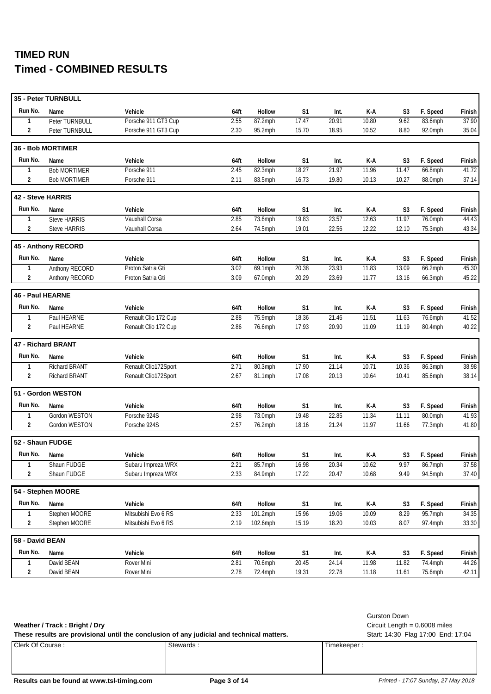|                   | 35 - Peter TURNBULL      |                      |      |          |                |       |       |                |          |        |
|-------------------|--------------------------|----------------------|------|----------|----------------|-------|-------|----------------|----------|--------|
| Run No.           | Name                     | Vehicle              | 64ft | Hollow   | S1             | Int.  | K-A   | S <sub>3</sub> | F. Speed | Finish |
| 1                 | Peter TURNBULL           | Porsche 911 GT3 Cup  | 2.55 | 87.2mph  | 17.47          | 20.91 | 10.80 | 9.62           | 83.6mph  | 37.90  |
| $\overline{2}$    | Peter TURNBULL           | Porsche 911 GT3 Cup  | 2.30 | 95.2mph  | 15.70          | 18.95 | 10.52 | 8.80           | 92.0mph  | 35.04  |
|                   | <b>36 - Bob MORTIMER</b> |                      |      |          |                |       |       |                |          |        |
| Run No.           | Name                     | Vehicle              | 64ft | Hollow   | S1             | Int.  | K-A   | S <sub>3</sub> | F. Speed | Finish |
| 1                 | <b>Bob MORTIMER</b>      | Porsche 911          | 2.45 | 82.3mph  | 18.27          | 21.97 | 11.96 | 11.47          | 66.8mph  | 41.72  |
| $\overline{2}$    | <b>Bob MORTIMER</b>      | Porsche 911          | 2.11 | 83.5mph  | 16.73          | 19.80 | 10.13 | 10.27          | 88.0mph  | 37.14  |
| 42 - Steve HARRIS |                          |                      |      |          |                |       |       |                |          |        |
| Run No.           | Name                     | Vehicle              | 64ft | Hollow   | S <sub>1</sub> | Int.  | K-A   | S3             | F. Speed | Finish |
| 1                 | <b>Steve HARRIS</b>      | Vauxhall Corsa       | 2.85 | 73.6mph  | 19.83          | 23.57 | 12.63 | 11.97          | 76.0mph  | 44.43  |
| $\overline{2}$    | <b>Steve HARRIS</b>      | Vauxhall Corsa       | 2.64 | 74.5mph  | 19.01          | 22.56 | 12.22 | 12.10          | 75.3mph  | 43.34  |
|                   | 45 - Anthony RECORD      |                      |      |          |                |       |       |                |          |        |
| Run No.           | Name                     | Vehicle              | 64ft | Hollow   | S1             | Int.  | K-A   | S3             | F. Speed | Finish |
| 1                 | Anthony RECORD           | Proton Satria Gti    | 3.02 | 69.1mph  | 20.38          | 23.93 | 11.83 | 13.09          | 66.2mph  | 45.30  |
| $\overline{2}$    | Anthony RECORD           | Proton Satria Gti    | 3.09 | 67.0mph  | 20.29          | 23.69 | 11.77 | 13.16          | 66.3mph  | 45.22  |
| 46 - Paul HEARNE  |                          |                      |      |          |                |       |       |                |          |        |
| Run No.           | Name                     | Vehicle              | 64ft | Hollow   | S <sub>1</sub> | Int.  | K-A   | S <sub>3</sub> | F. Speed | Finish |
| 1                 | Paul HEARNE              | Renault Clio 172 Cup | 2.88 | 75.9mph  | 18.36          | 21.46 | 11.51 | 11.63          | 76.6mph  | 41.52  |
| $\overline{2}$    | Paul HEARNE              | Renault Clio 172 Cup | 2.86 | 76.6mph  | 17.93          | 20.90 | 11.09 | 11.19          | 80.4mph  | 40.22  |
|                   | 47 - Richard BRANT       |                      |      |          |                |       |       |                |          |        |
| Run No.           | Name                     | Vehicle              | 64ft | Hollow   | S <sub>1</sub> | Int.  | K-A   | S <sub>3</sub> | F. Speed | Finish |
| $\mathbf{1}$      | Richard BRANT            | Renault Clio172Sport | 2.71 | 80.3mph  | 17.90          | 21.14 | 10.71 | 10.36          | 86.3mph  | 38.98  |
| $\overline{2}$    | Richard BRANT            | Renault Clio172Sport | 2.67 | 81.1mph  | 17.08          | 20.13 | 10.64 | 10.41          | 85.6mph  | 38.14  |
|                   | 51 - Gordon WESTON       |                      |      |          |                |       |       |                |          |        |
| Run No.           | Name                     | Vehicle              | 64ft | Hollow   | S1             | Int.  | K-A   | S <sub>3</sub> | F. Speed | Finish |
| $\mathbf{1}$      | Gordon WESTON            | Porsche 924S         | 2.98 | 73.0mph  | 19.48          | 22.85 | 11.34 | 11.11          | 80.0mph  | 41.93  |
| $\overline{2}$    | Gordon WESTON            | Porsche 924S         | 2.57 | 76.2mph  | 18.16          | 21.24 | 11.97 | 11.66          | 77.3mph  | 41.80  |
| 52 - Shaun FUDGE  |                          |                      |      |          |                |       |       |                |          |        |
| Run No.           | Name                     | Vehicle              | 64ft | Hollow   | S1             | Int.  | K-A   | S <sub>3</sub> | F. Speed | Finish |
| 1                 | Shaun FUDGE              | Subaru Impreza WRX   | 2.21 | 85.7mph  | 16.98          | 20.34 | 10.62 | 9.97           | 86.7mph  | 37.58  |
| $\overline{2}$    | Shaun FUDGE              | Subaru Impreza WRX   | 2.33 | 84.9mph  | 17.22          | 20.47 | 10.68 | 9.49           | 94.5mph  | 37.40  |
|                   | 54 - Stephen MOORE       |                      |      |          |                |       |       |                |          |        |
| Run No.           | Name                     | Vehicle              | 64ft | Hollow   | S <sub>1</sub> | Int.  | K-A   | S <sub>3</sub> | F. Speed | Finish |
| $\mathbf{1}$      | Stephen MOORE            | Mitsubishi Evo 6 RS  | 2.33 | 101.2mph | 15.96          | 19.06 | 10.09 | 8.29           | 95.7mph  | 34.35  |
| 2                 | Stephen MOORE            | Mitsubishi Evo 6 RS  | 2.19 | 102.6mph | 15.19          | 18.20 | 10.03 | 8.07           | 97.4mph  | 33.30  |
| 58 - David BEAN   |                          |                      |      |          |                |       |       |                |          |        |
| Run No.           | Name                     | Vehicle              | 64ft | Hollow   | S1             | Int.  | K-A   | S3             | F. Speed | Finish |
| 1                 | David BEAN               | Rover Mini           | 2.81 | 70.6mph  | 20.45          | 24.14 | 11.98 | 11.82          | 74.4mph  | 44.26  |
| 2                 | David BEAN               | Rover Mini           | 2.78 | 72.4mph  | 19.31          | 22.78 | 11.18 | 11.61          | 75.6mph  | 42.11  |

Gurston Down

These results are provisional until the conclusion of any judicial and technical matters. Start: 14:30 Flag 17:00 End: 17:04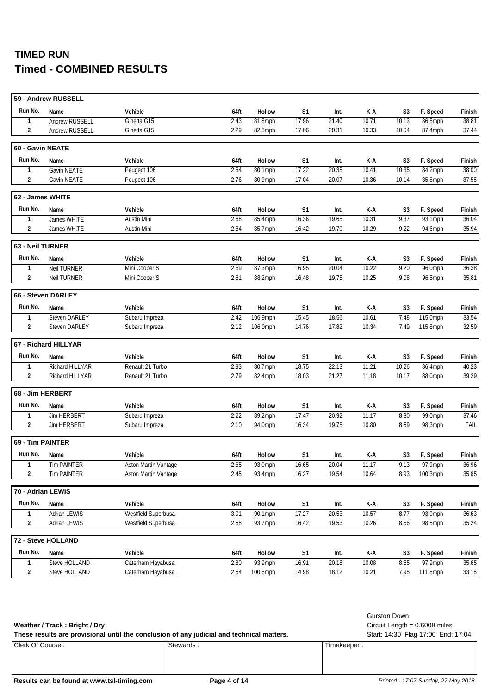|                   | 59 - Andrew RUSSELL   |                      |      |                    |                |       |              |                |                     |                 |
|-------------------|-----------------------|----------------------|------|--------------------|----------------|-------|--------------|----------------|---------------------|-----------------|
| Run No.           | Name                  | Vehicle              | 64ft | Hollow             | S1             | Int.  | K-A          | S <sub>3</sub> | F. Speed            | Finish          |
| 1                 | <b>Andrew RUSSELL</b> | Ginetta G15          | 2.43 | 81.8mph            | 17.96          | 21.40 | 10.71        | 10.13          | 86.5mph             | 38.81           |
| $\overline{2}$    | Andrew RUSSELL        | Ginetta G15          | 2.29 | 82.3mph            | 17.06          | 20.31 | 10.33        | 10.04          | 87.4mph             | 37.44           |
| 60 - Gavin NEATE  |                       |                      |      |                    |                |       |              |                |                     |                 |
| Run No.           | Name                  | Vehicle              | 64ft | Hollow             | S <sub>1</sub> | Int.  | K-A          | S <sub>3</sub> | F. Speed            | Finish          |
| 1                 | Gavin NEATE           | Peugeot 106          | 2.64 | 80.1mph            | 17.22          | 20.35 | 10.41        | 10.35          | 84.2mph             | 38.00           |
| $\overline{2}$    | Gavin NEATE           | Peugeot 106          | 2.76 | 80.9mph            | 17.04          | 20.07 | 10.36        | 10.14          | 85.8mph             | 37.55           |
| 62 - James WHITE  |                       |                      |      |                    |                |       |              |                |                     |                 |
| Run No.           | Name                  | Vehicle              | 64ft | Hollow             | S1             | Int.  | K-A          | S3             | F. Speed            | Finish          |
| $\mathbf{1}$      | James WHITE           | <b>Austin Mini</b>   | 2.68 | 85.4mph            | 16.36          | 19.65 | 10.31        | 9.37           | 93.1mph             | 36.04           |
| $\overline{2}$    | James WHITE           | Austin Mini          | 2.64 | 85.7mph            | 16.42          | 19.70 | 10.29        | 9.22           | 94.6mph             | 35.94           |
| 63 - Neil TURNER  |                       |                      |      |                    |                |       |              |                |                     |                 |
| Run No.           | Name                  | Vehicle              | 64ft | Hollow             | S <sub>1</sub> | Int.  | K-A          | S3             | F. Speed            | Finish          |
| 1                 | <b>Neil TURNER</b>    | Mini Cooper S        | 2.69 | 87.3mph            | 16.95          | 20.04 | 10.22        | 9.20           | $96.0$ mph          | 36.38           |
| $\overline{2}$    | <b>Neil TURNER</b>    | Mini Cooper S        | 2.61 | 88.2mph            | 16.48          | 19.75 | 10.25        | 9.08           | 96.5mph             | 35.81           |
|                   | 66 - Steven DARLEY    |                      |      |                    |                |       |              |                |                     |                 |
| Run No.           | Name                  | Vehicle              | 64ft | Hollow             | S <sub>1</sub> | Int.  | K-A          | S <sub>3</sub> | F. Speed            | Finish          |
| $\mathbf{1}$      | Steven DARLEY         | Subaru Impreza       | 2.42 | 106.9mph           | 15.45          | 18.56 | 10.61        | 7.48           | 115.0mph            | 33.54           |
| $\overline{2}$    | <b>Steven DARLEY</b>  | Subaru Impreza       | 2.12 | 106.0mph           | 14.76          | 17.82 | 10.34        | 7.49           | 115.8mph            | 32.59           |
|                   | 67 - Richard HILLYAR  |                      |      |                    |                |       |              |                |                     |                 |
| Run No.           | Name                  | Vehicle              | 64ft | Hollow             | S <sub>1</sub> | Int.  | K-A          | S <sub>3</sub> | F. Speed            | Finish          |
| $\mathbf{1}$      | Richard HILLYAR       | Renault 21 Turbo     | 2.93 | 80.7mph            | 18.75          | 22.13 | 11.21        | 10.26          | 86.4mph             | 40.23           |
|                   |                       |                      |      |                    |                |       |              |                |                     |                 |
| $\overline{2}$    | Richard HILLYAR       | Renault 21 Turbo     | 2.79 | 82.4mph            | 18.03          | 21.27 | 11.18        | 10.17          | 88.0mph             | 39.39           |
|                   | 68 - Jim HERBERT      |                      |      |                    |                |       |              |                |                     |                 |
| Run No.           | Name                  | Vehicle              | 64ft | Hollow             | S <sub>1</sub> | Int.  |              | S <sub>3</sub> |                     |                 |
| $\mathbf{1}$      | <b>Jim HERBERT</b>    | Subaru Impreza       | 2.22 |                    | 17.47          | 20.92 | K-A<br>11.17 | 8.80           | F. Speed<br>99.0mph | Finish<br>37.46 |
| $\overline{2}$    | Jim HERBERT           | Subaru Impreza       | 2.10 | 89.2mph<br>94.0mph | 16.34          | 19.75 | 10.80        | 8.59           | 98.3mph             | FAIL            |
| 69 - Tim PAINTER  |                       |                      |      |                    |                |       |              |                |                     |                 |
| Run No.           | Name                  | Vehicle              | 64ft | Hollow             | S1             | Int.  | K-A          | S <sub>3</sub> | F. Speed            | Finish          |
| 1                 | <b>Tim PAINTER</b>    | Aston Martin Vantage | 2.65 | 93.0mph            | 16.65          | 20.04 | 11.17        | 9.13           | 97.9mph             | 36.96           |
| $\overline{2}$    | <b>Tim PAINTER</b>    | Aston Martin Vantage | 2.45 | 93.4mph            | 16.27          | 19.54 | 10.64        | 8.93           | 100.3mph            | 35.85           |
| 70 - Adrian LEWIS |                       |                      |      |                    |                |       |              |                |                     |                 |
| Run No.           | Name                  | Vehicle              | 64ft | Hollow             | S <sub>1</sub> | Int.  | K-A          | S <sub>3</sub> | F. Speed            | Finish          |
| $\mathbf{1}$      | <b>Adrian LEWIS</b>   | Westfield Superbusa  | 3.01 | 90.1mph            | 17.27          | 20.53 | 10.57        | 8.77           | 93.9mph             | 36.63           |
| 2                 | Adrian LEWIS          | Westfield Superbusa  | 2.58 | 93.7mph            | 16.42          | 19.53 | 10.26        | 8.56           | 98.5mph             |                 |
|                   | 72 - Steve HOLLAND    |                      |      |                    |                |       |              |                |                     | 35.24           |
| Run No.           | Name                  | Vehicle              | 64ft | Hollow             | S1             | Int.  | K-A          | S3             | F. Speed            | Finish          |
| 1                 | Steve HOLLAND         | Caterham Hayabusa    | 2.80 | $93.9$ mph         | 16.91          | 20.18 | 10.08        | 8.65           | 97.9mph             | 35.65           |

Gurston Down

**Weather / Track : Bright / Dry** Circuit Length = 0.6008 miles

These results are provisional until the conclusion of any judicial and technical matters. Start: 14:30 Flag 17:00 End: 17:04

Clerk Of Course : Stewards : Stewards : Timekeeper : Timekeeper :

**Results can be found at www.tsl-timing.com Page 4 of 14** *Printed - 17:07 Sunday, 27 May 2018*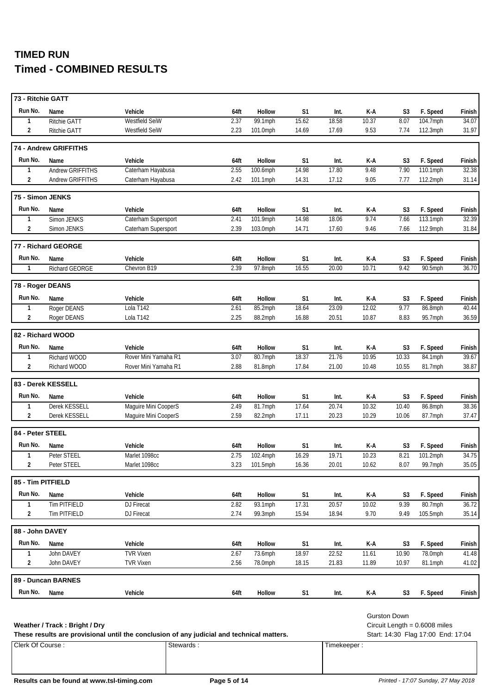| 73 - Ritchie GATT |                       |                      |      |               |                |       |       |                |          |               |
|-------------------|-----------------------|----------------------|------|---------------|----------------|-------|-------|----------------|----------|---------------|
| Run No.           | Name                  | Vehicle              | 64ft | <b>Hollow</b> | S <sub>1</sub> | Int.  | K-A   | S3             | F. Speed | Finish        |
| 1                 | Ritchie GATT          | Westfield SeiW       | 2.37 | 99.1mph       | 15.62          | 18.58 | 10.37 | 8.07           | 104.7mph | 34.07         |
| 2                 | <b>Ritchie GATT</b>   | Westfield SeiW       | 2.23 | 101.0mph      | 14.69          | 17.69 | 9.53  | 7.74           | 112.3mph | 31.97         |
|                   | 74 - Andrew GRIFFITHS |                      |      |               |                |       |       |                |          |               |
| Run No.           | Name                  | Vehicle              | 64ft | <b>Hollow</b> | S1             | Int.  | K-A   | S3             | F. Speed | Finish        |
| 1                 | Andrew GRIFFITHS      | Caterham Hayabusa    | 2.55 | 100.6mph      | 14.98          | 17.80 | 9.48  | 7.90           | 110.1mph | 32.38         |
| 2                 | Andrew GRIFFITHS      | Caterham Hayabusa    | 2.42 | 101.1mph      | 14.31          | 17.12 | 9.05  | 7.77           | 112.2mph | 31.14         |
| 75 - Simon JENKS  |                       |                      |      |               |                |       |       |                |          |               |
| Run No.           | Name                  | Vehicle              | 64ft | Hollow        | S1             | Int.  | K-A   | S <sub>3</sub> | F. Speed | Finish        |
| 1                 | Simon JENKS           | Caterham Supersport  | 2.41 | 101.9mph      | 14.98          | 18.06 | 9.74  | 7.66           | 113.1mph | 32.39         |
| $\overline{2}$    | Simon JENKS           | Caterham Supersport  | 2.39 | 103.0mph      | 14.71          | 17.60 | 9.46  | 7.66           | 112.9mph | 31.84         |
|                   | 77 - Richard GEORGE   |                      |      |               |                |       |       |                |          |               |
| Run No.           | Name                  | Vehicle              | 64ft | <b>Hollow</b> | S1             | Int.  | K-A   | S3             | F. Speed | Finish        |
| $\mathbf{1}$      | <b>Richard GEORGE</b> | Chevron B19          | 2.39 | 97.8mph       | 16.55          | 20.00 | 10.71 | 9.42           | 90.5mph  | 36.70         |
| 78 - Roger DEANS  |                       |                      |      |               |                |       |       |                |          |               |
| Run No.           | Name                  | Vehicle              | 64ft | Hollow        | S <sub>1</sub> | Int.  | K-A   | S <sub>3</sub> | F. Speed | Finish        |
| 1                 | Roger DEANS           | Lola T142            | 2.61 | 85.2mph       | 18.64          | 23.09 | 12.02 | 9.77           | 86.8mph  | 40.44         |
| $\overline{2}$    | Roger DEANS           | Lola T142            | 2.25 | 88.2mph       | 16.88          | 20.51 | 10.87 | 8.83           | 95.7mph  | 36.59         |
|                   | 82 - Richard WOOD     |                      |      |               |                |       |       |                |          |               |
| Run No.           | Name                  | Vehicle              | 64ft | Hollow        | S <sub>1</sub> | Int.  | K-A   | S3             | F. Speed | Finish        |
| 1                 | Richard WOOD          | Rover Mini Yamaha R1 | 3.07 | 80.7mph       | 18.37          | 21.76 | 10.95 | 10.33          | 84.1mph  | 39.67         |
| $\overline{2}$    | Richard WOOD          | Rover Mini Yamaha R1 | 2.88 | 81.8mph       | 17.84          | 21.00 | 10.48 | 10.55          | 81.7mph  | 38.87         |
|                   | 83 - Derek KESSELL    |                      |      |               |                |       |       |                |          |               |
| Run No.           | Name                  | Vehicle              | 64ft | Hollow        | S <sub>1</sub> | Int.  | K-A   | S3             | F. Speed | Finish        |
| 1                 | Derek KESSELL         | Maguire Mini CooperS | 2.49 | 81.7mph       | 17.64          | 20.74 | 10.32 | 10.40          | 86.8mph  | 38.36         |
| $\overline{2}$    | Derek KESSELL         | Maguire Mini CooperS | 2.59 | 82.2mph       | 17.11          | 20.23 | 10.29 | 10.06          | 87.7mph  | 37.47         |
| 84 - Peter STEEL  |                       |                      |      |               |                |       |       |                |          |               |
| Run No.           | Name                  | Vehicle              | 64ft | Hollow        | S <sub>1</sub> | Int.  | K-A   | S <sub>3</sub> | F. Speed | Finish        |
| $\mathbf{1}$      | Peter STEEL           | Marlet 1098cc        | 2.75 | 102.4mph      | 16.29          | 19.71 | 10.23 | 8.21           | 101.2mph | 34.75         |
| $\overline{c}$    | Peter STEEL           | Marlet 1098cc        | 3.23 | 101.5mph      | 16.36          | 20.01 | 10.62 | 8.07           | 99.7mph  | 35.05         |
| 85 - Tim PITFIELD |                       |                      |      |               |                |       |       |                |          |               |
| Run No.           | Name                  | Vehicle              | 64ft | Hollow        | S1             | Int.  | K-A   | S <sub>3</sub> | F. Speed | Finish        |
| $\mathbf{1}$      | Tim PITFIELD          | DJ Firecat           | 2.82 | 93.1mph       | 17.31          | 20.57 | 10.02 | 9.39           | 80.7mph  | 36.72         |
| $\overline{2}$    | Tim PITFIELD          | DJ Firecat           | 2.74 | 99.3mph       | 15.94          | 18.94 | 9.70  | 9.49           | 105.5mph | 35.14         |
| 88 - John DAVEY   |                       |                      |      |               |                |       |       |                |          |               |
| Run No.           | Name                  | Vehicle              | 64ft | Hollow        | S <sub>1</sub> | Int.  | K-A   | S <sub>3</sub> | F. Speed | Finish        |
| $\mathbf{1}$      | John DAVEY            | <b>TVR Vixen</b>     | 2.67 | 73.6mph       | 18.97          | 22.52 | 11.61 | 10.90          | 78.0mph  | 41.48         |
| 2                 | John DAVEY            | <b>TVR Vixen</b>     | 2.56 | 78.0mph       | 18.15          | 21.83 | 11.89 | 10.97          | 81.1mph  | 41.02         |
|                   | 89 - Duncan BARNES    |                      |      |               |                |       |       |                |          |               |
| Run No.           | Name                  | Vehicle              | 64ft | Hollow        | S <sub>1</sub> | Int.  | K-A   | S3             | F. Speed | <b>Finish</b> |
|                   |                       |                      |      |               |                |       |       |                |          |               |

#### **Weather / Track : Bright / Dry** Circuit Length = 0.6008 miles

These results are provisional until the conclusion of any judicial and technical matters. Start: 14:30 Flag 17:00 End: 17:04

Clerk Of Course : Stewards : Stewards : Timekeeper : Timekeeper :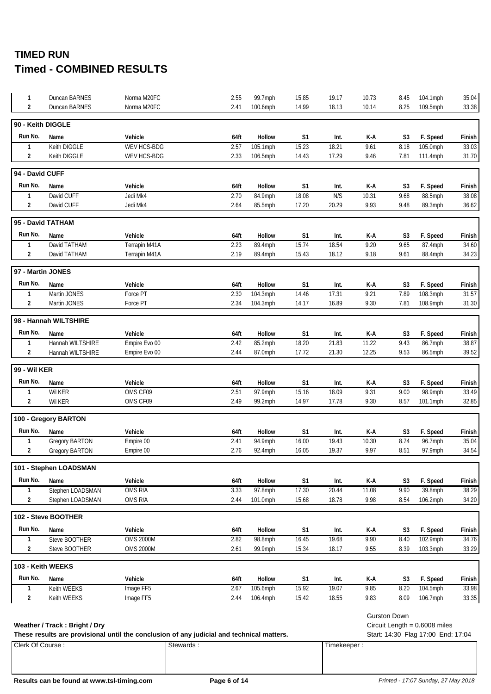| 1                 | Duncan BARNES                 | Norma M20FC                                                                               | 2.55 | 99.7mph  | 15.85          | 19.17       | 10.73 | 8.45                | 104.1mph                           | 35.04  |
|-------------------|-------------------------------|-------------------------------------------------------------------------------------------|------|----------|----------------|-------------|-------|---------------------|------------------------------------|--------|
| 2                 | Duncan BARNES                 | Norma M20FC                                                                               | 2.41 | 100.6mph | 14.99          | 18.13       | 10.14 | 8.25                | 109.5mph                           | 33.38  |
| 90 - Keith DIGGLE |                               |                                                                                           |      |          |                |             |       |                     |                                    |        |
| Run No.           | Name                          | Vehicle                                                                                   | 64ft | Hollow   | S1             | Int.        | K-A   | S3                  | F. Speed                           | Finish |
| $\mathbf{1}$      | Keith DIGGLE                  | <b>WEV HCS-BDG</b>                                                                        | 2.57 | 105.1mph | 15.23          | 18.21       | 9.61  | 8.18                | 105.0mph                           | 33.03  |
| 2                 | Keith DIGGLE                  | WEV HCS-BDG                                                                               | 2.33 | 106.5mph | 14.43          | 17.29       | 9.46  | 7.81                | $111.4$ mph                        | 31.70  |
| 94 - David CUFF   |                               |                                                                                           |      |          |                |             |       |                     |                                    |        |
| Run No.           | Name                          | Vehicle                                                                                   | 64ft | Hollow   | S <sub>1</sub> | Int.        | K-A   | S <sub>3</sub>      | F. Speed                           | Finish |
| 1                 | David CUFF                    | Jedi Mk4                                                                                  | 2.70 | 84.9mph  | 18.08          | N/S         | 10.31 | 9.68                | 88.5mph                            | 38.08  |
| 2                 | David CUFF                    | Jedi Mk4                                                                                  | 2.64 | 85.5mph  | 17.20          | 20.29       | 9.93  | 9.48                | 89.3mph                            | 36.62  |
|                   | 95 - David TATHAM             |                                                                                           |      |          |                |             |       |                     |                                    |        |
| Run No.           | Name                          | Vehicle                                                                                   | 64ft | Hollow   | S <sub>1</sub> | Int.        | K-A   | S <sub>3</sub>      | F. Speed                           | Finish |
| $\mathbf{1}$      | David TATHAM                  | Terrapin M41A                                                                             | 2.23 | 89.4mph  | 15.74          | 18.54       | 9.20  | 9.65                | 87.4mph                            | 34.60  |
| 2                 | David TATHAM                  | Terrapin M41A                                                                             | 2.19 | 89.4mph  | 15.43          | 18.12       | 9.18  | 9.61                | 88.4mph                            | 34.23  |
|                   | 97 - Martin JONES             |                                                                                           |      |          |                |             |       |                     |                                    |        |
| Run No.           | Name                          | Vehicle                                                                                   | 64ft | Hollow   | S1             | Int.        | K-A   | S3                  | F. Speed                           | Finish |
| $\mathbf{1}$      | Martin JONES                  | Force PT                                                                                  | 2.30 | 104.3mph | 14.46          | 17.31       | 9.21  | 7.89                | 108.3mph                           | 31.57  |
| 2                 | Martin JONES                  | Force PT                                                                                  | 2.34 | 104.3mph | 14.17          | 16.89       | 9.30  | 7.81                | 108.9mph                           | 31.30  |
|                   | 98 - Hannah WILTSHIRE         |                                                                                           |      |          |                |             |       |                     |                                    |        |
| Run No.           | Name                          | Vehicle                                                                                   | 64ft | Hollow   | S <sub>1</sub> | Int.        | K-A   | S <sub>3</sub>      | F. Speed                           | Finish |
| $\mathbf{1}$      | Hannah WILTSHIRE              | Empire Evo 00                                                                             | 2.42 | 85.2mph  | 18.20          | 21.83       | 11.22 | 9.43                | 86.7mph                            | 38.87  |
| 2                 | Hannah WILTSHIRE              | Empire Evo 00                                                                             | 2.44 | 87.0mph  | 17.72          | 21.30       | 12.25 | 9.53                | 86.5mph                            | 39.52  |
| 99 - Wil KER      |                               |                                                                                           |      |          |                |             |       |                     |                                    |        |
| Run No.           | Name                          | Vehicle                                                                                   | 64ft | Hollow   | S <sub>1</sub> | Int.        | K-A   | S <sub>3</sub>      | F. Speed                           | Finish |
| 1                 | Wil KER                       | OMS CF09                                                                                  | 2.51 | 97.9mph  | 15.16          | 18.09       | 9.31  | 9.00                | 98.9mph                            | 33.49  |
| $\overline{2}$    | Wil KER                       | OMS CF09                                                                                  | 2.49 | 99.2mph  | 14.97          | 17.78       | 9.30  | 8.57                | 101.1mph                           | 32.85  |
|                   | 100 - Gregory BARTON          |                                                                                           |      |          |                |             |       |                     |                                    |        |
| Run No.           | Name                          | Vehicle                                                                                   | 64ft | Hollow   | S <sub>1</sub> | Int.        | K-A   | S <sub>3</sub>      | F. Speed                           | Finish |
| 1                 | <b>Gregory BARTON</b>         | Empire 00                                                                                 | 2.41 | 94.9mph  | 16.00          | 19.43       | 10.30 | 8.74                | 96.7mph                            | 35.04  |
| $\overline{2}$    | Gregory BARTON                | Empire 00                                                                                 | 2.76 | 92.4mph  | 16.05          | 19.37       | 9.97  | 8.51                | 97.9mph                            | 34.54  |
|                   | 101 - Stephen LOADSMAN        |                                                                                           |      |          |                |             |       |                     |                                    |        |
| Run No.           | Name                          | Vehicle                                                                                   | 64ft | Hollow   | S <sub>1</sub> | Int.        | K-A   | S3                  | F. Speed                           | Finish |
| 1                 | Stephen LOADSMAN              | OMS R/A                                                                                   | 3.33 | 97.8mph  | 17.30          | 20.44       | 11.08 | 9.90                | 39.8mph                            | 38.29  |
| 2                 | Stephen LOADSMAN              | OMS R/A                                                                                   | 2.44 | 101.0mph | 15.68          | 18.78       | 9.98  | 8.54                | 106.2mph                           | 34.20  |
|                   | 102 - Steve BOOTHER           |                                                                                           |      |          |                |             |       |                     |                                    |        |
| Run No.           | Name                          | Vehicle                                                                                   | 64ft | Hollow   | S <sub>1</sub> | Int.        | K-A   | S3                  | F. Speed                           | Finish |
| 1                 | Steve BOOTHER                 | <b>OMS 2000M</b>                                                                          | 2.82 | 98.8mph  | 16.45          | 19.68       | 9.90  | 8.40                | 102.9mph                           | 34.76  |
| $\overline{2}$    | Steve BOOTHER                 | <b>OMS 2000M</b>                                                                          | 2.61 | 99.9mph  | 15.34          | 18.17       | 9.55  | 8.39                | 103.3mph                           | 33.29  |
|                   | 103 - Keith WEEKS             |                                                                                           |      |          |                |             |       |                     |                                    |        |
| Run No.           | Name                          | Vehicle                                                                                   | 64ft | Hollow   | S <sub>1</sub> | Int.        | K-A   | S3                  | F. Speed                           | Finish |
| 1                 | Keith WEEKS                   | Image FF5                                                                                 | 2.67 | 105.6mph | 15.92          | 19.07       | 9.85  | 8.20                | 104.5mph                           | 33.98  |
| 2                 | Keith WEEKS                   | Image FF5                                                                                 | 2.44 | 106.4mph | 15.42          | 18.55       | 9.83  | 8.09                | 106.7mph                           | 33.35  |
|                   |                               |                                                                                           |      |          |                |             |       | <b>Gurston Down</b> |                                    |        |
|                   | Weather / Track: Bright / Dry |                                                                                           |      |          |                |             |       |                     | Circuit Length = $0.6008$ miles    |        |
|                   |                               | These results are provisional until the conclusion of any judicial and technical matters. |      |          |                |             |       |                     | Start: 14:30 Flag 17:00 End: 17:04 |        |
| Clerk Of Course:  |                               | Stewards:                                                                                 |      |          |                | Timekeeper: |       |                     |                                    |        |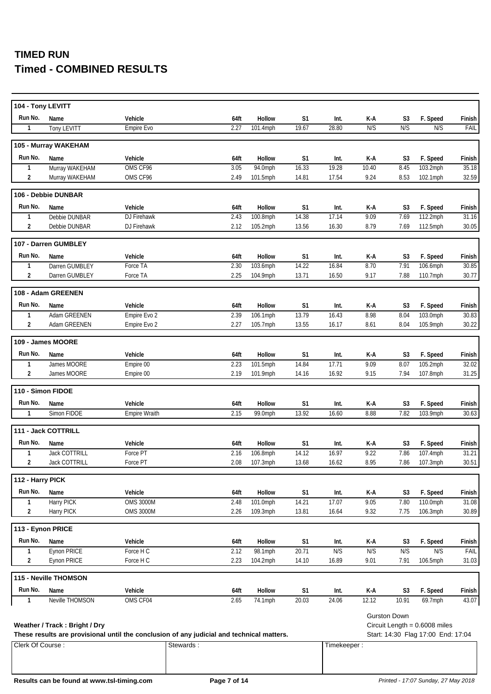| 104 - Tony LEVITT |                               |                                                                                           |              |                      |                         |                |                                |                        |                                    |                 |
|-------------------|-------------------------------|-------------------------------------------------------------------------------------------|--------------|----------------------|-------------------------|----------------|--------------------------------|------------------------|------------------------------------|-----------------|
| Run No.           | Name                          | Vehicle                                                                                   | 64ft         | Hollow               | S <sub>1</sub>          | Int.           | $\mathsf{K}\text{-}\mathsf{A}$ | S <sub>3</sub>         | F. Speed                           | Finish          |
| $\mathbf{1}$      | Tony LEVITT                   | Empire Evo                                                                                | 2.27         | 101.4mph             | 19.67                   | 28.80          | N/S                            | N/S                    | N/S                                | FAIL            |
|                   | 105 - Murray WAKEHAM          |                                                                                           |              |                      |                         |                |                                |                        |                                    |                 |
| Run No.           | Name                          | Vehicle                                                                                   | 64ft         | Hollow               | S1                      | Int.           | K-A                            | S <sub>3</sub>         | F. Speed                           | Finish          |
| $\mathbf{1}$      | Murray WAKEHAM                | OMS CF96                                                                                  | 3.05         | 94.0mph              | 16.33                   | 19.28          | 10.40                          | 8.45                   | 103.2mph                           | 35.18           |
| 2                 | Murray WAKEHAM                | OMS CF96                                                                                  | 2.49         | 101.5mph             | 14.81                   | 17.54          | 9.24                           | 8.53                   | 102.1mph                           | 32.59           |
|                   |                               |                                                                                           |              |                      |                         |                |                                |                        |                                    |                 |
|                   | 106 - Debbie DUNBAR           |                                                                                           |              |                      |                         |                |                                |                        |                                    |                 |
| Run No.           | Name                          | Vehicle                                                                                   | 64ft         | Hollow               | S1                      | Int.           | K-A                            | S <sub>3</sub>         | F. Speed                           | Finish          |
| 1                 | Debbie DUNBAR                 | DJ Firehawk                                                                               | 2.43         | 100.8mph             | 14.38                   | 17.14          | 9.09                           | 7.69                   | 112.2mph                           | 31.16           |
| $\overline{2}$    | Debbie DUNBAR                 | DJ Firehawk                                                                               | 2.12         | 105.2mph             | 13.56                   | 16.30          | 8.79                           | 7.69                   | 112.5mph                           | 30.05           |
|                   | 107 - Darren GUMBLEY          |                                                                                           |              |                      |                         |                |                                |                        |                                    |                 |
| Run No.           | Name                          | Vehicle                                                                                   | 64ft         | Hollow               | S <sub>1</sub>          | Int.           | K-A                            | S <sub>3</sub>         | F. Speed                           | Finish          |
| 1                 | Darren GUMBLEY                | Force TA                                                                                  | 2.30         | 103.6mph             | 14.22                   | 16.84          | 8.70                           | 7.91                   | 106.6mph                           | 30.85           |
| $\overline{2}$    | Darren GUMBLEY                | Force TA                                                                                  | 2.25         | 104.9mph             | 13.71                   | 16.50          | 9.17                           | 7.88                   | 110.7mph                           | 30.77           |
|                   | 108 - Adam GREENEN            |                                                                                           |              |                      |                         |                |                                |                        |                                    |                 |
| Run No.           |                               |                                                                                           |              |                      |                         |                |                                |                        |                                    |                 |
|                   | Name                          | Vehicle<br>Empire Evo 2                                                                   | 64ft         | Hollow               | S <sub>1</sub>          | Int.           | K-A                            | S3                     | F. Speed                           | Finish<br>30.83 |
| 1<br>2            | Adam GREENEN<br>Adam GREENEN  | Empire Evo 2                                                                              | 2.39<br>2.27 | 106.1mph<br>105.7mph | 13.79<br>13.55          | 16.43<br>16.17 | 8.98<br>8.61                   | 8.04<br>8.04           | 103.0mph<br>105.9mph               | 30.22           |
|                   |                               |                                                                                           |              |                      |                         |                |                                |                        |                                    |                 |
|                   | 109 - James MOORE             |                                                                                           |              |                      |                         |                |                                |                        |                                    |                 |
| Run No.           | Name                          | Vehicle                                                                                   | 64ft         | Hollow               | S <sub>1</sub>          | Int.           | K-A                            | S <sub>3</sub>         | F. Speed                           | Finish          |
| $\mathbf{1}$      | James MOORE                   | Empire 00                                                                                 | 2.23         | 101.5mph             | 14.84                   | 17.71          | 9.09                           | 8.07                   | 105.2mph                           | 32.02           |
| $\overline{2}$    | James MOORE                   | Empire 00                                                                                 | 2.19         | 101.9mph             | 14.16                   | 16.92          | 9.15                           | 7.94                   | 107.8mph                           | 31.25           |
|                   | 110 - Simon FIDOE             |                                                                                           |              |                      |                         |                |                                |                        |                                    |                 |
| Run No.           |                               |                                                                                           |              |                      |                         |                |                                |                        |                                    |                 |
| $\mathbf{1}$      | Name<br>Simon FIDOE           | Vehicle                                                                                   | 64ft<br>2.15 | Hollow               | S <sub>1</sub><br>13.92 | Int.<br>16.60  | K-A<br>8.88                    | S <sub>3</sub><br>7.82 | F. Speed                           | Finish<br>30.63 |
|                   |                               | Empire Wraith                                                                             |              | 99.0mph              |                         |                |                                |                        | 103.9mph                           |                 |
|                   | 111 - Jack COTTRILL           |                                                                                           |              |                      |                         |                |                                |                        |                                    |                 |
| Run No.           | Name                          | Vehicle                                                                                   | 64ft         | Hollow               | S <sub>1</sub>          | Int.           | K-A                            | S <sub>3</sub>         | F. Speed                           | Finish          |
| $\mathbf{1}$      | Jack COTTRILL                 | Force PT                                                                                  | 2.16         | 106.8mph             | 14.12                   | 16.97          | 9.22                           | 7.86                   | 107.4mph                           | 31.21           |
| $\overline{2}$    | Jack COTTRILL                 | Force PT                                                                                  | 2.08         | 107.3mph             | 13.68                   | 16.62          | 8.95                           | 7.86                   | 107.3mph                           | 30.51           |
| 112 - Harry PICK  |                               |                                                                                           |              |                      |                         |                |                                |                        |                                    |                 |
| Run No.           | Name                          | Vehicle                                                                                   | 64ft         | Hollow               | S <sub>1</sub>          | Int.           | K-A                            | S3                     | F. Speed                           | Finish          |
| $\mathbf{1}$      | <b>Harry PICK</b>             | <b>OMS 3000M</b>                                                                          | 2.48         | 101.0mph             | 14.21                   | 17.07          | 9.05                           | 7.80                   | 110.0mph                           | 31.08           |
| $\overline{2}$    | Harry PICK                    | <b>OMS 3000M</b>                                                                          | 2.26         | 109.3mph             | 13.81                   | 16.64          | 9.32                           | 7.75                   | 106.3mph                           | 30.89           |
|                   |                               |                                                                                           |              |                      |                         |                |                                |                        |                                    |                 |
|                   | 113 - Eynon PRICE             |                                                                                           |              |                      |                         |                |                                |                        |                                    |                 |
| Run No.           | Name                          | Vehicle                                                                                   | 64ft         | Hollow               | S <sub>1</sub>          | Int.           | K-A                            | S3                     | F. Speed                           | Finish          |
| $\mathbf{1}$      | Eynon PRICE                   | Force H C                                                                                 | 2.12         | 98.1mph              | 20.71                   | N/S            | N/S                            | N/S                    | N/S                                | FAIL            |
| $\overline{2}$    | Eynon PRICE                   | Force H C                                                                                 | 2.23         | 104.2mph             | 14.10                   | 16.89          | 9.01                           | 7.91                   | 106.5mph                           | 31.03           |
|                   | 115 - Neville THOMSON         |                                                                                           |              |                      |                         |                |                                |                        |                                    |                 |
| Run No.           | Name                          | Vehicle                                                                                   | 64ft         | Hollow               | S <sub>1</sub>          | Int.           | K-A                            | S <sub>3</sub>         | F. Speed                           | Finish          |
| 1                 | Neville THOMSON               | OMS CF04                                                                                  | 2.65         | 74.1mph              | 20.03                   | 24.06          | 12.12                          | 10.91                  | 69.7mph                            | 43.07           |
|                   |                               |                                                                                           |              |                      |                         |                |                                |                        |                                    |                 |
|                   |                               |                                                                                           |              |                      |                         |                |                                | <b>Gurston Down</b>    |                                    |                 |
|                   | Weather / Track: Bright / Dry |                                                                                           |              |                      |                         |                |                                |                        | Circuit Length = $0.6008$ miles    |                 |
|                   |                               | These results are provisional until the conclusion of any judicial and technical matters. |              |                      |                         |                |                                |                        | Start: 14:30 Flag 17:00 End: 17:04 |                 |
| Clerk Of Course:  |                               | Stewards:                                                                                 |              |                      |                         | Timekeeper:    |                                |                        |                                    |                 |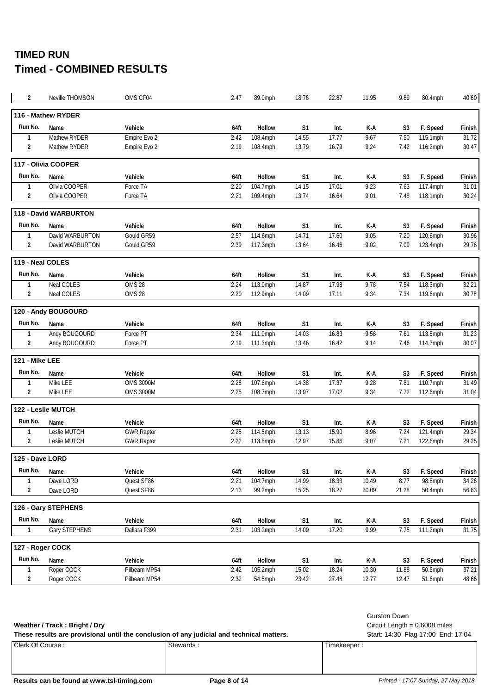| 2                | Neville THOMSON       | OMS CF04          | 2.47 | 89.0mph       | 18.76          | 22.87 | 11.95 | 9.89           | 80.4mph  | 40.60  |
|------------------|-----------------------|-------------------|------|---------------|----------------|-------|-------|----------------|----------|--------|
|                  | 116 - Mathew RYDER    |                   |      |               |                |       |       |                |          |        |
| Run No.          | Name                  | Vehicle           | 64ft | Hollow        | S1             | Int.  | K-A   | S3             | F. Speed | Finish |
| $\mathbf{1}$     | Mathew RYDER          | Empire Evo 2      | 2.42 | 108.4mph      | 14.55          | 17.77 | 9.67  | 7.50           | 115.1mph | 31.72  |
| 2                | Mathew RYDER          | Empire Evo 2      | 2.19 | 108.4mph      | 13.79          | 16.79 | 9.24  | 7.42           | 116.2mph | 30.47  |
|                  | 117 - Olivia COOPER   |                   |      |               |                |       |       |                |          |        |
| Run No.          | Name                  | Vehicle           | 64ft | <b>Hollow</b> | S1             | Int.  | K-A   | S3             | F. Speed | Finish |
| 1                | Olivia COOPER         | Force TA          | 2.20 | 104.7mph      | 14.15          | 17.01 | 9.23  | 7.63           | 117.4mph | 31.01  |
| 2                | Olivia COOPER         | Force TA          | 2.21 | 109.4mph      | 13.74          | 16.64 | 9.01  | 7.48           | 118.1mph | 30.24  |
|                  | 118 - David WARBURTON |                   |      |               |                |       |       |                |          |        |
| Run No.          | Name                  | Vehicle           | 64ft | Hollow        | S1             | Int.  | K-A   | S3             | F. Speed | Finish |
| 1                | David WARBURTON       | Gould GR59        | 2.57 | 114.6mph      | 14.71          | 17.60 | 9.05  | 7.20           | 120.6mph | 30.96  |
| 2                | David WARBURTON       | Gould GR59        | 2.39 | 117.3mph      | 13.64          | 16.46 | 9.02  | 7.09           | 123.4mph | 29.76  |
| 119 - Neal COLES |                       |                   |      |               |                |       |       |                |          |        |
| Run No.          | Name                  | Vehicle           | 64ft | <b>Hollow</b> | S <sub>1</sub> | Int.  | K-A   | S3             | F. Speed | Finish |
| 1                | Neal COLES            | OMS 28            | 2.24 | 113.0mph      | 14.87          | 17.98 | 9.78  | 7.54           | 118.3mph | 32.21  |
| 2                | Neal COLES            | <b>OMS 28</b>     | 2.20 | 112.9mph      | 14.09          | 17.11 | 9.34  | 7.34           | 119.6mph | 30.78  |
|                  | 120 - Andy BOUGOURD   |                   |      |               |                |       |       |                |          |        |
| Run No.          | Name                  | Vehicle           | 64ft | <b>Hollow</b> | S <sub>1</sub> | Int.  | K-A   | S <sub>3</sub> | F. Speed | Finish |
| 1                | Andy BOUGOURD         | Force PT          | 2.34 | 111.0mph      | 14.03          | 16.83 | 9.58  | 7.61           | 113.5mph | 31.23  |
| 2                | Andy BOUGOURD         | Force PT          | 2.19 | 111.3mph      | 13.46          | 16.42 | 9.14  | 7.46           | 114.3mph | 30.07  |
| 121 - Mike LEE   |                       |                   |      |               |                |       |       |                |          |        |
| Run No.          | Name                  | Vehicle           | 64ft | Hollow        | S <sub>1</sub> | Int.  | K-A   | S <sub>3</sub> | F. Speed | Finish |
| 1                | Mike LEE              | <b>OMS 3000M</b>  | 2.28 | 107.6mph      | 14.38          | 17.37 | 9.28  | 7.81           | 110.7mph | 31.49  |
| 2                | Mike LEE              | <b>OMS 3000M</b>  | 2.25 | 108.7mph      | 13.97          | 17.02 | 9.34  | 7.72           | 112.6mph | 31.04  |
|                  | 122 - Leslie MUTCH    |                   |      |               |                |       |       |                |          |        |
| Run No.          | Name                  | Vehicle           | 64ft | Hollow        | S1             | Int.  | K-A   | S3             | F. Speed | Finish |
| 1                | Leslie MUTCH          | <b>GWR Raptor</b> | 2.25 | 114.5mph      | 13.13          | 15.90 | 8.96  | 7.24           | 121.4mph | 29.34  |
| $\overline{2}$   | Leslie MUTCH          | <b>GWR Raptor</b> | 2.22 | 113.8mph      | 12.97          | 15.86 | 9.07  | 7.21           | 122.6mph | 29.25  |
| 125 - Dave LORD  |                       |                   |      |               |                |       |       |                |          |        |
| Run No.          | Name                  | Vehicle           | 64ft | Hollow        | S1             | Int.  | K-A   | S <sub>3</sub> | F. Speed | Finish |
| 1                | Dave LORD             | Quest SF86        | 2.21 | 104.7mph      | 14.99          | 18.33 | 10.49 | 8.77           | 98.8mph  | 34.26  |
| 2                | Dave LORD             | Quest SF86        | 2.13 | 99.2mph       | 15.25          | 18.27 | 20.09 | 21.28          | 50.4mph  | 56.63  |
|                  | 126 - Gary STEPHENS   |                   |      |               |                |       |       |                |          |        |
| Run No.          | Name                  | Vehicle           | 64ft | Hollow        | S1             | Int.  | K-A   | S <sub>3</sub> | F. Speed | Finish |
| $\mathbf{1}$     | Gary STEPHENS         | Dallara F399      | 2.31 | 103.2mph      | 14.00          | 17.20 | 9.99  | 7.75           | 111.2mph | 31.75  |
|                  | 127 - Roger COCK      |                   |      |               |                |       |       |                |          |        |
| Run No.          | Name                  | Vehicle           | 64ft | Hollow        | S1             | Int.  | K-A   | S <sub>3</sub> | F. Speed | Finish |
| 1                | Roger COCK            | Pilbeam MP54      | 2.42 | 105.2mph      | 15.02          | 18.24 | 10.30 | 11.88          | 50.6mph  | 37.21  |
| $\overline{2}$   | Roger COCK            | Pilbeam MP54      | 2.32 | 54.5mph       | 23.42          | 27.48 | 12.77 | 12.47          | 51.6mph  | 48.66  |

### **Weather / Track : Bright / Dry** Circuit Length = 0.6008 miles

Clerk Of Course : Stewards : Stewards : Timekeeper : Timekeeper : These results are provisional until the conclusion of any judicial and technical matters. Start: 14:30 Flag 17:00 End: 17:04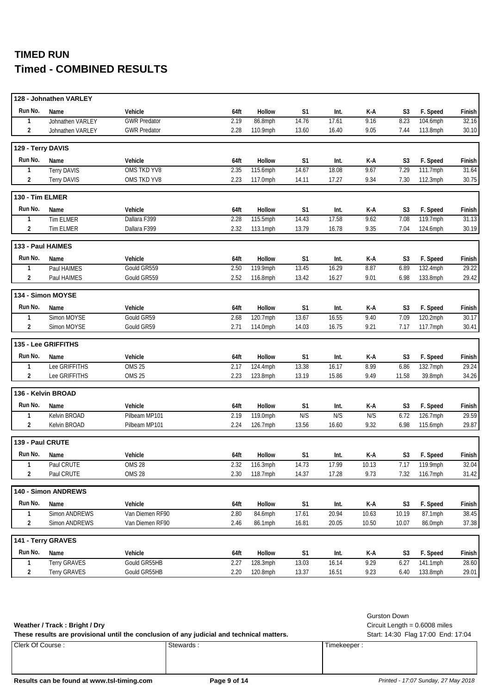|                   | 128 - Johnathen VARLEY |                     |      |               |                |       |       |                |          |        |
|-------------------|------------------------|---------------------|------|---------------|----------------|-------|-------|----------------|----------|--------|
| Run No.           | Name                   | Vehicle             | 64ft | Hollow        | S1             | Int.  | K-A   | S <sub>3</sub> | F. Speed | Finish |
| 1                 | Johnathen VARLEY       | <b>GWR Predator</b> | 2.19 | 86.8mph       | 14.76          | 17.61 | 9.16  | 8.23           | 104.6mph | 32.16  |
| $\overline{2}$    | Johnathen VARLEY       | <b>GWR Predator</b> | 2.28 | 110.9mph      | 13.60          | 16.40 | 9.05  | 7.44           | 113.8mph | 30.10  |
| 129 - Terry DAVIS |                        |                     |      |               |                |       |       |                |          |        |
| Run No.           | Name                   | Vehicle             | 64ft | Hollow        | S <sub>1</sub> | Int.  | K-A   | S <sub>3</sub> | F. Speed | Finish |
| 1                 | <b>Terry DAVIS</b>     | OMS TKD YV8         | 2.35 | 115.6mph      | 14.67          | 18.08 | 9.67  | 7.29           | 111.7mph | 31.64  |
| 2                 | <b>Terry DAVIS</b>     | OMS TKD YV8         | 2.23 | 117.0mph      | 14.11          | 17.27 | 9.34  | 7.30           | 112.3mph | 30.75  |
| 130 - Tim ELMER   |                        |                     |      |               |                |       |       |                |          |        |
| Run No.           | Name                   | Vehicle             | 64ft | Hollow        | S1             | Int.  | K-A   | S3             | F. Speed | Finish |
| 1                 | <b>Tim ELMER</b>       | Dallara F399        | 2.28 | 115.5mph      | 14.43          | 17.58 | 9.62  | 7.08           | 119.7mph | 31.13  |
| 2                 | Tim ELMER              | Dallara F399        | 2.32 | 113.1mph      | 13.79          | 16.78 | 9.35  | 7.04           | 124.6mph | 30.19  |
| 133 - Paul HAIMES |                        |                     |      |               |                |       |       |                |          |        |
| Run No.           | Name                   | Vehicle             | 64ft | Hollow        | S <sub>1</sub> | Int.  | K-A   | S3             | F. Speed | Finish |
| $\mathbf{1}$      | Paul HAIMES            | Gould GR559         | 2.50 | 119.9mph      | 13.45          | 16.29 | 8.87  | 6.89           | 132.4mph | 29.22  |
| 2                 | Paul HAIMES            | Gould GR559         | 2.52 | 116.8mph      | 13.42          | 16.27 | 9.01  | 6.98           | 133.8mph | 29.42  |
|                   | 134 - Simon MOYSE      |                     |      |               |                |       |       |                |          |        |
| Run No.           | Name                   | Vehicle             | 64ft | Hollow        | S <sub>1</sub> | Int.  | K-A   | S <sub>3</sub> | F. Speed | Finish |
| 1                 | Simon MOYSE            | Gould GR59          | 2.68 | 120.7mph      | 13.67          | 16.55 | 9.40  | 7.09           | 120.2mph | 30.17  |
| $\overline{2}$    | Simon MOYSE            | Gould GR59          | 2.71 | 114.0mph      | 14.03          | 16.75 | 9.21  | 7.17           | 117.7mph | 30.41  |
|                   | 135 - Lee GRIFFITHS    |                     |      |               |                |       |       |                |          |        |
| Run No.           | Name                   | Vehicle             | 64ft | Hollow        | S <sub>1</sub> | Int.  | K-A   | S <sub>3</sub> | F. Speed | Finish |
| $\mathbf{1}$      | Lee GRIFFITHS          | OMS <sub>25</sub>   | 2.17 | 124.4mph      | 13.38          | 16.17 | 8.99  | 6.86           | 132.7mph | 29.24  |
| $\overline{2}$    | Lee GRIFFITHS          | OMS <sub>25</sub>   | 2.23 | 123.8mph      | 13.19          | 15.86 | 9.49  | 11.58          | 39.8mph  | 34.26  |
|                   | 136 - Kelvin BROAD     |                     |      |               |                |       |       |                |          |        |
| Run No.           | Name                   | Vehicle             | 64ft | Hollow        | S1             | Int.  | K-A   | S3             | F. Speed | Finish |
| $\mathbf{1}$      | Kelvin BROAD           | Pilbeam MP101       | 2.19 | 119.0mph      | N/S            | N/S   | N/S   | 6.72           | 126.7mph | 29.59  |
| $\overline{2}$    | Kelvin BROAD           | Pilbeam MP101       | 2.24 | 126.7mph      | 13.56          | 16.60 | 9.32  | 6.98           | 115.6mph | 29.87  |
| 139 - Paul CRUTE  |                        |                     |      |               |                |       |       |                |          |        |
| Run No.           | Name                   | Vehicle             | 64ft | <b>Hollow</b> | S1             | Int.  | K-A   | S <sub>3</sub> | F. Speed | Finish |
| $\mathbf{1}$      | Paul CRUTE             | <b>OMS 28</b>       | 2.32 | 116.3mph      | 14.73          | 17.99 | 10.13 | 7.17           | 119.9mph | 32.04  |
| 2                 | Paul CRUTE             | OMS 28              | 2.30 | 118.7mph      | 14.37          | 17.28 | 9.73  | 7.32           | 116.7mph | 31.42  |
|                   | 140 - Simon ANDREWS    |                     |      |               |                |       |       |                |          |        |
| Run No.           | Name                   | Vehicle             | 64ft | Hollow        | S <sub>1</sub> | Int.  | K-A   | S <sub>3</sub> | F. Speed | Finish |
| 1                 | Simon ANDREWS          | Van Diemen RF90     | 2.80 | 84.6mph       | 17.61          | 20.94 | 10.63 | 10.19          | 87.1mph  | 38.45  |
| 2                 | Simon ANDREWS          | Van Diemen RF90     | 2.46 | 86.1mph       | 16.81          | 20.05 | 10.50 | 10.07          | 86.0mph  | 37.38  |
|                   | 141 - Terry GRAVES     |                     |      |               |                |       |       |                |          |        |
| Run No.           | Name                   | Vehicle             | 64ft | Hollow        | S1             | Int.  | K-A   | S3             | F. Speed | Finish |
| 1                 | <b>Terry GRAVES</b>    | Gould GR55HB        | 2.27 | 128.3mph      | 13.03          | 16.14 | 9.29  | 6.27           | 141.1mph | 28.60  |
| 2                 | Terry GRAVES           | Gould GR55HB        | 2.20 | 120.8mph      | 13.37          | 16.51 | 9.23  | 6.40           | 133.8mph | 29.01  |

**Weather / Track : Bright / Dry** Circuit Length = 0.6008 miles

Gurston Down

These results are provisional until the conclusion of any judicial and technical matters. Start: 14:30 Flag 17:00 End: 17:04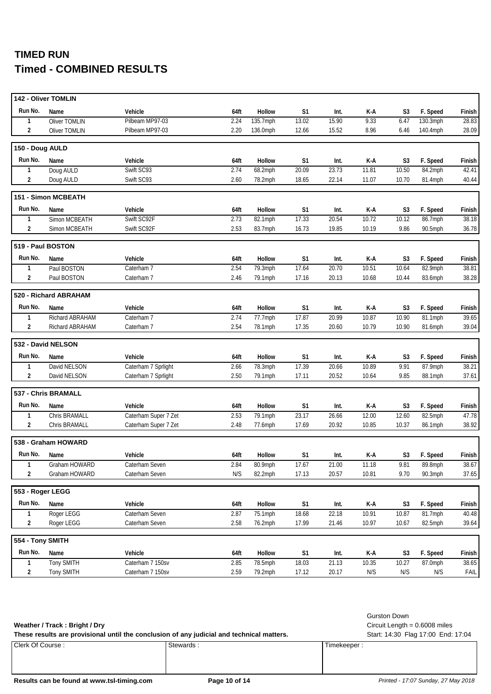|                    | 142 - Oliver TOMLIN   |                      |      |                    |                |       |       |                |                       |        |
|--------------------|-----------------------|----------------------|------|--------------------|----------------|-------|-------|----------------|-----------------------|--------|
| Run No.            | Name                  | Vehicle              | 64ft | Hollow             | S1             | Int.  | K-A   | S <sub>3</sub> | F. Speed              | Finish |
| 1                  | Oliver TOMLIN         | Pilbeam MP97-03      | 2.24 | 135.7mph           | 13.02          | 15.90 | 9.33  | 6.47           | 130.3mph              | 28.83  |
| $\overline{2}$     | Oliver TOMLIN         | Pilbeam MP97-03      | 2.20 | 136.0mph           | 12.66          | 15.52 | 8.96  | 6.46           | 140.4mph              | 28.09  |
| 150 - Doug AULD    |                       |                      |      |                    |                |       |       |                |                       |        |
| Run No.            | Name                  | Vehicle              | 64ft | Hollow             | S <sub>1</sub> | Int.  | K-A   | S <sub>3</sub> | F. Speed              | Finish |
| 1                  | Doug AULD             | Swift SC93           | 2.74 | 68.2mph            | 20.09          | 23.73 | 11.81 | 10.50          | 84.2mph               | 42.41  |
| $\overline{2}$     | Doug AULD             | Swift SC93           | 2.60 | 78.2mph            | 18.65          | 22.14 | 11.07 | 10.70          | 81.4mph               | 40.44  |
|                    | 151 - Simon MCBEATH   |                      |      |                    |                |       |       |                |                       |        |
| Run No.            | Name                  | Vehicle              | 64ft | Hollow             | S1             | Int.  | K-A   | S3             | F. Speed              | Finish |
| 1                  | Simon MCBEATH         | Swift SC92F          | 2.73 | 82.1mph            | 17.33          | 20.54 | 10.72 | 10.12          | 86.7mph               | 38.18  |
| $\overline{2}$     | Simon MCBEATH         | Swift SC92F          | 2.53 | 83.7mph            | 16.73          | 19.85 | 10.19 | 9.86           | 90.5mph               | 36.78  |
|                    | 519 - Paul BOSTON     |                      |      |                    |                |       |       |                |                       |        |
| Run No.            | Name                  | Vehicle              | 64ft | Hollow             | S <sub>1</sub> | Int.  | K-A   | S3             | F. Speed              | Finish |
| 1                  | Paul BOSTON           | Caterham 7           | 2.54 | 79.3mph            | 17.64          | 20.70 | 10.51 | 10.64          | 82.9mph               | 38.81  |
| $\overline{2}$     | Paul BOSTON           | Caterham 7           | 2.46 | 79.1mph            | 17.16          | 20.13 | 10.68 | 10.44          | 83.6mph               | 38.28  |
|                    | 520 - Richard ABRAHAM |                      |      |                    |                |       |       |                |                       |        |
| Run No.            | Name                  | Vehicle              | 64ft | Hollow             | S <sub>1</sub> | Int.  | K-A   | S <sub>3</sub> | F. Speed              | Finish |
| 1                  | Richard ABRAHAM       | Caterham 7           | 2.74 | 77.7mph            | 17.87          | 20.99 | 10.87 | 10.90          | $\overline{81}$ .1mph | 39.65  |
| $\overline{2}$     | Richard ABRAHAM       | Caterham 7           | 2.54 | 78.1mph            | 17.35          | 20.60 | 10.79 | 10.90          | 81.6mph               | 39.04  |
|                    |                       |                      |      |                    |                |       |       |                |                       |        |
| 532 - David NELSON |                       |                      |      |                    |                |       |       |                |                       |        |
| Run No.            | Name                  | Vehicle              | 64ft | Hollow             | S <sub>1</sub> | Int.  | K-A   | S <sub>3</sub> |                       | Finish |
| $\mathbf{1}$       | David NELSON          | Caterham 7 Sprlight  | 2.66 | $78.3$ mph         | 17.39          | 20.66 | 10.89 | 9.91           | F. Speed<br>87.9mph   | 38.21  |
| $\overline{2}$     | David NELSON          | Caterham 7 Sprlight  | 2.50 | 79.1mph            | 17.11          | 20.52 | 10.64 | 9.85           | 88.1mph               | 37.61  |
|                    | 537 - Chris BRAMALL   |                      |      |                    |                |       |       |                |                       |        |
| Run No.            | Name                  | Vehicle              | 64ft | Hollow             |                | Int.  | K-A   | S <sub>3</sub> |                       | Finish |
| $\mathbf{1}$       | Chris BRAMALL         | Caterham Super 7 Zet | 2.53 |                    | S1<br>23.17    | 26.66 | 12.00 | 12.60          | F. Speed<br>82.5mph   | 47.78  |
| $\overline{2}$     | Chris BRAMALL         | Caterham Super 7 Zet | 2.48 | 79.1mph<br>77.6mph | 17.69          | 20.92 | 10.85 | 10.37          | 86.1mph               | 38.92  |
|                    | 538 - Graham HOWARD   |                      |      |                    |                |       |       |                |                       |        |
| Run No.            | Name                  | Vehicle              | 64ft | Hollow             | S1             | Int.  | K-A   | S <sub>3</sub> | F. Speed              | Finish |
| 1                  | Graham HOWARD         | Caterham Seven       | 2.84 | 80.9mph            | 17.67          | 21.00 | 11.18 | 9.81           | 89.8mph               | 38.67  |
| $\overline{2}$     | Graham HOWARD         | Caterham Seven       | N/S  | 82.2mph            | 17.13          | 20.57 | 10.81 | 9.70           | 90.3mph               | 37.65  |
| 553 - Roger LEGG   |                       |                      |      |                    |                |       |       |                |                       |        |
| Run No.            | Name                  | Vehicle              | 64ft | Hollow             | S <sub>1</sub> | Int.  | K-A   | S3             | F. Speed              | Finish |
| 1                  | Roger LEGG            | Caterham Seven       | 2.87 | 75.1mph            | 18.68          | 22.18 | 10.91 | 10.87          | 81.7mph               | 40.48  |
| 2                  | Roger LEGG            | Caterham Seven       | 2.58 | 76.2mph            | 17.99          | 21.46 | 10.97 | 10.67          | 82.5mph               | 39.64  |
| 554 - Tony SMITH   |                       |                      |      |                    |                |       |       |                |                       |        |
| Run No.            | Name                  | Vehicle              | 64ft | Hollow             | S1             | Int.  | K-A   | S3             | F. Speed              | Finish |
| 1                  | <b>Tony SMITH</b>     | Caterham 7 150sv     | 2.85 | 78.5mph            | 18.03          | 21.13 | 10.35 | 10.27          | 87.0mph               | 38.65  |

**Weather / Track : Bright / Dry** Circuit Length = 0.6008 miles

Gurston Down

These results are provisional until the conclusion of any judicial and technical matters. Start: 14:30 Flag 17:00 End: 17:04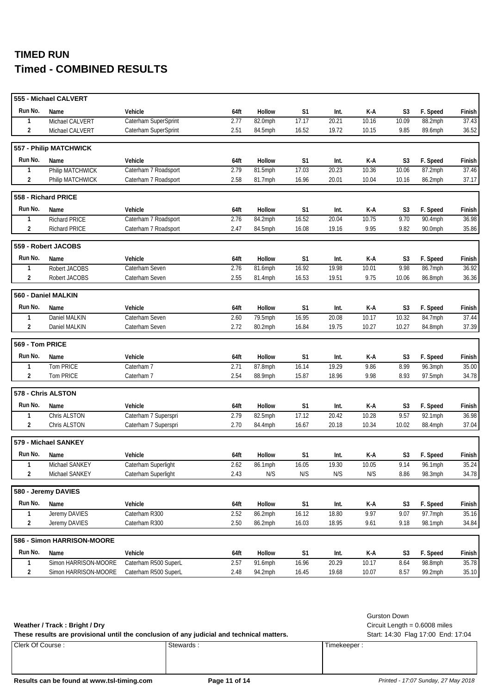|                 | 555 - Michael CALVERT      |                      |      |         |                |       |       |                |          |        |
|-----------------|----------------------------|----------------------|------|---------|----------------|-------|-------|----------------|----------|--------|
| Run No.         | Name                       | Vehicle              | 64ft | Hollow  | S <sub>1</sub> | Int.  | K-A   | S3             | F. Speed | Finish |
| 1               | Michael CALVERT            | Caterham SuperSprint | 2.77 | 82.0mph | 17.17          | 20.21 | 10.16 | 10.09          | 88.2mph  | 37.43  |
| $\overline{2}$  | Michael CALVERT            | Caterham SuperSprint | 2.51 | 84.5mph | 16.52          | 19.72 | 10.15 | 9.85           | 89.6mph  | 36.52  |
|                 | 557 - Philip MATCHWICK     |                      |      |         |                |       |       |                |          |        |
| Run No.         | Name                       | Vehicle              | 64ft | Hollow  | S <sub>1</sub> | Int.  | K-A   | S3             | F. Speed | Finish |
| 1               | Philip MATCHWICK           | Caterham 7 Roadsport | 2.79 | 81.5mph | 17.03          | 20.23 | 10.36 | 10.06          | 87.2mph  | 37.46  |
| 2               | Philip MATCHWICK           | Caterham 7 Roadsport | 2.58 | 81.7mph | 16.96          | 20.01 | 10.04 | 10.16          | 86.2mph  | 37.17  |
|                 | 558 - Richard PRICE        |                      |      |         |                |       |       |                |          |        |
| Run No.         | Name                       | Vehicle              | 64ft | Hollow  | S <sub>1</sub> | Int.  | K-A   | S <sub>3</sub> | F. Speed | Finish |
| 1               | <b>Richard PRICE</b>       | Caterham 7 Roadsport | 2.76 | 84.2mph | 16.52          | 20.04 | 10.75 | 9.70           | 90.4mph  | 36.98  |
| $\overline{2}$  | <b>Richard PRICE</b>       | Caterham 7 Roadsport | 2.47 | 84.5mph | 16.08          | 19.16 | 9.95  | 9.82           | 90.0mph  | 35.86  |
|                 | 559 - Robert JACOBS        |                      |      |         |                |       |       |                |          |        |
| Run No.         | Name                       | Vehicle              | 64ft | Hollow  | S <sub>1</sub> | Int.  | K-A   | S3             | F. Speed | Finish |
| $\mathbf{1}$    | Robert JACOBS              | Caterham Seven       | 2.76 | 81.6mph | 16.92          | 19.98 | 10.01 | 9.98           | 86.7mph  | 36.92  |
| $\overline{2}$  | Robert JACOBS              | Caterham Seven       | 2.55 | 81.4mph | 16.53          | 19.51 | 9.75  | 10.06          | 86.8mph  | 36.36  |
|                 | 560 - Daniel MALKIN        |                      |      |         |                |       |       |                |          |        |
| Run No.         | Name                       | Vehicle              | 64ft | Hollow  | S <sub>1</sub> | Int.  | K-A   | S3             | F. Speed | Finish |
| $\mathbf{1}$    | Daniel MALKIN              | Caterham Seven       | 2.60 | 79.5mph | 16.95          | 20.08 | 10.17 | 10.32          | 84.7mph  | 37.44  |
| $\overline{2}$  | Daniel MALKIN              | Caterham Seven       | 2.72 | 80.2mph | 16.84          | 19.75 | 10.27 | 10.27          | 84.8mph  | 37.39  |
| 569 - Tom PRICE |                            |                      |      |         |                |       |       |                |          |        |
| Run No.         | Name                       | Vehicle              | 64ft | Hollow  | S1             | Int.  | K-A   | S3             | F. Speed | Finish |
| $\mathbf{1}$    | Tom PRICE                  | Caterham 7           | 2.71 | 87.8mph | 16.14          | 19.29 | 9.86  | 8.99           | 96.3mph  | 35.00  |
| $\overline{2}$  | Tom PRICE                  | Caterham 7           | 2.54 | 88.9mph | 15.87          | 18.96 | 9.98  | 8.93           | 97.5mph  | 34.78  |
|                 | 578 - Chris ALSTON         |                      |      |         |                |       |       |                |          |        |
| Run No.         | Name                       | Vehicle              | 64ft | Hollow  | S1             | Int.  | K-A   | S <sub>3</sub> | F. Speed | Finish |
| $\mathbf{1}$    | Chris ALSTON               | Caterham 7 Superspri | 2.79 | 82.5mph | 17.12          | 20.42 | 10.28 | 9.57           | 92.1mph  | 36.98  |
| $\overline{2}$  | Chris ALSTON               | Caterham 7 Superspri | 2.70 | 84.4mph | 16.67          | 20.18 | 10.34 | 10.02          | 88.4mph  | 37.04  |
|                 | 579 - Michael SANKEY       |                      |      |         |                |       |       |                |          |        |
| Run No.         | Name                       | Vehicle              | 64ft | Hollow  | S1             | Int.  | K-A   | S <sub>3</sub> | F. Speed | Finish |
| 1               | Michael SANKEY             | Caterham Superlight  | 2.62 | 86.1mph | 16.05          | 19.30 | 10.05 | 9.14           | 96.1mph  | 35.24  |
| $\overline{2}$  | Michael SANKEY             | Caterham Superlight  | 2.43 | N/S     | N/S            | N/S   | N/S   | 8.86           | 98.3mph  | 34.78  |
|                 | 580 - Jeremy DAVIES        |                      |      |         |                |       |       |                |          |        |
| Run No.         | Name                       | Vehicle              | 64ft | Hollow  | S <sub>1</sub> | Int.  | K-A   | S3             | F. Speed | Finish |
| 1               | Jeremy DAVIES              | Caterham R300        | 2.52 | 86.2mph | 16.12          | 18.80 | 9.97  | 9.07           | 97.7mph  | 35.16  |
| 2               | Jeremy DAVIES              | Caterham R300        | 2.50 | 86.2mph | 16.03          | 18.95 | 9.61  | 9.18           | 98.1mph  | 34.84  |
|                 | 586 - Simon HARRISON-MOORE |                      |      |         |                |       |       |                |          |        |
| Run No.         | Name                       | Vehicle              | 64ft | Hollow  | S <sub>1</sub> | Int.  | K-A   | S3             | F. Speed | Finish |
| 1               | Simon HARRISON-MOORE       | Caterham R500 SuperL | 2.57 | 91.6mph | 16.96          | 20.29 | 10.17 | 8.64           | 98.8mph  | 35.78  |
| 2               | Simon HARRISON-MOORE       | Caterham R500 SuperL | 2.48 | 94.2mph | 16.45          | 19.68 | 10.07 | 8.57           | 99.2mph  | 35.10  |

**Weather / Track : Bright / Dry** Circuit Length = 0.6008 miles

Gurston Down

These results are provisional until the conclusion of any judicial and technical matters. Start: 14:30 Flag 17:00 End: 17:04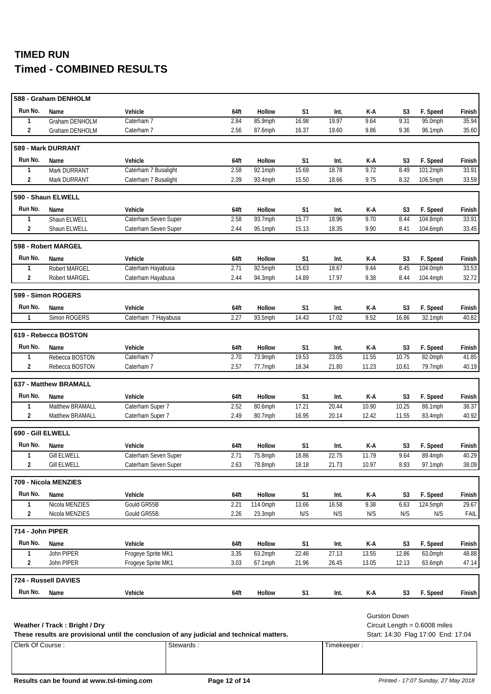|                         | 588 - Graham DENHOLM  |                      |      |               |                |       |       |                |             |        |
|-------------------------|-----------------------|----------------------|------|---------------|----------------|-------|-------|----------------|-------------|--------|
| Run No.                 | Name                  | Vehicle              | 64ft | Hollow        | S <sub>1</sub> | Int.  | K-A   | S3             | F. Speed    | Finish |
| 1                       | Graham DENHOLM        | Caterham 7           | 2.84 | 85.9mph       | 16.98          | 19.97 | 9.64  | 9.31           | 95.0mph     | 35.94  |
| 2                       | Graham DENHOLM        | Caterham 7           | 2.56 | 87.6mph       | 16.37          | 19.60 | 9.86  | 9.36           | 96.1mph     | 35.60  |
|                         | 589 - Mark DURRANT    |                      |      |               |                |       |       |                |             |        |
| Run No.                 | Name                  | Vehicle              | 64ft | Hollow        | S1             | Int.  | K-A   | S3             | F. Speed    | Finish |
| 1                       | Mark DURRANT          | Caterham 7 Busalight | 2.58 | $92.1$ mph    | 15.69          | 18.78 | 9.72  | 8.49           | 101.2mph    | 33.91  |
| 2                       | Mark DURRANT          | Caterham 7 Busalight | 2.39 | 93.4mph       | 15.50          | 18.66 | 9.75  | 8.32           | 106.5mph    | 33.59  |
|                         | 590 - Shaun ELWELL    |                      |      |               |                |       |       |                |             |        |
| Run No.                 | Name                  | Vehicle              | 64ft | Hollow        | S <sub>1</sub> | Int.  | K-A   | S3             | F. Speed    | Finish |
| 1                       | Shaun ELWELL          | Caterham Seven Super | 2.58 | 93.7mph       | 15.77          | 18.96 | 9.70  | 8.44           | 104.8mph    | 33.91  |
| 2                       | Shaun ELWELL          | Caterham Seven Super | 2.44 | 95.1mph       | 15.13          | 18.35 | 9.90  | 8.41           | 104.6mph    | 33.45  |
|                         | 598 - Robert MARGEL   |                      |      |               |                |       |       |                |             |        |
| Run No.                 | Name                  | Vehicle              | 64ft | Hollow        | S <sub>1</sub> | Int.  | K-A   | S3             | F. Speed    | Finish |
| 1                       | <b>Robert MARGEL</b>  | Caterham Hayabusa    | 2.71 | 92.5mph       | 15.63          | 18.67 | 9.44  | 8.45           | 104.0mph    | 33.53  |
| $\overline{\mathbf{c}}$ | <b>Robert MARGEL</b>  | Caterham Hayabusa    | 2.44 | 94.3mph       | 14.89          | 17.97 | 9.38  | 8.44           | 104.4mph    | 32.72  |
|                         | 599 - Simon ROGERS    |                      |      |               |                |       |       |                |             |        |
| Run No.                 | Name                  | Vehicle              | 64ft | Hollow        | S <sub>1</sub> | Int.  | K-A   | S3             | F. Speed    | Finish |
| $\mathbf{1}$            | Simon ROGERS          | Caterham 7 Hayabusa  | 2.27 | 93.5mph       | 14.43          | 17.02 | 9.52  | 16.86          | 32.1mph     | 40.82  |
|                         | 619 - Rebecca BOSTON  |                      |      |               |                |       |       |                |             |        |
| Run No.                 | Name                  | Vehicle              | 64ft | Hollow        | S <sub>1</sub> | Int.  | K-A   | S3             | F. Speed    | Finish |
| 1                       | Rebecca BOSTON        | Caterham 7           | 2.70 | 73.9mph       | 19.53          | 23.05 | 11.55 | 10.75          | 82.0mph     | 41.85  |
| $\overline{2}$          | Rebecca BOSTON        | Caterham 7           | 2.57 | 77.7mph       | 18.34          | 21.80 | 11.23 | 10.61          | 79.7mph     | 40.19  |
|                         | 637 - Matthew BRAMALL |                      |      |               |                |       |       |                |             |        |
| Run No.                 | Name                  | Vehicle              | 64ft | <b>Hollow</b> | S <sub>1</sub> | Int.  | K-A   | S3             | F. Speed    | Finish |
| 1                       | Matthew BRAMALL       | Caterham Super 7     | 2.52 | $80.6$ mph    | 17.21          | 20.44 | 10.90 | 10.25          | 86.1mph     | 38.37  |
| $\overline{2}$          | Matthew BRAMALL       | Caterham Super 7     | 2.49 | 80.7mph       | 16.95          | 20.14 | 12.42 | 11.55          | 83.4mph     | 40.92  |
| 690 - Gill ELWELL       |                       |                      |      |               |                |       |       |                |             |        |
| Run No.                 | Name                  | Vehicle              | 64ft | Hollow        | S <sub>1</sub> | Int.  | K-A   | S3             | F. Speed    | Finish |
| $\mathbf{1}$            | <b>Gill ELWELL</b>    | Caterham Seven Super | 2.71 | 75.8mph       | 18.86          | 22.75 | 11.79 | 9.64           | 89.4mph     | 40.29  |
| 2                       | <b>Gill ELWELL</b>    | Caterham Seven Super | 2.63 | 78.8mph       | 18.18          | 21.73 | 10.97 | 8.93           | 97.1mph     | 38.09  |
|                         | 709 - Nicola MENZIES  |                      |      |               |                |       |       |                |             |        |
| Run No.                 | Name                  | Vehicle              | 64ft | Hollow        | S1             | Int.  | K-A   | S <sub>3</sub> | F. Speed    | Finish |
| $\mathbf{1}$            | Nicola MENZIES        | Gould GR55B          | 2.21 | $114.0$ mph   | 13.66          | 16.58 | 9.38  | 6.63           | $124.5$ mph | 29.67  |
| $\overline{2}$          | Nicola MENZIES        | Gould GR55B          | 2.26 | 23.3mph       | N/S            | N/S   | N/S   | N/S            | N/S         | FAIL   |
| 714 - John PIPER        |                       |                      |      |               |                |       |       |                |             |        |
| Run No.                 | Name                  | Vehicle              | 64ft | Hollow        | S <sub>1</sub> | Int.  | K-A   | S <sub>3</sub> | F. Speed    | Finish |
| $\mathbf{1}$            | John PIPER            | Frogeye Sprite MK1   | 3.35 | 63.2mph       | 22.46          | 27.13 | 13.55 | 12.86          | $63.0$ mph  | 48.88  |
| 2                       | John PIPER            | Frogeye Sprite MK1   | 3.03 | $67.1$ mph    | 21.96          | 26.45 | 13.05 | 12.13          | 63.6mph     | 47.14  |
|                         | 724 - Russell DAVIES  |                      |      |               |                |       |       |                |             |        |
| Run No.                 | Name                  | Vehicle              | 64ft | Hollow        | S <sub>1</sub> | Int.  | K-A   | S <sub>3</sub> | F. Speed    | Finish |
|                         |                       |                      |      |               |                |       |       |                |             |        |

**Weather / Track : Bright / Dry** Circuit Length = 0.6008 miles

Clerk Of Course : Stewards : Stewards : Timekeeper : Timekeeper : These results are provisional until the conclusion of any judicial and technical matters. Start: 14:30 Flag 17:00 End: 17:04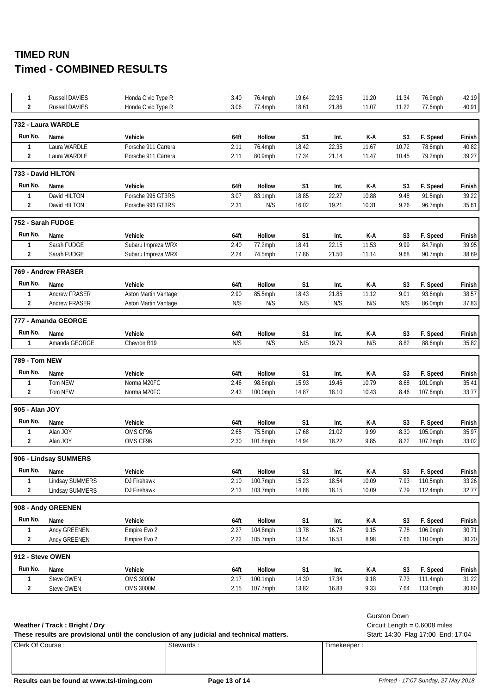| $\mathbf{1}$     | <b>Russell DAVIES</b>  | Honda Civic Type R          | 3.40 | 76.4mph       | 19.64          | 22.95 | 11.20 | 11.34          | 76.9mph  | 42.19  |
|------------------|------------------------|-----------------------------|------|---------------|----------------|-------|-------|----------------|----------|--------|
| $\overline{2}$   | <b>Russell DAVIES</b>  | Honda Civic Type R          | 3.06 | 77.4mph       | 18.61          | 21.86 | 11.07 | 11.22          | 77.6mph  | 40.91  |
|                  | 732 - Laura WARDLE     |                             |      |               |                |       |       |                |          |        |
| Run No.          | Name                   | Vehicle                     | 64ft | <b>Hollow</b> | S <sub>1</sub> | Int.  | K-A   | S3             | F. Speed | Finish |
| $\mathbf{1}$     | Laura WARDLE           | Porsche 911 Carrera         | 2.11 | 76.4mph       | 18.42          | 22.35 | 11.67 | 10.72          | 78.6mph  | 40.82  |
| $\overline{2}$   | Laura WARDLE           | Porsche 911 Carrera         | 2.11 | 80.9mph       | 17.34          | 21.14 | 11.47 | 10.45          | 79.2mph  | 39.27  |
|                  | 733 - David HILTON     |                             |      |               |                |       |       |                |          |        |
| Run No.          | Name                   | Vehicle                     | 64ft | Hollow        | S1             | Int.  | K-A   | S3             | F. Speed | Finish |
| 1                | David HILTON           | Porsche 996 GT3RS           | 3.07 | 83.1mph       | 18.85          | 22.27 | 10.88 | 9.48           | 91.5mph  | 39.22  |
| 2                | David HILTON           | Porsche 996 GT3RS           | 2.31 | N/S           | 16.02          | 19.21 | 10.31 | 9.26           | 96.7mph  | 35.61  |
|                  | 752 - Sarah FUDGE      |                             |      |               |                |       |       |                |          |        |
| Run No.          | Name                   | Vehicle                     | 64ft | Hollow        | S1             | Int.  | K-A   | S3             | F. Speed | Finish |
| 1                | Sarah FUDGE            | Subaru Impreza WRX          | 2.40 | 77.2mph       | 18.41          | 22.15 | 11.53 | 9.99           | 84.7mph  | 39.95  |
| $\overline{2}$   | Sarah FUDGE            | Subaru Impreza WRX          | 2.24 | 74.5mph       | 17.86          | 21.50 | 11.14 | 9.68           | 90.7mph  | 38.69  |
|                  | 769 - Andrew FRASER    |                             |      |               |                |       |       |                |          |        |
| Run No.          | Name                   | Vehicle                     | 64ft | <b>Hollow</b> | S1             | Int.  | K-A   | S3             | F. Speed | Finish |
| 1                | <b>Andrew FRASER</b>   | <b>Aston Martin Vantage</b> | 2.90 | 85.5mph       | 18.43          | 21.85 | 11.12 | 9.01           | 93.6mph  | 38.57  |
| $\overline{2}$   | Andrew FRASER          | Aston Martin Vantage        | N/S  | N/S           | N/S            | N/S   | N/S   | N/S            | 86.0mph  | 37.83  |
|                  | 777 - Amanda GEORGE    |                             |      |               |                |       |       |                |          |        |
| Run No.          | Name                   | Vehicle                     | 64ft | Hollow        | S1             | Int.  | K-A   | S3             | F. Speed | Finish |
| $\mathbf{1}$     | Amanda GEORGE          | Chevron B19                 | N/S  | N/S           | N/S            | 19.79 | N/S   | 8.82           | 88.6mph  | 35.82  |
| 789 - Tom NEW    |                        |                             |      |               |                |       |       |                |          |        |
| Run No.          | Name                   | Vehicle                     | 64ft | Hollow        | S1             | Int.  | K-A   | S3             | F. Speed | Finish |
| 1                | Tom NEW                | Norma M20FC                 | 2.46 | 98.8mph       | 15.93          | 19.46 | 10.79 | 8.68           | 101.0mph | 35.41  |
| 2                | Tom NEW                | Norma M20FC                 | 2.43 | 100.0mph      | 14.87          | 18.10 | 10.43 | 8.46           | 107.6mph | 33.77  |
| 905 - Alan JOY   |                        |                             |      |               |                |       |       |                |          |        |
| Run No.          | Name                   | Vehicle                     | 64ft | Hollow        | S1             | Int.  | K-A   | S3             | F. Speed | Finish |
| $\mathbf{1}$     | Alan JOY               | OMS CF96                    | 2.65 | 75.5mph       | 17.68          | 21.02 | 9.99  | 8.30           | 105.0mph | 35.97  |
| $\overline{2}$   | Alan JOY               | OMS CF96                    | 2.30 | 101.8mph      | 14.94          | 18.22 | 9.85  | 8.22           | 107.2mph | 33.02  |
|                  | 906 - Lindsay SUMMERS  |                             |      |               |                |       |       |                |          |        |
| Run No.          | Name                   | Vehicle                     | 64ft | Hollow        | S1             | Int.  | K-A   | S <sub>3</sub> | F. Speed | Finish |
| 1                | <b>Lindsay SUMMERS</b> | <b>DJ Firehawk</b>          | 2.10 | 100.7mph      | 15.23          | 18.54 | 10.09 | 7.93           | 110.5mph | 33.26  |
| 2                | Lindsay SUMMERS        | DJ Firehawk                 | 2.13 | 103.7mph      | 14.88          | 18.15 | 10.09 | 7.79           | 112.4mph | 32.77  |
|                  | 908 - Andy GREENEN     |                             |      |               |                |       |       |                |          |        |
| Run No.          | Name                   | Vehicle                     | 64ft | Hollow        | S1             | Int.  | K-A   | S <sub>3</sub> | F. Speed | Finish |
| 1                | Andy GREENEN           | Empire Evo 2                | 2.27 | 104.8mph      | 13.78          | 16.78 | 9.15  | 7.78           | 106.9mph | 30.71  |
| 2                | Andy GREENEN           | Empire Evo 2                | 2.22 | 105.7mph      | 13.54          | 16.53 | 8.98  | 7.66           | 110.0mph | 30.20  |
| 912 - Steve OWEN |                        |                             |      |               |                |       |       |                |          |        |
| Run No.          | Name                   | Vehicle                     | 64ft | Hollow        | S1             | Int.  | K-A   | S3             | F. Speed | Finish |
| 1                | Steve OWEN             | <b>OMS 3000M</b>            | 2.17 | 100.1mph      | 14.30          | 17.34 | 9.18  | 7.73           | 111.4mph | 31.22  |
| 2                | Steve OWEN             | <b>OMS 3000M</b>            | 2.15 | 107.7mph      | 13.82          | 16.83 | 9.33  | 7.64           | 113.0mph | 30.80  |
|                  |                        |                             |      |               |                |       |       |                |          |        |

### Weather / Track: Bright / Dry **Weather / Track : Bright / Dry** Circuit Length = 0.6008 miles

| These results are provisional until the conclusion of any judicial and technical matters. |                  |           |             |  |  |  |
|-------------------------------------------------------------------------------------------|------------------|-----------|-------------|--|--|--|
|                                                                                           | Clerk Of Course: | Stewards: | Timekeeper: |  |  |  |

Gurston Down

Start: 14:30 Flag 17:00 End: 17:04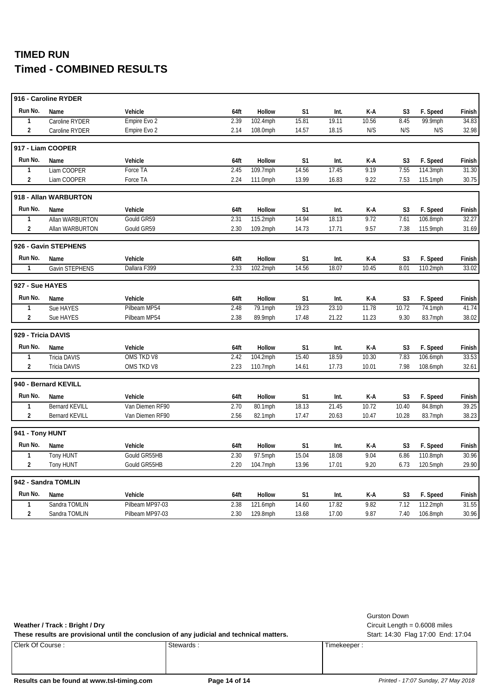|                    | 916 - Caroline RYDER  |                 |      |          |                |       |       |                |          |        |
|--------------------|-----------------------|-----------------|------|----------|----------------|-------|-------|----------------|----------|--------|
| Run No.            | Name                  | Vehicle         | 64ft | Hollow   | S1             | Int.  | K-A   | S <sub>3</sub> | F. Speed | Finish |
| 1                  | Caroline RYDER        | Empire Evo 2    | 2.39 | 102.4mph | 15.81          | 19.11 | 10.56 | 8.45           | 99.9mph  | 34.83  |
| $\overline{2}$     | Caroline RYDER        | Empire Evo 2    | 2.14 | 108.0mph | 14.57          | 18.15 | N/S   | N/S            | N/S      | 32.98  |
|                    | 917 - Liam COOPER     |                 |      |          |                |       |       |                |          |        |
| Run No.            | Name                  | Vehicle         | 64ft | Hollow   | S <sub>1</sub> | Int.  | K-A   | S <sub>3</sub> | F. Speed | Finish |
| $\mathbf{1}$       | Liam COOPER           | Force TA        | 2.45 | 109.7mph | 14.56          | 17.45 | 9.19  | 7.55           | 114.3mph | 31.30  |
| $\overline{2}$     | Liam COOPER           | Force TA        | 2.24 | 111.0mph | 13.99          | 16.83 | 9.22  | 7.53           | 115.1mph | 30.75  |
|                    | 918 - Allan WARBURTON |                 |      |          |                |       |       |                |          |        |
| Run No.            | Name                  | Vehicle         | 64ft | Hollow   | S <sub>1</sub> | Int.  | K-A   | S <sub>3</sub> | F. Speed | Finish |
| $\mathbf{1}$       | Allan WARBURTON       | Gould GR59      | 2.31 | 115.2mph | 14.94          | 18.13 | 9.72  | 7.61           | 106.8mph | 32.27  |
| $\overline{2}$     | Allan WARBURTON       | Gould GR59      | 2.30 | 109.2mph | 14.73          | 17.71 | 9.57  | 7.38           | 115.9mph | 31.69  |
|                    | 926 - Gavin STEPHENS  |                 |      |          |                |       |       |                |          |        |
| Run No.            | Name                  | Vehicle         | 64ft | Hollow   | S <sub>1</sub> | Int.  | K-A   | S <sub>3</sub> | F. Speed | Finish |
| $\mathbf{1}$       | Gavin STEPHENS        | Dallara F399    | 2.33 | 102.2mph | 14.56          | 18.07 | 10.45 | 8.01           | 110.2mph | 33.02  |
| 927 - Sue HAYES    |                       |                 |      |          |                |       |       |                |          |        |
| Run No.            | Name                  | Vehicle         | 64ft | Hollow   | S1             | Int.  | K-A   | S <sub>3</sub> | F. Speed | Finish |
| $\mathbf{1}$       | Sue HAYES             | Pilbeam MP54    | 2.48 | 79.1mph  | 19.23          | 23.10 | 11.78 | 10.72          | 74.1mph  | 41.74  |
| $\overline{2}$     | Sue HAYES             | Pilbeam MP54    | 2.38 | 89.9mph  | 17.48          | 21.22 | 11.23 | 9.30           | 83.7mph  | 38.02  |
| 929 - Tricia DAVIS |                       |                 |      |          |                |       |       |                |          |        |
| Run No.            | Name                  | Vehicle         | 64ft | Hollow   | S <sub>1</sub> | Int.  | K-A   | S <sub>3</sub> | F. Speed | Finish |
| 1                  | <b>Tricia DAVIS</b>   | OMS TKD V8      | 2.42 | 104.2mph | 15.40          | 18.59 | 10.30 | 7.83           | 106.6mph | 33.53  |
| $\overline{2}$     | <b>Tricia DAVIS</b>   | OMS TKD V8      | 2.23 | 110.7mph | 14.61          | 17.73 | 10.01 | 7.98           | 108.6mph | 32.61  |
|                    | 940 - Bernard KEVILL  |                 |      |          |                |       |       |                |          |        |
| Run No.            | Name                  | Vehicle         | 64ft | Hollow   | S1             | Int.  | K-A   | S3             | F. Speed | Finish |
| $\mathbf{1}$       | <b>Bernard KEVILL</b> | Van Diemen RF90 | 2.70 | 80.1mph  | 18.13          | 21.45 | 10.72 | 10.40          | 84.8mph  | 39.25  |
| $\overline{2}$     | <b>Bernard KEVILL</b> | Van Diemen RF90 | 2.56 | 82.1mph  | 17.47          | 20.63 | 10.47 | 10.28          | 83.7mph  | 38.23  |
| 941 - Tony HUNT    |                       |                 |      |          |                |       |       |                |          |        |
| Run No.            | Name                  | Vehicle         | 64ft | Hollow   | S <sub>1</sub> | Int.  | K-A   | S <sub>3</sub> | F. Speed | Finish |
| $\mathbf{1}$       | Tony HUNT             | Gould GR55HB    | 2.30 | 97.5mph  | 15.04          | 18.08 | 9.04  | 6.86           | 110.8mph | 30.96  |
| $\overline{2}$     | Tony HUNT             | Gould GR55HB    | 2.20 | 104.7mph | 13.96          | 17.01 | 9.20  | 6.73           | 120.5mph | 29.90  |
|                    | 942 - Sandra TOMLIN   |                 |      |          |                |       |       |                |          |        |
| Run No.            | Name                  | Vehicle         | 64ft | Hollow   | S1             | Int.  | K-A   | S <sub>3</sub> | F. Speed | Finish |
| $\mathbf{1}$       | Sandra TOMLIN         | Pilbeam MP97-03 | 2.38 | 121.6mph | 14.60          | 17.82 | 9.82  | 7.12           | 112.2mph | 31.55  |
| $\overline{2}$     | Sandra TOMLIN         | Pilbeam MP97-03 | 2.30 | 129.8mph | 13.68          | 17.00 | 9.87  | 7.40           | 106.8mph | 30.96  |

### **Weather / Track : Bright / Dry** Circuit Length = 0.6008 miles

These results are provisional until the conclusion of any judicial and technical matters. Start: 14:30 Flag 17:00 End: 17:04

Clerk Of Course : Stewards : Stewards : Timekeeper : Timekeeper :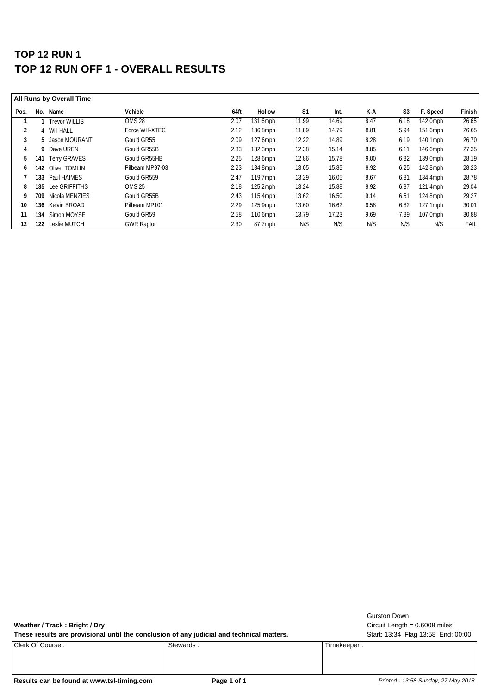## **TOP 12 RUN 1 TOP 12 RUN OFF 1 - OVERALL RESULTS**

| All Runs by Overall Time |     |                      |                   |      |             |                |       |      |      |             |               |
|--------------------------|-----|----------------------|-------------------|------|-------------|----------------|-------|------|------|-------------|---------------|
| Pos.                     | No. | Name                 | Vehicle           | 64ft | Hollow      | S <sub>1</sub> | Int.  | K-A  | S3   | F. Speed    | <b>Finish</b> |
|                          |     | <b>Trevor WILLIS</b> | OMS <sub>28</sub> | 2.07 | 131.6mph    | 11.99          | 14.69 | 8.47 | 6.18 | 142.0mph    | 26.65         |
| $\overline{2}$           |     | 4 Will HALL          | Force WH-XTEC     | 2.12 | 136.8mph    | 11.89          | 14.79 | 8.81 | 5.94 | 151.6mph    | 26.65         |
| 3                        |     | 5 Jason MOURANT      | Gould GR55        | 2.09 | 127.6mph    | 12.22          | 14.89 | 8.28 | 6.19 | 140.1mph    | 26.70         |
| 4                        | 9   | Dave UREN            | Gould GR55B       | 2.33 | $132.3$ mph | 12.38          | 15.14 | 8.85 | 6.11 | 146.6mph    | 27.35         |
| 5                        | 141 | <b>Terry GRAVES</b>  | Gould GR55HB      | 2.25 | 128.6mph    | 12.86          | 15.78 | 9.00 | 6.32 | 139.0mph    | 28.19         |
| 6                        | 142 | Oliver TOMLIN        | Pilbeam MP97-03   | 2.23 | 134.8mph    | 13.05          | 15.85 | 8.92 | 6.25 | 142.8mph    | 28.23         |
|                          | 133 | Paul HAIMES          | Gould GR559       | 2.47 | $119.7$ mph | 13.29          | 16.05 | 8.67 | 6.81 | 134.4mph    | 28.78         |
| 8                        | 135 | Lee GRIFFITHS        | <b>OMS 25</b>     | 2.18 | 125.2mph    | 13.24          | 15.88 | 8.92 | 6.87 | $121.4$ mph | 29.04         |
| 9                        | 709 | Nicola MENZIES       | Gould GR55B       | 2.43 | 115.4mph    | 13.62          | 16.50 | 9.14 | 6.51 | 124.8mph    | 29.27         |
| 10                       | 136 | Kelvin BROAD         | Pilbeam MP101     | 2.29 | 125.9mph    | 13.60          | 16.62 | 9.58 | 6.82 | 127.1mph    | 30.01         |
| 11                       | 134 | Simon MOYSE          | Gould GR59        | 2.58 | 110.6mph    | 13.79          | 17.23 | 9.69 | 7.39 | 107.0mph    | 30.88         |
| 12                       | 122 | Leslie MUTCH         | <b>GWR Raptor</b> | 2.30 | 87.7mph     | N/S            | N/S   | N/S  | N/S  | N/S         | <b>FAIL</b>   |

**Weather / Track : Bright / Dry** Circuit Length = 0.6008 miles

These results are provisional until the conclusion of any judicial and technical matters. Start: 13:34 Flag 13:58 End: 00:00

Clerk Of Course : Stewards : Stewards : Timekeeper : Timekeeper :